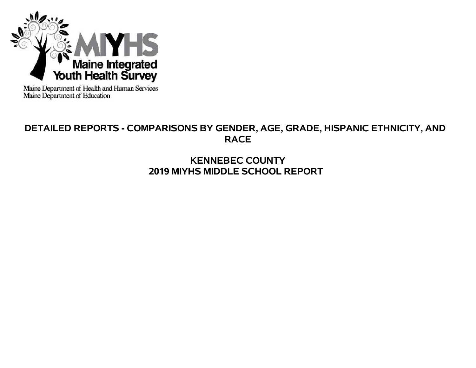

Maine Department of Health and Human Services<br>Maine Department of Education

# **DETAILED REPORTS - COMPARISONS BY GENDER, AGE, GRADE, HISPANIC ETHNICITY, AND RACE**

# **KENNEBEC COUNTY 2019 MIYHS MIDDLE SCHOOL REPORT**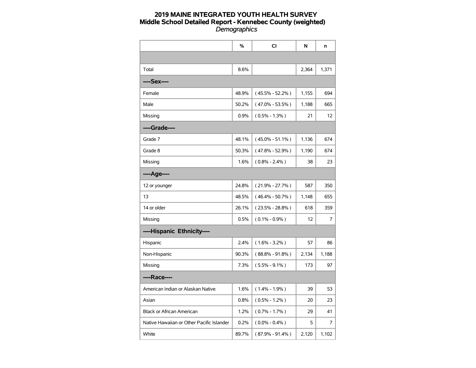|                                           | $\%$  | CI                  | N     | n     |
|-------------------------------------------|-------|---------------------|-------|-------|
|                                           |       |                     |       |       |
| Total                                     | 8.6%  |                     | 2,364 | 1,371 |
| ----Sex----                               |       |                     |       |       |
| Female                                    | 48.9% | $(45.5\% - 52.2\%)$ | 1,155 | 694   |
| Male                                      | 50.2% | $(47.0\% - 53.5\%)$ | 1,188 | 665   |
| Missing                                   | 0.9%  | $(0.5\% - 1.3\%)$   | 21    | 12    |
| ----Grade----                             |       |                     |       |       |
| Grade 7                                   | 48.1% | $(45.0\% - 51.1\%)$ | 1,136 | 674   |
| Grade 8                                   | 50.3% | $(47.8\% - 52.9\%)$ | 1,190 | 674   |
| Missing                                   | 1.6%  | $(0.8\% - 2.4\%)$   | 38    | 23    |
| ----Age----                               |       |                     |       |       |
| 12 or younger                             | 24.8% | $(21.9\% - 27.7\%)$ | 587   | 350   |
| 13                                        | 48.5% | $(46.4\% - 50.7\%)$ | 1,148 | 655   |
| 14 or older                               | 26.1% | $(23.5\% - 28.8\%)$ | 618   | 359   |
| Missing                                   | 0.5%  | $(0.1\% - 0.9\%)$   | 12    | 7     |
| ----Hispanic Ethnicity----                |       |                     |       |       |
| Hispanic                                  | 2.4%  | $(1.6\% - 3.2\%)$   | 57    | 86    |
| Non-Hispanic                              | 90.3% | $(88.8\% - 91.8\%)$ | 2,134 | 1,188 |
| Missing                                   | 7.3%  | $(5.5\% - 9.1\%)$   | 173   | 97    |
| ----Race----                              |       |                     |       |       |
| American Indian or Alaskan Native         | 1.6%  | $(1.4\% - 1.9\%)$   | 39    | 53    |
| Asian                                     | 0.8%  | $(0.5\% - 1.2\%)$   | 20    | 23    |
| Black or African American                 | 1.2%  | $(0.7\% - 1.7\%)$   | 29    | 41    |
| Native Hawaiian or Other Pacific Islander | 0.2%  | $(0.0\% - 0.4\%)$   | 5     | 7     |
| White                                     | 89.7% | $(87.9\% - 91.4\%)$ | 2,120 | 1,102 |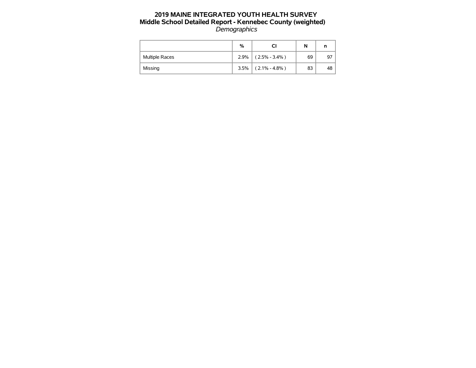|                | %    |                   | N  | n  |
|----------------|------|-------------------|----|----|
| Multiple Races | 2.9% | $(2.5\% - 3.4\%)$ | 69 | 97 |
| Missing        | 3.5% | $(2.1\% - 4.8\%)$ | 83 | 48 |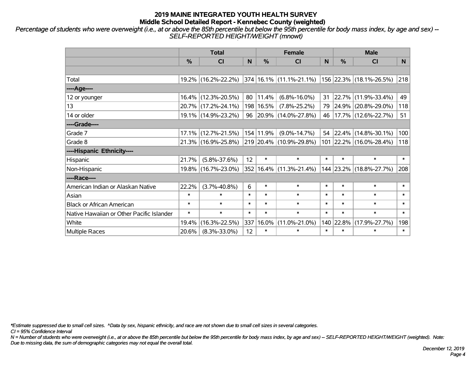*Percentage of students who were overweight (i.e., at or above the 85th percentile but below the 95th percentile for body mass index, by age and sex) -- SELF-REPORTED HEIGHT/WEIGHT (mnowt)*

|                                           | <b>Total</b>  |                        |        |           | <b>Female</b>                                                       |        | <b>Male</b> |                          |        |  |
|-------------------------------------------|---------------|------------------------|--------|-----------|---------------------------------------------------------------------|--------|-------------|--------------------------|--------|--|
|                                           | $\frac{0}{0}$ | <b>CI</b>              | N      | $\%$      | <b>CI</b>                                                           | N      | %           | <b>CI</b>                | N      |  |
|                                           |               |                        |        |           |                                                                     |        |             |                          |        |  |
| Total                                     |               |                        |        |           | 19.2% (16.2%-22.2%) 374 16.1% (11.1%-21.1%) 156 22.3% (18.1%-26.5%) |        |             |                          | 218    |  |
| ----Age----                               |               |                        |        |           |                                                                     |        |             |                          |        |  |
| 12 or younger                             |               | 16.4% (12.3%-20.5%)    | 80     | 11.4%     | $(6.8\% - 16.0\%)$                                                  | 31     |             | 22.7% (11.9%-33.4%)      | 49     |  |
| 13                                        |               | 20.7% (17.2%-24.1%)    | 198    | 16.5%     | $(7.8\% - 25.2\%)$                                                  | 79     |             | $ 24.9\% $ (20.8%-29.0%) | 118    |  |
| 14 or older                               |               | 19.1% (14.9%-23.2%)    | 96     |           | $ 20.9\% $ (14.0%-27.8%)                                            | 46     |             | 17.7%  (12.6%-22.7%)     | 51     |  |
| ----Grade----                             |               |                        |        |           |                                                                     |        |             |                          |        |  |
| Grade 7                                   |               | $17.1\%$ (12.7%-21.5%) |        | 154 11.9% | $(9.0\% - 14.7\%)$                                                  | 54     |             | $ 22.4\% $ (14.8%-30.1%) | 100    |  |
| Grade 8                                   |               | 21.3% (16.9%-25.8%)    |        |           | $ 219 20.4\% (10.9\% - 29.8\%)$                                     |        |             | 101 22.2% (16.0%-28.4%)  | 118    |  |
| ----Hispanic Ethnicity----                |               |                        |        |           |                                                                     |        |             |                          |        |  |
| Hispanic                                  | 21.7%         | $(5.8\% - 37.6\%)$     | 12     | $\ast$    | $\ast$                                                              | $\ast$ | $\ast$      | $\ast$                   | $\ast$ |  |
| Non-Hispanic                              |               | 19.8% (16.7%-23.0%)    | 352    |           | $16.4\%$ (11.3%-21.4%)                                              |        |             | 144 23.2% (18.8%-27.7%)  | 208    |  |
| ----Race----                              |               |                        |        |           |                                                                     |        |             |                          |        |  |
| American Indian or Alaskan Native         | 22.2%         | $(3.7\% - 40.8\%)$     | 6      | $\ast$    | $\ast$                                                              | $\ast$ | $\ast$      | $\ast$                   | $\ast$ |  |
| Asian                                     | $\ast$        | $\ast$                 | $\ast$ | $\ast$    | $\ast$                                                              | $\ast$ | $\ast$      | $\ast$                   | $\ast$ |  |
| <b>Black or African American</b>          | $\ast$        | $\ast$                 | $\ast$ | $\ast$    | $\ast$                                                              | $\ast$ | $\ast$      | $\ast$                   | $\ast$ |  |
| Native Hawaiian or Other Pacific Islander | $\ast$        | $\ast$                 | $\ast$ | $\ast$    | $\ast$                                                              | $\ast$ | $\ast$      | $\ast$                   | $\ast$ |  |
| White                                     | 19.4%         | $(16.3\% - 22.5\%)$    | 337    | 16.0%     | $(11.0\% - 21.0\%)$                                                 | 140    | 22.8%       | $(17.9\% - 27.7\%)$      | 198    |  |
| <b>Multiple Races</b>                     | 20.6%         | $(8.3\% - 33.0\%)$     | 12     | $\ast$    | $\ast$                                                              | $\ast$ | $\ast$      | $\ast$                   | $\ast$ |  |

*\*Estimate suppressed due to small cell sizes. ^Data by sex, hispanic ethnicity, and race are not shown due to small cell sizes in several categories.*

*CI = 95% Confidence Interval*

*N = Number of students who were overweight (i.e., at or above the 85th percentile but below the 95th percentile for body mass index, by age and sex) -- SELF-REPORTED HEIGHT/WEIGHT (weighted). Note: Due to missing data, the sum of demographic categories may not equal the overall total.*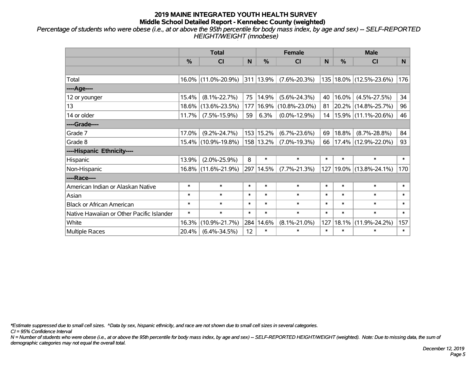*Percentage of students who were obese (i.e., at or above the 95th percentile for body mass index, by age and sex) -- SELF-REPORTED HEIGHT/WEIGHT (mnobese)*

|                                           | <b>Total</b>  |                     |        |               | <b>Female</b>       |        | <b>Male</b> |                     |        |  |
|-------------------------------------------|---------------|---------------------|--------|---------------|---------------------|--------|-------------|---------------------|--------|--|
|                                           | $\frac{0}{0}$ | <b>CI</b>           | N      | $\frac{9}{6}$ | <b>CI</b>           | N      | %           | <b>CI</b>           | N.     |  |
|                                           |               |                     |        |               |                     |        |             |                     |        |  |
| Total                                     |               | 16.0% (11.0%-20.9%) |        | 311 13.9%     | $(7.6\% - 20.3\%)$  | 135    |             | 18.0% (12.5%-23.6%) | 176    |  |
| ----Age----                               |               |                     |        |               |                     |        |             |                     |        |  |
| 12 or younger                             | 15.4%         | $(8.1\% - 22.7\%)$  | 75     | 14.9%         | $(5.6\% - 24.3\%)$  | 40     | 16.0%       | $(4.5\% - 27.5\%)$  | 34     |  |
| 13                                        | 18.6%         | $(13.6\% - 23.5\%)$ | 177    | 16.9%         | $(10.8\% - 23.0\%)$ | 81     |             | 20.2% (14.8%-25.7%) | 96     |  |
| 14 or older                               | 11.7%         | $(7.5\% - 15.9\%)$  | 59     | 6.3%          | $(0.0\% - 12.9\%)$  | 14     |             | 15.9% (11.1%-20.6%) | 46     |  |
| ----Grade----                             |               |                     |        |               |                     |        |             |                     |        |  |
| Grade 7                                   | 17.0%         | $(9.2\% - 24.7\%)$  |        | 153 15.2%     | $(6.7\% - 23.6\%)$  | 69     | 18.8%       | $(8.7\% - 28.8\%)$  | 84     |  |
| Grade 8                                   |               | 15.4% (10.9%-19.8%) |        | 158 13.2%     | $(7.0\% - 19.3\%)$  | 66     |             | 17.4% (12.9%-22.0%) | 93     |  |
| ----Hispanic Ethnicity----                |               |                     |        |               |                     |        |             |                     |        |  |
| Hispanic                                  | 13.9%         | $(2.0\% - 25.9\%)$  | 8      | $\ast$        | $\ast$              | $\ast$ | $\ast$      | $\ast$              | $\ast$ |  |
| Non-Hispanic                              | $16.8\%$      | $(11.6\% - 21.9\%)$ |        | 297 14.5%     | $(7.7\% - 21.3\%)$  | 127    | 19.0%       | $(13.8\% - 24.1\%)$ | 170    |  |
| ----Race----                              |               |                     |        |               |                     |        |             |                     |        |  |
| American Indian or Alaskan Native         | $\ast$        | $\ast$              | $\ast$ | $\ast$        | $\ast$              | $\ast$ | $\ast$      | $\ast$              | $\ast$ |  |
| Asian                                     | $\ast$        | $\ast$              | $\ast$ | $\ast$        | $\ast$              | $\ast$ | $\ast$      | $\ast$              | $\ast$ |  |
| <b>Black or African American</b>          | $\ast$        | $\ast$              | $\ast$ | $\ast$        | $\ast$              | $\ast$ | $\ast$      | $\ast$              | $\ast$ |  |
| Native Hawaiian or Other Pacific Islander | $\ast$        | $\ast$              | $\ast$ | $\ast$        | $\ast$              | $\ast$ | $\ast$      | $\ast$              | $\ast$ |  |
| White                                     | 16.3%         | $(10.9\% - 21.7\%)$ | 284    | 14.6%         | $(8.1\% - 21.0\%)$  | 127    | 18.1%       | $(11.9\% - 24.2\%)$ | 157    |  |
| Multiple Races                            | 20.4%         | $(6.4\% - 34.5\%)$  | 12     | $\ast$        | $\ast$              | $\ast$ | $\ast$      | *                   | $\ast$ |  |

*\*Estimate suppressed due to small cell sizes. ^Data by sex, hispanic ethnicity, and race are not shown due to small cell sizes in several categories.*

*CI = 95% Confidence Interval*

*N = Number of students who were obese (i.e., at or above the 95th percentile for body mass index, by age and sex) -- SELF-REPORTED HEIGHT/WEIGHT (weighted). Note: Due to missing data, the sum of demographic categories may not equal the overall total.*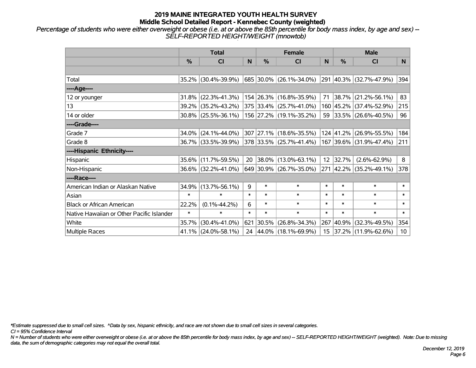*Percentage of students who were either overweight or obese (i.e. at or above the 85th percentile for body mass index, by age and sex) -- SELF-REPORTED HEIGHT/WEIGHT (mnowtob)*

|                                           | <b>Total</b>  |                        |        |               | <b>Female</b>                |        | <b>Male</b> |                         |                 |  |
|-------------------------------------------|---------------|------------------------|--------|---------------|------------------------------|--------|-------------|-------------------------|-----------------|--|
|                                           | $\frac{0}{0}$ | <b>CI</b>              | N      | $\frac{9}{6}$ | <b>CI</b>                    | N      | %           | <b>CI</b>               | N.              |  |
|                                           |               |                        |        |               |                              |        |             |                         |                 |  |
| Total                                     |               | 35.2% (30.4%-39.9%)    |        |               | 685   30.0%   (26.1%-34.0%)  |        |             | 291 40.3% (32.7%-47.9%) | 394             |  |
| ----Age----                               |               |                        |        |               |                              |        |             |                         |                 |  |
| 12 or younger                             | 31.8%         | $(22.3\% - 41.3\%)$    |        |               | 154 26.3% (16.8%-35.9%)      | 71     | 38.7%       | $(21.2\% - 56.1\%)$     | 83              |  |
| 13                                        |               | 39.2% (35.2%-43.2%)    |        |               | 375 33.4% (25.7%-41.0%)      |        |             | 160 45.2% (37.4%-52.9%) | 215             |  |
| 14 or older                               |               | $30.8\%$ (25.5%-36.1%) |        |               | 156 27.2% (19.1%-35.2%)      |        |             | 59 33.5% (26.6%-40.5%)  | 96              |  |
| ----Grade----                             |               |                        |        |               |                              |        |             |                         |                 |  |
| Grade 7                                   | 34.0%         | $(24.1\% - 44.0\%)$    |        |               | 307 27.1% (18.6%-35.5%)      |        | 124 41.2%   | $(26.9\% - 55.5\%)$     | 184             |  |
| Grade 8                                   |               | 36.7% (33.5%-39.9%)    |        |               | $ 378 33.5\% $ (25.7%-41.4%) |        |             | 167 39.6% (31.9%-47.4%) | 211             |  |
| ----Hispanic Ethnicity----                |               |                        |        |               |                              |        |             |                         |                 |  |
| Hispanic                                  |               | 35.6% (11.7%-59.5%)    | 20     |               | $ 38.0\% $ (13.0%-63.1%)     | 12     | 32.7%       | $(2.6\% - 62.9\%)$      | 8               |  |
| Non-Hispanic                              |               | 36.6% (32.2%-41.0%)    |        |               | 649 30.9% (26.7%-35.0%)      |        |             | 271 42.2% (35.2%-49.1%) | 378             |  |
| ----Race----                              |               |                        |        |               |                              |        |             |                         |                 |  |
| American Indian or Alaskan Native         | 34.9%         | $(13.7\% - 56.1\%)$    | 9      | $\ast$        | $\ast$                       | $\ast$ | $\ast$      | $\ast$                  | $\ast$          |  |
| Asian                                     | $\ast$        | $\ast$                 | $\ast$ | $\ast$        | $\ast$                       | $\ast$ | $\ast$      | $\ast$                  | $\ast$          |  |
| <b>Black or African American</b>          | 22.2%         | $(0.1\% - 44.2\%)$     | 6      | $\ast$        | $\ast$                       | $\ast$ | $\ast$      | $\ast$                  | $\ast$          |  |
| Native Hawaiian or Other Pacific Islander | $\ast$        | $\ast$                 | $\ast$ | $\ast$        | $\ast$                       | $\ast$ | $\ast$      | $\ast$                  | $\ast$          |  |
| White                                     | 35.7%         | $(30.4\% - 41.0\%)$    | 621    |               | $ 30.5\% $ (26.8%-34.3%)     | 267    | 40.9%       | $(32.3\% - 49.5\%)$     | 354             |  |
| Multiple Races                            |               | $41.1\%$ (24.0%-58.1%) |        |               | 24 44.0% (18.1%-69.9%)       |        |             | 15 37.2% (11.9%-62.6%)  | 10 <sup>1</sup> |  |

*\*Estimate suppressed due to small cell sizes. ^Data by sex, hispanic ethnicity, and race are not shown due to small cell sizes in several categories.*

*CI = 95% Confidence Interval*

*N = Number of students who were either overweight or obese (i.e. at or above the 85th percentile for body mass index, by age and sex) -- SELF-REPORTED HEIGHT/WEIGHT (weighted). Note: Due to missing data, the sum of demographic categories may not equal the overall total.*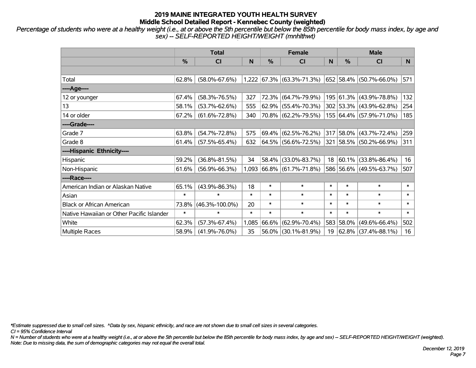*Percentage of students who were at a healthy weight (i.e., at or above the 5th percentile but below the 85th percentile for body mass index, by age and sex) -- SELF-REPORTED HEIGHT/WEIGHT (mnhlthwt)*

|                                           | <b>Total</b> |                      |              |        | <b>Female</b>                |             | <b>Male</b>   |                             |        |  |
|-------------------------------------------|--------------|----------------------|--------------|--------|------------------------------|-------------|---------------|-----------------------------|--------|--|
|                                           | %            | CI                   | $\mathsf{N}$ | %      | CI                           | $\mathbf N$ | $\frac{0}{0}$ | <b>CI</b>                   | N      |  |
|                                           |              |                      |              |        |                              |             |               |                             |        |  |
| Total                                     | 62.8%        | $(58.0\% - 67.6\%)$  |              |        | $1,222$ 67.3% (63.3%-71.3%)  |             |               | 652 58.4% (50.7%-66.0%)     | 571    |  |
| ----Age----                               |              |                      |              |        |                              |             |               |                             |        |  |
| 12 or younger                             | 67.4%        | $(58.3\% - 76.5\%)$  | 327          | 72.3%  | $(64.7\% - 79.9\%)$          |             |               | 195 61.3% (43.9%-78.8%)     | 132    |  |
| 13                                        | 58.1%        | $(53.7\% - 62.6\%)$  | 555          | 62.9%  | $(55.4\% - 70.3\%)$          |             |               | 302 53.3% (43.9%-62.8%)     | 254    |  |
| 14 or older                               | 67.2%        | $(61.6\% - 72.8\%)$  | 340          |        | 70.8% (62.2%-79.5%)          |             |               | 155 64.4% (57.9%-71.0%)     | 185    |  |
| ----Grade----                             |              |                      |              |        |                              |             |               |                             |        |  |
| Grade 7                                   | 63.8%        | $(54.7\% - 72.8\%)$  | 575          | 69.4%  | $(62.5\% - 76.2\%)$          |             |               | 317 58.0% (43.7%-72.4%)     | 259    |  |
| Grade 8                                   | 61.4%        | $(57.5\% - 65.4\%)$  | 632          |        | $64.5\%$ (56.6%-72.5%)       |             |               | 321 58.5% (50.2%-66.9%)     | 311    |  |
| ----Hispanic Ethnicity----                |              |                      |              |        |                              |             |               |                             |        |  |
| Hispanic                                  | 59.2%        | $(36.8\% - 81.5\%)$  | 34           | 58.4%  | $(33.0\% - 83.7\%)$          | 18          |               | $ 60.1\% $ (33.8%-86.4%)    | 16     |  |
| Non-Hispanic                              | 61.6%        | $(56.9\% - 66.3\%)$  | 1,093        |        | $ 66.8\%  (61.7\% - 71.8\%)$ |             |               | 586 56.6% (49.5%-63.7%)     | 507    |  |
| ----Race----                              |              |                      |              |        |                              |             |               |                             |        |  |
| American Indian or Alaskan Native         | 65.1%        | $(43.9\% - 86.3\%)$  | 18           | $\ast$ | $\ast$                       | $\ast$      | $\ast$        | $\ast$                      | $\ast$ |  |
| Asian                                     | $\ast$       | $\ast$               | $\ast$       | $\ast$ | $\ast$                       | $\ast$      | $\ast$        | $\ast$                      | $\ast$ |  |
| <b>Black or African American</b>          | 73.8%        | $(46.3\% - 100.0\%)$ | 20           | $\ast$ | $\ast$                       | $\ast$      | $\ast$        | $\ast$                      | $\ast$ |  |
| Native Hawaiian or Other Pacific Islander | $\ast$       | $\ast$               | $\ast$       | $\ast$ | $\ast$                       | $\ast$      | $\ast$        | $\ast$                      | $\ast$ |  |
| White                                     | 62.3%        | $(57.3\% - 67.4\%)$  | 1,085        | 66.6%  | $(62.9\% - 70.4\%)$          |             |               | 583 58.0% (49.6%-66.4%)     | 502    |  |
| Multiple Races                            | 58.9%        | $(41.9\% - 76.0\%)$  | 35           | 56.0%  | $(30.1\% - 81.9\%)$          |             |               | 19 $ 62.8\% $ (37.4%-88.1%) | 16     |  |

*\*Estimate suppressed due to small cell sizes. ^Data by sex, hispanic ethnicity, and race are not shown due to small cell sizes in several categories.*

*CI = 95% Confidence Interval*

*N = Number of students who were at a healthy weight (i.e., at or above the 5th percentile but below the 85th percentile for body mass index, by age and sex) -- SELF-REPORTED HEIGHT/WEIGHT (weighted). Note: Due to missing data, the sum of demographic categories may not equal the overall total.*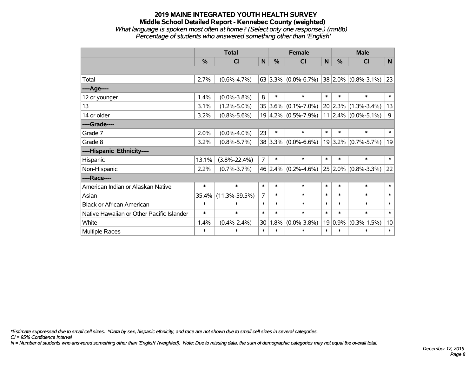#### **2019 MAINE INTEGRATED YOUTH HEALTH SURVEY Middle School Detailed Report - Kennebec County (weighted)** *What language is spoken most often at home? (Select only one response.) (mn8b) Percentage of students who answered something other than 'English'*

|                                           |        | <b>Total</b>        |                | <b>Female</b> | <b>Male</b>                                 |              |        |                               |        |
|-------------------------------------------|--------|---------------------|----------------|---------------|---------------------------------------------|--------------|--------|-------------------------------|--------|
|                                           | $\%$   | <b>CI</b>           | N              | %             | <b>CI</b>                                   | $\mathsf{N}$ | %      | <b>CI</b>                     | N      |
|                                           |        |                     |                |               |                                             |              |        |                               |        |
| Total                                     | 2.7%   | $(0.6\% - 4.7\%)$   |                |               | $63 3.3\% $ (0.0%-6.7%) 38 2.0% (0.8%-3.1%) |              |        |                               | 23     |
| ----Age----                               |        |                     |                |               |                                             |              |        |                               |        |
| 12 or younger                             | 1.4%   | $(0.0\% - 3.8\%)$   | 8              | $\ast$        | $\ast$                                      | $\ast$       | $\ast$ | $\ast$                        | $\ast$ |
| 13                                        | 3.1%   | $(1.2\% - 5.0\%)$   |                |               | 35 3.6% (0.1%-7.0%)                         |              |        | $20 2.3\% $ (1.3%-3.4%)       | 13     |
| 14 or older                               | 3.2%   | $(0.8\% - 5.6\%)$   |                |               | $19 4.2\% $ (0.5%-7.9%)                     |              |        | $11$   2.4% $(0.0\% - 5.1\%)$ | 9      |
| ----Grade----                             |        |                     |                |               |                                             |              |        |                               |        |
| Grade 7                                   | 2.0%   | $(0.0\% - 4.0\%)$   | 23             | $\ast$        | $\ast$                                      | $\ast$       | $\ast$ | $\ast$                        | $\ast$ |
| Grade 8                                   | 3.2%   | $(0.8\% - 5.7\%)$   |                |               | $38 3.3\% $ (0.0%-6.6%)                     |              |        | $19 3.2\% $ (0.7%-5.7%)       | 19     |
| ----Hispanic Ethnicity----                |        |                     |                |               |                                             |              |        |                               |        |
| Hispanic                                  | 13.1%  | $(3.8\% - 22.4\%)$  | $\overline{7}$ | $\ast$        | $\ast$                                      | $\ast$       | $\ast$ | $\ast$                        | $\ast$ |
| Non-Hispanic                              | 2.2%   | $(0.7\% - 3.7\%)$   |                |               | 46 2.4% $(0.2\% - 4.6\%)$                   |              |        | $25 2.0\% $ (0.8%-3.3%)       | 22     |
| ----Race----                              |        |                     |                |               |                                             |              |        |                               |        |
| American Indian or Alaskan Native         | $\ast$ | $\ast$              | $\ast$         | $\ast$        | $\ast$                                      | $\ast$       | $\ast$ | $\ast$                        | $\ast$ |
| Asian                                     | 35.4%  | $(11.3\% - 59.5\%)$ | $\overline{7}$ | $\ast$        | $\ast$                                      | $\ast$       | $\ast$ | $\ast$                        | $\ast$ |
| <b>Black or African American</b>          | $\ast$ | $\ast$              | $\ast$         | $\ast$        | $\ast$                                      | $\ast$       | $\ast$ | $\ast$                        | $\ast$ |
| Native Hawaiian or Other Pacific Islander | $\ast$ | $\ast$              | $\ast$         | $\ast$        | $\ast$                                      | $\ast$       | $\ast$ | $\ast$                        | $\ast$ |
| White                                     | 1.4%   | $(0.4\% - 2.4\%)$   | 30             | 1.8%          | $(0.0\% - 3.8\%)$                           | 19           | 0.9%   | $(0.3\% - 1.5\%)$             | 10     |
| <b>Multiple Races</b>                     | $\ast$ | $\ast$              | $\ast$         | $\ast$        | $\ast$                                      | $\ast$       | $\ast$ | $\ast$                        | $\ast$ |

*\*Estimate suppressed due to small cell sizes. ^Data by sex, hispanic ethnicity, and race are not shown due to small cell sizes in several categories.*

*CI = 95% Confidence Interval*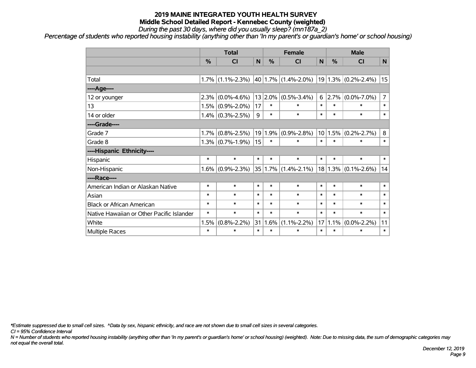*During the past 30 days, where did you usually sleep? (mn187a\_2)*

*Percentage of students who reported housing instability (anything other than 'In my parent's or guardian's home' or school housing)*

|                                           | <b>Total</b>  |                     |        |         | <b>Female</b>             |        |           | <b>Male</b>             |                |  |
|-------------------------------------------|---------------|---------------------|--------|---------|---------------------------|--------|-----------|-------------------------|----------------|--|
|                                           | $\frac{0}{0}$ | CI                  | N      | %       | <b>CI</b>                 | N      | %         | <b>CI</b>               | N <sub>1</sub> |  |
|                                           |               |                     |        |         |                           |        |           |                         |                |  |
| Total                                     |               | $1.7\%$ (1.1%-2.3%) |        |         | $40$   1.7%   (1.4%-2.0%) |        |           | $19 1.3\% $ (0.2%-2.4%) | 15             |  |
| ----Age----                               |               |                     |        |         |                           |        |           |                         |                |  |
| 12 or younger                             | 2.3%          | $(0.0\% - 4.6\%)$   | 13     | 2.0%    | $(0.5\% - 3.4\%)$         | 6      | $ 2.7\% $ | $(0.0\% - 7.0\%)$       | 7              |  |
| 13                                        | 1.5%          | $(0.9\% - 2.0\%)$   | 17     | $\ast$  | $\ast$                    | $\ast$ | $\ast$    | $\ast$                  | $\ast$         |  |
| 14 or older                               |               | $1.4\%$ (0.3%-2.5%) | 9      | $\ast$  | $\ast$                    | $\ast$ | $\ast$    | $\ast$                  | $\ast$         |  |
| ----Grade----                             |               |                     |        |         |                           |        |           |                         |                |  |
| Grade 7                                   | 1.7%          | $(0.8\% - 2.5\%)$   |        | 19 1.9% | $(0.9\% - 2.8\%)$         |        | 10 1.5%   | $(0.2\% - 2.7\%)$       | 8              |  |
| Grade 8                                   |               | $1.3\%$ (0.7%-1.9%) | 15     | $\ast$  | $\ast$                    | $\ast$ | $\ast$    | $\ast$                  | $\ast$         |  |
| ----Hispanic Ethnicity----                |               |                     |        |         |                           |        |           |                         |                |  |
| Hispanic                                  | $\ast$        | $\ast$              | $\ast$ | $\ast$  | $\ast$                    | $\ast$ | $\ast$    | $\ast$                  | $\ast$         |  |
| Non-Hispanic                              | $1.6\%$       | $(0.9\% - 2.3\%)$   |        |         | $35 1.7\% $ (1.4%-2.1%)   |        | 18 1.3%   | $(0.1\% - 2.6\%)$       | 14             |  |
| ----Race----                              |               |                     |        |         |                           |        |           |                         |                |  |
| American Indian or Alaskan Native         | $\ast$        | $\ast$              | $\ast$ | $\ast$  | $\ast$                    | $\ast$ | $\ast$    | $\ast$                  | $\ast$         |  |
| Asian                                     | $\ast$        | $\ast$              | $\ast$ | $\ast$  | $\ast$                    | $\ast$ | $\ast$    | $\ast$                  | $\ast$         |  |
| <b>Black or African American</b>          | $\ast$        | $\ast$              | $\ast$ | $\ast$  | $\ast$                    | $\ast$ | $\ast$    | $\ast$                  | $\ast$         |  |
| Native Hawaiian or Other Pacific Islander | $\ast$        | $\ast$              | $\ast$ | $\ast$  | $\ast$                    | $\ast$ | $\ast$    | $\ast$                  | $\ast$         |  |
| White                                     | 1.5%          | $(0.8\% - 2.2\%)$   | 31     | 1.6%    | $(1.1\% - 2.2\%)$         | 17     | 1.1%      | $(0.0\% - 2.2\%)$       | 11             |  |
| <b>Multiple Races</b>                     | $\ast$        | $\ast$              | $\ast$ | $\ast$  | $\ast$                    | $\ast$ | $\ast$    | $\ast$                  | $\ast$         |  |

*\*Estimate suppressed due to small cell sizes. ^Data by sex, hispanic ethnicity, and race are not shown due to small cell sizes in several categories.*

*CI = 95% Confidence Interval*

*N = Number of students who reported housing instability (anything other than 'In my parent's or guardian's home' or school housing) (weighted). Note: Due to missing data, the sum of demographic categories may not equal the overall total.*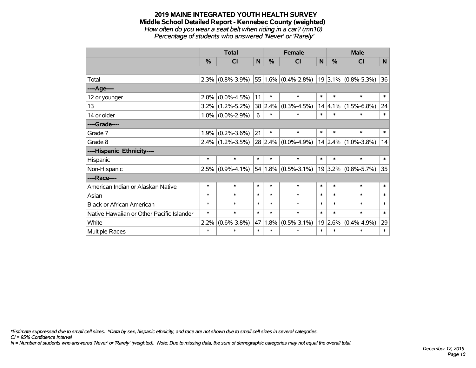#### **2019 MAINE INTEGRATED YOUTH HEALTH SURVEY Middle School Detailed Report - Kennebec County (weighted)** *How often do you wear a seat belt when riding in a car? (mn10)*

*Percentage of students who answered 'Never' or 'Rarely'*

|                                           | <b>Total</b> |                     |        |        | <b>Female</b>                                   |        |             | <b>Male</b>             |              |  |
|-------------------------------------------|--------------|---------------------|--------|--------|-------------------------------------------------|--------|-------------|-------------------------|--------------|--|
|                                           | %            | <b>CI</b>           | N      | %      | <b>CI</b>                                       | N      | $\%$        | <b>CI</b>               | $\mathsf{N}$ |  |
|                                           |              |                     |        |        |                                                 |        |             |                         |              |  |
| Total                                     | 2.3%         | $(0.8\% - 3.9\%)$   |        |        | $55 1.6\% $ (0.4%-2.8%)   19 3.1%   (0.8%-5.3%) |        |             |                         | 36           |  |
| ----Age----                               |              |                     |        |        |                                                 |        |             |                         |              |  |
| 12 or younger                             | 2.0%         | $(0.0\% - 4.5\%)$   | 11     | $\ast$ | $\ast$                                          | $\ast$ | $\ast$      | $\ast$                  | $\ast$       |  |
| 13                                        |              | $3.2\%$ (1.2%-5.2%) |        |        | 38 2.4% (0.3%-4.5%)                             |        | $14 4.1\% $ | $(1.5\% - 6.8\%)$       | 24           |  |
| 14 or older                               |              | $1.0\%$ (0.0%-2.9%) | 6      | $\ast$ | $\ast$                                          | $\ast$ | $\ast$      | $\ast$                  | $\ast$       |  |
| ----Grade----                             |              |                     |        |        |                                                 |        |             |                         |              |  |
| Grade 7                                   | 1.9%         | $(0.2\% - 3.6\%)$   | 21     | $\ast$ | $\ast$                                          | $\ast$ | $\ast$      | $\ast$                  | $\ast$       |  |
| Grade 8                                   |              | $2.4\%$ (1.2%-3.5%) |        |        | $28 2.4\% $ (0.0%-4.9%)                         |        |             | $14$ 2.4% (1.0%-3.8%)   | 14           |  |
| ----Hispanic Ethnicity----                |              |                     |        |        |                                                 |        |             |                         |              |  |
| Hispanic                                  | $\ast$       | $\ast$              | $\ast$ | $\ast$ | $\ast$                                          | $\ast$ | $\ast$      | $\ast$                  | $\ast$       |  |
| Non-Hispanic                              | 2.5%         | $(0.9\% - 4.1\%)$   |        |        | $54 1.8\% $ (0.5%-3.1%)                         |        |             | $19 3.2\% $ (0.8%-5.7%) | 35           |  |
| ----Race----                              |              |                     |        |        |                                                 |        |             |                         |              |  |
| American Indian or Alaskan Native         | $\ast$       | $\ast$              | $\ast$ | $\ast$ | $\ast$                                          | $\ast$ | $\ast$      | $\ast$                  | $\ast$       |  |
| Asian                                     | $\ast$       | $\ast$              | $\ast$ | $\ast$ | $\ast$                                          | $\ast$ | $\ast$      | $\ast$                  | $\ast$       |  |
| <b>Black or African American</b>          | $\ast$       | $\ast$              | $\ast$ | $\ast$ | $\ast$                                          | $\ast$ | $\ast$      | $\ast$                  | $\ast$       |  |
| Native Hawaiian or Other Pacific Islander | $\ast$       | $\ast$              | $\ast$ | $\ast$ | $\ast$                                          | $\ast$ | $\ast$      | $\ast$                  | $\ast$       |  |
| White                                     | 2.2%         | $(0.6\% - 3.8\%)$   | 47     | 1.8%   | $(0.5\% - 3.1\%)$                               |        | 19 2.6%     | $(0.4\% - 4.9\%)$       | 29           |  |
| Multiple Races                            | $\ast$       | $\ast$              | $\ast$ | $\ast$ | $\ast$                                          | $\ast$ | $\ast$      | $\ast$                  | $\ast$       |  |

*\*Estimate suppressed due to small cell sizes. ^Data by sex, hispanic ethnicity, and race are not shown due to small cell sizes in several categories.*

*CI = 95% Confidence Interval*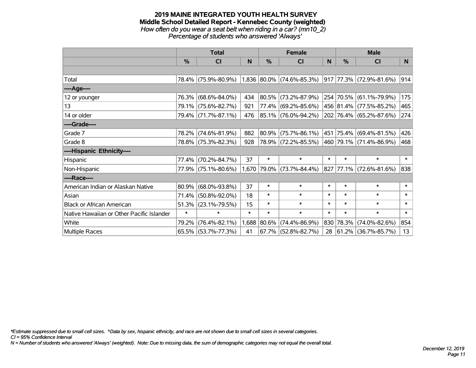#### **2019 MAINE INTEGRATED YOUTH HEALTH SURVEY Middle School Detailed Report - Kennebec County (weighted)** *How often do you wear a seat belt when riding in a car? (mn10\_2) Percentage of students who answered 'Always'*

|                                           | <b>Total</b>  |                     |        |            | <b>Female</b>               |        | <b>Male</b> |                         |        |
|-------------------------------------------|---------------|---------------------|--------|------------|-----------------------------|--------|-------------|-------------------------|--------|
|                                           | $\frac{0}{0}$ | CI                  | N      | $\%$       | <b>CI</b>                   | N      | %           | <b>CI</b>               | N.     |
|                                           |               |                     |        |            |                             |        |             |                         |        |
| Total                                     |               | 78.4% (75.9%-80.9%) |        |            | $1,836$ 80.0% (74.6%-85.3%) |        |             | 917 77.3% (72.9%-81.6%) | 914    |
| ----Age----                               |               |                     |        |            |                             |        |             |                         |        |
| 12 or younger                             |               | 76.3% (68.6%-84.0%) | 434    | $ 80.5\% $ | $(73.2\% - 87.9\%)$         |        |             | 254 70.5% (61.1%-79.9%) | 175    |
| 13                                        |               | 79.1% (75.6%-82.7%) | 921    |            | 77.4% (69.2%-85.6%)         |        |             | 456 81.4% (77.5%-85.2%) | 465    |
| 14 or older                               |               | 79.4% (71.7%-87.1%) | 476    |            | $ 85.1\% $ (76.0%-94.2%)    |        |             | 202 76.4% (65.2%-87.6%) | 274    |
| ----Grade----                             |               |                     |        |            |                             |        |             |                         |        |
| Grade 7                                   |               | 78.2% (74.6%-81.9%) | 882    | 80.9%      | $(75.7\% - 86.1\%)$         |        |             | 451 75.4% (69.4%-81.5%) | 426    |
| Grade 8                                   |               | 78.8% (75.3%-82.3%) | 928    |            | 78.9% (72.2%-85.5%)         |        |             | 460 79.1% (71.4%-86.9%) | 468    |
| ----Hispanic Ethnicity----                |               |                     |        |            |                             |        |             |                         |        |
| Hispanic                                  | 77.4%         | $(70.2\% - 84.7\%)$ | 37     | $\ast$     | $\ast$                      | $\ast$ | $\ast$      | $\ast$                  | $\ast$ |
| Non-Hispanic                              |               | 77.9% (75.1%-80.6%) |        |            | 1,670 79.0% (73.7%-84.4%)   |        |             | 827 77.1% (72.6%-81.6%) | 838    |
| ----Race----                              |               |                     |        |            |                             |        |             |                         |        |
| American Indian or Alaskan Native         | 80.9%         | $(68.0\% - 93.8\%)$ | 37     | $\ast$     | $\ast$                      | $\ast$ | $\ast$      | $\ast$                  | $\ast$ |
| Asian                                     | 71.4%         | $(50.8\% - 92.0\%)$ | 18     | $\ast$     | $\ast$                      | $\ast$ | $\ast$      | $\ast$                  | $\ast$ |
| <b>Black or African American</b>          | 51.3%         | $(23.1\% - 79.5\%)$ | 15     | $\ast$     | $\ast$                      | $\ast$ | $\ast$      | $\ast$                  | $\ast$ |
| Native Hawaiian or Other Pacific Islander | $\ast$        | $\ast$              | $\ast$ | $\ast$     | $\ast$                      | $\ast$ | $\ast$      | $\ast$                  | $\ast$ |
| White                                     | 79.2%         | $(76.4\% - 82.1\%)$ | 1,688  | 80.6%      | $(74.4\% - 86.9\%)$         | 830    | 78.3%       | $(74.0\% - 82.6\%)$     | 854    |
| Multiple Races                            |               | 65.5% (53.7%-77.3%) | 41     |            | $67.7\%$ (52.8%-82.7%)      | 28     |             | 61.2% (36.7%-85.7%)     | 13     |

*\*Estimate suppressed due to small cell sizes. ^Data by sex, hispanic ethnicity, and race are not shown due to small cell sizes in several categories.*

*CI = 95% Confidence Interval*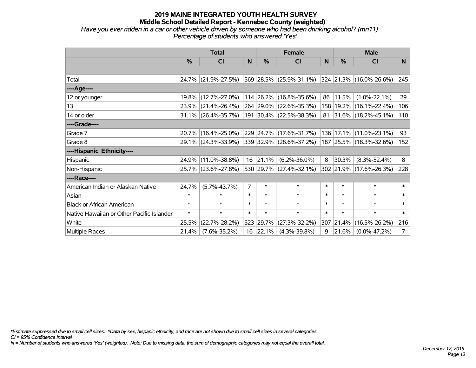## **2019 MAINE INTEGRATED YOUTH HEALTH SURVEY Middle School Detailed Report - Kennebec County (weighted)** *Have you ever ridden in a car or other vehicle driven by someone who had been drinking alcohol? (mn11)*

*Percentage of students who answered 'Yes'*

|                                           | <b>Total</b>  |                                             |                |           | <b>Female</b>           |        | <b>Male</b> |                             |                |  |
|-------------------------------------------|---------------|---------------------------------------------|----------------|-----------|-------------------------|--------|-------------|-----------------------------|----------------|--|
|                                           | $\frac{0}{0}$ | <b>CI</b>                                   | N              | %         | <b>CI</b>               | N      | %           | <b>CI</b>                   | N.             |  |
|                                           |               |                                             |                |           |                         |        |             |                             |                |  |
| Total                                     |               | 24.7% (21.9%-27.5%)                         |                |           | 569 28.5% (25.9%-31.1%) |        |             | 324 21.3% (16.0%-26.6%)     | 245            |  |
| ----Age----                               |               |                                             |                |           |                         |        |             |                             |                |  |
| 12 or younger                             | 19.8%         | $(12.7\% - 27.0\%)$                         |                |           | 114 26.2% (16.8%-35.6%) | 86     | 11.5%       | $(1.0\% - 22.1\%)$          | 29             |  |
| 13                                        | 23.9%         | $(21.4\% - 26.4\%)$                         |                |           | 264 29.0% (22.6%-35.3%) |        |             | 158   19.2%   (16.1%-22.4%) | 106            |  |
| 14 or older                               |               | 31.1% (26.4%-35.7%)                         |                |           | 191 30.4% (22.5%-38.3%) |        |             | 81 31.6% (18.2%-45.1%)      | 110            |  |
| ----Grade----                             |               |                                             |                |           |                         |        |             |                             |                |  |
| Grade 7                                   | 20.7%         | $(16.4\% - 25.0\%)$                         |                |           | 229 24.7% (17.6%-31.7%) |        | 136 17.1%   | $(11.0\% - 23.1\%)$         | 93             |  |
| Grade 8                                   |               | 29.1% (24.3%-33.9%) 339 32.9% (28.6%-37.2%) |                |           |                         |        |             | 187 25.5% (18.3%-32.6%)     | 152            |  |
| ----Hispanic Ethnicity----                |               |                                             |                |           |                         |        |             |                             |                |  |
| Hispanic                                  | 24.9%         | $(11.0\% - 38.8\%)$                         | 16             | 21.1%     | $(6.2\% - 36.0\%)$      | 8      | 30.3%       | $(8.3\% - 52.4\%)$          | 8              |  |
| Non-Hispanic                              |               | 25.7% (23.6%-27.8%)                         |                |           | 530 29.7% (27.4%-32.1%) |        |             | 302 21.9% (17.6%-26.3%)     | 228            |  |
| ----Race----                              |               |                                             |                |           |                         |        |             |                             |                |  |
| American Indian or Alaskan Native         | 24.7%         | $(5.7\% - 43.7\%)$                          | $\overline{7}$ | $\ast$    | $\ast$                  | $\ast$ | $\ast$      | $\ast$                      | $\ast$         |  |
| Asian                                     | $\ast$        | $\ast$                                      | $\ast$         | $\ast$    | $\ast$                  | $\ast$ | $\ast$      | $\ast$                      | $\ast$         |  |
| <b>Black or African American</b>          | $\ast$        | $\ast$                                      | $\ast$         | $\ast$    | $\ast$                  | $\ast$ | $\ast$      | $\ast$                      | $\ast$         |  |
| Native Hawaiian or Other Pacific Islander | $\ast$        | $\ast$                                      | $\ast$         | $\ast$    | $\ast$                  | $\ast$ | $\ast$      | $\ast$                      | $\ast$         |  |
| White                                     | 25.5%         | $(22.7\% - 28.2\%)$                         |                | 523 29.7% | $(27.3\% - 32.2\%)$     |        | 307 21.4%   | $(16.5\% - 26.2\%)$         | 216            |  |
| Multiple Races                            | 21.4%         | $(7.6\% - 35.2\%)$                          |                | 16 22.1%  | $(4.3\% - 39.8\%)$      | 9      | 21.6%       | $(0.0\% - 47.2\%)$          | 7 <sup>1</sup> |  |

*\*Estimate suppressed due to small cell sizes. ^Data by sex, hispanic ethnicity, and race are not shown due to small cell sizes in several categories.*

*CI = 95% Confidence Interval*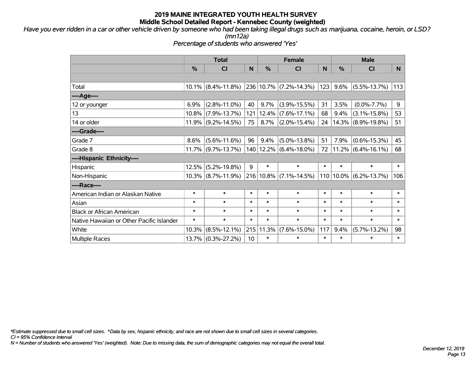*Have you ever ridden in a car or other vehicle driven by someone who had been taking illegal drugs such as marijuana, cocaine, heroin, or LSD?*

*(mn12a)*

*Percentage of students who answered 'Yes'*

|                                           | <b>Total</b>  |                       |        |           | <b>Female</b>              |        | <b>Male</b>   |                            |        |  |
|-------------------------------------------|---------------|-----------------------|--------|-----------|----------------------------|--------|---------------|----------------------------|--------|--|
|                                           | $\frac{0}{0}$ | C <sub>l</sub>        | N      | %         | CI                         | N      | $\frac{0}{0}$ | <b>CI</b>                  | N.     |  |
|                                           |               |                       |        |           |                            |        |               |                            |        |  |
| Total                                     |               | 10.1% (8.4%-11.8%)    |        |           | 236 10.7% (7.2%-14.3%)     | 123    | 9.6%          | $(5.5\% - 13.7\%)$         | 113    |  |
| ----Age----                               |               |                       |        |           |                            |        |               |                            |        |  |
| 12 or younger                             | 6.9%          | $(2.8\% - 11.0\%)$    | 40     | $9.7\%$   | $(3.9\% - 15.5\%)$         | 31     | 3.5%          | $(0.0\% - 7.7\%)$          | 9      |  |
| 13                                        |               | $10.8\%$ (7.9%-13.7%) |        | 121 12.4% | $(7.6\% - 17.1\%)$         | 68     | 9.4%          | $(3.1\% - 15.8\%)$         | 53     |  |
| 14 or older                               |               | $11.9\%$ (9.2%-14.5%) | 75     | 8.7%      | $(2.0\% - 15.4\%)$         | 24     |               | 14.3% (8.9%-19.8%)         | 51     |  |
| ----Grade----                             |               |                       |        |           |                            |        |               |                            |        |  |
| Grade 7                                   | 8.6%          | $(5.6\% - 11.6\%)$    | 96     | 9.4%      | $(5.0\% - 13.8\%)$         | 51     | 7.9%          | $(0.6\% - 15.3\%)$         | 45     |  |
| Grade 8                                   |               | 11.7% (9.7%-13.7%)    |        |           | 140   12.2%   (6.4%-18.0%) | 72     |               | $11.2\%$ (6.4%-16.1%)      | 68     |  |
| ----Hispanic Ethnicity----                |               |                       |        |           |                            |        |               |                            |        |  |
| Hispanic                                  | 12.5%         | $(5.2\% - 19.8\%)$    | 9      | $\ast$    | $\ast$                     | $\ast$ | $\ast$        | $\ast$                     | $\ast$ |  |
| Non-Hispanic                              |               | $10.3\%$ (8.7%-11.9%) |        | 216 10.8% | $(7.1\% - 14.5\%)$         |        |               | $110 10.0\% $ (6.2%-13.7%) | 106    |  |
| ----Race----                              |               |                       |        |           |                            |        |               |                            |        |  |
| American Indian or Alaskan Native         | $\ast$        | $\ast$                | $\ast$ | $\ast$    | $\ast$                     | $\ast$ | $\ast$        | $\ast$                     | $\ast$ |  |
| Asian                                     | $\ast$        | $\ast$                | $\ast$ | $\ast$    | $\ast$                     | $\ast$ | $\ast$        | $\ast$                     | $\ast$ |  |
| <b>Black or African American</b>          | $\ast$        | $\ast$                | $\ast$ | $\ast$    | $\ast$                     | $\ast$ | $\ast$        | $\ast$                     | $\ast$ |  |
| Native Hawaiian or Other Pacific Islander | $\ast$        | $\ast$                | $\ast$ | $\ast$    | $\ast$                     | $\ast$ | $\ast$        | $\ast$                     | $\ast$ |  |
| White                                     | 10.3%         | $(8.5\% - 12.1\%)$    | 215    | 11.3%     | $(7.6\% - 15.0\%)$         | 117    | 9.4%          | $(5.7\% - 13.2\%)$         | 98     |  |
| <b>Multiple Races</b>                     |               | 13.7% (0.3%-27.2%)    | 10     | $\ast$    | $\ast$                     | $\ast$ | $\ast$        | $\ast$                     | $\ast$ |  |

*\*Estimate suppressed due to small cell sizes. ^Data by sex, hispanic ethnicity, and race are not shown due to small cell sizes in several categories.*

*CI = 95% Confidence Interval*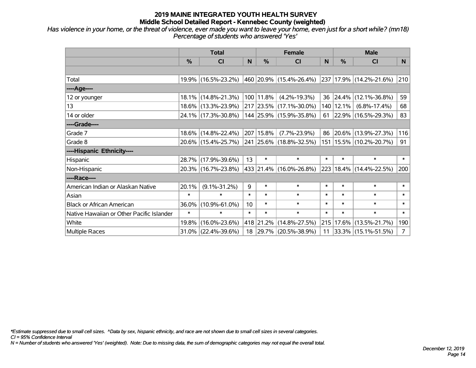*Has violence in your home, or the threat of violence, ever made you want to leave your home, even just for a short while? (mn18) Percentage of students who answered 'Yes'*

|                                           | <b>Total</b>  |                        |        |               | <b>Female</b>                   |              | <b>Male</b> |                             |                |  |
|-------------------------------------------|---------------|------------------------|--------|---------------|---------------------------------|--------------|-------------|-----------------------------|----------------|--|
|                                           | $\frac{0}{0}$ | <b>CI</b>              | N      | $\frac{0}{0}$ | <b>CI</b>                       | <sub>N</sub> | %           | <b>CI</b>                   | N.             |  |
|                                           |               |                        |        |               |                                 |              |             |                             |                |  |
| Total                                     |               | 19.9% (16.5%-23.2%)    |        |               | 460 20.9% (15.4%-26.4%)         |              |             | 237 17.9% (14.2%-21.6%)     | 210            |  |
| ----Age----                               |               |                        |        |               |                                 |              |             |                             |                |  |
| 12 or younger                             |               | 18.1% (14.8%-21.3%)    |        | 100 11.8%     | $(4.2\% - 19.3\%)$              | 36           | 24.4%       | $(12.1\% - 36.8\%)$         | 59             |  |
| 13                                        |               | 18.6% (13.3%-23.9%)    |        |               | 217 23.5% (17.1%-30.0%)         | 140          | 12.1%       | $(6.8\% - 17.4\%)$          | 68             |  |
| 14 or older                               |               | 24.1% (17.3%-30.8%)    |        |               | 144 25.9% (15.9%-35.8%)         | 61           |             | $ 22.9\% $ (16.5%-29.3%)    | 83             |  |
| ----Grade----                             |               |                        |        |               |                                 |              |             |                             |                |  |
| Grade 7                                   |               | 18.6% (14.8%-22.4%)    |        | 207 15.8%     | $(7.7\% - 23.9\%)$              | 86           |             | 20.6% (13.9%-27.3%)         | 116            |  |
| Grade 8                                   |               | 20.6% (15.4%-25.7%)    |        |               | $ 241 25.6\% (18.8\% - 32.5\%)$ |              |             | 151   15.5%   (10.2%-20.7%) | 91             |  |
| ----Hispanic Ethnicity----                |               |                        |        |               |                                 |              |             |                             |                |  |
| Hispanic                                  |               | 28.7% (17.9%-39.6%)    | 13     | $\ast$        | $\ast$                          | $\ast$       | $\ast$      | $\ast$                      | $\ast$         |  |
| Non-Hispanic                              |               | 20.3% (16.7%-23.8%)    |        |               | 433 21.4% (16.0%-26.8%)         | 223          |             | $18.4\%$ (14.4%-22.5%)      | 200            |  |
| ----Race----                              |               |                        |        |               |                                 |              |             |                             |                |  |
| American Indian or Alaskan Native         | 20.1%         | $(9.1\% - 31.2\%)$     | 9      | $\ast$        | $\ast$                          | $\ast$       | $\ast$      | $\ast$                      | $\ast$         |  |
| Asian                                     | $\ast$        | $\ast$                 | $\ast$ | $\ast$        | $\ast$                          | $\ast$       | $\ast$      | $\ast$                      | $\ast$         |  |
| <b>Black or African American</b>          | 36.0%         | $(10.9\% - 61.0\%)$    | 10     | $\ast$        | $\ast$                          | $\ast$       | $\ast$      | $\ast$                      | $\ast$         |  |
| Native Hawaiian or Other Pacific Islander | $\ast$        | $\ast$                 | $\ast$ | $\ast$        | $\ast$                          | $\ast$       | $\ast$      | $\ast$                      | $\ast$         |  |
| White                                     | 19.8%         | $(16.0\% - 23.6\%)$    |        | 418 21.2%     | $(14.8\% - 27.5\%)$             | 215          | 17.6%       | $(13.5\% - 21.7\%)$         | 190            |  |
| <b>Multiple Races</b>                     |               | $31.0\%$ (22.4%-39.6%) |        |               | 18 29.7% (20.5%-38.9%)          | 11           |             | 33.3% (15.1%-51.5%)         | 7 <sup>1</sup> |  |

*\*Estimate suppressed due to small cell sizes. ^Data by sex, hispanic ethnicity, and race are not shown due to small cell sizes in several categories.*

*CI = 95% Confidence Interval*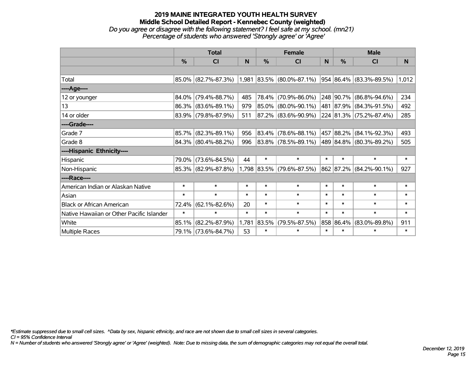#### **2019 MAINE INTEGRATED YOUTH HEALTH SURVEY Middle School Detailed Report - Kennebec County (weighted)** *Do you agree or disagree with the following statement? I feel safe at my school. (mn21) Percentage of students who answered 'Strongly agree' or 'Agree'*

|                                           | <b>Total</b> |                                               |        |               | <b>Female</b>             |        | <b>Male</b>   |                                  |        |  |
|-------------------------------------------|--------------|-----------------------------------------------|--------|---------------|---------------------------|--------|---------------|----------------------------------|--------|--|
|                                           | %            | <b>CI</b>                                     | N      | $\frac{0}{0}$ | <b>CI</b>                 | N      | $\frac{0}{0}$ | <b>CI</b>                        | N      |  |
|                                           |              |                                               |        |               |                           |        |               |                                  |        |  |
| Total                                     |              | 85.0% (82.7%-87.3%) 1,981 83.5% (80.0%-87.1%) |        |               |                           |        |               | $ 954 86.4\%  (83.3\% - 89.5\%)$ | 1,012  |  |
| ----Age----                               |              |                                               |        |               |                           |        |               |                                  |        |  |
| 12 or younger                             | 84.0%        | $(79.4\% - 88.7\%)$                           | 485    | 78.4%         | $(70.9\% - 86.0\%)$       |        | 248 90.7%     | $(86.8\% - 94.6\%)$              | 234    |  |
| 13                                        |              | 86.3% (83.6%-89.1%)                           | 979    |               | 85.0% (80.0%-90.1%)       |        |               | 481 87.9% (84.3%-91.5%)          | 492    |  |
| 14 or older                               |              | 83.9% (79.8%-87.9%)                           | 511    |               | 87.2% (83.6%-90.9%)       |        |               | 224 81.3% (75.2%-87.4%)          | 285    |  |
| ----Grade----                             |              |                                               |        |               |                           |        |               |                                  |        |  |
| Grade 7                                   | 85.7%        | $(82.3\% - 89.1\%)$                           | 956    |               | 83.4% (78.6%-88.1%)       |        |               | 457   88.2%   (84.1%-92.3%)      | 493    |  |
| Grade 8                                   |              | 84.3% (80.4%-88.2%)                           | 996    |               | 83.8% (78.5%-89.1%)       |        |               | 489 84.8% (80.3%-89.2%)          | 505    |  |
| ----Hispanic Ethnicity----                |              |                                               |        |               |                           |        |               |                                  |        |  |
| Hispanic                                  | 79.0%        | $(73.6\% - 84.5\%)$                           | 44     | $\ast$        | $\ast$                    | $\ast$ | $\ast$        | $\ast$                           | $\ast$ |  |
| Non-Hispanic                              |              | 85.3% (82.9%-87.8%)                           |        |               | 1,798 83.5% (79.6%-87.5%) |        |               | 862 87.2% (84.2%-90.1%)          | 927    |  |
| ----Race----                              |              |                                               |        |               |                           |        |               |                                  |        |  |
| American Indian or Alaskan Native         | $\ast$       | $\ast$                                        | $\ast$ | $\ast$        | $\ast$                    | $\ast$ | $\ast$        | $\ast$                           | *      |  |
| Asian                                     | $\ast$       | $\ast$                                        | $\ast$ | $\ast$        | $\ast$                    | $\ast$ | $\ast$        | $\ast$                           | $\ast$ |  |
| <b>Black or African American</b>          | 72.4%        | $(62.1\% - 82.6\%)$                           | 20     | $\ast$        | $\ast$                    | $\ast$ | $\ast$        | $\ast$                           | *      |  |
| Native Hawaiian or Other Pacific Islander | $\ast$       | $\ast$                                        | $\ast$ | $\ast$        | $\ast$                    | $\ast$ | $\ast$        | $\ast$                           | $\ast$ |  |
| White                                     | 85.1%        | $(82.2\% - 87.9\%)$                           | 1,781  | 83.5%         | $(79.5\% - 87.5\%)$       |        | 858 86.4%     | $(83.0\% - 89.8\%)$              | 911    |  |
| <b>Multiple Races</b>                     |              | 79.1% (73.6%-84.7%)                           | 53     | $\ast$        | $\ast$                    | $\ast$ | $\ast$        | $\ast$                           | $\ast$ |  |

*\*Estimate suppressed due to small cell sizes. ^Data by sex, hispanic ethnicity, and race are not shown due to small cell sizes in several categories.*

*CI = 95% Confidence Interval*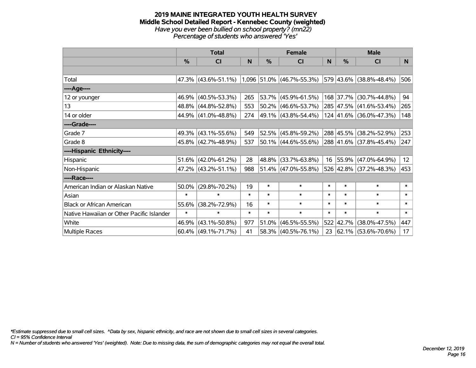#### **2019 MAINE INTEGRATED YOUTH HEALTH SURVEY Middle School Detailed Report - Kennebec County (weighted)** *Have you ever been bullied on school property? (mn22) Percentage of students who answered 'Yes'*

|                                           | <b>Total</b> |                        |        | <b>Female</b> |                             | <b>Male</b> |               |                         |                 |
|-------------------------------------------|--------------|------------------------|--------|---------------|-----------------------------|-------------|---------------|-------------------------|-----------------|
|                                           | %            | CI                     | N      | $\%$          | <b>CI</b>                   | N           | $\frac{0}{0}$ | <b>CI</b>               | N               |
|                                           |              |                        |        |               |                             |             |               |                         |                 |
| Total                                     |              | $47.3\%$ (43.6%-51.1%) |        |               | $1,096$ 51.0% (46.7%-55.3%) |             |               | 579 43.6% (38.8%-48.4%) | 506             |
| ----Age----                               |              |                        |        |               |                             |             |               |                         |                 |
| 12 or younger                             |              | 46.9% (40.5%-53.3%)    | 265    |               | 53.7% (45.9%-61.5%)         |             | 168 37.7%     | $(30.7\% - 44.8\%)$     | 94              |
| 13                                        |              | 48.8% (44.8%-52.8%)    | 553    |               | 50.2% (46.6%-53.7%)         |             |               | 285 47.5% (41.6%-53.4%) | 265             |
| 14 or older                               |              | 44.9% (41.0%-48.8%)    | 274    |               | $ 49.1\% $ (43.8%-54.4%)    |             |               | 124 41.6% (36.0%-47.3%) | 148             |
| ----Grade----                             |              |                        |        |               |                             |             |               |                         |                 |
| Grade 7                                   |              | 49.3% (43.1%-55.6%)    | 549    |               | 52.5% (45.8%-59.2%)         |             | 288 45.5%     | $(38.2\% - 52.9\%)$     | 253             |
| Grade 8                                   |              | 45.8% (42.7%-48.9%)    | 537    |               | $ 50.1\% $ (44.6%-55.6%)    |             |               | 288 41.6% (37.8%-45.4%) | 247             |
| ----Hispanic Ethnicity----                |              |                        |        |               |                             |             |               |                         |                 |
| Hispanic                                  |              | $51.6\%$ (42.0%-61.2%) | 28     | 48.8%         | $(33.7\% - 63.8\%)$         | 16          | $ 55.9\% $    | $(47.0\% - 64.9\%)$     | 12 <sup>2</sup> |
| Non-Hispanic                              |              | 47.2% (43.2%-51.1%)    | 988    |               | $51.4\%$ (47.0%-55.8%)      |             |               | 526 42.8% (37.2%-48.3%) | 453             |
| ----Race----                              |              |                        |        |               |                             |             |               |                         |                 |
| American Indian or Alaskan Native         | 50.0%        | $(29.8\% - 70.2\%)$    | 19     | $\ast$        | $\ast$                      | $\ast$      | $\ast$        | $\ast$                  | $\ast$          |
| Asian                                     | $\ast$       | $\ast$                 | $\ast$ | $\ast$        | $\ast$                      | $\ast$      | $\ast$        | $\ast$                  | $\ast$          |
| <b>Black or African American</b>          | 55.6%        | $(38.2\% - 72.9\%)$    | 16     | $\ast$        | $\ast$                      | $\ast$      | $\ast$        | $\ast$                  | $\ast$          |
| Native Hawaiian or Other Pacific Islander | $\ast$       | $\ast$                 | $\ast$ | $\ast$        | $\ast$                      | $\ast$      | $\ast$        | $\ast$                  | $\ast$          |
| White                                     | 46.9%        | $(43.1\% - 50.8\%)$    | 977    | 51.0%         | $(46.5\% - 55.5\%)$         | 522         | 42.7%         | $(38.0\% - 47.5\%)$     | 447             |
| Multiple Races                            |              | $60.4\%$ (49.1%-71.7%) | 41     |               | 58.3% (40.5%-76.1%)         | 23          |               | 62.1% (53.6%-70.6%)     | 17              |

*\*Estimate suppressed due to small cell sizes. ^Data by sex, hispanic ethnicity, and race are not shown due to small cell sizes in several categories.*

*CI = 95% Confidence Interval*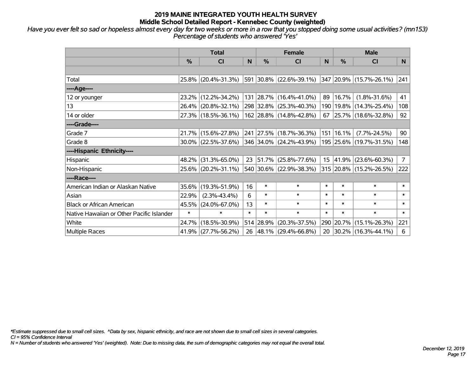*Have you ever felt so sad or hopeless almost every day for two weeks or more in a row that you stopped doing some usual activities? (mn153) Percentage of students who answered 'Yes'*

|                                           | <b>Total</b> |                        |        | <b>Female</b> | <b>Male</b>              |        |               |                             |                |
|-------------------------------------------|--------------|------------------------|--------|---------------|--------------------------|--------|---------------|-----------------------------|----------------|
|                                           | %            | <b>CI</b>              | N      | $\frac{0}{0}$ | <b>CI</b>                | N      | $\frac{0}{0}$ | <b>CI</b>                   | N.             |
|                                           |              |                        |        |               |                          |        |               |                             |                |
| Total                                     |              | 25.8% (20.4%-31.3%)    |        |               | 591 30.8% (22.6%-39.1%)  |        |               | 347 20.9% (15.7%-26.1%)     | 241            |
| ----Age----                               |              |                        |        |               |                          |        |               |                             |                |
| 12 or younger                             |              | 23.2% (12.2%-34.2%)    |        |               | 131 28.7% (16.4%-41.0%)  | 89     | 16.7%         | $(1.8\% - 31.6\%)$          | 41             |
| 13                                        |              | 26.4% (20.8%-32.1%)    |        |               | 298 32.8% (25.3%-40.3%)  |        |               | 190   19.8%   (14.3%-25.4%) | 108            |
| 14 or older                               |              | 27.3% (18.5%-36.1%)    |        |               | 162 28.8% (14.8%-42.8%)  | 67     |               | $ 25.7\% $ (18.6%-32.8%)    | 92             |
| ----Grade----                             |              |                        |        |               |                          |        |               |                             |                |
| Grade 7                                   |              | 21.7% (15.6%-27.8%)    |        |               | 241 27.5% (18.7%-36.3%)  |        | 151 16.1%     | $(7.7\% - 24.5\%)$          | 90             |
| Grade 8                                   |              | $30.0\%$ (22.5%-37.6%) |        |               | 346 34.0% (24.2%-43.9%)  |        |               | 195 25.6% (19.7%-31.5%)     | 148            |
| ----Hispanic Ethnicity----                |              |                        |        |               |                          |        |               |                             |                |
| Hispanic                                  |              | 48.2% (31.3%-65.0%)    | 23     | 51.7%         | $(25.8\% - 77.6\%)$      | 15     | 41.9%         | $(23.6\% - 60.3\%)$         | $\overline{7}$ |
| Non-Hispanic                              |              | 25.6% (20.2%-31.1%)    |        |               | 540 30.6% (22.9%-38.3%)  |        |               | 315 20.8% (15.2%-26.5%)     | 222            |
| ----Race----                              |              |                        |        |               |                          |        |               |                             |                |
| American Indian or Alaskan Native         |              | 35.6% (19.3%-51.9%)    | 16     | $\ast$        | $\ast$                   | $\ast$ | $\ast$        | $\ast$                      | $\ast$         |
| Asian                                     | 22.9%        | $(2.3\% - 43.4\%)$     | 6      | $\ast$        | $\ast$                   | $\ast$ | $\ast$        | $\ast$                      | $\ast$         |
| <b>Black or African American</b>          | 45.5%        | $(24.0\% - 67.0\%)$    | 13     | $\ast$        | $\ast$                   | $\ast$ | $\ast$        | $\ast$                      | $\ast$         |
| Native Hawaiian or Other Pacific Islander | $\ast$       | $\ast$                 | $\ast$ | $\ast$        | $\ast$                   | $\ast$ | $\ast$        | $\ast$                      | $\ast$         |
| White                                     |              | 24.7% (18.5%-30.9%)    |        | 514 28.9%     | $(20.3\% - 37.5\%)$      |        | 290 20.7%     | $(15.1\% - 26.3\%)$         | 221            |
| <b>Multiple Races</b>                     |              | 41.9% (27.7%-56.2%)    | 26     |               | $ 48.1\% $ (29.4%-66.8%) | 20     |               | $ 30.2\% $ (16.3%-44.1%)    | 6              |

*\*Estimate suppressed due to small cell sizes. ^Data by sex, hispanic ethnicity, and race are not shown due to small cell sizes in several categories.*

*CI = 95% Confidence Interval*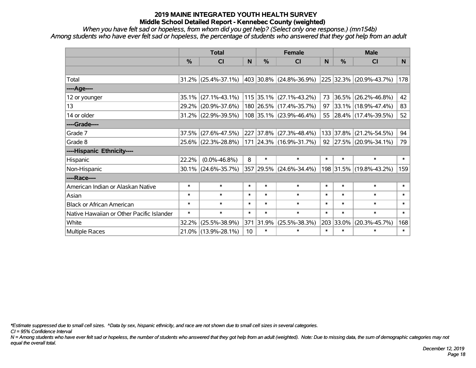*When you have felt sad or hopeless, from whom did you get help? (Select only one response.) (mn154b) Among students who have ever felt sad or hopeless, the percentage of students who answered that they got help from an adult*

|                                           | <b>Total</b>  |                        |                 |               | <b>Female</b>               |        | <b>Male</b> |                              |        |  |
|-------------------------------------------|---------------|------------------------|-----------------|---------------|-----------------------------|--------|-------------|------------------------------|--------|--|
|                                           | $\frac{0}{0}$ | <b>CI</b>              | N               | $\frac{0}{0}$ | <b>CI</b>                   | N      | %           | <b>CI</b>                    | N      |  |
|                                           |               |                        |                 |               |                             |        |             |                              |        |  |
| Total                                     |               | $31.2\%$ (25.4%-37.1%) |                 |               | 403   30.8%   (24.8%-36.9%) |        |             | $ 225 32.3\% $ (20.9%-43.7%) | 178    |  |
| ----Age----                               |               |                        |                 |               |                             |        |             |                              |        |  |
| 12 or younger                             | 35.1%         | $(27.1\% - 43.1\%)$    |                 |               | 115 35.1% (27.1%-43.2%)     | 73     | 36.5%       | $(26.2\% - 46.8\%)$          | 42     |  |
| 13                                        | 29.2%         | $(20.9\% - 37.6\%)$    |                 |               | 180 26.5% (17.4%-35.7%)     | 97     |             | 33.1% (18.9%-47.4%)          | 83     |  |
| 14 or older                               |               | $31.2\%$ (22.9%-39.5%) |                 |               | 108 35.1% (23.9%-46.4%)     | 55     |             | 28.4% (17.4%-39.5%)          | 52     |  |
| ----Grade----                             |               |                        |                 |               |                             |        |             |                              |        |  |
| Grade 7                                   | 37.5%         | $(27.6\% - 47.5\%)$    |                 | 227 37.8%     | $(27.3\% - 48.4\%)$         |        | 133 37.8%   | $(21.2\% - 54.5\%)$          | 94     |  |
| Grade 8                                   |               | 25.6% (22.3%-28.8%)    |                 |               | 171  24.3%  (16.9%-31.7%)   |        |             | 92 27.5% (20.9%-34.1%)       | 79     |  |
| ----Hispanic Ethnicity----                |               |                        |                 |               |                             |        |             |                              |        |  |
| Hispanic                                  | 22.2%         | $(0.0\% - 46.8\%)$     | 8               | $\ast$        | $\ast$                      | $\ast$ | $\ast$      | $\ast$                       | $\ast$ |  |
| Non-Hispanic                              | 30.1%         | $(24.6\% - 35.7\%)$    |                 | 357 29.5%     | $(24.6\% - 34.4\%)$         |        |             | 198 31.5% (19.8%-43.2%)      | 159    |  |
| ----Race----                              |               |                        |                 |               |                             |        |             |                              |        |  |
| American Indian or Alaskan Native         | $\ast$        | $\ast$                 | $\ast$          | $\ast$        | $\ast$                      | $\ast$ | $\ast$      | $\ast$                       | $\ast$ |  |
| Asian                                     | $\ast$        | $\ast$                 | $\ast$          | $\ast$        | $\ast$                      | $\ast$ | $\ast$      | $\ast$                       | $\ast$ |  |
| <b>Black or African American</b>          | $\ast$        | $\ast$                 | $\ast$          | $\ast$        | $\ast$                      | $\ast$ | $\ast$      | $\ast$                       | $\ast$ |  |
| Native Hawaiian or Other Pacific Islander | $\ast$        | $\ast$                 | $\ast$          | $\ast$        | $\ast$                      | $\ast$ | $\ast$      | $\ast$                       | $\ast$ |  |
| White                                     | 32.2%         | $(25.5\% - 38.9\%)$    | 371             | 31.9%         | $(25.5\% - 38.3\%)$         | 203    | 33.0%       | $(20.3\% - 45.7\%)$          | 168    |  |
| <b>Multiple Races</b>                     |               | 21.0% (13.9%-28.1%)    | 10 <sup>1</sup> | $\ast$        | $\ast$                      | $\ast$ | $\ast$      | $\ast$                       | $\ast$ |  |

*\*Estimate suppressed due to small cell sizes. ^Data by sex, hispanic ethnicity, and race are not shown due to small cell sizes in several categories.*

*CI = 95% Confidence Interval*

*N = Among students who have ever felt sad or hopeless, the number of students who answered that they got help from an adult (weighted). Note: Due to missing data, the sum of demographic categories may not equal the overall total.*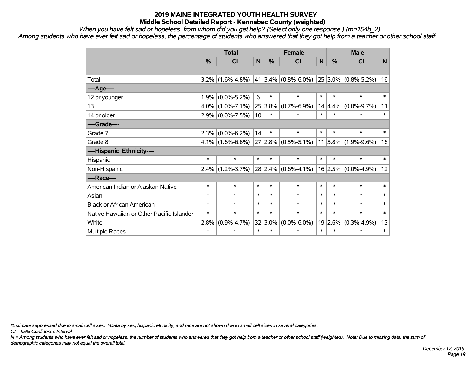*When you have felt sad or hopeless, from whom did you get help? (Select only one response.) (mn154b\_2)*

*Among students who have ever felt sad or hopeless, the percentage of students who answered that they got help from a teacher or other school staff*

|                                           | <b>Total</b> |                   |        |         | <b>Female</b>                       | <b>Male</b>    |                 |                         |        |
|-------------------------------------------|--------------|-------------------|--------|---------|-------------------------------------|----------------|-----------------|-------------------------|--------|
|                                           | %            | <b>CI</b>         | N      | %       | <b>CI</b>                           | N <sub>1</sub> | %               | <b>CI</b>               | N      |
|                                           |              |                   |        |         |                                     |                |                 |                         |        |
| Total                                     | $3.2\%$      | $(1.6\% - 4.8\%)$ | 41     |         | $3.4\%$ (0.8%-6.0%)                 |                |                 | $25 3.0\% $ (0.8%-5.2%) | 16     |
| ----Age----                               |              |                   |        |         |                                     |                |                 |                         |        |
| 12 or younger                             | 1.9%         | $(0.0\% - 5.2\%)$ | 6      | $\ast$  | $\ast$                              | $\ast$         | $\ast$          | $\ast$                  | $\ast$ |
| 13                                        | 4.0%         | $(1.0\% - 7.1\%)$ | 25     | $3.8\%$ | $(0.7\% - 6.9\%)$                   |                | 14 4.4%         | $(0.0\% - 9.7\%)$       | 11     |
| 14 or older                               | 2.9%         | $(0.0\% - 7.5\%)$ | 10     | $\ast$  | $\ast$                              | $\ast$         | $\ast$          | $\ast$                  | $\ast$ |
| ----Grade----                             |              |                   |        |         |                                     |                |                 |                         |        |
| Grade 7                                   | 2.3%         | $(0.0\% - 6.2\%)$ | 14     | $\ast$  | $\ast$                              | $\ast$         | $\ast$          | $\ast$                  | $\ast$ |
| Grade 8                                   | $4.1\%$      | $(1.6\% - 6.6\%)$ | 27     |         | $\vert 2.8\% \vert (0.5\% - 5.1\%)$ |                |                 | $11 5.8\% $ (1.9%-9.6%) | 16     |
| ----Hispanic Ethnicity----                |              |                   |        |         |                                     |                |                 |                         |        |
| Hispanic                                  | $\ast$       | $\ast$            | $\ast$ | $\ast$  | $\ast$                              | $\ast$         | $\ast$          | $\ast$                  | $\ast$ |
| Non-Hispanic                              | 2.4%         | $(1.2\% - 3.7\%)$ |        |         | $28 2.4\% $ (0.6%-4.1%)             |                | $16 \mid 2.5\%$ | $(0.0\% - 4.9\%)$       | 12     |
| ----Race----                              |              |                   |        |         |                                     |                |                 |                         |        |
| American Indian or Alaskan Native         | $\ast$       | $\ast$            | $\ast$ | $\ast$  | $\ast$                              | $\ast$         | $\ast$          | $\ast$                  | $\ast$ |
| Asian                                     | $\ast$       | $\ast$            | $\ast$ | $\ast$  | $\ast$                              | $\ast$         | $\ast$          | $\ast$                  | $\ast$ |
| <b>Black or African American</b>          | $\ast$       | $\ast$            | $\ast$ | $\ast$  | $\ast$                              | $\ast$         | $\ast$          | $\ast$                  | $\ast$ |
| Native Hawaiian or Other Pacific Islander | $\ast$       | $\ast$            | $\ast$ | $\ast$  | $\ast$                              | $\ast$         | $\ast$          | $\ast$                  | $\ast$ |
| White                                     | 2.8%         | $(0.9\% - 4.7\%)$ | 32     | $3.0\%$ | $(0.0\% - 6.0\%)$                   |                | 19 2.6%         | $(0.3\% - 4.9\%)$       | 13     |
| <b>Multiple Races</b>                     | $\ast$       | $\ast$            | $\ast$ | $\ast$  | $\ast$                              | $\ast$         | $\ast$          | $\ast$                  | $\ast$ |

*\*Estimate suppressed due to small cell sizes. ^Data by sex, hispanic ethnicity, and race are not shown due to small cell sizes in several categories.*

*CI = 95% Confidence Interval*

*N = Among students who have ever felt sad or hopeless, the number of students who answered that they got help from a teacher or other school staff (weighted). Note: Due to missing data, the sum of demographic categories may not equal the overall total.*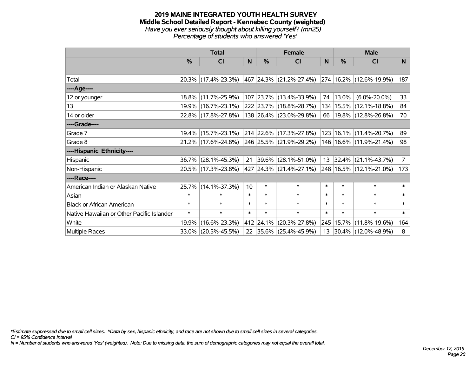#### **2019 MAINE INTEGRATED YOUTH HEALTH SURVEY Middle School Detailed Report - Kennebec County (weighted)** *Have you ever seriously thought about killing yourself? (mn25) Percentage of students who answered 'Yes'*

|                                           | <b>Total</b>  |                     |        |               | <b>Female</b>                                        |        | <b>Male</b>   |                             |                |
|-------------------------------------------|---------------|---------------------|--------|---------------|------------------------------------------------------|--------|---------------|-----------------------------|----------------|
|                                           | $\frac{0}{0}$ | CI                  | N      | $\frac{9}{6}$ | <b>CI</b>                                            | N      | $\frac{0}{0}$ | <b>CI</b>                   | N              |
|                                           |               |                     |        |               |                                                      |        |               |                             |                |
| Total                                     |               | 20.3% (17.4%-23.3%) |        |               | $ 467 24.3\% $ (21.2%-27.4%) 274 16.2% (12.6%-19.9%) |        |               |                             | 187            |
| ----Age----                               |               |                     |        |               |                                                      |        |               |                             |                |
| 12 or younger                             |               | 18.8% (11.7%-25.9%) |        |               | 107 23.7% (13.4%-33.9%)                              | 74     | 13.0%         | $(6.0\% - 20.0\%)$          | 33             |
| 13                                        |               | 19.9% (16.7%-23.1%) |        |               | 222 23.7% (18.8%-28.7%)                              |        |               | 134   15.5%   (12.1%-18.8%) | 84             |
| 14 or older                               |               | 22.8% (17.8%-27.8%) |        |               | 138 26.4% (23.0%-29.8%)                              | 66     |               | $ 19.8\% $ (12.8%-26.8%)    | 70             |
| ----Grade----                             |               |                     |        |               |                                                      |        |               |                             |                |
| Grade 7                                   |               | 19.4% (15.7%-23.1%) |        |               | 214 22.6% (17.3%-27.8%)                              |        |               | 123   16.1%   (11.4%-20.7%) | 89             |
| Grade 8                                   |               | 21.2% (17.6%-24.8%) |        |               | 246 25.5% (21.9%-29.2%)                              |        |               | 146   16.6%   (11.9%-21.4%) | 98             |
| ----Hispanic Ethnicity----                |               |                     |        |               |                                                      |        |               |                             |                |
| Hispanic                                  |               | 36.7% (28.1%-45.3%) | 21     | $ 39.6\% $    | $(28.1\% - 51.0\%)$                                  | 13     |               | $ 32.4\% $ (21.1%-43.7%)    | 7 <sup>1</sup> |
| Non-Hispanic                              |               | 20.5% (17.3%-23.8%) |        |               | 427   24.3%   (21.4%-27.1%)                          |        |               | 248 16.5% (12.1%-21.0%)     | 173            |
| ----Race----                              |               |                     |        |               |                                                      |        |               |                             |                |
| American Indian or Alaskan Native         |               | 25.7% (14.1%-37.3%) | 10     | $\ast$        | $\ast$                                               | $\ast$ | $\ast$        | $\ast$                      | $\ast$         |
| Asian                                     | $\ast$        | $\ast$              | $\ast$ | $\ast$        | $\ast$                                               | $\ast$ | $\ast$        | $\ast$                      | $\ast$         |
| <b>Black or African American</b>          | $\ast$        | $\ast$              | $\ast$ | $\ast$        | $\ast$                                               | $\ast$ | $\ast$        | $\ast$                      | $\ast$         |
| Native Hawaiian or Other Pacific Islander | $\ast$        | $\ast$              | $\ast$ | $\ast$        | $\ast$                                               | $\ast$ | $\ast$        | $\ast$                      | $\ast$         |
| White                                     | 19.9%         | $(16.6\% - 23.3\%)$ |        | 412 24.1%     | $(20.3\% - 27.8\%)$                                  |        |               | 245   15.7%   (11.8%-19.6%) | 164            |
| <b>Multiple Races</b>                     |               | 33.0% (20.5%-45.5%) |        |               | 22 35.6% (25.4%-45.9%)                               | 13     |               | 30.4% (12.0%-48.9%)         | 8              |

*\*Estimate suppressed due to small cell sizes. ^Data by sex, hispanic ethnicity, and race are not shown due to small cell sizes in several categories.*

*CI = 95% Confidence Interval*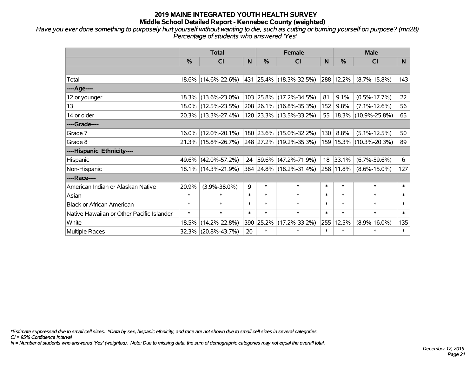*Have you ever done something to purposely hurt yourself without wanting to die, such as cutting or burning yourself on purpose? (mn28) Percentage of students who answered 'Yes'*

|                                           | <b>Total</b> |                        |        | <b>Female</b> | <b>Male</b>               |        |           |                             |        |
|-------------------------------------------|--------------|------------------------|--------|---------------|---------------------------|--------|-----------|-----------------------------|--------|
|                                           | $\%$         | <b>CI</b>              | N      | $\%$          | <b>CI</b>                 | N      | %         | <b>CI</b>                   | N.     |
|                                           |              |                        |        |               |                           |        |           |                             |        |
| Total                                     |              | 18.6% (14.6%-22.6%)    |        |               | 431  25.4%  (18.3%-32.5%) |        | 288 12.2% | $(8.7\% - 15.8\%)$          | 143    |
| ----Age----                               |              |                        |        |               |                           |        |           |                             |        |
| 12 or younger                             |              | 18.3% (13.6%-23.0%)    |        |               | 103 25.8% (17.2%-34.5%)   | 81     | 9.1%      | $(0.5\% - 17.7\%)$          | 22     |
| 13                                        |              | 18.0% (12.5%-23.5%)    |        |               | 208 26.1% (16.8%-35.3%)   | 152    | 9.8%      | $(7.1\% - 12.6\%)$          | 56     |
| 14 or older                               |              | 20.3% (13.3%-27.4%)    |        |               | 120 23.3% (13.5%-33.2%)   | 55     |           | 18.3% (10.9%-25.8%)         | 65     |
| ----Grade----                             |              |                        |        |               |                           |        |           |                             |        |
| Grade 7                                   |              | $16.0\%$ (12.0%-20.1%) |        |               | 180 23.6% (15.0%-32.2%)   | 130    | 8.8%      | $(5.1\% - 12.5\%)$          | 50     |
| Grade 8                                   |              | $21.3\%$ (15.8%-26.7%) |        |               | 248 27.2% (19.2%-35.3%)   |        |           | 159   15.3%   (10.3%-20.3%) | 89     |
| ----Hispanic Ethnicity----                |              |                        |        |               |                           |        |           |                             |        |
| Hispanic                                  |              | 49.6% (42.0%-57.2%)    |        |               | 24 59.6% (47.2%-71.9%)    |        | 18 33.1%  | $(6.7\% - 59.6\%)$          | 6      |
| Non-Hispanic                              |              | 18.1% (14.3%-21.9%)    |        |               | 384 24.8% (18.2%-31.4%)   |        | 258 11.8% | $(8.6\% - 15.0\%)$          | 127    |
| ----Race----                              |              |                        |        |               |                           |        |           |                             |        |
| American Indian or Alaskan Native         | 20.9%        | $(3.9\% - 38.0\%)$     | 9      | $\ast$        | $\ast$                    | $\ast$ | $\ast$    | $\ast$                      | $\ast$ |
| Asian                                     | $\ast$       | $\ast$                 | $\ast$ | $\ast$        | $\ast$                    | $\ast$ | $\ast$    | $\ast$                      | $\ast$ |
| <b>Black or African American</b>          | $\ast$       | $\ast$                 | $\ast$ | $\ast$        | $\ast$                    | $\ast$ | $\ast$    | $\ast$                      | $\ast$ |
| Native Hawaiian or Other Pacific Islander | $\ast$       | $\ast$                 | $\ast$ | $\ast$        | $\ast$                    | $\ast$ | $\ast$    | $\ast$                      | $\ast$ |
| White                                     | 18.5%        | $(14.2\% - 22.8\%)$    |        | 390 25.2%     | $(17.2\% - 33.2\%)$       | 255    | 12.5%     | $(8.9\% - 16.0\%)$          | 135    |
| <b>Multiple Races</b>                     |              | 32.3% (20.8%-43.7%)    | 20     | $\ast$        | $\ast$                    | $\ast$ | $\ast$    | $\ast$                      | $\ast$ |

*\*Estimate suppressed due to small cell sizes. ^Data by sex, hispanic ethnicity, and race are not shown due to small cell sizes in several categories.*

*CI = 95% Confidence Interval*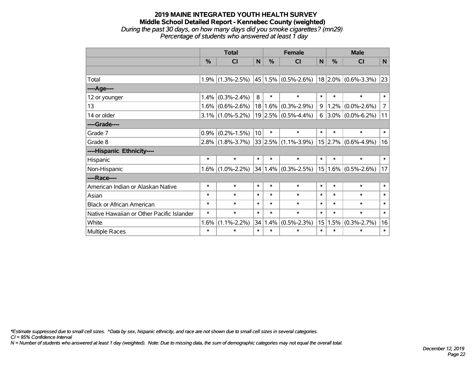#### **2019 MAINE INTEGRATED YOUTH HEALTH SURVEY Middle School Detailed Report - Kennebec County (weighted)** *During the past 30 days, on how many days did you smoke cigarettes? (mn29) Percentage of students who answered at least 1 day*

|                                           | <b>Total</b> |                     |        |         | <b>Female</b>                                   |                 | <b>Male</b>   |                          |                |  |
|-------------------------------------------|--------------|---------------------|--------|---------|-------------------------------------------------|-----------------|---------------|--------------------------|----------------|--|
|                                           | %            | <b>CI</b>           | N      | %       | <b>CI</b>                                       | N               | $\frac{0}{0}$ | <b>CI</b>                | $\mathsf{N}$   |  |
|                                           |              |                     |        |         |                                                 |                 |               |                          |                |  |
| Total                                     |              | $1.9\%$ (1.3%-2.5%) |        |         | $ 45 1.5\% $ (0.5%-2.6%) 18 2.0% (0.6%-3.3%) 23 |                 |               |                          |                |  |
| ----Age----                               |              |                     |        |         |                                                 |                 |               |                          |                |  |
| 12 or younger                             | 1.4%         | $(0.3\% - 2.4\%)$   | 8      | $\ast$  | $\ast$                                          | $\ast$          | $\ast$        | $\ast$                   | $\ast$         |  |
| 13                                        |              | $1.6\%$ (0.6%-2.6%) | 18     | $1.6\%$ | $(0.3\% - 2.9\%)$                               | 9               | 1.2%          | $(0.0\% - 2.6\%)$        | $\overline{7}$ |  |
| 14 or older                               |              | $3.1\%$ (1.0%-5.2%) |        |         | $19 2.5\% $ (0.5%-4.4%)                         |                 |               | $6$   3.0%   (0.0%-6.2%) | 11             |  |
| ----Grade----                             |              |                     |        |         |                                                 |                 |               |                          |                |  |
| Grade 7                                   | 0.9%         | $(0.2\% - 1.5\%)$   | 10     | $\ast$  | $\ast$                                          | $\ast$          | $\ast$        | $\ast$                   | $\ast$         |  |
| Grade 8                                   |              | $2.8\%$ (1.8%-3.7%) |        |         | $33 2.5\% $ (1.1%-3.9%)                         |                 |               | $15$ 2.7% (0.6%-4.9%)    | 16             |  |
| ----Hispanic Ethnicity----                |              |                     |        |         |                                                 |                 |               |                          |                |  |
| Hispanic                                  | $\ast$       | $\ast$              | $\ast$ | $\ast$  | $\ast$                                          | $\ast$          | $\ast$        | $\ast$                   | $\ast$         |  |
| Non-Hispanic                              |              | $1.6\%$ (1.0%-2.2%) | 34     |         | $1.4\%$ (0.3%-2.5%)                             | 15              |               | $1.6\%$ (0.5%-2.6%)      | 17             |  |
| ----Race----                              |              |                     |        |         |                                                 |                 |               |                          |                |  |
| American Indian or Alaskan Native         | $\ast$       | $\ast$              | $\ast$ | $\ast$  | $\ast$                                          | $\ast$          | $\ast$        | $\ast$                   | $\ast$         |  |
| Asian                                     | $\ast$       | $\ast$              | $\ast$ | $\ast$  | *                                               | $\ast$          | $\ast$        | $\ast$                   | $\ast$         |  |
| <b>Black or African American</b>          | $\ast$       | $\ast$              | $\ast$ | $\ast$  | $\ast$                                          | $\ast$          | $\ast$        | $\ast$                   | $\ast$         |  |
| Native Hawaiian or Other Pacific Islander | $\ast$       | $\ast$              | $\ast$ | $\ast$  | $\ast$                                          | $\ast$          | $\ast$        | $\ast$                   | $\ast$         |  |
| White                                     | 1.6%         | $(1.1\% - 2.2\%)$   | 34     | 1.4%    | $(0.5\% - 2.3\%)$                               | 15 <sup>2</sup> | 1.5%          | $(0.3\% - 2.7\%)$        | 16             |  |
| Multiple Races                            | $\ast$       | $\ast$              | $\ast$ | $\ast$  | *                                               | $\ast$          | $\ast$        | $\ast$                   | $\ast$         |  |

*\*Estimate suppressed due to small cell sizes. ^Data by sex, hispanic ethnicity, and race are not shown due to small cell sizes in several categories.*

*CI = 95% Confidence Interval*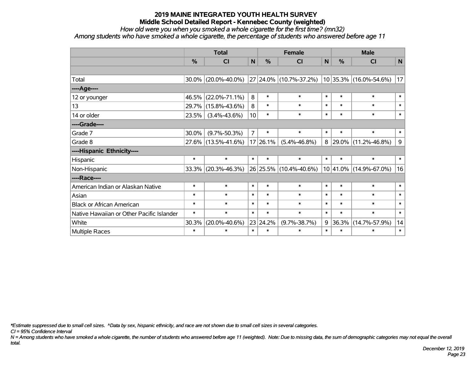*How old were you when you smoked a whole cigarette for the first time? (mn32)*

*Among students who have smoked a whole cigarette, the percentage of students who answered before age 11*

|                                           | <b>Total</b>  |                        |                |          | <b>Female</b>          | <b>Male</b> |               |                        |             |
|-------------------------------------------|---------------|------------------------|----------------|----------|------------------------|-------------|---------------|------------------------|-------------|
|                                           | $\frac{0}{0}$ | <b>CI</b>              | N              | %        | <b>CI</b>              | ${\sf N}$   | $\frac{0}{0}$ | CI                     | $\mathbf N$ |
|                                           |               |                        |                |          |                        |             |               |                        |             |
| Total                                     |               | $30.0\%$ (20.0%-40.0%) |                |          | 27 24.0% (10.7%-37.2%) |             |               | 10 35.3% (16.0%-54.6%) | 17          |
| ----Age----                               |               |                        |                |          |                        |             |               |                        |             |
| 12 or younger                             | 46.5%         | $(22.0\% - 71.1\%)$    | 8              | $\ast$   | $\ast$                 | $\ast$      | $\ast$        | $\ast$                 | $\ast$      |
| 13                                        |               | 29.7% (15.8%-43.6%)    | 8              | $\ast$   | $\ast$                 | $\ast$      | $\ast$        | $\ast$                 | $\ast$      |
| 14 or older                               | 23.5%         | $(3.4\% - 43.6\%)$     | 10             | $\ast$   | $\ast$                 | $\ast$      | $\ast$        | $\ast$                 | $\ast$      |
| ----Grade----                             |               |                        |                |          |                        |             |               |                        |             |
| Grade 7                                   | 30.0%         | $(9.7\% - 50.3\%)$     | $\overline{7}$ | $\ast$   | $\ast$                 | $\ast$      | $\ast$        | $\ast$                 | $\ast$      |
| Grade 8                                   |               | 27.6% (13.5%-41.6%)    |                | 17 26.1% | $(5.4\% - 46.8\%)$     | 8           |               | 29.0% (11.2%-46.8%)    | 9           |
| ----Hispanic Ethnicity----                |               |                        |                |          |                        |             |               |                        |             |
| Hispanic                                  | $\ast$        | $\ast$                 | $\ast$         | $\ast$   | $\ast$                 | $\ast$      | $\ast$        | $\ast$                 | $\ast$      |
| Non-Hispanic                              |               | 33.3% (20.3%-46.3%)    |                |          | 26 25.5% (10.4%-40.6%) |             |               | 10 41.0% (14.9%-67.0%) | 16          |
| ----Race----                              |               |                        |                |          |                        |             |               |                        |             |
| American Indian or Alaskan Native         | $\ast$        | $\ast$                 | $\ast$         | $\ast$   | $\ast$                 | $\ast$      | $\ast$        | $\ast$                 | $\ast$      |
| Asian                                     | $\ast$        | $\ast$                 | $\ast$         | $\ast$   | $\ast$                 | $\ast$      | $\ast$        | $\ast$                 | $\ast$      |
| <b>Black or African American</b>          | $\ast$        | $\ast$                 | $\ast$         | $\ast$   | $\ast$                 | $\ast$      | $\ast$        | $\ast$                 | $\ast$      |
| Native Hawaiian or Other Pacific Islander | $\ast$        | $\ast$                 | $\ast$         | $\ast$   | $\ast$                 | $\ast$      | $\ast$        | $\ast$                 | $\ast$      |
| White                                     | 30.3%         | $(20.0\% - 40.6\%)$    |                | 23 24.2% | $(9.7\% - 38.7\%)$     | 9           | 36.3%         | $(14.7\% - 57.9\%)$    | 14          |
| Multiple Races                            | $\ast$        | $\ast$                 | $\ast$         | $\ast$   | $\ast$                 | $\ast$      | $\ast$        | $\ast$                 | $\ast$      |

*\*Estimate suppressed due to small cell sizes. ^Data by sex, hispanic ethnicity, and race are not shown due to small cell sizes in several categories.*

*CI = 95% Confidence Interval*

*N = Among students who have smoked a whole cigarette, the number of students who answered before age 11 (weighted). Note: Due to missing data, the sum of demographic categories may not equal the overall total.*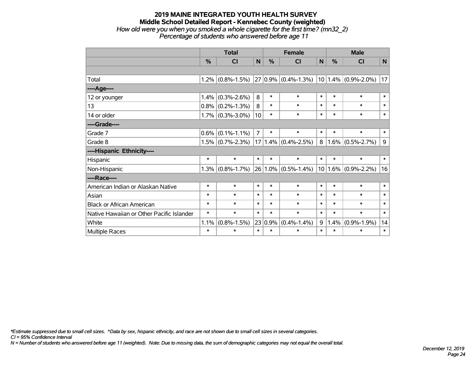#### **2019 MAINE INTEGRATED YOUTH HEALTH SURVEY Middle School Detailed Report - Kennebec County (weighted)** *How old were you when you smoked a whole cigarette for the first time? (mn32\_2) Percentage of students who answered before age 11*

|                                           | <b>Total</b> |                     |                | <b>Female</b> |                         |        | <b>Male</b>   |                          |        |
|-------------------------------------------|--------------|---------------------|----------------|---------------|-------------------------|--------|---------------|--------------------------|--------|
|                                           | $\%$         | <b>CI</b>           | N              | %             | <b>CI</b>               | N      | $\frac{0}{0}$ | CI                       | N      |
|                                           |              |                     |                |               |                         |        |               |                          |        |
| Total                                     |              | $1.2\%$ (0.8%-1.5%) |                |               | $27 0.9\% $ (0.4%-1.3%) |        |               | $ 10 1.4\% $ (0.9%-2.0%) | 17     |
| ----Age----                               |              |                     |                |               |                         |        |               |                          |        |
| 12 or younger                             | 1.4%         | $(0.3\% - 2.6\%)$   | 8              | $\ast$        | $\ast$                  | $\ast$ | $\ast$        | $\ast$                   | $\ast$ |
| 13                                        |              | $0.8\%$ (0.2%-1.3%) | 8              | $\ast$        | $\ast$                  | $\ast$ | $\ast$        | $\ast$                   | $\ast$ |
| 14 or older                               |              | $1.7\%$ (0.3%-3.0%) | 10             | $\ast$        | $\ast$                  | $\ast$ | $\ast$        | $\ast$                   | $\ast$ |
| ----Grade----                             |              |                     |                |               |                         |        |               |                          |        |
| Grade 7                                   | $0.6\%$      | $(0.1\% - 1.1\%)$   | $\overline{7}$ | $\ast$        | $\ast$                  | $\ast$ | $\ast$        | $\ast$                   | $\ast$ |
| Grade 8                                   |              | $1.5\%$ (0.7%-2.3%) |                |               | $17 1.4\% $ (0.4%-2.5%) | 8      | 1.6%          | $(0.5\% - 2.7\%)$        | 9      |
| ----Hispanic Ethnicity----                |              |                     |                |               |                         |        |               |                          |        |
| Hispanic                                  | $\ast$       | $\ast$              | $\ast$         | $\ast$        | $\ast$                  | $\ast$ | $\ast$        | $\ast$                   | $\ast$ |
| Non-Hispanic                              |              | $1.3\%$ (0.8%-1.7%) |                |               | $26 1.0\% $ (0.5%-1.4%) |        |               | $10 1.6\% $ (0.9%-2.2%)  | 16     |
| ----Race----                              |              |                     |                |               |                         |        |               |                          |        |
| American Indian or Alaskan Native         | $\ast$       | $\ast$              | $\ast$         | $\ast$        | $\ast$                  | $\ast$ | $\ast$        | $\ast$                   | $\ast$ |
| Asian                                     | $\ast$       | $\ast$              | $\ast$         | $\ast$        | $\ast$                  | $\ast$ | $\ast$        | $\ast$                   | $\ast$ |
| <b>Black or African American</b>          | $\ast$       | $\ast$              | $\ast$         | $\ast$        | $\ast$                  | $\ast$ | $\ast$        | $\ast$                   | $\ast$ |
| Native Hawaiian or Other Pacific Islander | $\ast$       | $\ast$              | $\ast$         | $\ast$        | $\ast$                  | $\ast$ | $\ast$        | $\ast$                   | $\ast$ |
| White                                     | 1.1%         | $(0.8\% - 1.5\%)$   | 23             | 0.9%          | $(0.4\% - 1.4\%)$       | 9      | 1.4%          | $(0.9\% - 1.9\%)$        | 14     |
| Multiple Races                            | $\ast$       | $\ast$              | $\ast$         | $\ast$        | $\ast$                  | $\ast$ | $\ast$        | $\ast$                   | $\ast$ |

*\*Estimate suppressed due to small cell sizes. ^Data by sex, hispanic ethnicity, and race are not shown due to small cell sizes in several categories.*

*CI = 95% Confidence Interval*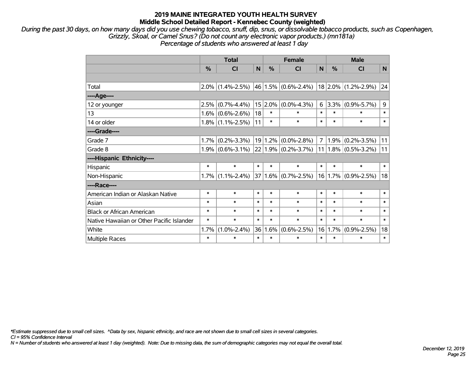*During the past 30 days, on how many days did you use chewing tobacco, snuff, dip, snus, or dissolvable tobacco products, such as Copenhagen, Grizzly, Skoal, or Camel Snus? (Do not count any electronic vapor products.) (mn181a) Percentage of students who answered at least 1 day*

|                                           | <b>Total</b> |                         |        | <b>Female</b> |                          |                | <b>Male</b> |                         |        |  |
|-------------------------------------------|--------------|-------------------------|--------|---------------|--------------------------|----------------|-------------|-------------------------|--------|--|
|                                           | %            | $\overline{\mathsf{C}}$ | N      | %             | CI                       | N              | $\%$        | CI                      | N      |  |
|                                           |              |                         |        |               |                          |                |             |                         |        |  |
| Total                                     |              | $2.0\%$ (1.4%-2.5%)     |        |               | $ 46 1.5\% $ (0.6%-2.4%) |                |             | 18 2.0% (1.2%-2.9%) 24  |        |  |
| ----Age----                               |              |                         |        |               |                          |                |             |                         |        |  |
| 12 or younger                             | 2.5%         | $(0.7\% - 4.4\%)$       |        | $15 2.0\% $   | $(0.0\% - 4.3\%)$        | 6              |             | $3.3\%$ (0.9%-5.7%)     | 9      |  |
| 13                                        | 1.6%         | $(0.6\% - 2.6\%)$       | 18     | $\ast$        | *                        | $\ast$         | $\ast$      | $\ast$                  | $\ast$ |  |
| 14 or older                               |              | $1.8\%$ (1.1%-2.5%)     | 11     | $\ast$        | $\ast$                   | $\ast$         | $\ast$      | $\ast$                  | $\ast$ |  |
| ----Grade----                             |              |                         |        |               |                          |                |             |                         |        |  |
| Grade 7                                   | 1.7%         | $(0.2\% - 3.3\%)$       |        |               | $19 1.2\% $ (0.0%-2.8%)  | 7 <sup>1</sup> |             | $1.9\%$ (0.2%-3.5%)     | 11     |  |
| Grade 8                                   |              | $1.9\%$ (0.6%-3.1%)     |        |               | $22 1.9\% $ (0.2%-3.7%)  |                |             | $11 1.8\% $ (0.5%-3.2%) | 11     |  |
| ----Hispanic Ethnicity----                |              |                         |        |               |                          |                |             |                         |        |  |
| Hispanic                                  | $\ast$       | $\ast$                  | $\ast$ | $\ast$        | $\ast$                   | $\ast$         | $\ast$      | $\ast$                  | $\ast$ |  |
| Non-Hispanic                              | 1.7%         | $(1.1\% - 2.4\%)$       |        |               | $37 1.6\% $ (0.7%-2.5%)  |                |             | $16 1.7\% $ (0.9%-2.5%) | 18     |  |
| ----Race----                              |              |                         |        |               |                          |                |             |                         |        |  |
| American Indian or Alaskan Native         | $\ast$       | $\ast$                  | $\ast$ | $\ast$        | *                        | $\ast$         | $\ast$      | $\ast$                  | $\ast$ |  |
| Asian                                     | $\ast$       | $\ast$                  | $\ast$ | $\ast$        | *                        | $\ast$         | $\ast$      | $\ast$                  | $\ast$ |  |
| <b>Black or African American</b>          | $\ast$       | $\ast$                  | $\ast$ | $\ast$        | $\ast$                   | $\ast$         | $\ast$      | $\ast$                  | $\ast$ |  |
| Native Hawaiian or Other Pacific Islander | $\ast$       | $\ast$                  | $\ast$ | $\ast$        | $\ast$                   | $\ast$         | $\ast$      | $\ast$                  | $\ast$ |  |
| White                                     | 1.7%         | $(1.0\% - 2.4\%)$       | 36     | 1.6%          | $(0.6\% - 2.5\%)$        | 16             | 1.7%        | $(0.9\% - 2.5\%)$       | 18     |  |
| <b>Multiple Races</b>                     | $\ast$       | $\ast$                  | $\ast$ | $\ast$        | *                        | $\ast$         | $\ast$      | $\ast$                  | $\ast$ |  |

*\*Estimate suppressed due to small cell sizes. ^Data by sex, hispanic ethnicity, and race are not shown due to small cell sizes in several categories.*

*CI = 95% Confidence Interval*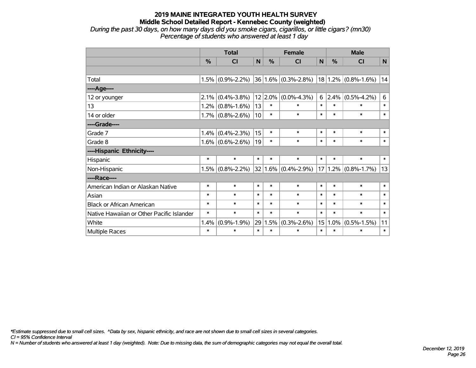*During the past 30 days, on how many days did you smoke cigars, cigarillos, or little cigars? (mn30) Percentage of students who answered at least 1 day*

|                                           | <b>Total</b> |                     |        |        | <b>Female</b>           |        |        | <b>Male</b>             |        |  |  |
|-------------------------------------------|--------------|---------------------|--------|--------|-------------------------|--------|--------|-------------------------|--------|--|--|
|                                           | $\%$         | <b>CI</b>           | N      | %      | <b>CI</b>               | N      | $\%$   | <b>CI</b>               | N      |  |  |
|                                           |              |                     |        |        |                         |        |        |                         |        |  |  |
| Total                                     |              | $1.5\%$ (0.9%-2.2%) |        |        | $36 1.6\% $ (0.3%-2.8%) |        |        | $18 1.2\% $ (0.8%-1.6%) | 14     |  |  |
| ----Age----                               |              |                     |        |        |                         |        |        |                         |        |  |  |
| 12 or younger                             | 2.1%         | $(0.4\% - 3.8\%)$   |        |        | $12 2.0\% $ (0.0%-4.3%) | 6      | 2.4%   | $(0.5\% - 4.2\%)$       | 6      |  |  |
| 13                                        | 1.2%         | $(0.8\% - 1.6\%)$   | 13     | $\ast$ | $\ast$                  | $\ast$ | $\ast$ | $\ast$                  | $\ast$ |  |  |
| 14 or older                               |              | $1.7\%$ (0.8%-2.6%) | 10     | $\ast$ | $\ast$                  | $\ast$ | $\ast$ | $\ast$                  | $\ast$ |  |  |
| ----Grade----                             |              |                     |        |        |                         |        |        |                         |        |  |  |
| Grade 7                                   | 1.4%         | $(0.4\% - 2.3\%)$   | 15     | $\ast$ | $\ast$                  | $\ast$ | $\ast$ | $\ast$                  | $\ast$ |  |  |
| Grade 8                                   |              | $1.6\%$ (0.6%-2.6%) | 19     | $\ast$ | $\ast$                  | $\ast$ | $\ast$ | $\ast$                  | $\ast$ |  |  |
| ----Hispanic Ethnicity----                |              |                     |        |        |                         |        |        |                         |        |  |  |
| Hispanic                                  | $\ast$       | $\ast$              | $\ast$ | $\ast$ | $\ast$                  | $\ast$ | $\ast$ | $\ast$                  | $\ast$ |  |  |
| Non-Hispanic                              | 1.5%         | $(0.8\% - 2.2\%)$   |        |        | $32 1.6\% $ (0.4%-2.9%) | 17     |        | $1.2\%$ (0.8%-1.7%)     | 13     |  |  |
| ----Race----                              |              |                     |        |        |                         |        |        |                         |        |  |  |
| American Indian or Alaskan Native         | $\ast$       | $\ast$              | $\ast$ | $\ast$ | $\ast$                  | $\ast$ | $\ast$ | $\ast$                  | $\ast$ |  |  |
| Asian                                     | $\ast$       | $\ast$              | $\ast$ | $\ast$ | $\ast$                  | $\ast$ | $\ast$ | $\ast$                  | $\ast$ |  |  |
| <b>Black or African American</b>          | $\ast$       | $\ast$              | $\ast$ | $\ast$ | $\ast$                  | $\ast$ | $\ast$ | $\ast$                  | $\ast$ |  |  |
| Native Hawaiian or Other Pacific Islander | $\ast$       | $\ast$              | $\ast$ | $\ast$ | $\ast$                  | $\ast$ | $\ast$ | $\ast$                  | $\ast$ |  |  |
| White                                     | 1.4%         | $(0.9\% - 1.9\%)$   | 29     | 1.5%   | $(0.3\% - 2.6\%)$       | 15     | 1.0%   | $(0.5\% - 1.5\%)$       | 11     |  |  |
| Multiple Races                            | $\ast$       | $\ast$              | $\ast$ | $\ast$ | $\ast$                  | $\ast$ | $\ast$ | $\ast$                  | $\ast$ |  |  |

*\*Estimate suppressed due to small cell sizes. ^Data by sex, hispanic ethnicity, and race are not shown due to small cell sizes in several categories.*

*CI = 95% Confidence Interval*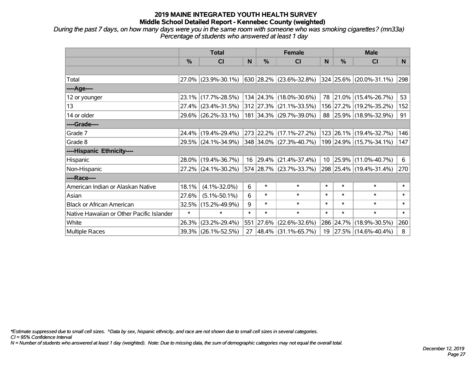*During the past 7 days, on how many days were you in the same room with someone who was smoking cigarettes? (mn33a) Percentage of students who answered at least 1 day*

|                                           | <b>Total</b> |                        |        |            | <b>Female</b>                 |              | <b>Male</b> |                         |        |  |
|-------------------------------------------|--------------|------------------------|--------|------------|-------------------------------|--------------|-------------|-------------------------|--------|--|
|                                           | $\%$         | <b>CI</b>              | N      | $\%$       | <b>CI</b>                     | <sub>N</sub> | $\%$        | <b>CI</b>               | N.     |  |
|                                           |              |                        |        |            |                               |              |             |                         |        |  |
| Total                                     |              | $27.0\%$ (23.9%-30.1%) |        |            | 630   28.2%   (23.6%-32.8%)   |              |             | 324 25.6% (20.0%-31.1%) | 298    |  |
| ----Age----                               |              |                        |        |            |                               |              |             |                         |        |  |
| 12 or younger                             |              | 23.1% (17.7%-28.5%)    |        |            | 134 24.3% (18.0%-30.6%)       |              | 78 21.0%    | $(15.4\% - 26.7\%)$     | 53     |  |
| 13                                        |              | 27.4% (23.4%-31.5%)    |        |            | $312$   27.3%   (21.1%-33.5%) |              |             | 156 27.2% (19.2%-35.2%) | 152    |  |
| 14 or older                               |              | 29.6% (26.2%-33.1%)    |        |            | 181 34.3% (29.7%-39.0%)       |              |             | 88 25.9% (18.9%-32.9%)  | 91     |  |
| ----Grade----                             |              |                        |        |            |                               |              |             |                         |        |  |
| Grade 7                                   |              | 24.4% (19.4%-29.4%)    |        |            | 273 22.2% (17.1%-27.2%)       |              |             | 123 26.1% (19.4%-32.7%) | 146    |  |
| Grade 8                                   |              | 29.5% (24.1%-34.9%)    |        |            | 348 34.0% (27.3%-40.7%)       |              |             | 199 24.9% (15.7%-34.1%) | 147    |  |
| ----Hispanic Ethnicity----                |              |                        |        |            |                               |              |             |                         |        |  |
| <b>Hispanic</b>                           |              | 28.0% (19.4%-36.7%)    | 16     |            | $ 29.4\% $ (21.4%-37.4%)      |              | 10 25.9%    | $(11.0\% - 40.7\%)$     | 6      |  |
| Non-Hispanic                              |              | $27.2\%$ (24.1%-30.2%) |        |            | 574 28.7% (23.7%-33.7%)       |              |             | 298 25.4% (19.4%-31.4%) | 270    |  |
| ----Race----                              |              |                        |        |            |                               |              |             |                         |        |  |
| American Indian or Alaskan Native         | 18.1%        | $(4.1\% - 32.0\%)$     | 6      | $\ast$     | $\ast$                        | $\ast$       | $\ast$      | $\ast$                  | $\ast$ |  |
| Asian                                     | 27.6%        | $(5.1\% - 50.1\%)$     | 6      | $\ast$     | $\ast$                        | $\ast$       | $\ast$      | $\ast$                  | $\ast$ |  |
| <b>Black or African American</b>          | 32.5%        | $(15.2\% - 49.9\%)$    | 9      | $\ast$     | $\ast$                        | $\ast$       | $\ast$      | $\ast$                  | $\ast$ |  |
| Native Hawaiian or Other Pacific Islander | $\ast$       | $\ast$                 | $\ast$ | $\ast$     | $\ast$                        | $\ast$       | $\ast$      | $\ast$                  | $\ast$ |  |
| White                                     | 26.3%        | $(23.2\% - 29.4\%)$    | 551    | $ 27.6\% $ | $(22.6\% - 32.6\%)$           |              | 286 24.7%   | $(18.9\% - 30.5\%)$     | 260    |  |
| <b>Multiple Races</b>                     |              | 39.3% (26.1%-52.5%)    | 27     |            | $ 48.4\% $ (31.1%-65.7%)      | 19           |             | 27.5% (14.6%-40.4%)     | 8      |  |

*\*Estimate suppressed due to small cell sizes. ^Data by sex, hispanic ethnicity, and race are not shown due to small cell sizes in several categories.*

*CI = 95% Confidence Interval*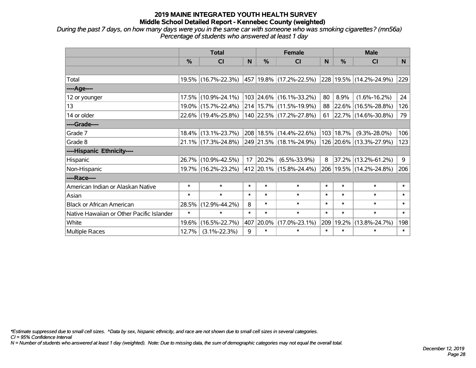*During the past 7 days, on how many days were you in the same car with someone who was smoking cigarettes? (mn56a) Percentage of students who answered at least 1 day*

|                                           | <b>Total</b>  |                        |        |        | <b>Female</b>               |        | <b>Male</b> |                          |        |  |
|-------------------------------------------|---------------|------------------------|--------|--------|-----------------------------|--------|-------------|--------------------------|--------|--|
|                                           | $\frac{0}{0}$ | CI                     | N      | $\%$   | <b>CI</b>                   | N      | $\%$        | <b>CI</b>                | N.     |  |
|                                           |               |                        |        |        |                             |        |             |                          |        |  |
| Total                                     |               | 19.5% (16.7%-22.3%)    |        |        | 457   19.8%   (17.2%-22.5%) |        |             | 228 19.5% (14.2%-24.9%)  | 229    |  |
| ----Age----                               |               |                        |        |        |                             |        |             |                          |        |  |
| 12 or younger                             |               | 17.5% (10.9%-24.1%)    |        |        | 103 24.6% (16.1%-33.2%)     | 80     | 8.9%        | $(1.6\% - 16.2\%)$       | 24     |  |
| 13                                        |               | 19.0% (15.7%-22.4%)    |        |        | 214   15.7%   (11.5%-19.9%) |        | 88 22.6%    | $(16.5\% - 28.8\%)$      | 126    |  |
| 14 or older                               |               | 22.6% (19.4%-25.8%)    |        |        | 140 22.5% (17.2%-27.8%)     | 61     |             | $ 22.7\% $ (14.6%-30.8%) | 79     |  |
| ----Grade----                             |               |                        |        |        |                             |        |             |                          |        |  |
| Grade 7                                   |               | $18.4\%$ (13.1%-23.7%) |        |        | 208   18.5%   (14.4%-22.6%) | 103    | 18.7%       | $(9.3\% - 28.0\%)$       | 106    |  |
| Grade 8                                   |               | 21.1% (17.3%-24.8%)    |        |        | 249 21.5% (18.1%-24.9%)     |        |             | 126 20.6% (13.3%-27.9%)  | 123    |  |
| ----Hispanic Ethnicity----                |               |                        |        |        |                             |        |             |                          |        |  |
| Hispanic                                  |               | 26.7% (10.9%-42.5%)    | 17     | 20.2%  | $(6.5\% - 33.9\%)$          | 8      | 37.2%       | $(13.2\% - 61.2\%)$      | 9      |  |
| Non-Hispanic                              |               | 19.7% (16.2%-23.2%)    |        |        | 412 20.1% (15.8%-24.4%)     |        |             | 206 19.5% (14.2%-24.8%)  | 206    |  |
| ----Race----                              |               |                        |        |        |                             |        |             |                          |        |  |
| American Indian or Alaskan Native         | $\ast$        | $\ast$                 | $\ast$ | $\ast$ | $\ast$                      | $\ast$ | $\ast$      | $\ast$                   | $\ast$ |  |
| Asian                                     | $\ast$        | $\ast$                 | $\ast$ | $\ast$ | $\ast$                      | $\ast$ | $\ast$      | $\ast$                   | $\ast$ |  |
| <b>Black or African American</b>          | 28.5%         | $(12.9\% - 44.2\%)$    | 8      | $\ast$ | $\ast$                      | $\ast$ | $\ast$      | $\ast$                   | $\ast$ |  |
| Native Hawaiian or Other Pacific Islander | $\ast$        | $\ast$                 | $\ast$ | $\ast$ | $\ast$                      | $\ast$ | $\ast$      | $\ast$                   | $\ast$ |  |
| White                                     | 19.6%         | $(16.5\% - 22.7\%)$    | 407    | 20.0%  | $(17.0\% - 23.1\%)$         | 209    | 19.2%       | $(13.8\% - 24.7\%)$      | 198    |  |
| Multiple Races                            | 12.7%         | $(3.1\% - 22.3\%)$     | 9      | $\ast$ | $\ast$                      | $\ast$ | $\ast$      | $\ast$                   | $\ast$ |  |

*\*Estimate suppressed due to small cell sizes. ^Data by sex, hispanic ethnicity, and race are not shown due to small cell sizes in several categories.*

*CI = 95% Confidence Interval*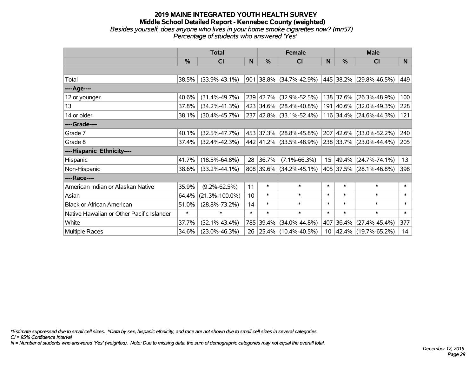#### **2019 MAINE INTEGRATED YOUTH HEALTH SURVEY Middle School Detailed Report - Kennebec County (weighted)** *Besides yourself, does anyone who lives in your home smoke cigarettes now? (mn57) Percentage of students who answered 'Yes'*

|                                           | <b>Total</b> |                      |        |           | <b>Female</b>                   |                 | <b>Male</b>   |                          |        |  |
|-------------------------------------------|--------------|----------------------|--------|-----------|---------------------------------|-----------------|---------------|--------------------------|--------|--|
|                                           | %            | <b>CI</b>            | N      | %         | <b>CI</b>                       | N               | $\frac{0}{0}$ | <b>CI</b>                | N      |  |
|                                           |              |                      |        |           |                                 |                 |               |                          |        |  |
| Total                                     | 38.5%        | $(33.9\% - 43.1\%)$  |        |           | $901 38.8\%  (34.7\% - 42.9\%)$ |                 |               | 445 38.2% (29.8%-46.5%)  | 449    |  |
| ---- Age----                              |              |                      |        |           |                                 |                 |               |                          |        |  |
| 12 or younger                             | 40.6%        | $(31.4\% - 49.7\%)$  |        | 239 42.7% | $(32.9\% - 52.5\%)$             |                 | 138 37.6%     | $(26.3\% - 48.9\%)$      | 100    |  |
| 13                                        | 37.8%        | $(34.2\% - 41.3\%)$  |        |           | 423 34.6% (28.4%-40.8%)         |                 |               | 191 40.6% (32.0%-49.3%)  | 228    |  |
| 14 or older                               | 38.1%        | $(30.4\% - 45.7\%)$  |        |           | 237 42.8% (33.1%-52.4%)         |                 |               | 116 34.4% (24.6%-44.3%)  | 121    |  |
| ----Grade----                             |              |                      |        |           |                                 |                 |               |                          |        |  |
| Grade 7                                   | 40.1%        | $(32.5\% - 47.7\%)$  |        | 453 37.3% | $(28.8\% - 45.8\%)$             |                 | 207 42.6%     | $(33.0\% - 52.2\%)$      | 240    |  |
| Grade 8                                   | 37.4%        | $(32.4\% - 42.3\%)$  |        |           | 442 41.2% (33.5%-48.9%)         |                 |               | 238 33.7% (23.0%-44.4%)  | 205    |  |
| ----Hispanic Ethnicity----                |              |                      |        |           |                                 |                 |               |                          |        |  |
| Hispanic                                  | 41.7%        | $(18.5\% - 64.8\%)$  | 28     | 36.7%     | $(7.1\% - 66.3\%)$              | 15 <sub>1</sub> | 49.4%         | $(24.7\% - 74.1\%)$      | 13     |  |
| Non-Hispanic                              | 38.6%        | $(33.2\% - 44.1\%)$  |        |           | 808 39.6% (34.2%-45.1%)         |                 |               | 405 37.5% (28.1%-46.8%)  | 398    |  |
| ----Race----                              |              |                      |        |           |                                 |                 |               |                          |        |  |
| American Indian or Alaskan Native         | 35.9%        | $(9.2\% - 62.5\%)$   | 11     | $\ast$    | $\ast$                          | $\ast$          | $\ast$        | $\ast$                   | $\ast$ |  |
| Asian                                     | 64.4%        | $(21.3\% - 100.0\%)$ | 10     | $\ast$    | $\ast$                          | $\ast$          | $\ast$        | $\ast$                   | $\ast$ |  |
| <b>Black or African American</b>          | 51.0%        | $(28.8\% - 73.2\%)$  | 14     | $\ast$    | $\ast$                          | $\ast$          | $\ast$        | $\ast$                   | $\ast$ |  |
| Native Hawaiian or Other Pacific Islander | $\ast$       | $\ast$               | $\ast$ | $\ast$    | $\ast$                          | $\ast$          | $\ast$        | $\ast$                   | $\ast$ |  |
| White                                     | 37.7%        | $(32.1\% - 43.4\%)$  |        | 785 39.4% | $(34.0\% - 44.8\%)$             |                 | 407 36.4%     | $(27.4\% - 45.4\%)$      | 377    |  |
| Multiple Races                            | 34.6%        | $(23.0\% - 46.3\%)$  | 26     |           | 25.4% (10.4%-40.5%)             | 10 <sup>°</sup> |               | $ 42.4\% $ (19.7%-65.2%) | 14     |  |

*\*Estimate suppressed due to small cell sizes. ^Data by sex, hispanic ethnicity, and race are not shown due to small cell sizes in several categories.*

*CI = 95% Confidence Interval*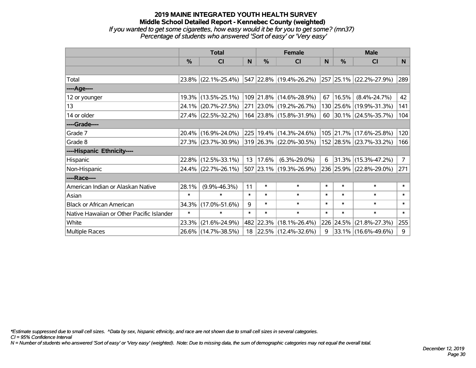## **2019 MAINE INTEGRATED YOUTH HEALTH SURVEY Middle School Detailed Report - Kennebec County (weighted)** *If you wanted to get some cigarettes, how easy would it be for you to get some? (mn37) Percentage of students who answered 'Sort of easy' or 'Very easy'*

|                                           | <b>Total</b>  |                     |        |        | <b>Female</b>            |              | <b>Male</b> |                         |                |  |
|-------------------------------------------|---------------|---------------------|--------|--------|--------------------------|--------------|-------------|-------------------------|----------------|--|
|                                           | $\frac{0}{0}$ | <b>CI</b>           | N      | $\%$   | <b>CI</b>                | <sub>N</sub> | $\%$        | <b>CI</b>               | N              |  |
|                                           |               |                     |        |        |                          |              |             |                         |                |  |
| Total                                     |               | 23.8% (22.1%-25.4%) |        |        | 547 22.8% (19.4%-26.2%)  |              |             | 257 25.1% (22.2%-27.9%) | 289            |  |
| ----Age----                               |               |                     |        |        |                          |              |             |                         |                |  |
| 12 or younger                             |               | 19.3% (13.5%-25.1%) |        |        | 109 21.8% (14.6%-28.9%)  | 67           | 16.5%       | $(8.4\% - 24.7\%)$      | 42             |  |
| 13                                        |               | 24.1% (20.7%-27.5%) |        |        | 271 23.0% (19.2%-26.7%)  |              |             | 130 25.6% (19.9%-31.3%) | 141            |  |
| 14 or older                               |               | 27.4% (22.5%-32.2%) |        |        | 164 23.8% (15.8%-31.9%)  |              |             | 60 30.1% (24.5%-35.7%)  | 104            |  |
| ----Grade----                             |               |                     |        |        |                          |              |             |                         |                |  |
| Grade 7                                   |               | 20.4% (16.9%-24.0%) |        |        | 225 19.4% (14.3%-24.6%)  |              | 105 21.7%   | $(17.6\% - 25.8\%)$     | 120            |  |
| Grade 8                                   |               | 27.3% (23.7%-30.9%) |        |        | 319 26.3% (22.0%-30.5%)  |              |             | 152 28.5% (23.7%-33.2%) | 166            |  |
| ----Hispanic Ethnicity----                |               |                     |        |        |                          |              |             |                         |                |  |
| Hispanic                                  |               | 22.8% (12.5%-33.1%) | 13     | 17.6%  | $(6.3\% - 29.0\%)$       | 6            | 31.3%       | $(15.3\% - 47.2\%)$     | 7 <sup>1</sup> |  |
| Non-Hispanic                              |               | 24.4% (22.7%-26.1%) |        |        | 507 23.1% (19.3%-26.9%)  |              |             | 236 25.9% (22.8%-29.0%) | 271            |  |
| ----Race----                              |               |                     |        |        |                          |              |             |                         |                |  |
| American Indian or Alaskan Native         | 28.1%         | $(9.9\% - 46.3\%)$  | 11     | $\ast$ | $\ast$                   | $\ast$       | $\ast$      | $\ast$                  | $\ast$         |  |
| Asian                                     | $\ast$        | $\ast$              | $\ast$ | $\ast$ | $\ast$                   | $\ast$       | $\ast$      | $\ast$                  | $\ast$         |  |
| <b>Black or African American</b>          | 34.3%         | $(17.0\% - 51.6\%)$ | 9      | $\ast$ | $\ast$                   | $\ast$       | $\ast$      | $\ast$                  | $\ast$         |  |
| Native Hawaiian or Other Pacific Islander | $\ast$        | $\ast$              | $\ast$ | $\ast$ | $\ast$                   | $\ast$       | $\ast$      | $\ast$                  | $\ast$         |  |
| White                                     | 23.3%         | $(21.6\% - 24.9\%)$ |        |        | 482 22.3% (18.1%-26.4%)  |              | 226 24.5%   | $(21.8\% - 27.3\%)$     | 255            |  |
| Multiple Races                            |               | 26.6% (14.7%-38.5%) | 18     |        | $ 22.5\% $ (12.4%-32.6%) | 9            |             | $33.1\%$ (16.6%-49.6%)  | 9              |  |

*\*Estimate suppressed due to small cell sizes. ^Data by sex, hispanic ethnicity, and race are not shown due to small cell sizes in several categories.*

*CI = 95% Confidence Interval*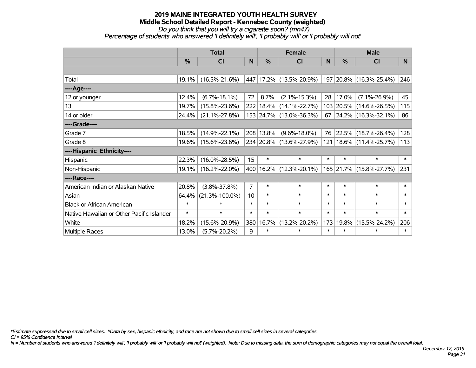*Do you think that you will try a cigarette soon? (mn47)*

*Percentage of students who answered 'I definitely will', 'I probably will' or 'I probably will not'*

|                                           | <b>Total</b>  |                      |                |               | <b>Female</b>               |          | <b>Male</b> |                             |        |  |
|-------------------------------------------|---------------|----------------------|----------------|---------------|-----------------------------|----------|-------------|-----------------------------|--------|--|
|                                           | $\frac{0}{0}$ | CI                   | N              | $\frac{0}{0}$ | <b>CI</b>                   | <b>N</b> | %           | <b>CI</b>                   | N      |  |
|                                           |               |                      |                |               |                             |          |             |                             |        |  |
| Total                                     | 19.1%         | $(16.5\% - 21.6\%)$  | 447            |               | $17.2\%$ (13.5%-20.9%)      |          |             | 197   20.8%   (16.3%-25.4%) | 246    |  |
| ----Age----                               |               |                      |                |               |                             |          |             |                             |        |  |
| 12 or younger                             | 12.4%         | $(6.7\% - 18.1\%)$   | 72             | 8.7%          | $(2.1\% - 15.3\%)$          | 28       | 17.0%       | $(7.1\% - 26.9\%)$          | 45     |  |
| 13                                        | 19.7%         | $(15.8\% - 23.6\%)$  |                |               | 222   18.4%   (14.1%-22.7%) |          |             | 103 20.5% (14.6%-26.5%)     | 115    |  |
| 14 or older                               | 24.4%         | $(21.1\% - 27.8\%)$  |                |               | 153 24.7% (13.0%-36.3%)     | 67       |             | $ 24.2\% $ (16.3%-32.1%)    | 86     |  |
| ----Grade----                             |               |                      |                |               |                             |          |             |                             |        |  |
| Grade 7                                   | 18.5%         | $(14.9\% - 22.1\%)$  |                | 208 13.8%     | $(9.6\% - 18.0\%)$          | 76       | 22.5%       | $(18.7\% - 26.4\%)$         | 128    |  |
| Grade 8                                   | $19.6\%$      | $(15.6\% - 23.6\%)$  |                |               | 234 20.8% (13.6%-27.9%)     | 121      |             | $ 18.6\% $ (11.4%-25.7%)    | 113    |  |
| ----Hispanic Ethnicity----                |               |                      |                |               |                             |          |             |                             |        |  |
| Hispanic                                  | 22.3%         | $(16.0\% - 28.5\%)$  | 15             | $\ast$        | $\ast$                      | $\ast$   | $\ast$      | $\ast$                      | $\ast$ |  |
| Non-Hispanic                              | 19.1%         | $(16.2\% - 22.0\%)$  | 400            |               | $16.2\%$ (12.3%-20.1%)      |          | 165 21.7%   | $(15.8\% - 27.7\%)$         | 231    |  |
| ----Race----                              |               |                      |                |               |                             |          |             |                             |        |  |
| American Indian or Alaskan Native         | 20.8%         | $(3.8\% - 37.8\%)$   | $\overline{7}$ | $\ast$        | $\ast$                      | $\ast$   | $\ast$      | $\ast$                      | $\ast$ |  |
| Asian                                     | 64.4%         | $(21.3\% - 100.0\%)$ | 10             | *             | $\ast$                      | $\ast$   | $\ast$      | $\ast$                      | $\ast$ |  |
| <b>Black or African American</b>          | $\ast$        | $\ast$               | $\ast$         | $\ast$        | $\ast$                      | $\ast$   | $\ast$      | $\ast$                      | $\ast$ |  |
| Native Hawaiian or Other Pacific Islander | $\ast$        | $\ast$               | $\ast$         | $\ast$        | $\ast$                      | $\ast$   | $\ast$      | $\ast$                      | $\ast$ |  |
| White                                     | 18.2%         | $(15.6\% - 20.9\%)$  | 380            | 16.7%         | $(13.2\% - 20.2\%)$         | 173      | 19.8%       | $(15.5\% - 24.2\%)$         | 206    |  |
| Multiple Races                            | 13.0%         | $(5.7\% - 20.2\%)$   | 9              | $\ast$        | $\ast$                      | $\ast$   | $\ast$      | $\ast$                      | $\ast$ |  |

*\*Estimate suppressed due to small cell sizes. ^Data by sex, hispanic ethnicity, and race are not shown due to small cell sizes in several categories.*

*CI = 95% Confidence Interval*

*N = Number of students who answered 'I definitely will', 'I probably will' or 'I probably will not' (weighted). Note: Due to missing data, the sum of demographic categories may not equal the overall total.*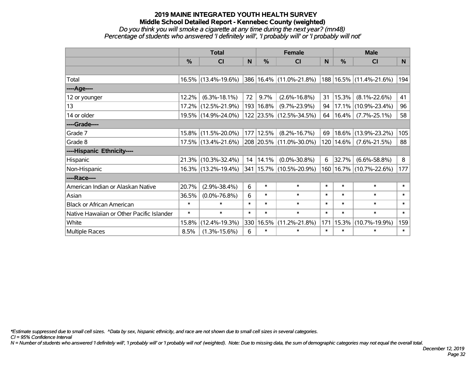#### **2019 MAINE INTEGRATED YOUTH HEALTH SURVEY Middle School Detailed Report - Kennebec County (weighted)** *Do you think you will smoke a cigarette at any time during the next year? (mn48)*

# *Percentage of students who answered 'I definitely will', 'I probably will' or 'I probably will not'*

|                                           | <b>Total</b>  |                     |        |             | <b>Female</b>               |          | <b>Male</b> |                         |                |  |
|-------------------------------------------|---------------|---------------------|--------|-------------|-----------------------------|----------|-------------|-------------------------|----------------|--|
|                                           | $\frac{0}{0}$ | <b>CI</b>           | N      | $\%$        | <b>CI</b>                   | <b>N</b> | %           | <b>CI</b>               | N <sub>1</sub> |  |
|                                           |               |                     |        |             |                             |          |             |                         |                |  |
| Total                                     |               | 16.5% (13.4%-19.6%) |        |             | 386 16.4% (11.0%-21.8%)     |          |             | 188 16.5% (11.4%-21.6%) | 194            |  |
| ----Age----                               |               |                     |        |             |                             |          |             |                         |                |  |
| 12 or younger                             | 12.2%         | $(6.3\% - 18.1\%)$  | 72     | 9.7%        | $(2.6\% - 16.8\%)$          | 31       | 15.3%       | $(8.1\% - 22.6\%)$      | 41             |  |
| 13                                        | $17.2\%$      | $(12.5\% - 21.9\%)$ |        | 193   16.8% | $(9.7\% - 23.9\%)$          | 94       |             | 17.1% (10.9%-23.4%)     | 96             |  |
| 14 or older                               |               | 19.5% (14.9%-24.0%) |        |             | 122 23.5% (12.5%-34.5%)     | 64       | 16.4%       | $(7.7\% - 25.1\%)$      | 58             |  |
| ----Grade----                             |               |                     |        |             |                             |          |             |                         |                |  |
| Grade 7                                   | $15.8\%$      | $(11.5\% - 20.0\%)$ |        | 177 12.5%   | $(8.2\% - 16.7\%)$          | 69       | 18.6%       | $(13.9\% - 23.2\%)$     | 105            |  |
| Grade 8                                   |               | 17.5% (13.4%-21.6%) |        |             | 208 20.5% (11.0%-30.0%)     |          | 120   14.6% | $(7.6\% - 21.5\%)$      | 88             |  |
| ----Hispanic Ethnicity----                |               |                     |        |             |                             |          |             |                         |                |  |
| Hispanic                                  | 21.3%         | $(10.3\% - 32.4\%)$ |        | 14 14.1%    | $(0.0\% - 30.8\%)$          | 6        | 32.7%       | $(6.6\% - 58.8\%)$      | 8              |  |
| Non-Hispanic                              |               | 16.3% (13.2%-19.4%) |        |             | 341   15.7%   (10.5%-20.9%) | 160      |             | 16.7% (10.7%-22.6%)     | 177            |  |
| ----Race----                              |               |                     |        |             |                             |          |             |                         |                |  |
| American Indian or Alaskan Native         | 20.7%         | $(2.9\% - 38.4\%)$  | 6      | $\ast$      | $\ast$                      | $\ast$   | $\ast$      | $\ast$                  | $\ast$         |  |
| Asian                                     | 36.5%         | $(0.0\% - 76.8\%)$  | 6      | $\ast$      | $\ast$                      | $\ast$   | $\ast$      | $\ast$                  | $\ast$         |  |
| <b>Black or African American</b>          | $\ast$        | $\ast$              | $\ast$ | $\ast$      | $\ast$                      | $\ast$   | $\ast$      | $\ast$                  | $\ast$         |  |
| Native Hawaiian or Other Pacific Islander | $\ast$        | $\ast$              | $\ast$ | $\ast$      | $\ast$                      | $\ast$   | $\ast$      | $\ast$                  | $\ast$         |  |
| White                                     | 15.8%         | $(12.4\% - 19.3\%)$ |        | 330 16.5%   | $(11.2\% - 21.8\%)$         | 171      | 15.3%       | $(10.7\% - 19.9\%)$     | 159            |  |
| <b>Multiple Races</b>                     | 8.5%          | $(1.3\% - 15.6\%)$  | 6      | $\ast$      | $\ast$                      | $\ast$   | $\ast$      | $\ast$                  | $\ast$         |  |

*\*Estimate suppressed due to small cell sizes. ^Data by sex, hispanic ethnicity, and race are not shown due to small cell sizes in several categories.*

*CI = 95% Confidence Interval*

*N = Number of students who answered 'I definitely will', 'I probably will' or 'I probably will not' (weighted). Note: Due to missing data, the sum of demographic categories may not equal the overall total.*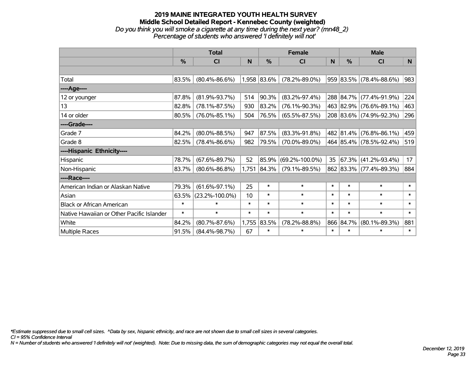#### **2019 MAINE INTEGRATED YOUTH HEALTH SURVEY Middle School Detailed Report - Kennebec County (weighted)** *Do you think you will smoke a cigarette at any time during the next year? (mn48\_2) Percentage of students who answered 'I definitely will not'*

|                                           | <b>Total</b>  |                      |        |             | <b>Female</b>        | <b>Male</b> |           |                         |        |
|-------------------------------------------|---------------|----------------------|--------|-------------|----------------------|-------------|-----------|-------------------------|--------|
|                                           | $\frac{0}{0}$ | <b>CI</b>            | N      | %           | CI                   | N           | $\%$      | <b>CI</b>               | N      |
|                                           |               |                      |        |             |                      |             |           |                         |        |
| Total                                     | 83.5%         | $(80.4\% - 86.6\%)$  |        | 1,958 83.6% | $(78.2\% - 89.0\%)$  |             |           | 959 83.5% (78.4%-88.6%) | 983    |
| ----Age----                               |               |                      |        |             |                      |             |           |                         |        |
| 12 or younger                             | 87.8%         | $(81.9\% - 93.7\%)$  | 514    | 90.3%       | $(83.2\% - 97.4\%)$  |             | 288 84.7% | $(77.4\% - 91.9\%)$     | 224    |
| 13                                        | 82.8%         | $(78.1\% - 87.5\%)$  | 930    | 83.2%       | $(76.1\% - 90.3\%)$  |             |           | 463 82.9% (76.6%-89.1%) | 463    |
| 14 or older                               | 80.5%         | $(76.0\% - 85.1\%)$  | 504    | 76.5%       | $(65.5\% - 87.5\%)$  |             |           | 208 83.6% (74.9%-92.3%) | 296    |
| ----Grade----                             |               |                      |        |             |                      |             |           |                         |        |
| Grade 7                                   | 84.2%         | $(80.0\% - 88.5\%)$  | 947    | 87.5%       | $(83.3\% - 91.8\%)$  |             | 482 81.4% | $(76.8\% - 86.1\%)$     | 459    |
| Grade 8                                   | 82.5%         | $(78.4\% - 86.6\%)$  | 982    | 79.5%       | $(70.0\% - 89.0\%)$  |             |           | 464 85.4% (78.5%-92.4%) | 519    |
| ----Hispanic Ethnicity----                |               |                      |        |             |                      |             |           |                         |        |
| Hispanic                                  | 78.7%         | $(67.6\% - 89.7\%)$  | 52     | 85.9%       | $(69.2\% - 100.0\%)$ | 35          | 67.3%     | $(41.2\% - 93.4\%)$     | 17     |
| Non-Hispanic                              | 83.7%         | $(80.6\% - 86.8\%)$  |        | 1,751 84.3% | $(79.1\% - 89.5\%)$  |             |           | 862 83.3% (77.4%-89.3%) | 884    |
| ----Race----                              |               |                      |        |             |                      |             |           |                         |        |
| American Indian or Alaskan Native         | 79.3%         | $(61.6\% - 97.1\%)$  | 25     | $\ast$      | $\ast$               | $\ast$      | $\ast$    | $\ast$                  | $\ast$ |
| Asian                                     | 63.5%         | $(23.2\% - 100.0\%)$ | 10     | $\ast$      | $\ast$               | $\ast$      | $\ast$    | $\ast$                  | $\ast$ |
| <b>Black or African American</b>          | $\ast$        | $\ast$               | $\ast$ | $\ast$      | $\ast$               | $\ast$      | $\ast$    | $\ast$                  | $\ast$ |
| Native Hawaiian or Other Pacific Islander | $\ast$        | $\ast$               | $\ast$ | $\ast$      | $\ast$               | $\ast$      | $\ast$    | $\ast$                  | $\ast$ |
| White                                     | 84.2%         | $(80.7\% - 87.6\%)$  | 1,755  | 83.5%       | $(78.2\% - 88.8\%)$  |             | 866 84.7% | $(80.1\% - 89.3\%)$     | 881    |
| Multiple Races                            | 91.5%         | $(84.4\% - 98.7\%)$  | 67     | $\ast$      | $\ast$               | $\ast$      | $\ast$    | $\ast$                  | $\ast$ |

*\*Estimate suppressed due to small cell sizes. ^Data by sex, hispanic ethnicity, and race are not shown due to small cell sizes in several categories.*

*CI = 95% Confidence Interval*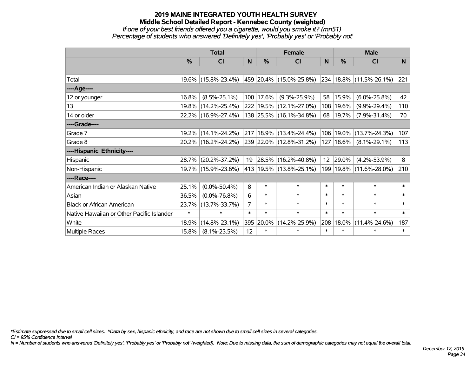## **2019 MAINE INTEGRATED YOUTH HEALTH SURVEY Middle School Detailed Report - Kennebec County (weighted)** *If one of your best friends offered you a cigarette, would you smoke it? (mn51) Percentage of students who answered 'Definitely yes', 'Probably yes' or 'Probably not'*

|                                           | <b>Total</b>  |                                             |                |           | <b>Female</b>                   |        | <b>Male</b> |                         |        |  |
|-------------------------------------------|---------------|---------------------------------------------|----------------|-----------|---------------------------------|--------|-------------|-------------------------|--------|--|
|                                           | $\frac{0}{0}$ | <b>CI</b>                                   | N              | $\%$      | <b>CI</b>                       | N      | %           | <b>CI</b>               | N.     |  |
|                                           |               |                                             |                |           |                                 |        |             |                         |        |  |
| Total                                     |               | 19.6% (15.8%-23.4%) 459 20.4% (15.0%-25.8%) |                |           |                                 |        |             | 234 18.8% (11.5%-26.1%) | 221    |  |
| ----Age----                               |               |                                             |                |           |                                 |        |             |                         |        |  |
| 12 or younger                             | 16.8%         | $(8.5\% - 25.1\%)$                          |                | 100 17.6% | $(9.3\% - 25.9\%)$              | 58     | 15.9%       | $(6.0\% - 25.8\%)$      | 42     |  |
| 13                                        | $19.8\%$      | $(14.2\% - 25.4\%)$                         |                |           | 222 19.5% (12.1%-27.0%)         | 108    | 19.6%       | $(9.9\% - 29.4\%)$      | 110    |  |
| 14 or older                               |               | 22.2% (16.9%-27.4%)                         |                |           | 138 25.5% (16.1%-34.8%)         | 68     | 19.7%       | $(7.9\% - 31.4\%)$      | 70     |  |
| ----Grade----                             |               |                                             |                |           |                                 |        |             |                         |        |  |
| Grade 7                                   | $19.2\%$      | $(14.1\% - 24.2\%)$                         |                |           | $217 18.9\%  (13.4\% - 24.4\%)$ | 106    | 19.0%       | $(13.7\% - 24.3\%)$     | 107    |  |
| Grade 8                                   |               | 20.2% (16.2%-24.2%)                         |                |           | 239 22.0% (12.8%-31.2%)         | 127    | 18.6%       | $(8.1\% - 29.1\%)$      | 113    |  |
| ----Hispanic Ethnicity----                |               |                                             |                |           |                                 |        |             |                         |        |  |
| Hispanic                                  |               | 28.7% (20.2%-37.2%)                         | 19             |           | $ 28.5\% $ (16.2%-40.8%)        | 12     | 29.0%       | $(4.2\% - 53.9\%)$      | 8      |  |
| Non-Hispanic                              |               | 19.7% (15.9%-23.6%)                         |                |           | 413 19.5% (13.8%-25.1%)         | 199    |             | 19.8% (11.6%-28.0%)     | 210    |  |
| ----Race----                              |               |                                             |                |           |                                 |        |             |                         |        |  |
| American Indian or Alaskan Native         | 25.1%         | $(0.0\% - 50.4\%)$                          | 8              | $\ast$    | $\ast$                          | $\ast$ | $\ast$      | $\ast$                  | $\ast$ |  |
| Asian                                     | 36.5%         | $(0.0\% - 76.8\%)$                          | 6              | $\ast$    | $\ast$                          | $\ast$ | $\ast$      | $\ast$                  | $\ast$ |  |
| <b>Black or African American</b>          | 23.7%         | $(13.7\% - 33.7\%)$                         | $\overline{7}$ | $\ast$    | $\ast$                          | $\ast$ | $\ast$      | $\ast$                  | $\ast$ |  |
| Native Hawaiian or Other Pacific Islander | $\ast$        | $\ast$                                      | $\ast$         | $\ast$    | $\ast$                          | $\ast$ | $\ast$      | $\ast$                  | $\ast$ |  |
| White                                     | 18.9%         | $(14.8\% - 23.1\%)$                         | 395            | 20.0%     | $(14.2\% - 25.9\%)$             | 208    | 18.0%       | $(11.4\% - 24.6\%)$     | 187    |  |
| <b>Multiple Races</b>                     | 15.8%         | $(8.1\% - 23.5\%)$                          | 12             | $\ast$    | $\ast$                          | $\ast$ | $\ast$      | $\ast$                  | $\ast$ |  |

*\*Estimate suppressed due to small cell sizes. ^Data by sex, hispanic ethnicity, and race are not shown due to small cell sizes in several categories.*

*CI = 95% Confidence Interval*

*N = Number of students who answered 'Definitely yes', 'Probably yes' or 'Probably not' (weighted). Note: Due to missing data, the sum of demographic categories may not equal the overall total.*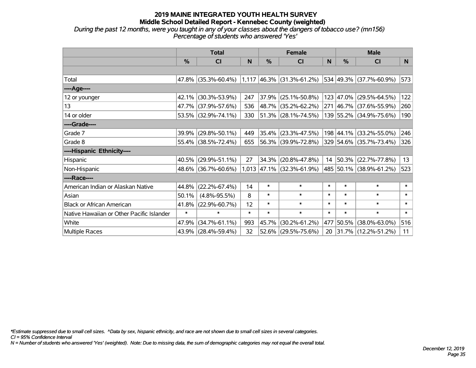#### **2019 MAINE INTEGRATED YOUTH HEALTH SURVEY Middle School Detailed Report - Kennebec County (weighted)** *During the past 12 months, were you taught in any of your classes about the dangers of tobacco use? (mn156) Percentage of students who answered 'Yes'*

|                                           | <b>Total</b>  |                           |        |               | <b>Female</b>               |        | <b>Male</b>   |                          |        |  |
|-------------------------------------------|---------------|---------------------------|--------|---------------|-----------------------------|--------|---------------|--------------------------|--------|--|
|                                           | $\frac{9}{6}$ | <b>CI</b>                 | N      | $\frac{0}{0}$ | <b>CI</b>                   | N      | $\frac{0}{0}$ | <b>CI</b>                | N.     |  |
|                                           |               |                           |        |               |                             |        |               |                          |        |  |
| Total                                     |               | 47.8% $(35.3\% - 60.4\%)$ |        |               | $1,117$ 46.3% (31.3%-61.2%) |        |               | 534 49.3% (37.7%-60.9%)  | 573    |  |
| ----Age----                               |               |                           |        |               |                             |        |               |                          |        |  |
| 12 or younger                             | 42.1%         | $(30.3\% - 53.9\%)$       | 247    | 37.9%         | $(25.1\% - 50.8\%)$         |        |               | 123 47.0% (29.5%-64.5%)  | 122    |  |
| 13                                        |               | 47.7% (37.9%-57.6%)       | 536    |               | 48.7% (35.2%-62.2%)         |        |               | 271 46.7% (37.6%-55.9%)  | 260    |  |
| 14 or older                               |               | 53.5% (32.9%-74.1%)       | 330    |               | $ 51.3\% $ (28.1%-74.5%)    |        |               | 139 55.2% (34.9%-75.6%)  | 190    |  |
| ----Grade----                             |               |                           |        |               |                             |        |               |                          |        |  |
| Grade 7                                   | 39.9%         | $(29.8\% - 50.1\%)$       | 449    |               | $ 35.4\% $ (23.3%-47.5%)    |        |               | 198 44.1% (33.2%-55.0%)  | 246    |  |
| Grade 8                                   |               | 55.4% (38.5%-72.4%)       | 655    |               | 56.3% (39.9%-72.8%)         |        |               | 329 54.6% (35.7%-73.4%)  | 326    |  |
| ----Hispanic Ethnicity----                |               |                           |        |               |                             |        |               |                          |        |  |
| Hispanic                                  | 40.5%         | $(29.9\% - 51.1\%)$       | 27     | 34.3%         | $(20.8\% - 47.8\%)$         | 14     |               | $ 50.3\% $ (22.7%-77.8%) | 13     |  |
| Non-Hispanic                              |               | 48.6% (36.7%-60.6%)       |        |               | $1,013$ 47.1% (32.3%-61.9%) |        |               | 485 50.1% (38.9%-61.2%)  | 523    |  |
| ----Race----                              |               |                           |        |               |                             |        |               |                          |        |  |
| American Indian or Alaskan Native         | 44.8%         | $(22.2\% - 67.4\%)$       | 14     | $\ast$        | $\ast$                      | $\ast$ | $\ast$        | $\ast$                   | $\ast$ |  |
| Asian                                     | 50.1%         | $(4.8\% - 95.5\%)$        | 8      | $\ast$        | $\ast$                      | $\ast$ | $\ast$        | $\ast$                   | $\ast$ |  |
| <b>Black or African American</b>          | 41.8%         | $(22.9\% - 60.7\%)$       | 12     | $\ast$        | $\ast$                      | $\ast$ | $\ast$        | $\ast$                   | $\ast$ |  |
| Native Hawaiian or Other Pacific Islander | $\ast$        | $\ast$                    | $\ast$ | $\ast$        | $\ast$                      | $\ast$ | $\ast$        | $\ast$                   | $\ast$ |  |
| White                                     | 47.9%         | $(34.7\% - 61.1\%)$       | 993    | 45.7%         | $(30.2\% - 61.2\%)$         | 477    | 50.5%         | $(38.0\% - 63.0\%)$      | 516    |  |
| Multiple Races                            |               | 43.9% (28.4%-59.4%)       | 32     |               | $52.6\%$ (29.5%-75.6%)      | 20     |               | $ 31.7\% $ (12.2%-51.2%) | 11     |  |

*\*Estimate suppressed due to small cell sizes. ^Data by sex, hispanic ethnicity, and race are not shown due to small cell sizes in several categories.*

*CI = 95% Confidence Interval*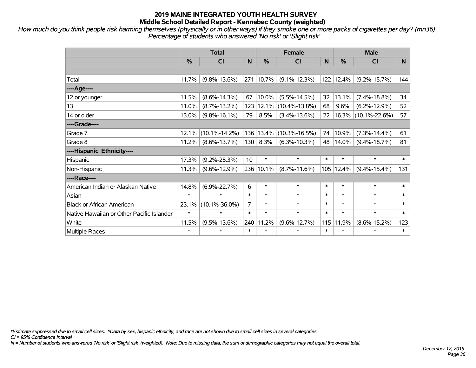*How much do you think people risk harming themselves (physically or in other ways) if they smoke one or more packs of cigarettes per day? (mn36) Percentage of students who answered 'No risk' or 'Slight risk'*

|                                           | <b>Total</b>  |                     |        | <b>Female</b> |                     |        | <b>Male</b> |                     |        |  |
|-------------------------------------------|---------------|---------------------|--------|---------------|---------------------|--------|-------------|---------------------|--------|--|
|                                           | $\frac{0}{0}$ | <b>CI</b>           | N      | %             | <b>CI</b>           | N      | %           | <b>CI</b>           | N.     |  |
|                                           |               |                     |        |               |                     |        |             |                     |        |  |
| Total                                     | 11.7%         | $(9.8\% - 13.6\%)$  |        | 271 10.7%     | $(9.1\% - 12.3\%)$  |        | 122 12.4%   | $(9.2\% - 15.7\%)$  | 144    |  |
| ----Age----                               |               |                     |        |               |                     |        |             |                     |        |  |
| 12 or younger                             | 11.5%         | $(8.6\% - 14.3\%)$  | 67     | 10.0%         | $(5.5\% - 14.5\%)$  | 32     | 13.1%       | $(7.4\% - 18.8\%)$  | 34     |  |
| 13                                        | 11.0%         | $(8.7\% - 13.2\%)$  | 123    | 12.1%         | $(10.4\% - 13.8\%)$ | 68     | 9.6%        | $(6.2\% - 12.9\%)$  | 52     |  |
| 14 or older                               | 13.0%         | $(9.8\% - 16.1\%)$  | 79     | 8.5%          | $(3.4\% - 13.6\%)$  | 22     |             | 16.3% (10.1%-22.6%) | 57     |  |
| ----Grade----                             |               |                     |        |               |                     |        |             |                     |        |  |
| Grade 7                                   | 12.1%         | $(10.1\% - 14.2\%)$ | 136    | 13.4%         | $(10.3\% - 16.5\%)$ | 74     | 10.9%       | $(7.3\% - 14.4\%)$  | 61     |  |
| Grade 8                                   | 11.2%         | $(8.6\% - 13.7\%)$  | 130    | 8.3%          | $(6.3\% - 10.3\%)$  | 48     | 14.0%       | $(9.4\% - 18.7\%)$  | 81     |  |
| ----Hispanic Ethnicity----                |               |                     |        |               |                     |        |             |                     |        |  |
| Hispanic                                  | 17.3%         | $(9.2\% - 25.3\%)$  | 10     | $\ast$        | $\ast$              | $\ast$ | $\ast$      | $\ast$              | $\ast$ |  |
| Non-Hispanic                              | 11.3%         | $(9.6\% - 12.9\%)$  | 236    | 10.1%         | $(8.7\% - 11.6\%)$  |        | 105 12.4%   | $(9.4\% - 15.4\%)$  | 131    |  |
| ----Race----                              |               |                     |        |               |                     |        |             |                     |        |  |
| American Indian or Alaskan Native         | 14.8%         | $(6.9\% - 22.7\%)$  | 6      | $\ast$        | $\ast$              | $\ast$ | $\ast$      | $\ast$              | $\ast$ |  |
| Asian                                     | $\ast$        | $\ast$              | $\ast$ | $\ast$        | $\ast$              | $\ast$ | $\ast$      | $\ast$              | $\ast$ |  |
| <b>Black or African American</b>          | 23.1%         | $(10.1\% - 36.0\%)$ | 7      | $\ast$        | $\ast$              | $\ast$ | $\ast$      | $\ast$              | $\ast$ |  |
| Native Hawaiian or Other Pacific Islander | $\ast$        | $\ast$              | $\ast$ | $\ast$        | $\ast$              | $\ast$ | $\ast$      | $\ast$              | $\ast$ |  |
| White                                     | 11.5%         | $(9.5\% - 13.6\%)$  | 240    | 11.2%         | $(9.6\% - 12.7\%)$  | 115    | 11.9%       | $(8.6\% - 15.2\%)$  | 123    |  |
| <b>Multiple Races</b>                     | $\ast$        | $\ast$              | $\ast$ | $\ast$        | $\ast$              | $\ast$ | $\ast$      | $\ast$              | $\ast$ |  |

*\*Estimate suppressed due to small cell sizes. ^Data by sex, hispanic ethnicity, and race are not shown due to small cell sizes in several categories.*

*CI = 95% Confidence Interval*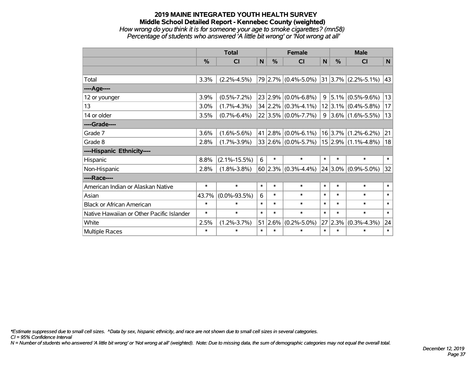# **2019 MAINE INTEGRATED YOUTH HEALTH SURVEY Middle School Detailed Report - Kennebec County (weighted)** *How wrong do you think it is for someone your age to smoke cigarettes? (mn58) Percentage of students who answered 'A little bit wrong' or 'Not wrong at all'*

|                                           | <b>Total</b> |                    |              |         | <b>Female</b>             | <b>Male</b>  |             |                           |             |
|-------------------------------------------|--------------|--------------------|--------------|---------|---------------------------|--------------|-------------|---------------------------|-------------|
|                                           | %            | <b>CI</b>          | $\mathsf{N}$ | %       | <b>CI</b>                 | $\mathsf{N}$ | %           | <b>CI</b>                 | $\mathbf N$ |
|                                           |              |                    |              |         |                           |              |             |                           |             |
| Total                                     | 3.3%         | $(2.2\% - 4.5\%)$  |              |         | 79 2.7% (0.4%-5.0%)       |              |             | $31 3.7\% $ (2.2%-5.1%)   | 43          |
| ----Age----                               |              |                    |              |         |                           |              |             |                           |             |
| 12 or younger                             | 3.9%         | $(0.5\% - 7.2\%)$  |              | 23 2.9% | $(0.0\% - 6.8\%)$         | 9            | $ 5.1\% $   | $(0.5\% - 9.6\%)$         | 13          |
| 13                                        | 3.0%         | $(1.7\% - 4.3\%)$  |              |         | $34 2.2\% $ (0.3%-4.1%)   |              |             | $12 3.1\% $ (0.4%-5.8%)   | 17          |
| 14 or older                               | 3.5%         | $(0.7\% - 6.4\%)$  |              |         | $22 3.5\% $ (0.0%-7.7%)   |              |             | $9 3.6\% (1.6\% - 5.5\%)$ | 13          |
| ----Grade----                             |              |                    |              |         |                           |              |             |                           |             |
| Grade 7                                   | 3.6%         | $(1.6\% - 5.6\%)$  |              | 41 2.8% | $(0.0\% - 6.1\%)$         |              |             | $16$  3.7% (1.2%-6.2%)    | 21          |
| Grade 8                                   | 2.8%         | $(1.7\% - 3.9\%)$  |              |         | $33 2.6\% $ (0.0%-5.7%)   |              |             | $15 2.9\% $ (1.1%-4.8%)   | 18          |
| ----Hispanic Ethnicity----                |              |                    |              |         |                           |              |             |                           |             |
| Hispanic                                  | 8.8%         | $(2.1\% - 15.5\%)$ | 6            | $\ast$  | $\ast$                    | $\ast$       | $\ast$      | $\ast$                    | $\ast$      |
| Non-Hispanic                              | 2.8%         | $(1.8\% - 3.8\%)$  |              |         | 60 2.3% $(0.3\% - 4.4\%)$ |              | $24 3.0\% $ | $(0.9\% - 5.0\%)$         | 32          |
| ----Race----                              |              |                    |              |         |                           |              |             |                           |             |
| American Indian or Alaskan Native         | $\ast$       | $\ast$             | $\ast$       | $\ast$  | $\ast$                    | $\ast$       | $\ast$      | $\ast$                    | $\ast$      |
| Asian                                     | 43.7%        | $(0.0\% - 93.5\%)$ | 6            | $\ast$  | $\ast$                    | $\ast$       | $\ast$      | $\ast$                    | $\ast$      |
| <b>Black or African American</b>          | $\ast$       | $\ast$             | $\ast$       | $\ast$  | $\ast$                    | $\ast$       | $\ast$      | $\ast$                    | $\ast$      |
| Native Hawaiian or Other Pacific Islander | $\ast$       | $\ast$             | $\ast$       | $\ast$  | $\ast$                    | $\ast$       | $\ast$      | $\ast$                    | $\ast$      |
| White                                     | 2.5%         | $(1.2\% - 3.7\%)$  |              | 51 2.6% | $(0.2\% - 5.0\%)$         |              | 27 2.3%     | $(0.3\% - 4.3\%)$         | 24          |
| Multiple Races                            | $\ast$       | $\ast$             | $\ast$       | $\ast$  | $\ast$                    | $\ast$       | $\ast$      | *                         | $\ast$      |

*\*Estimate suppressed due to small cell sizes. ^Data by sex, hispanic ethnicity, and race are not shown due to small cell sizes in several categories.*

*CI = 95% Confidence Interval*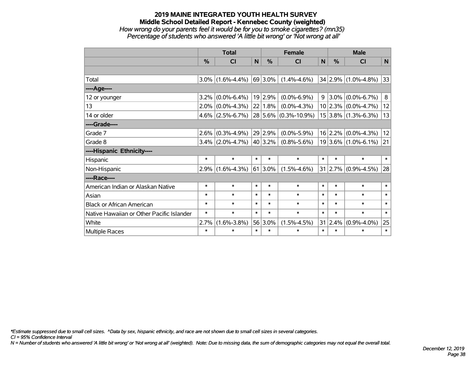# **2019 MAINE INTEGRATED YOUTH HEALTH SURVEY Middle School Detailed Report - Kennebec County (weighted)** *How wrong do your parents feel it would be for you to smoke cigarettes? (mn35) Percentage of students who answered 'A little bit wrong' or 'Not wrong at all'*

|                                           | <b>Total</b>  |                     |        | <b>Female</b>   |                      |        | <b>Male</b>   |                         |        |  |
|-------------------------------------------|---------------|---------------------|--------|-----------------|----------------------|--------|---------------|-------------------------|--------|--|
|                                           | $\frac{0}{0}$ | CI                  | N      | $\%$            | CI                   | N      | $\frac{0}{0}$ | <b>CI</b>               | N      |  |
|                                           |               |                     |        |                 |                      |        |               |                         |        |  |
| Total                                     | $3.0\%$       | $(1.6\% - 4.4\%)$   |        | 69 3.0%         | $(1.4\% - 4.6\%)$    |        |               | 34 2.9% (1.0%-4.8%)     | 33     |  |
| ----Age----                               |               |                     |        |                 |                      |        |               |                         |        |  |
| 12 or younger                             | $3.2\%$       | $(0.0\% - 6.4\%)$   |        | 19 2.9%         | $(0.0\% - 6.9\%)$    | 9      | $3.0\%$       | $(0.0\% - 6.7\%)$       | 8      |  |
| 13                                        | $2.0\%$       | $(0.0\% - 4.3\%)$   |        | 22 1.8%         | $(0.0\% - 4.3\%)$    |        |               | $10 2.3\% $ (0.0%-4.7%) | 12     |  |
| 14 or older                               | $4.6\%$       | $(2.5\% - 6.7\%)$   |        |                 | 28 5.6% (0.3%-10.9%) |        |               | $15 3.8\% $ (1.3%-6.3%) | 13     |  |
| ----Grade----                             |               |                     |        |                 |                      |        |               |                         |        |  |
| Grade 7                                   | $2.6\%$       | $(0.3\% - 4.9\%)$   |        | 29 2.9%         | $(0.0\% - 5.9\%)$    |        | 16 2.2%       | $(0.0\% - 4.3\%)$       | 12     |  |
| Grade 8                                   |               | $3.4\%$ (2.0%-4.7%) |        | 40 3.2%         | $(0.8\% - 5.6\%)$    |        |               | $19 3.6\% $ (1.0%-6.1%) | 21     |  |
| ----Hispanic Ethnicity----                |               |                     |        |                 |                      |        |               |                         |        |  |
| Hispanic                                  | $\ast$        | $\ast$              | $\ast$ | $\ast$          | $\ast$               | $\ast$ | *             | $\ast$                  | $\ast$ |  |
| Non-Hispanic                              | $2.9\%$       | $(1.6\% - 4.3\%)$   |        | $61 \,   3.0\%$ | $(1.5\% - 4.6\%)$    | 31     | $ 2.7\% $     | $(0.9\% - 4.5\%)$       | 28     |  |
| ----Race----                              |               |                     |        |                 |                      |        |               |                         |        |  |
| American Indian or Alaskan Native         | $\ast$        | $\ast$              | $\ast$ | $\ast$          | $\ast$               | $\ast$ | $\ast$        | $\ast$                  | $\ast$ |  |
| Asian                                     | $\ast$        | $\ast$              | $\ast$ | $\ast$          | $\ast$               | $\ast$ | $\ast$        | $\ast$                  | $\ast$ |  |
| <b>Black or African American</b>          | $\ast$        | $\ast$              | $\ast$ | $\ast$          | $\ast$               | $\ast$ | $\ast$        | $\ast$                  | $\ast$ |  |
| Native Hawaiian or Other Pacific Islander | $\ast$        | $\ast$              | $\ast$ | $\ast$          | $\ast$               | $\ast$ | $\ast$        | $\ast$                  | $\ast$ |  |
| White                                     | 2.7%          | $(1.6\% - 3.8\%)$   |        | 56 3.0%         | $(1.5\% - 4.5\%)$    |        | 31 2.4%       | $(0.9\% - 4.0\%)$       | 25     |  |
| Multiple Races                            | $\ast$        | $\ast$              | $\ast$ | $\ast$          | $\ast$               | $\ast$ | $\ast$        | $\ast$                  | $\ast$ |  |

*\*Estimate suppressed due to small cell sizes. ^Data by sex, hispanic ethnicity, and race are not shown due to small cell sizes in several categories.*

*CI = 95% Confidence Interval*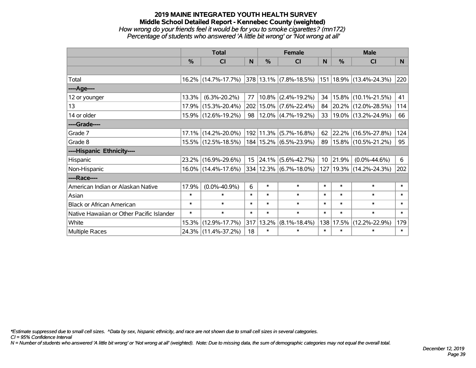# **2019 MAINE INTEGRATED YOUTH HEALTH SURVEY Middle School Detailed Report - Kennebec County (weighted)** *How wrong do your friends feel it would be for you to smoke cigarettes? (mn172) Percentage of students who answered 'A little bit wrong' or 'Not wrong at all'*

|                                           | <b>Total</b> |                     |        |           | <b>Female</b>              |                 | <b>Male</b>   |                             |                |  |
|-------------------------------------------|--------------|---------------------|--------|-----------|----------------------------|-----------------|---------------|-----------------------------|----------------|--|
|                                           | %            | C <sub>l</sub>      | N      | %         | <b>CI</b>                  | N               | $\frac{0}{0}$ | <b>CI</b>                   | N <sub>1</sub> |  |
|                                           |              |                     |        |           |                            |                 |               |                             |                |  |
| Total                                     |              | 16.2% (14.7%-17.7%) |        |           | 378 13.1% (7.8%-18.5%)     |                 |               | 151   18.9%   (13.4%-24.3%) | 220            |  |
| ----Age----                               |              |                     |        |           |                            |                 |               |                             |                |  |
| 12 or younger                             | 13.3%        | $(6.3\% - 20.2\%)$  | 77     | 10.8%     | $(2.4\% - 19.2\%)$         | 34              | 15.8%         | $(10.1\% - 21.5\%)$         | 41             |  |
| 13                                        | 17.9%        | $(15.3\% - 20.4\%)$ |        |           | 202 15.0% (7.6%-22.4%)     | 84              |               | 20.2% (12.0%-28.5%)         | 114            |  |
| 14 or older                               |              | 15.9% (12.6%-19.2%) | 98     |           | $12.0\%$ (4.7%-19.2%)      | 33              |               | 19.0% (13.2%-24.9%)         | 66             |  |
| ----Grade----                             |              |                     |        |           |                            |                 |               |                             |                |  |
| Grade 7                                   | 17.1%        | $(14.2\% - 20.0\%)$ |        | 192 11.3% | $(5.7\% - 16.8\%)$         | 62              | 22.2%         | $(16.5\% - 27.8\%)$         | 124            |  |
| Grade 8                                   |              | 15.5% (12.5%-18.5%) |        |           | 184   15.2%   (6.5%-23.9%) | 89              |               | 15.8% (10.5%-21.2%)         | 95             |  |
| ----Hispanic Ethnicity----                |              |                     |        |           |                            |                 |               |                             |                |  |
| Hispanic                                  | 23.2%        | $(16.9\% - 29.6\%)$ | 15     | 24.1%     | $(5.6\% - 42.7\%)$         | 10 <sup>1</sup> | 21.9%         | $(0.0\% - 44.6\%)$          | 6              |  |
| Non-Hispanic                              |              | 16.0% (14.4%-17.6%) |        |           | 334 12.3% (6.7%-18.0%)     | 127             |               | 19.3% (14.2%-24.3%)         | 202            |  |
| ----Race----                              |              |                     |        |           |                            |                 |               |                             |                |  |
| American Indian or Alaskan Native         | 17.9%        | $(0.0\% - 40.9\%)$  | 6      | $\ast$    | $\ast$                     | $\ast$          | $\ast$        | $\ast$                      | $\ast$         |  |
| Asian                                     | $\ast$       | $\ast$              | $\ast$ | $\ast$    | $\ast$                     | $\ast$          | $\ast$        | $\ast$                      | $\ast$         |  |
| <b>Black or African American</b>          | $\ast$       | $\ast$              | $\ast$ | $\ast$    | $\ast$                     | $\ast$          | $\ast$        | $\ast$                      | $\ast$         |  |
| Native Hawaiian or Other Pacific Islander | $\ast$       | $\ast$              | $\ast$ | $\ast$    | $\ast$                     | $\ast$          | $\ast$        | $\ast$                      | $\ast$         |  |
| White                                     | 15.3%        | $(12.9\% - 17.7\%)$ |        | 317 13.2% | $(8.1\% - 18.4\%)$         | 138             | 17.5%         | $(12.2\% - 22.9\%)$         | 179            |  |
| <b>Multiple Races</b>                     |              | 24.3% (11.4%-37.2%) | 18     | $\ast$    | $\ast$                     | $\ast$          | $\ast$        | $\ast$                      | $\ast$         |  |

*\*Estimate suppressed due to small cell sizes. ^Data by sex, hispanic ethnicity, and race are not shown due to small cell sizes in several categories.*

*CI = 95% Confidence Interval*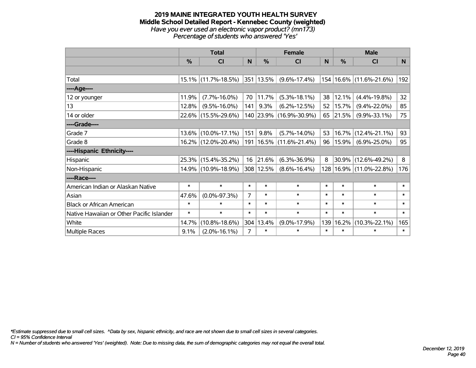#### **2019 MAINE INTEGRATED YOUTH HEALTH SURVEY Middle School Detailed Report - Kennebec County (weighted)** *Have you ever used an electronic vapor product? (mn173) Percentage of students who answered 'Yes'*

|                                           |        | <b>Total</b>        |                |               | <b>Female</b>               |        |        | <b>Male</b>                 |        |
|-------------------------------------------|--------|---------------------|----------------|---------------|-----------------------------|--------|--------|-----------------------------|--------|
|                                           | %      | CI                  | N              | $\frac{0}{0}$ | <b>CI</b>                   | N      | %      | <b>CI</b>                   | N      |
|                                           |        |                     |                |               |                             |        |        |                             |        |
| Total                                     |        | 15.1% (11.7%-18.5%) |                | 351 13.5%     | $(9.6\% - 17.4\%)$          |        |        | 154   16.6%   (11.6%-21.6%) | 192    |
| ----Age----                               |        |                     |                |               |                             |        |        |                             |        |
| 12 or younger                             | 11.9%  | $(7.7\% - 16.0\%)$  | 70             | 11.7%         | $(5.3\% - 18.1\%)$          | 38     | 12.1%  | $(4.4\% - 19.8\%)$          | 32     |
| 13                                        | 12.8%  | $(9.5\% - 16.0\%)$  | 141            | 9.3%          | $(6.2\% - 12.5\%)$          | 52     | 15.7%  | $(9.4\% - 22.0\%)$          | 85     |
| 14 or older                               |        | 22.6% (15.5%-29.6%) |                |               | 140 23.9% (16.9%-30.9%)     | 65     | 21.5%  | $(9.9\% - 33.1\%)$          | 75     |
| ----Grade----                             |        |                     |                |               |                             |        |        |                             |        |
| Grade 7                                   |        | 13.6% (10.0%-17.1%) | 151            | 9.8%          | $(5.7\% - 14.0\%)$          | 53     |        | $16.7\%$ (12.4%-21.1%)      | 93     |
| Grade 8                                   |        | 16.2% (12.0%-20.4%) |                |               | 191   16.5%   (11.6%-21.4%) | 96     | 15.9%  | $(6.9\% - 25.0\%)$          | 95     |
| ----Hispanic Ethnicity----                |        |                     |                |               |                             |        |        |                             |        |
| Hispanic                                  |        | 25.3% (15.4%-35.2%) | 16             | 21.6%         | $(6.3\% - 36.9\%)$          | 8      |        | $30.9\%$ (12.6%-49.2%)      | 8      |
| Non-Hispanic                              |        | 14.9% (10.9%-18.9%) | 308            | 12.5%         | $(8.6\% - 16.4\%)$          |        |        | 128   16.9%   (11.0%-22.8%) | 176    |
| ----Race----                              |        |                     |                |               |                             |        |        |                             |        |
| American Indian or Alaskan Native         | $\ast$ | $\ast$              | $\ast$         | $\ast$        | $\ast$                      | $\ast$ | $\ast$ | $\ast$                      | $\ast$ |
| Asian                                     | 47.6%  | $(0.0\% - 97.3\%)$  | 7              | $\ast$        | $\ast$                      | $\ast$ | $\ast$ | $\ast$                      | $\ast$ |
| <b>Black or African American</b>          | $\ast$ | $\ast$              | $\ast$         | $\ast$        | $\ast$                      | $\ast$ | $\ast$ | $\ast$                      | $\ast$ |
| Native Hawaiian or Other Pacific Islander | $\ast$ | $\ast$              | $\ast$         | $\ast$        | $\ast$                      | $\ast$ | $\ast$ | $\ast$                      | $\ast$ |
| White                                     | 14.7%  | $(10.8\% - 18.6\%)$ | 304            | 13.4%         | $(9.0\% - 17.9\%)$          | 139    | 16.2%  | $(10.3\% - 22.1\%)$         | 165    |
| Multiple Races                            | 9.1%   | $(2.0\% - 16.1\%)$  | $\overline{7}$ | $\ast$        | $\ast$                      | $\ast$ | $\ast$ | $\ast$                      | $\ast$ |

*\*Estimate suppressed due to small cell sizes. ^Data by sex, hispanic ethnicity, and race are not shown due to small cell sizes in several categories.*

*CI = 95% Confidence Interval*

*N = Number of students who answered 'Yes' (weighted). Note: Due to missing data, the sum of demographic categories may not equal the overall total.*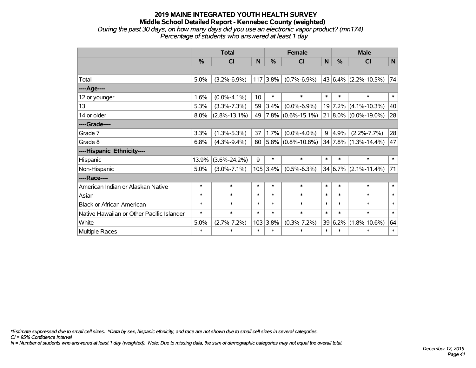### **2019 MAINE INTEGRATED YOUTH HEALTH SURVEY Middle School Detailed Report - Kennebec County (weighted)** *During the past 30 days, on how many days did you use an electronic vapor product? (mn174) Percentage of students who answered at least 1 day*

|                                           | <b>Total</b>  |                    |        |               | <b>Female</b>          | <b>Male</b> |         |                         |        |
|-------------------------------------------|---------------|--------------------|--------|---------------|------------------------|-------------|---------|-------------------------|--------|
|                                           | $\frac{0}{0}$ | <b>CI</b>          | N      | $\frac{0}{0}$ | <b>CI</b>              | N           | %       | <b>CI</b>               | N      |
|                                           |               |                    |        |               |                        |             |         |                         |        |
| Total                                     | 5.0%          | $(3.2\% - 6.9\%)$  | 117    | 3.8%          | $(0.7\% - 6.9\%)$      |             |         | 43 $6.4\%$ (2.2%-10.5%) | 74     |
| ----Age----                               |               |                    |        |               |                        |             |         |                         |        |
| 12 or younger                             | 1.6%          | $(0.0\% - 4.1\%)$  | 10     | $\ast$        | $\ast$                 | $\ast$      | $\ast$  | $\ast$                  | $\ast$ |
| 13                                        | 5.3%          | $(3.3\% - 7.3\%)$  | 59     | 3.4%          | $(0.0\% - 6.9\%)$      |             |         | 19 7.2% (4.1%-10.3%)    | 40     |
| 14 or older                               | 8.0%          | $(2.8\% - 13.1\%)$ | 49     |               | $7.8\%$ (0.6%-15.1%)   |             |         | 21 8.0% (0.0%-19.0%)    | 28     |
| ----Grade----                             |               |                    |        |               |                        |             |         |                         |        |
| Grade 7                                   | 3.3%          | $(1.3\% - 5.3\%)$  | 37     | 1.7%          | $(0.0\% - 4.0\%)$      |             | 9 4.9%  | $(2.2\% - 7.7\%)$       | 28     |
| Grade 8                                   | 6.8%          | $(4.3\% - 9.4\%)$  | 80     |               | $ 5.8\% $ (0.8%-10.8%) |             |         | 34 7.8% (1.3%-14.4%)    | 47     |
| ----Hispanic Ethnicity----                |               |                    |        |               |                        |             |         |                         |        |
| Hispanic                                  | 13.9%         | $(3.6\% - 24.2\%)$ | 9      | $\ast$        | $\ast$                 | $\ast$      | $\ast$  | $\ast$                  | $\ast$ |
| Non-Hispanic                              | 5.0%          | $(3.0\% - 7.1\%)$  |        | $105$ 3.4%    | $(0.5\% - 6.3\%)$      |             |         | 34 6.7% (2.1%-11.4%)    | 71     |
| ----Race----                              |               |                    |        |               |                        |             |         |                         |        |
| American Indian or Alaskan Native         | $\ast$        | $\ast$             | $\ast$ | $\ast$        | $\ast$                 | $\ast$      | $\ast$  | $\ast$                  | $\ast$ |
| Asian                                     | $\ast$        | $\ast$             | $\ast$ | $\ast$        | $\ast$                 | $\ast$      | $\ast$  | $\ast$                  | $\ast$ |
| <b>Black or African American</b>          | $\ast$        | $\ast$             | $\ast$ | $\ast$        | $\ast$                 | $\ast$      | $\ast$  | $\ast$                  | $\ast$ |
| Native Hawaiian or Other Pacific Islander | $\ast$        | $\ast$             | $\ast$ | $\ast$        | $\ast$                 | $\ast$      | $\ast$  | $\ast$                  | $\ast$ |
| White                                     | 5.0%          | $(2.7\% - 7.2\%)$  | 103    | 3.8%          | $(0.3\% - 7.2\%)$      |             | 39 6.2% | $(1.8\% - 10.6\%)$      | 64     |
| Multiple Races                            | $\ast$        | $\ast$             | $\ast$ | $\ast$        | $\ast$                 | $\ast$      | $\ast$  | $\ast$                  | $\ast$ |

*\*Estimate suppressed due to small cell sizes. ^Data by sex, hispanic ethnicity, and race are not shown due to small cell sizes in several categories.*

*CI = 95% Confidence Interval*

*N = Number of students who answered at least 1 day (weighted). Note: Due to missing data, the sum of demographic categories may not equal the overall total.*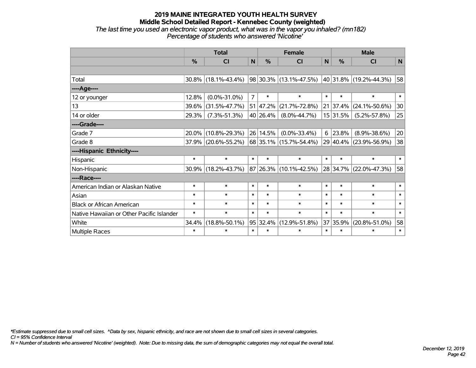### **2019 MAINE INTEGRATED YOUTH HEALTH SURVEY Middle School Detailed Report - Kennebec County (weighted)** *The last time you used an electronic vapor product, what was in the vapor you inhaled? (mn182) Percentage of students who answered 'Nicotine'*

|                                           | <b>Total</b>  |                        |                | <b>Female</b> | <b>Male</b>                |        |               |                        |              |
|-------------------------------------------|---------------|------------------------|----------------|---------------|----------------------------|--------|---------------|------------------------|--------------|
|                                           | $\frac{0}{0}$ | CI                     | N              | $\frac{0}{0}$ | <b>CI</b>                  | N      | $\frac{0}{0}$ | CI                     | $\mathsf{N}$ |
|                                           |               |                        |                |               |                            |        |               |                        |              |
| Total                                     |               | $30.8\%$ (18.1%-43.4%) |                |               | 98 30.3% (13.1%-47.5%)     |        |               | 40 31.8% (19.2%-44.3%) | 58           |
| ----Age----                               |               |                        |                |               |                            |        |               |                        |              |
| 12 or younger                             | 12.8%         | $(0.0\% - 31.0\%)$     | $\overline{7}$ | $\ast$        | $\ast$                     | $\ast$ | $\ast$        | $\ast$                 | $\ast$       |
| 13                                        | 39.6%         | $(31.5\% - 47.7\%)$    |                | 51 47.2%      | $(21.7\% - 72.8\%)$        |        | 21 37.4%      | $(24.1\% - 50.6\%)$    | 30           |
| 14 or older                               | 29.3%         | $(7.3\% - 51.3\%)$     |                | 40 26.4%      | $(8.0\% - 44.7\%)$         |        | 15 31.5%      | $(5.2\% - 57.8\%)$     | 25           |
| ----Grade----                             |               |                        |                |               |                            |        |               |                        |              |
| Grade 7                                   | 20.0%         | $(10.8\% - 29.3\%)$    |                | 26 14.5%      | $(0.0\% - 33.4\%)$         | 6      | 23.8%         | $(8.9\% - 38.6\%)$     | 20           |
| Grade 8                                   |               | 37.9% (20.6%-55.2%)    |                |               | 68   35.1%   (15.7%-54.4%) |        |               | 29 40.4% (23.9%-56.9%) | 38           |
| ----Hispanic Ethnicity----                |               |                        |                |               |                            |        |               |                        |              |
| Hispanic                                  | $\ast$        | $\ast$                 | $\ast$         | $\ast$        | $\ast$                     | $\ast$ | $\ast$        | $\ast$                 | $\ast$       |
| Non-Hispanic                              | 30.9%         | $(18.2\% - 43.7\%)$    |                | 87 26.3%      | $(10.1\% - 42.5\%)$        |        | 28 34.7%      | $(22.0\% - 47.3\%)$    | 58           |
| ----Race----                              |               |                        |                |               |                            |        |               |                        |              |
| American Indian or Alaskan Native         | $\ast$        | $\ast$                 | $\ast$         | $\ast$        | $\ast$                     | $\ast$ | $\ast$        | $\ast$                 | $\ast$       |
| Asian                                     | $\ast$        | $\ast$                 | $\ast$         | $\ast$        | $\ast$                     | $\ast$ | $\ast$        | $\ast$                 | $\ast$       |
| <b>Black or African American</b>          | $\ast$        | $\ast$                 | $\ast$         | $\ast$        | $\ast$                     | $\ast$ | $\ast$        | $\ast$                 | $\ast$       |
| Native Hawaiian or Other Pacific Islander | $\ast$        | $\ast$                 | $\ast$         | $\ast$        | $\ast$                     | $\ast$ | $\ast$        | $\ast$                 | $\ast$       |
| White                                     | 34.4%         | $(18.8\% - 50.1\%)$    |                | 95 32.4%      | $(12.9\% - 51.8\%)$        | 37     | 35.9%         | $(20.8\% - 51.0\%)$    | 58           |
| <b>Multiple Races</b>                     | $\ast$        | $\ast$                 | $\ast$         | $\ast$        | $\ast$                     | $\ast$ | $\ast$        | $\ast$                 | $\ast$       |

*\*Estimate suppressed due to small cell sizes. ^Data by sex, hispanic ethnicity, and race are not shown due to small cell sizes in several categories.*

*CI = 95% Confidence Interval*

*N = Number of students who answered 'Nicotine' (weighted). Note: Due to missing data, the sum of demographic categories may not equal the overall total.*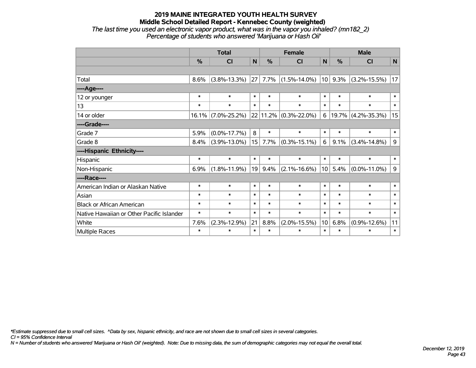### **2019 MAINE INTEGRATED YOUTH HEALTH SURVEY Middle School Detailed Report - Kennebec County (weighted)** *The last time you used an electronic vapor product, what was in the vapor you inhaled? (mn182\_2) Percentage of students who answered 'Marijuana or Hash Oil'*

|                                           | <b>Total</b> |                    |        |        | <b>Female</b>             |                 | <b>Male</b>   |                    |             |  |
|-------------------------------------------|--------------|--------------------|--------|--------|---------------------------|-----------------|---------------|--------------------|-------------|--|
|                                           | %            | CI                 | N      | %      | <b>CI</b>                 | N               | $\frac{0}{0}$ | <b>CI</b>          | N           |  |
|                                           |              |                    |        |        |                           |                 |               |                    |             |  |
| Total                                     | 8.6%         | $(3.8\% - 13.3\%)$ | 27     |        | $7.7\%$ (1.5%-14.0%)      | 10              | 9.3%          | $(3.2\% - 15.5\%)$ | 17          |  |
| ----Age----                               |              |                    |        |        |                           |                 |               |                    |             |  |
| 12 or younger                             | $\ast$       | $\ast$             | $\ast$ | $\ast$ | $\ast$                    | $\ast$          | $\ast$        | $\ast$             | $\ast$      |  |
| 13                                        | $\ast$       | $\ast$             | $\ast$ | $\ast$ | $\ast$                    | $\ast$          | $\ast$        | $\ast$             | $\ast$      |  |
| 14 or older                               | $16.1\%$     | $(7.0\% - 25.2\%)$ |        |        | $22 11.2\% $ (0.3%-22.0%) | 6               | 19.7%         | $(4.2\% - 35.3\%)$ | 15          |  |
| ----Grade----                             |              |                    |        |        |                           |                 |               |                    |             |  |
| Grade 7                                   | 5.9%         | $(0.0\% - 17.7\%)$ | 8      | $\ast$ | $\ast$                    | $\ast$          | $\ast$        | $\ast$             | $\ast$      |  |
| Grade 8                                   | 8.4%         | $(3.9\% - 13.0\%)$ | 15     | 7.7%   | $(0.3\% - 15.1\%)$        | 6               | 9.1%          | $(3.4\% - 14.8\%)$ | $\mathsf g$ |  |
| ----Hispanic Ethnicity----                |              |                    |        |        |                           |                 |               |                    |             |  |
| Hispanic                                  | $\ast$       | $\ast$             | $\ast$ | $\ast$ | $\ast$                    | $\ast$          | $\ast$        | $\ast$             | $\ast$      |  |
| Non-Hispanic                              | 6.9%         | $(1.8\% - 11.9\%)$ | 19     | 9.4%   | $(2.1\% - 16.6\%)$        | 10 <sup>1</sup> | 5.4%          | $(0.0\% - 11.0\%)$ | $\mathsf g$ |  |
| ----Race----                              |              |                    |        |        |                           |                 |               |                    |             |  |
| American Indian or Alaskan Native         | $\ast$       | $\ast$             | $\ast$ | $\ast$ | $\ast$                    | $\ast$          | $\ast$        | $\ast$             | $\ast$      |  |
| Asian                                     | $\ast$       | $\ast$             | $\ast$ | $\ast$ | $\ast$                    | $\ast$          | $\ast$        | $\ast$             | $\ast$      |  |
| <b>Black or African American</b>          | $\ast$       | $\ast$             | $\ast$ | $\ast$ | $\ast$                    | $\ast$          | $\ast$        | $\ast$             | $\ast$      |  |
| Native Hawaiian or Other Pacific Islander | $\ast$       | $\ast$             | $\ast$ | $\ast$ | $\ast$                    | $\ast$          | $\ast$        | $\ast$             | $\ast$      |  |
| White                                     | 7.6%         | $(2.3\% - 12.9\%)$ | 21     | 8.8%   | $(2.0\% - 15.5\%)$        | 10 <sup>1</sup> | 6.8%          | $(0.9\% - 12.6\%)$ | 11          |  |
| <b>Multiple Races</b>                     | $\ast$       | $\ast$             | $\ast$ | $\ast$ | $\ast$                    | $\ast$          | $\ast$        | $\ast$             | $\ast$      |  |

*\*Estimate suppressed due to small cell sizes. ^Data by sex, hispanic ethnicity, and race are not shown due to small cell sizes in several categories.*

*CI = 95% Confidence Interval*

*N = Number of students who answered 'Marijuana or Hash Oil' (weighted). Note: Due to missing data, the sum of demographic categories may not equal the overall total.*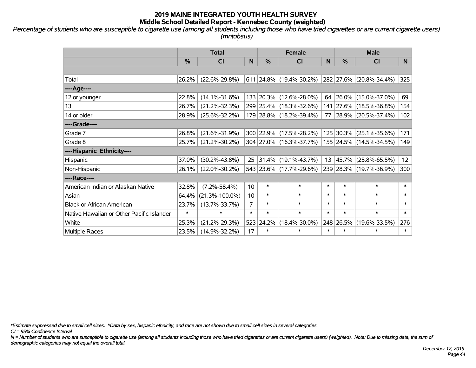*Percentage of students who are susceptible to cigarette use (among all students including those who have tried cigarettes or are current cigarette users) (mntobsus)*

|                                           | <b>Total</b>  |                      |                  | <b>Female</b> | <b>Male</b>             |                  |               |                         |        |
|-------------------------------------------|---------------|----------------------|------------------|---------------|-------------------------|------------------|---------------|-------------------------|--------|
|                                           | $\frac{0}{0}$ | CI                   | N                | %             | CI                      | N                | $\frac{0}{0}$ | <b>CI</b>               | N.     |
|                                           |               |                      |                  |               |                         |                  |               |                         |        |
| Total                                     | 26.2%         | $(22.6\% - 29.8\%)$  |                  |               | 611 24.8% (19.4%-30.2%) |                  | 282 27.6%     | $(20.8\% - 34.4\%)$     | 325    |
| ----Age----                               |               |                      |                  |               |                         |                  |               |                         |        |
| 12 or younger                             | 22.8%         | $(14.1\% - 31.6\%)$  | 133              | 20.3%         | $(12.6\% - 28.0\%)$     | 64               | 26.0%         | $(15.0\% - 37.0\%)$     | 69     |
| 13                                        | 26.7%         | $(21.2\% - 32.3\%)$  |                  |               | 299 25.4% (18.3%-32.6%) |                  | 141 27.6%     | $(18.5\% - 36.8\%)$     | 154    |
| 14 or older                               | 28.9%         | $(25.6\% - 32.2\%)$  |                  |               | 179 28.8% (18.2%-39.4%) |                  |               | 77 28.9% (20.5%-37.4%)  | 102    |
| ----Grade----                             |               |                      |                  |               |                         |                  |               |                         |        |
| Grade 7                                   | 26.8%         | $(21.6\% - 31.9\%)$  |                  |               | 300 22.9% (17.5%-28.2%) |                  | 125 30.3%     | $(25.1\% - 35.6\%)$     | 171    |
| Grade 8                                   | 25.7%         | $(21.2\% - 30.2\%)$  |                  |               | 304 27.0% (16.3%-37.7%) |                  |               | 155 24.5% (14.5%-34.5%) | 149    |
| ----Hispanic Ethnicity----                |               |                      |                  |               |                         |                  |               |                         |        |
| Hispanic                                  | 37.0%         | $(30.2\% - 43.8\%)$  | 25               | 31.4%         | $(19.1\% - 43.7\%)$     | 13 <sup>13</sup> | 45.7%         | $(25.8\% - 65.5\%)$     | 12     |
| Non-Hispanic                              | 26.1%         | $(22.0\% - 30.2\%)$  |                  |               | 543 23.6% (17.7%-29.6%) |                  |               | 239 28.3% (19.7%-36.9%) | 300    |
| ----Race----                              |               |                      |                  |               |                         |                  |               |                         |        |
| American Indian or Alaskan Native         | 32.8%         | $(7.2\% - 58.4\%)$   | 10 <sup>1</sup>  | $\ast$        | $\ast$                  | $\ast$           | $\ast$        | $\ast$                  | $\ast$ |
| Asian                                     | 64.4%         | $(21.3\% - 100.0\%)$ | 10 <sup>10</sup> | $\ast$        | $\ast$                  | $\ast$           | $\ast$        | $\ast$                  | $\ast$ |
| <b>Black or African American</b>          | 23.7%         | $(13.7\% - 33.7\%)$  | $\overline{7}$   | $\ast$        | $\ast$                  | $\ast$           | $\ast$        | $\ast$                  | $\ast$ |
| Native Hawaiian or Other Pacific Islander | $\ast$        | $\ast$               | $\ast$           | $\ast$        | $\ast$                  | $\ast$           | $\ast$        | $\ast$                  | $\ast$ |
| White                                     | 25.3%         | $(21.2\% - 29.3\%)$  | 523              | 24.2%         | $(18.4\% - 30.0\%)$     | 248              | 26.5%         | $(19.6\% - 33.5\%)$     | 276    |
| <b>Multiple Races</b>                     | 23.5%         | $(14.9\% - 32.2\%)$  | 17               | $\ast$        | $\ast$                  | $\ast$           | $\ast$        | $\ast$                  | $\ast$ |

*\*Estimate suppressed due to small cell sizes. ^Data by sex, hispanic ethnicity, and race are not shown due to small cell sizes in several categories.*

*CI = 95% Confidence Interval*

*N = Number of students who are susceptible to cigarette use (among all students including those who have tried cigarettes or are current cigarette users) (weighted). Note: Due to missing data, the sum of demographic categories may not equal the overall total.*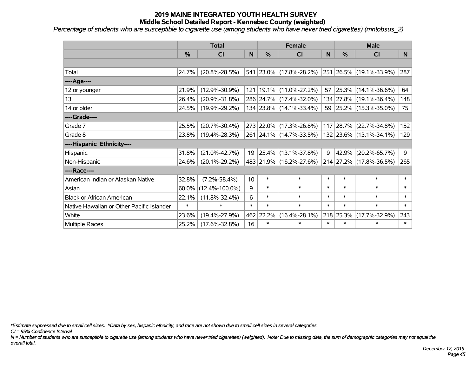*Percentage of students who are susceptible to cigarette use (among students who have never tried cigarettes) (mntobsus\_2)*

|                                           |               | <b>Total</b>         | <b>Female</b> |               |                             |        | <b>Male</b>   |                         |        |  |
|-------------------------------------------|---------------|----------------------|---------------|---------------|-----------------------------|--------|---------------|-------------------------|--------|--|
|                                           | $\frac{0}{0}$ | CI                   | N             | $\frac{0}{0}$ | <b>CI</b>                   | N      | $\frac{0}{0}$ | <b>CI</b>               | N      |  |
|                                           |               |                      |               |               |                             |        |               |                         |        |  |
| Total                                     | 24.7%         | $(20.8\% - 28.5\%)$  |               |               | 541 23.0% (17.8%-28.2%)     |        |               | 251 26.5% (19.1%-33.9%) | 287    |  |
| ----Age----                               |               |                      |               |               |                             |        |               |                         |        |  |
| 12 or younger                             | 21.9%         | $(12.9\% - 30.9\%)$  |               |               | 121   19.1%   (11.0%-27.2%) | 57     |               | 25.3% (14.1%-36.6%)     | 64     |  |
| 13                                        | 26.4%         | $(20.9\% - 31.8\%)$  |               |               | 286 24.7% (17.4%-32.0%)     |        |               | 134 27.8% (19.1%-36.4%) | 148    |  |
| 14 or older                               | 24.5%         | $(19.9\% - 29.2\%)$  |               |               | 134 23.8% (14.1%-33.4%)     |        |               | 59 25.2% (15.3%-35.0%)  | 75     |  |
| ----Grade----                             |               |                      |               |               |                             |        |               |                         |        |  |
| Grade 7                                   | 25.5%         | $(20.7\% - 30.4\%)$  |               |               | 273 22.0% (17.3%-26.8%)     |        |               | 117 28.7% (22.7%-34.8%) | 152    |  |
| Grade 8                                   | 23.8%         | $(19.4\% - 28.3\%)$  |               |               | 261 24.1% (14.7%-33.5%)     |        |               | 132 23.6% (13.1%-34.1%) | 129    |  |
| ----Hispanic Ethnicity----                |               |                      |               |               |                             |        |               |                         |        |  |
| Hispanic                                  | 31.8%         | $(21.0\% - 42.7\%)$  | 19            |               | $ 25.4\% $ (13.1%-37.8%)    | 9      | 42.9%         | $(20.2\% - 65.7\%)$     | 9      |  |
| Non-Hispanic                              | 24.6%         | $(20.1\% - 29.2\%)$  |               |               | 483 21.9% (16.2%-27.6%)     |        |               | 214 27.2% (17.8%-36.5%) | 265    |  |
| ----Race----                              |               |                      |               |               |                             |        |               |                         |        |  |
| American Indian or Alaskan Native         | 32.8%         | $(7.2\% - 58.4\%)$   | 10            | $\ast$        | $\ast$                      | $\ast$ | $\ast$        | $\ast$                  | $\ast$ |  |
| Asian                                     | 60.0%         | $(12.4\% - 100.0\%)$ | 9             | $\ast$        | $\ast$                      | $\ast$ | $\ast$        | $\ast$                  | $\ast$ |  |
| <b>Black or African American</b>          | 22.1%         | $(11.8\% - 32.4\%)$  | 6             | $\ast$        | $\ast$                      | $\ast$ | $\ast$        | $\ast$                  | $\ast$ |  |
| Native Hawaiian or Other Pacific Islander | $\ast$        | $\ast$               | $\ast$        | $\ast$        | $\ast$                      | $\ast$ | $\ast$        | $\ast$                  | $\ast$ |  |
| White                                     | 23.6%         | $(19.4\% - 27.9\%)$  | 462           | 22.2%         | $(16.4\% - 28.1\%)$         |        | 218 25.3%     | $(17.7\% - 32.9\%)$     | 243    |  |
| Multiple Races                            | 25.2%         | $(17.6\% - 32.8\%)$  | 16            | $\ast$        | $\ast$                      | $\ast$ | $\ast$        | $\ast$                  | $\ast$ |  |

*\*Estimate suppressed due to small cell sizes. ^Data by sex, hispanic ethnicity, and race are not shown due to small cell sizes in several categories.*

*CI = 95% Confidence Interval*

*N = Number of students who are susceptible to cigarette use (among students who have never tried cigarettes) (weighted). Note: Due to missing data, the sum of demographic categories may not equal the overall total.*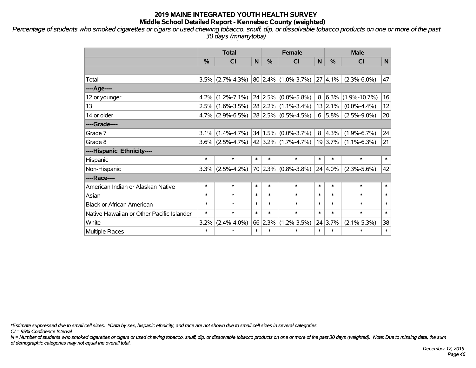*Percentage of students who smoked cigarettes or cigars or used chewing tobacco, snuff, dip, or dissolvable tobacco products on one or more of the past 30 days (mnanytoba)*

|                                           | <b>Total</b> |                                                                 |        |               | <b>Female</b>     |        | <b>Male</b>   |                      |        |  |
|-------------------------------------------|--------------|-----------------------------------------------------------------|--------|---------------|-------------------|--------|---------------|----------------------|--------|--|
|                                           | %            | CI                                                              | N      | $\frac{0}{0}$ | <b>CI</b>         | N      | $\frac{0}{0}$ | <b>CI</b>            | N      |  |
|                                           |              |                                                                 |        |               |                   |        |               |                      |        |  |
| Total                                     |              | $3.5\%$ (2.7%-4.3%) 80 2.4% (1.0%-3.7%)                         |        |               |                   |        | 27 4.1%       | $(2.3\% - 6.0\%)$    | 47     |  |
| ----Age----                               |              |                                                                 |        |               |                   |        |               |                      |        |  |
| 12 or younger                             |              | 4.2% $(1.2\% - 7.1\%)$ 24 2.5%                                  |        |               | $(0.0\% - 5.8\%)$ | 8      |               | $6.3\%$ (1.9%-10.7%) | 16     |  |
| 13                                        |              | $2.5\%$ (1.6%-3.5%) 28 2.2%                                     |        |               | $(1.1\% - 3.4\%)$ |        | $13$   2.1%   | $(0.0\% - 4.4\%)$    | 12     |  |
| 14 or older                               |              | $4.7\%$ (2.9%-6.5%) 28 2.5% (0.5%-4.5%)                         |        |               |                   |        | $6$   5.8%    | $(2.5\% - 9.0\%)$    | 20     |  |
| ----Grade----                             |              |                                                                 |        |               |                   |        |               |                      |        |  |
| Grade 7                                   |              | $3.1\%$ (1.4%-4.7%) 34 1.5%                                     |        |               | $(0.0\% - 3.7\%)$ |        | 8 4.3%        | $(1.9\% - 6.7\%)$    | 24     |  |
| Grade 8                                   |              | $3.6\%$ (2.5%-4.7%) 42 3.2% (1.7%-4.7%)                         |        |               |                   |        | 19 3.7%       | $(1.1\% - 6.3\%)$    | 21     |  |
| ----Hispanic Ethnicity----                |              |                                                                 |        |               |                   |        |               |                      |        |  |
| Hispanic                                  | $\ast$       | $\ast$                                                          | $\ast$ | $\ast$        | $\ast$            | $\ast$ | $\ast$        | $\ast$               | $\ast$ |  |
| Non-Hispanic                              | 3.3%         | $\vert$ (2.5%-4.2%) $\vert$ 70 $\vert$ 2.3% $\vert$ (0.8%-3.8%) |        |               |                   |        | 24 4.0%       | $(2.3\% - 5.6\%)$    | 42     |  |
| ----Race----                              |              |                                                                 |        |               |                   |        |               |                      |        |  |
| American Indian or Alaskan Native         | $\ast$       | $\ast$                                                          | $\ast$ | $\ast$        | $\ast$            | $\ast$ | $\ast$        | $\ast$               | $\ast$ |  |
| Asian                                     | *            | $\ast$                                                          | $\ast$ | $\ast$        | $\ast$            | $\ast$ | $\ast$        | $\ast$               | $\ast$ |  |
| <b>Black or African American</b>          | $\ast$       | $\ast$                                                          | $\ast$ | $\ast$        | $\ast$            | $\ast$ | $\ast$        | $\ast$               | $\ast$ |  |
| Native Hawaiian or Other Pacific Islander | *            | $\ast$                                                          | $\ast$ | $\ast$        | $\ast$            | $\ast$ | $\ast$        | $\ast$               | $\ast$ |  |
| White                                     | 3.2%         | $(2.4\% - 4.0\%)$                                               |        | 66 2.3%       | $(1.2\% - 3.5\%)$ |        | 24 3.7%       | $(2.1\% - 5.3\%)$    | 38     |  |
| Multiple Races                            | $\ast$       | $\ast$                                                          | $\ast$ | $\ast$        | $\ast$            | $\ast$ | $\ast$        | $\ast$               | $\ast$ |  |

*\*Estimate suppressed due to small cell sizes. ^Data by sex, hispanic ethnicity, and race are not shown due to small cell sizes in several categories.*

*CI = 95% Confidence Interval*

*N = Number of students who smoked cigarettes or cigars or used chewing tobacco, snuff, dip, or dissolvable tobacco products on one or more of the past 30 days (weighted). Note: Due to missing data, the sum of demographic categories may not equal the overall total.*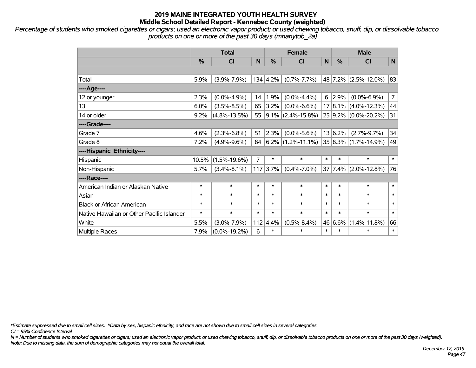*Percentage of students who smoked cigarettes or cigars; used an electronic vapor product; or used chewing tobacco, snuff, dip, or dissolvable tobacco products on one or more of the past 30 days (mnanytob\_2a)*

|                                           | <b>Total</b>  |                    |        |            | <b>Female</b>          | <b>Male</b>  |         |                           |                |
|-------------------------------------------|---------------|--------------------|--------|------------|------------------------|--------------|---------|---------------------------|----------------|
|                                           | $\frac{0}{0}$ | CI                 | N      | %          | C <sub>1</sub>         | $\mathsf{N}$ | %       | <b>CI</b>                 | N              |
|                                           |               |                    |        |            |                        |              |         |                           |                |
| Total                                     | 5.9%          | $(3.9\% - 7.9\%)$  |        | 134   4.2% | $(0.7\% - 7.7\%)$      |              |         | 48 7.2% (2.5%-12.0%)      | 83             |
| ---- Age----                              |               |                    |        |            |                        |              |         |                           |                |
| 12 or younger                             | 2.3%          | $(0.0\% - 4.9\%)$  | 14     | 1.9%       | $(0.0\% - 4.4\%)$      | 6            | 2.9%    | $(0.0\% - 6.9\%)$         | $\overline{7}$ |
| 13                                        | 6.0%          | $(3.5\% - 8.5\%)$  | 65     | 3.2%       | $(0.0\% - 6.6\%)$      |              |         | $17 8.1\% $ (4.0%-12.3%)  | 44             |
| 14 or older                               | 9.2%          | $(4.8\% - 13.5\%)$ | 55     |            | $ 9.1\% $ (2.4%-15.8%) |              |         | 25 9.2% (0.0%-20.2%)      | 31             |
| ----Grade----                             |               |                    |        |            |                        |              |         |                           |                |
| Grade 7                                   | 4.6%          | $(2.3\% - 6.8\%)$  | 51     | 2.3%       | $(0.0\% - 5.6\%)$      |              | 13 6.2% | $(2.7\% - 9.7\%)$         | 34             |
| Grade 8                                   | 7.2%          | $(4.9\% - 9.6\%)$  | 84     |            | $ 6.2\% $ (1.2%-11.1%) |              |         | $ 35 8.3\% $ (1.7%-14.9%) | 49             |
| ----Hispanic Ethnicity----                |               |                    |        |            |                        |              |         |                           |                |
| Hispanic                                  | 10.5%         | $(1.5\% - 19.6\%)$ | 7      | $\ast$     | $\ast$                 | $\ast$       | $\ast$  | $\ast$                    | $\ast$         |
| Non-Hispanic                              | 5.7%          | $(3.4\% - 8.1\%)$  | 117    | 3.7%       | $(0.4\% - 7.0\%)$      | 37           |         | $7.4\%$ (2.0%-12.8%)      | 76             |
| ----Race----                              |               |                    |        |            |                        |              |         |                           |                |
| American Indian or Alaskan Native         | $\ast$        | $\ast$             | $\ast$ | $\ast$     | $\ast$                 | $\ast$       | $\ast$  | $\ast$                    | $\ast$         |
| Asian                                     | $\ast$        | $\ast$             | $\ast$ | $\ast$     | $\ast$                 | $\ast$       | $\ast$  | $\ast$                    | $\ast$         |
| <b>Black or African American</b>          | $\ast$        | $\ast$             | $\ast$ | $\ast$     | $\ast$                 | $\ast$       | $\ast$  | $\ast$                    | $\ast$         |
| Native Hawaiian or Other Pacific Islander | $\ast$        | $\ast$             | $\ast$ | $\ast$     | $\ast$                 | $\ast$       | $\ast$  | $\ast$                    | $\ast$         |
| White                                     | 5.5%          | $(3.0\% - 7.9\%)$  | 112    | 4.4%       | $(0.5\% - 8.4\%)$      |              | 46 6.6% | $(1.4\% - 11.8\%)$        | 66             |
| <b>Multiple Races</b>                     | 7.9%          | $(0.0\% - 19.2\%)$ | 6      | $\ast$     | $\ast$                 | $\ast$       | $\ast$  | $\ast$                    | $\pmb{\ast}$   |

*\*Estimate suppressed due to small cell sizes. ^Data by sex, hispanic ethnicity, and race are not shown due to small cell sizes in several categories.*

*CI = 95% Confidence Interval*

*N = Number of students who smoked cigarettes or cigars; used an electronic vapor product; or used chewing tobacco, snuff, dip, or dissolvable tobacco products on one or more of the past 30 days (weighted). Note: Due to missing data, the sum of demographic categories may not equal the overall total.*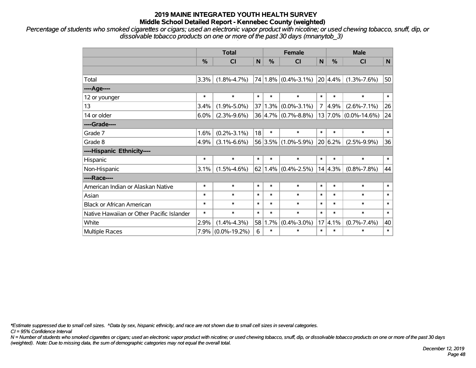*Percentage of students who smoked cigarettes or cigars; used an electronic vapor product with nicotine; or used chewing tobacco, snuff, dip, or dissolvable tobacco products on one or more of the past 30 days (mnanytob\_3)*

|                                           | <b>Total</b> |                    |                 |               | <b>Female</b>               |                | <b>Male</b> |                          |        |  |
|-------------------------------------------|--------------|--------------------|-----------------|---------------|-----------------------------|----------------|-------------|--------------------------|--------|--|
|                                           | %            | <b>CI</b>          | $\mathsf{N}$    | $\frac{0}{0}$ | <b>CI</b>                   | N              | %           | <b>CI</b>                | N      |  |
|                                           |              |                    |                 |               |                             |                |             |                          |        |  |
| Total                                     | 3.3%         | $(1.8\% - 4.7\%)$  | 74              |               | $1.8\%$ (0.4%-3.1%)         |                | 20 4.4%     | $(1.3\% - 7.6\%)$        | 50     |  |
| ----Age----                               |              |                    |                 |               |                             |                |             |                          |        |  |
| 12 or younger                             | $\ast$       | $\ast$             | $\ast$          | $\ast$        | $\ast$                      | $\ast$         | $\ast$      | $\ast$                   | $\ast$ |  |
| 13                                        | 3.4%         | $(1.9\% - 5.0\%)$  | 37 <sup>2</sup> | 1.3%          | $(0.0\% - 3.1\%)$           | $\overline{7}$ | 4.9%        | $(2.6\% - 7.1\%)$        | 26     |  |
| 14 or older                               | 6.0%         | $(2.3\% - 9.6\%)$  |                 |               | $36 4.7\%  (0.7\% - 8.8\%)$ |                |             | $13 7.0\% $ (0.0%-14.6%) | 24     |  |
| ----Grade----                             |              |                    |                 |               |                             |                |             |                          |        |  |
| Grade 7                                   | 1.6%         | $(0.2\% - 3.1\%)$  | 18              | $\ast$        | $\ast$                      | $\ast$         | $\ast$      | $\ast$                   | $\ast$ |  |
| Grade 8                                   | 4.9%         | $(3.1\% - 6.6\%)$  |                 |               | 56 3.5% (1.0%-5.9%)         |                | 20 6.2%     | $(2.5\% - 9.9\%)$        | 36     |  |
| ----Hispanic Ethnicity----                |              |                    |                 |               |                             |                |             |                          |        |  |
| <b>Hispanic</b>                           | $\ast$       | $\ast$             | $\ast$          | $\ast$        | $\ast$                      | $\ast$         | $\ast$      | $\ast$                   | $\ast$ |  |
| Non-Hispanic                              | 3.1%         | $(1.5\% - 4.6\%)$  | 62              |               | $1.4\%$ (0.4%-2.5%)         |                | 14 4.3%     | $(0.8\% - 7.8\%)$        | 44     |  |
| ----Race----                              |              |                    |                 |               |                             |                |             |                          |        |  |
| American Indian or Alaskan Native         | $\ast$       | $\ast$             | $\ast$          | $\ast$        | $\ast$                      | $\ast$         | $\ast$      | $\ast$                   | $\ast$ |  |
| Asian                                     | $\ast$       | $\ast$             | $\ast$          | $\ast$        | $\ast$                      | $\ast$         | $\ast$      | $\ast$                   | $\ast$ |  |
| <b>Black or African American</b>          | $\ast$       | $\ast$             | $\ast$          | $\ast$        | $\ast$                      | $\ast$         | $\ast$      | $\ast$                   | $\ast$ |  |
| Native Hawaiian or Other Pacific Islander | $\ast$       | $\ast$             | $\ast$          | $\ast$        | $\ast$                      | $\ast$         | $\ast$      | $\ast$                   | $\ast$ |  |
| White                                     | 2.9%         | $(1.4\% - 4.3\%)$  | 58              | 1.7%          | $(0.4\% - 3.0\%)$           | 17             | 4.1%        | $(0.7\% - 7.4\%)$        | 40     |  |
| Multiple Races                            | 7.9%         | $(0.0\% - 19.2\%)$ | 6               | $\ast$        | $\ast$                      | $\ast$         | $\ast$      | $\ast$                   | $\ast$ |  |

*\*Estimate suppressed due to small cell sizes. ^Data by sex, hispanic ethnicity, and race are not shown due to small cell sizes in several categories.*

*CI = 95% Confidence Interval*

*N = Number of students who smoked cigarettes or cigars; used an electronic vapor product with nicotine; or used chewing tobacco, snuff, dip, or dissolvable tobacco products on one or more of the past 30 days (weighted). Note: Due to missing data, the sum of demographic categories may not equal the overall total.*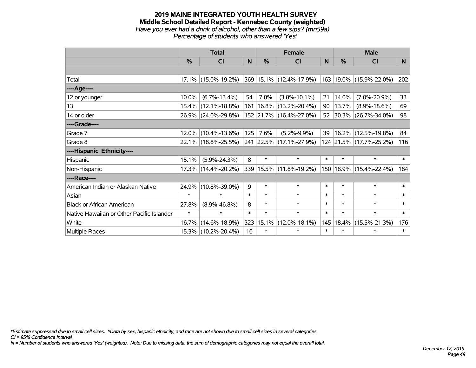#### **2019 MAINE INTEGRATED YOUTH HEALTH SURVEY Middle School Detailed Report - Kennebec County (weighted)** *Have you ever had a drink of alcohol, other than a few sips? (mn59a) Percentage of students who answered 'Yes'*

|                                           | <b>Total</b>  |                        |                 | <b>Female</b> | <b>Male</b>                 |        |               |                              |        |
|-------------------------------------------|---------------|------------------------|-----------------|---------------|-----------------------------|--------|---------------|------------------------------|--------|
|                                           | $\frac{0}{0}$ | CI                     | N               | $\%$          | <b>CI</b>                   | N      | $\frac{0}{0}$ | <b>CI</b>                    | N.     |
|                                           |               |                        |                 |               |                             |        |               |                              |        |
| Total                                     |               | $17.1\%$ (15.0%-19.2%) |                 |               | 369   15.1%   (12.4%-17.9%) |        |               | $ 163 19.0\% $ (15.9%-22.0%) | 202    |
| ----Age----                               |               |                        |                 |               |                             |        |               |                              |        |
| 12 or younger                             | 10.0%         | $(6.7\% - 13.4\%)$     | 54              | 7.0%          | $(3.8\% - 10.1\%)$          | 21     | 14.0%         | $(7.0\% - 20.9\%)$           | 33     |
| 13                                        |               | 15.4% (12.1%-18.8%)    |                 |               | 161   16.8%   (13.2%-20.4%) | 90     | 13.7%         | $(8.9\% - 18.6\%)$           | 69     |
| 14 or older                               |               | 26.9% (24.0%-29.8%)    |                 |               | 152 21.7% (16.4%-27.0%)     | 52     |               | 30.3% (26.7%-34.0%)          | 98     |
| ----Grade----                             |               |                        |                 |               |                             |        |               |                              |        |
| Grade 7                                   |               | $12.0\%$ (10.4%-13.6%) | 125             | 7.6%          | $(5.2\% - 9.9\%)$           | 39     |               | 16.2% (12.5%-19.8%)          | 84     |
| Grade 8                                   |               | 22.1% (18.8%-25.5%)    |                 |               | 241 22.5% (17.1%-27.9%)     |        |               | 124 21.5% (17.7%-25.2%)      | 116    |
| ----Hispanic Ethnicity----                |               |                        |                 |               |                             |        |               |                              |        |
| Hispanic                                  | 15.1%         | $(5.9\% - 24.3\%)$     | 8               | $\ast$        | $\ast$                      | $\ast$ | $\ast$        | $\ast$                       | $\ast$ |
| Non-Hispanic                              |               | 17.3% (14.4%-20.2%)    |                 |               | 339 15.5% (11.8%-19.2%)     |        |               | 150   18.9%   (15.4%-22.4%)  | 184    |
| ----Race----                              |               |                        |                 |               |                             |        |               |                              |        |
| American Indian or Alaskan Native         | 24.9%         | $(10.8\% - 39.0\%)$    | 9               | $\ast$        | $\ast$                      | $\ast$ | $\ast$        | $\ast$                       | $\ast$ |
| Asian                                     | $\ast$        | $\ast$                 | $\ast$          | $\ast$        | $\ast$                      | $\ast$ | $\ast$        | $\ast$                       | $\ast$ |
| <b>Black or African American</b>          | 27.8%         | $(8.9\% - 46.8\%)$     | 8               | $\ast$        | $\ast$                      | $\ast$ | $\ast$        | $\ast$                       | $\ast$ |
| Native Hawaiian or Other Pacific Islander | $\ast$        | $\ast$                 | $\ast$          | $\ast$        | $\ast$                      | $\ast$ | $\ast$        | $\ast$                       | $\ast$ |
| White                                     | 16.7%         | $(14.6\% - 18.9\%)$    | 323             | 15.1%         | $(12.0\% - 18.1\%)$         | 145    | 18.4%         | $(15.5\% - 21.3\%)$          | 176    |
| <b>Multiple Races</b>                     |               | 15.3% (10.2%-20.4%)    | 10 <sup>1</sup> | $\ast$        | $\ast$                      | $\ast$ | $\ast$        | $\ast$                       | $\ast$ |

*\*Estimate suppressed due to small cell sizes. ^Data by sex, hispanic ethnicity, and race are not shown due to small cell sizes in several categories.*

*CI = 95% Confidence Interval*

*N = Number of students who answered 'Yes' (weighted). Note: Due to missing data, the sum of demographic categories may not equal the overall total.*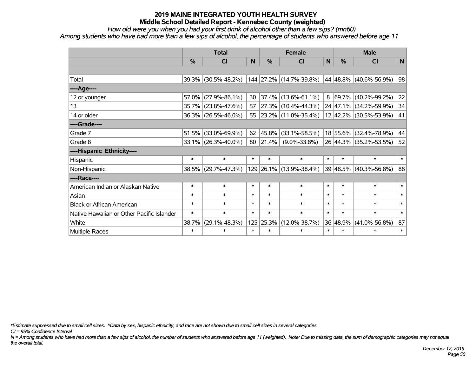*How old were you when you had your first drink of alcohol other than a few sips? (mn60)*

*Among students who have had more than a few sips of alcohol, the percentage of students who answered before age 11*

|                                           | <b>Total</b>  |                        |        | <b>Female</b> |                          |              | <b>Male</b>   |                        |        |
|-------------------------------------------|---------------|------------------------|--------|---------------|--------------------------|--------------|---------------|------------------------|--------|
|                                           | $\frac{0}{0}$ | <b>CI</b>              | N      | %             | <b>CI</b>                | $\mathsf{N}$ | $\frac{0}{0}$ | <b>CI</b>              | N      |
|                                           |               |                        |        |               |                          |              |               |                        |        |
| Total                                     |               | 39.3% (30.5%-48.2%)    |        |               | 144 27.2% (14.7%-39.8%)  |              |               | 44 48.8% (40.6%-56.9%) | 98     |
| ---- Age----                              |               |                        |        |               |                          |              |               |                        |        |
| 12 or younger                             | 57.0%         | $(27.9\% - 86.1\%)$    | 30     | 37.4%         | $(13.6\% - 61.1\%)$      | 8            | $ 69.7\% $    | $(40.2\% - 99.2\%)$    | 22     |
| 13                                        | 35.7%         | $(23.8\% - 47.6\%)$    | 57     |               | 27.3% (10.4%-44.3%)      |              |               | 24 47.1% (34.2%-59.9%) | 34     |
| 14 or older                               |               | 36.3% (26.5%-46.0%)    | 55     |               | $ 23.2\% $ (11.0%-35.4%) |              |               | 12 42.2% (30.5%-53.9%) | 41     |
| ----Grade----                             |               |                        |        |               |                          |              |               |                        |        |
| Grade 7                                   | 51.5%         | $(33.0\% - 69.9\%)$    | 62     | 45.8%         | $(33.1\% - 58.5\%)$      |              |               | 18 55.6% (32.4%-78.9%) | 44     |
| Grade 8                                   |               | $33.1\%$ (26.3%-40.0%) | 80     | 21.4%         | $(9.0\% - 33.8\%)$       |              |               | 26 44.3% (35.2%-53.5%) | 52     |
| ----Hispanic Ethnicity----                |               |                        |        |               |                          |              |               |                        |        |
| Hispanic                                  | $\ast$        | $\ast$                 | $\ast$ | $\ast$        | $\ast$                   | $\ast$       | $\ast$        | $\ast$                 | $\ast$ |
| Non-Hispanic                              | 38.5%         | $(29.7\% - 47.3\%)$    |        |               | 129 26.1% (13.9%-38.4%)  |              |               | 39 48.5% (40.3%-56.8%) | 88     |
| ----Race----                              |               |                        |        |               |                          |              |               |                        |        |
| American Indian or Alaskan Native         | $\ast$        | $\ast$                 | $\ast$ | $\ast$        | $\ast$                   | $\ast$       | $\ast$        | $\ast$                 | $\ast$ |
| Asian                                     | $\ast$        | $\ast$                 | $\ast$ | $\ast$        | $\ast$                   | $\ast$       | $\ast$        | $\ast$                 | $\ast$ |
| <b>Black or African American</b>          | $\ast$        | $\ast$                 | $\ast$ | $\ast$        | $\ast$                   | $\ast$       | $\ast$        | $\ast$                 | $\ast$ |
| Native Hawaiian or Other Pacific Islander | $\ast$        | $\ast$                 | $\ast$ | $\ast$        | $\ast$                   | $\ast$       | $\ast$        | $\ast$                 | $\ast$ |
| White                                     | 38.7%         | $(29.1\% - 48.3\%)$    | 125    | 25.3%         | $(12.0\% - 38.7\%)$      |              | 36 48.9%      | $(41.0\% - 56.8\%)$    | 87     |
| Multiple Races                            | $\ast$        | $\ast$                 | $\ast$ | $\ast$        | $\ast$                   | $\ast$       | $\ast$        | $\ast$                 | $\ast$ |

*\*Estimate suppressed due to small cell sizes. ^Data by sex, hispanic ethnicity, and race are not shown due to small cell sizes in several categories.*

*CI = 95% Confidence Interval*

*N = Among students who have had more than a few sips of alcohol, the number of students who answered before age 11 (weighted). Note: Due to missing data, the sum of demographic categories may not equal the overall total.*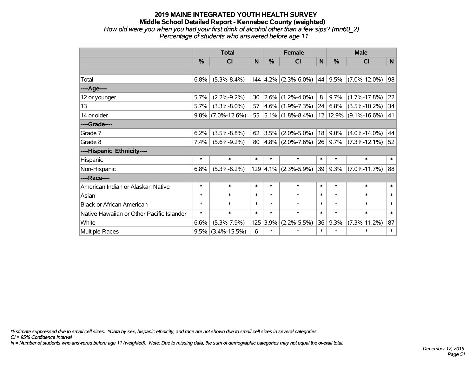# **2019 MAINE INTEGRATED YOUTH HEALTH SURVEY Middle School Detailed Report - Kennebec County (weighted)** *How old were you when you had your first drink of alcohol other than a few sips? (mn60\_2) Percentage of students who answered before age 11*

|                                           | <b>Total</b>  |                    |        | <b>Female</b> |                            |        | <b>Male</b> |                    |        |  |
|-------------------------------------------|---------------|--------------------|--------|---------------|----------------------------|--------|-------------|--------------------|--------|--|
|                                           | $\frac{0}{0}$ | CI                 | N      | $\frac{0}{0}$ | CI                         | N      | $\%$        | <b>CI</b>          | N      |  |
|                                           |               |                    |        |               |                            |        |             |                    |        |  |
| Total                                     | 6.8%          | $(5.3\% - 8.4\%)$  |        |               | $144$   4.2%   (2.3%-6.0%) | 44     | 9.5%        | $(7.0\% - 12.0\%)$ | 98     |  |
| ---- Age----                              |               |                    |        |               |                            |        |             |                    |        |  |
| 12 or younger                             | 5.7%          | $(2.2\% - 9.2\%)$  | 30     |               | $ 2.6\% $ (1.2%-4.0%)      | 8      | 9.7%        | $(1.7\% - 17.8\%)$ | 22     |  |
| 13                                        | 5.7%          | $(3.3\% - 8.0\%)$  | 57     |               | $4.6\%$ (1.9%-7.3%)        | 24     | 6.8%        | $(3.5\% - 10.2\%)$ | 34     |  |
| 14 or older                               | $9.8\%$       | $(7.0\% - 12.6\%)$ | 55     |               | $ 5.1\% $ (1.8%-8.4%)      |        | 12 12.9%    | $(9.1\% - 16.6\%)$ | 41     |  |
| ----Grade----                             |               |                    |        |               |                            |        |             |                    |        |  |
| Grade 7                                   | 6.2%          | $(3.5\% - 8.8\%)$  | 62     | 3.5%          | $(2.0\% - 5.0\%)$          | 18     | 9.0%        | $(4.0\% - 14.0\%)$ | 44     |  |
| Grade 8                                   | 7.4%          | $(5.6\% - 9.2\%)$  | 80     |               | $4.8\%$ (2.0%-7.6%)        | 26     | 9.7%        | $(7.3\% - 12.1\%)$ | 52     |  |
| ----Hispanic Ethnicity----                |               |                    |        |               |                            |        |             |                    |        |  |
| Hispanic                                  | $\ast$        | $\ast$             | $\ast$ | $\ast$        | $\ast$                     | $\ast$ | $\ast$      | $\ast$             | $\ast$ |  |
| Non-Hispanic                              | 6.8%          | $(5.3\% - 8.2\%)$  |        |               | $129$ 4.1% (2.3%-5.9%)     | 39     | 9.3%        | $(7.0\% - 11.7\%)$ | 88     |  |
| ----Race----                              |               |                    |        |               |                            |        |             |                    |        |  |
| American Indian or Alaskan Native         | $\ast$        | $\ast$             | $\ast$ | $\ast$        | $\ast$                     | $\ast$ | $\ast$      | $\ast$             | $\ast$ |  |
| Asian                                     | $\ast$        | $\ast$             | $\ast$ | $\ast$        | $\ast$                     | $\ast$ | $\ast$      | $\ast$             | $\ast$ |  |
| <b>Black or African American</b>          | $\ast$        | $\ast$             | $\ast$ | $\ast$        | $\ast$                     | $\ast$ | $\ast$      | $\ast$             | $\ast$ |  |
| Native Hawaiian or Other Pacific Islander | $\ast$        | $\ast$             | $\ast$ | $\ast$        | $\ast$                     | $\ast$ | $\ast$      | $\ast$             | $\ast$ |  |
| White                                     | 6.6%          | $(5.3\% - 7.9\%)$  | 125    | 3.9%          | $(2.2\% - 5.5\%)$          | 36     | 9.3%        | $(7.3\% - 11.2\%)$ | 87     |  |
| Multiple Races                            | 9.5%          | $(3.4\% - 15.5\%)$ | 6      | $\ast$        | $\ast$                     | $\ast$ | $\ast$      | $\ast$             | $\ast$ |  |

*\*Estimate suppressed due to small cell sizes. ^Data by sex, hispanic ethnicity, and race are not shown due to small cell sizes in several categories.*

*CI = 95% Confidence Interval*

*N = Number of students who answered before age 11 (weighted). Note: Due to missing data, the sum of demographic categories may not equal the overall total.*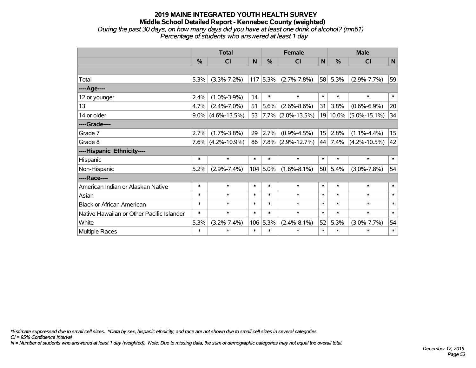### **2019 MAINE INTEGRATED YOUTH HEALTH SURVEY Middle School Detailed Report - Kennebec County (weighted)** *During the past 30 days, on how many days did you have at least one drink of alcohol? (mn61) Percentage of students who answered at least 1 day*

|                                           | <b>Total</b> |                      |        |             | <b>Female</b>          |             |          | <b>Male</b>        |        |  |
|-------------------------------------------|--------------|----------------------|--------|-------------|------------------------|-------------|----------|--------------------|--------|--|
|                                           | %            | <b>CI</b>            | N      | %           | <b>CI</b>              | $\mathbf N$ | %        | <b>CI</b>          | N      |  |
|                                           |              |                      |        |             |                        |             |          |                    |        |  |
| Total                                     | 5.3%         | $(3.3\% - 7.2\%)$    |        | $117$ 5.3%  | $(2.7\% - 7.8\%)$      | 58          | 5.3%     | $(2.9\% - 7.7\%)$  | 59     |  |
| ----Age----                               |              |                      |        |             |                        |             |          |                    |        |  |
| 12 or younger                             | 2.4%         | $(1.0\% - 3.9\%)$    | 14     | $\ast$      | $\ast$                 | $\ast$      | $\ast$   | $\ast$             | $\ast$ |  |
| 13                                        | 4.7%         | $(2.4\% - 7.0\%)$    | 51     | 5.6%        | $(2.6\% - 8.6\%)$      | 31          | 3.8%     | $(0.6\% - 6.9\%)$  | 20     |  |
| 14 or older                               | $9.0\%$      | $(4.6\% - 13.5\%)$   | 53     |             | $ 7.7\% $ (2.0%-13.5%) |             | 19 10.0% | $(5.0\% - 15.1\%)$ | 34     |  |
| ----Grade----                             |              |                      |        |             |                        |             |          |                    |        |  |
| Grade 7                                   | 2.7%         | $(1.7\% - 3.8\%)$    | 29     | 2.7%        | $(0.9\% - 4.5\%)$      | 15          | 2.8%     | $(1.1\% - 4.4\%)$  | 15     |  |
| Grade 8                                   |              | $7.6\%$ (4.2%-10.9%) | 86     |             | $ 7.8\% $ (2.9%-12.7%) | 44          | 7.4%     | $(4.2\% - 10.5\%)$ | 42     |  |
| ----Hispanic Ethnicity----                |              |                      |        |             |                        |             |          |                    |        |  |
| Hispanic                                  | $\ast$       | $\ast$               | $\ast$ | $\ast$      | $\ast$                 | $\ast$      | $\ast$   | $\ast$             | $\ast$ |  |
| Non-Hispanic                              | 5.2%         | $(2.9\% - 7.4\%)$    |        | $104 5.0\%$ | $(1.8\% - 8.1\%)$      | 50          | 5.4%     | $(3.0\% - 7.8\%)$  | 54     |  |
| ----Race----                              |              |                      |        |             |                        |             |          |                    |        |  |
| American Indian or Alaskan Native         | $\ast$       | $\ast$               | $\ast$ | $\ast$      | $\ast$                 | $\ast$      | $\ast$   | $\ast$             | $\ast$ |  |
| Asian                                     | $\ast$       | $\ast$               | $\ast$ | $\ast$      | $\ast$                 | $\ast$      | $\ast$   | $\ast$             | $\ast$ |  |
| <b>Black or African American</b>          | $\ast$       | $\ast$               | $\ast$ | $\ast$      | $\ast$                 | $\ast$      | $\ast$   | $\ast$             | $\ast$ |  |
| Native Hawaiian or Other Pacific Islander | $\ast$       | $\ast$               | $\ast$ | $\ast$      | $\ast$                 | $\ast$      | $\ast$   | $\ast$             | $\ast$ |  |
| White                                     | 5.3%         | $(3.2\% - 7.4\%)$    |        | 106 5.3%    | $(2.4\% - 8.1\%)$      | 52          | 5.3%     | $(3.0\% - 7.7\%)$  | 54     |  |
| Multiple Races                            | $\ast$       | $\ast$               | $\ast$ | $\ast$      | $\ast$                 | $\ast$      | $\ast$   | $\ast$             | $\ast$ |  |

*\*Estimate suppressed due to small cell sizes. ^Data by sex, hispanic ethnicity, and race are not shown due to small cell sizes in several categories.*

*CI = 95% Confidence Interval*

*N = Number of students who answered at least 1 day (weighted). Note: Due to missing data, the sum of demographic categories may not equal the overall total.*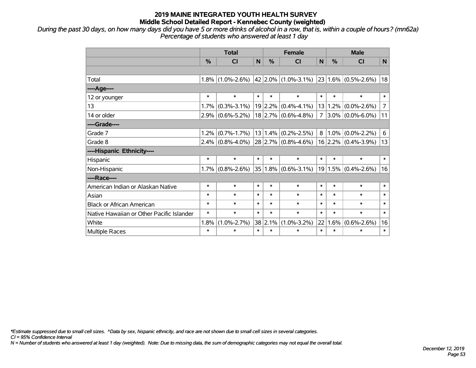*During the past 30 days, on how many days did you have 5 or more drinks of alcohol in a row, that is, within a couple of hours? (mn62a) Percentage of students who answered at least 1 day*

|                                           | <b>Total</b>  |                   |        |               | <b>Female</b>              | <b>Male</b> |               |                                                                                                 |                |
|-------------------------------------------|---------------|-------------------|--------|---------------|----------------------------|-------------|---------------|-------------------------------------------------------------------------------------------------|----------------|
|                                           | $\frac{0}{0}$ | <b>CI</b>         | N      | $\frac{0}{0}$ | <b>CI</b>                  | N           | $\frac{0}{0}$ | <b>CI</b>                                                                                       | N.             |
|                                           |               |                   |        |               |                            |             |               |                                                                                                 |                |
| Total                                     | 1.8%          | $(1.0\% - 2.6\%)$ |        |               |                            |             |               | $\vert$ 42 $\vert$ 2.0% $\vert$ (1.0%-3.1%) $\vert$ 23 $\vert$ 1.6% $\vert$ (0.5%-2.6%) $\vert$ | 18             |
| ----Age----                               |               |                   |        |               |                            |             |               |                                                                                                 |                |
| 12 or younger                             | $\ast$        | $\ast$            | $\ast$ | $\ast$        | $\ast$                     | $\ast$      | $\ast$        | $\ast$                                                                                          | $\ast$         |
| 13                                        | 1.7%          | $(0.3\% - 3.1\%)$ |        | 19 2.2%       | $(0.4\% - 4.1\%)$          |             | 13 1.2%       | $(0.0\% - 2.6\%)$                                                                               | $\overline{7}$ |
| 14 or older                               | 2.9%          | $(0.6\% - 5.2\%)$ |        |               | $18$ 2.7% (0.6%-4.8%)      | 7           |               | $3.0\%$ (0.0%-6.0%)                                                                             | 11             |
| ----Grade----                             |               |                   |        |               |                            |             |               |                                                                                                 |                |
| Grade 7                                   | 1.2%          | $(0.7\% - 1.7\%)$ |        | 13 1.4%       | $(0.2\% - 2.5\%)$          | 8           | $ 1.0\% $     | $(0.0\% - 2.2\%)$                                                                               | 6              |
| Grade 8                                   | 2.4%          | $(0.8\% - 4.0\%)$ |        |               | $28$ 2.7% (0.8%-4.6%)      |             |               | $16$ 2.2% (0.4%-3.9%)                                                                           | 13             |
| ----Hispanic Ethnicity----                |               |                   |        |               |                            |             |               |                                                                                                 |                |
| Hispanic                                  | $\ast$        | $\ast$            | $\ast$ | $\ast$        | $\ast$                     | $\ast$      | $\ast$        | $\ast$                                                                                          | $\ast$         |
| Non-Hispanic                              | 1.7%          | $(0.8\% - 2.6\%)$ |        | $35 1.8\% $   | $(0.6\textdegree - 3.1\%)$ |             |               | 19 1.5% $(0.4\textdegree-2.6\%)$                                                                | 16             |
| ----Race----                              |               |                   |        |               |                            |             |               |                                                                                                 |                |
| American Indian or Alaskan Native         | $\ast$        | $\ast$            | $\ast$ | $\ast$        | $\ast$                     | $\ast$      | $\ast$        | $\ast$                                                                                          | $\ast$         |
| Asian                                     | $\ast$        | $\ast$            | $\ast$ | $\ast$        | $\ast$                     | $\ast$      | $\ast$        | $\ast$                                                                                          | $\ast$         |
| <b>Black or African American</b>          | $\ast$        | $\ast$            | $\ast$ | $\ast$        | $\ast$                     | $\ast$      | $\ast$        | $\ast$                                                                                          | $\ast$         |
| Native Hawaiian or Other Pacific Islander | $\ast$        | $\ast$            | $\ast$ | $\ast$        | $\ast$                     | $\ast$      | $\ast$        | $\ast$                                                                                          | $\ast$         |
| White                                     | 1.8%          | $(1.0\% - 2.7\%)$ | 38     | 2.1%          | $(1.0\% - 3.2\%)$          | 22          | 1.6%          | $(0.6\% - 2.6\%)$                                                                               | 16             |
| Multiple Races                            | $\ast$        | $\ast$            | $\ast$ | $\ast$        | *                          | $\ast$      | $\ast$        | $\ast$                                                                                          | $\ast$         |

*\*Estimate suppressed due to small cell sizes. ^Data by sex, hispanic ethnicity, and race are not shown due to small cell sizes in several categories.*

*CI = 95% Confidence Interval*

*N = Number of students who answered at least 1 day (weighted). Note: Due to missing data, the sum of demographic categories may not equal the overall total.*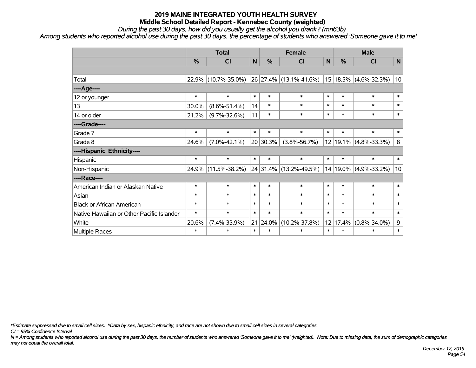*During the past 30 days, how did you usually get the alcohol you drank? (mn63b)*

*Among students who reported alcohol use during the past 30 days, the percentage of students who answered 'Someone gave it to me'*

|                                           | <b>Total</b>  |                     |              |               | <b>Female</b>          |        |          | <b>Male</b>           |                 |  |
|-------------------------------------------|---------------|---------------------|--------------|---------------|------------------------|--------|----------|-----------------------|-----------------|--|
|                                           | $\frac{0}{0}$ | <b>CI</b>           | $\mathsf{N}$ | $\frac{0}{0}$ | <b>CI</b>              | N      | %        | <b>CI</b>             | N               |  |
|                                           |               |                     |              |               |                        |        |          |                       |                 |  |
| Total                                     | 22.9%         | $(10.7\% - 35.0\%)$ |              |               | 26 27.4% (13.1%-41.6%) |        |          | 15 18.5% (4.6%-32.3%) | 10 <sup>1</sup> |  |
| ---- Age----                              |               |                     |              |               |                        |        |          |                       |                 |  |
| 12 or younger                             | $\ast$        | $\ast$              | $\ast$       | $\ast$        | $\ast$                 | $\ast$ | $\ast$   | $\ast$                | $\ast$          |  |
| 13                                        | 30.0%         | $(8.6\% - 51.4\%)$  | 14           | $\ast$        | $\ast$                 | $\ast$ | $\ast$   | $\ast$                | $\ast$          |  |
| 14 or older                               | 21.2%         | $(9.7\% - 32.6\%)$  | 11           | $\ast$        | $\ast$                 | $\ast$ | $\ast$   | $\ast$                | $\ast$          |  |
| ----Grade----                             |               |                     |              |               |                        |        |          |                       |                 |  |
| Grade 7                                   | $\ast$        | $\ast$              | $\ast$       | $\ast$        | $\ast$                 | $\ast$ | $\ast$   | $\ast$                | $\ast$          |  |
| Grade 8                                   | 24.6%         | $(7.0\% - 42.1\%)$  |              | 20 30.3%      | $(3.8\% - 56.7\%)$     |        |          | 12 19.1% (4.8%-33.3%) | 8               |  |
| ----Hispanic Ethnicity----                |               |                     |              |               |                        |        |          |                       |                 |  |
| Hispanic                                  | $\ast$        | $\ast$              | $\ast$       | $\ast$        | $\ast$                 | $\ast$ | $\ast$   | $\ast$                | $\ast$          |  |
| Non-Hispanic                              | 24.9%         | $(11.5\% - 38.2\%)$ |              |               | 24 31.4% (13.2%-49.5%) |        | 14 19.0% | $(4.9\% - 33.2\%)$    | 10 <sup>1</sup> |  |
| ----Race----                              |               |                     |              |               |                        |        |          |                       |                 |  |
| American Indian or Alaskan Native         | $\ast$        | $\ast$              | $\ast$       | $\ast$        | $\ast$                 | $\ast$ | $\ast$   | $\ast$                | $\ast$          |  |
| Asian                                     | $\ast$        | $\ast$              | $\ast$       | $\ast$        | $\ast$                 | $\ast$ | $\ast$   | $\ast$                | $\ast$          |  |
| <b>Black or African American</b>          | $\ast$        | $\ast$              | $\ast$       | $\ast$        | $\ast$                 | $\ast$ | $\ast$   | $\ast$                | $\ast$          |  |
| Native Hawaiian or Other Pacific Islander | $\ast$        | $\ast$              | $\ast$       | $\ast$        | $\ast$                 | $\ast$ | $\ast$   | $\ast$                | $\ast$          |  |
| White                                     | 20.6%         | $(7.4\% - 33.9\%)$  | 21           | 24.0%         | $(10.2\% - 37.8\%)$    |        | 12 17.4% | $(0.8\% - 34.0\%)$    | $\mathsf 9$     |  |
| Multiple Races                            | $\ast$        | $\ast$              | $\ast$       | $\ast$        | $\ast$                 | $\ast$ | $\ast$   | $\ast$                | $\ast$          |  |

*\*Estimate suppressed due to small cell sizes. ^Data by sex, hispanic ethnicity, and race are not shown due to small cell sizes in several categories.*

*CI = 95% Confidence Interval*

*N = Among students who reported alcohol use during the past 30 days, the number of students who answered 'Someone gave it to me' (weighted). Note: Due to missing data, the sum of demographic categories may not equal the overall total.*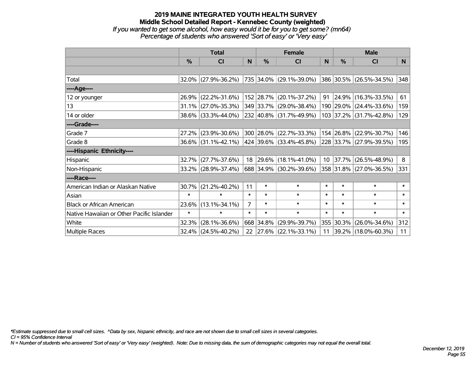# **2019 MAINE INTEGRATED YOUTH HEALTH SURVEY Middle School Detailed Report - Kennebec County (weighted)** *If you wanted to get some alcohol, how easy would it be for you to get some? (mn64) Percentage of students who answered 'Sort of easy' or 'Very easy'*

|                                           | <b>Total</b>  |                     |                | <b>Female</b> | <b>Male</b>              |          |                  |                         |                |
|-------------------------------------------|---------------|---------------------|----------------|---------------|--------------------------|----------|------------------|-------------------------|----------------|
|                                           | $\frac{0}{0}$ | CI                  | N              | $\frac{0}{0}$ | <b>CI</b>                | <b>N</b> | %                | <b>CI</b>               | N <sub>1</sub> |
|                                           |               |                     |                |               |                          |          |                  |                         |                |
| Total                                     |               | 32.0% (27.9%-36.2%) |                |               | 735 34.0% (29.1%-39.0%)  |          |                  | 386 30.5% (26.5%-34.5%) | 348            |
| ----Age----                               |               |                     |                |               |                          |          |                  |                         |                |
| 12 or younger                             | 26.9%         | $(22.2\% - 31.6\%)$ |                |               | 152 28.7% (20.1%-37.2%)  | 91       | 24.9%            | $(16.3\% - 33.5\%)$     | 61             |
| 13                                        |               | 31.1% (27.0%-35.3%) |                |               | 349 33.7% (29.0%-38.4%)  |          |                  | 190 29.0% (24.4%-33.6%) | 159            |
| 14 or older                               |               | 38.6% (33.3%-44.0%) |                |               | 232 40.8% (31.7%-49.9%)  |          |                  | 103 37.2% (31.7%-42.8%) | 129            |
| ----Grade----                             |               |                     |                |               |                          |          |                  |                         |                |
| Grade 7                                   | 27.2%         | $(23.9\% - 30.6\%)$ |                |               | 300 28.0% (22.7%-33.3%)  |          | 154 26.8%        | $(22.9\% - 30.7\%)$     | 146            |
| Grade 8                                   |               | 36.6% (31.1%-42.1%) |                |               | 424 39.6% (33.4%-45.8%)  |          |                  | 228 33.7% (27.9%-39.5%) | 195            |
| ----Hispanic Ethnicity----                |               |                     |                |               |                          |          |                  |                         |                |
| Hispanic                                  | 32.7%         | $(27.7\% - 37.6\%)$ | 18             |               | $ 29.6\% $ (18.1%-41.0%) |          | $10 \mid 37.7\%$ | $(26.5\% - 48.9\%)$     | 8              |
| Non-Hispanic                              |               | 33.2% (28.9%-37.4%) |                |               | 688 34.9% (30.2%-39.6%)  |          |                  | 358 31.8% (27.0%-36.5%) | 331            |
| ----Race----                              |               |                     |                |               |                          |          |                  |                         |                |
| American Indian or Alaskan Native         | $30.7\%$      | $(21.2\% - 40.2\%)$ | 11             | $\ast$        | $\ast$                   | $\ast$   | $\ast$           | $\ast$                  | $\ast$         |
| Asian                                     | $\ast$        | $\ast$              | $\ast$         | $\ast$        | $\ast$                   | $\ast$   | $\ast$           | $\ast$                  | $\ast$         |
| <b>Black or African American</b>          | 23.6%         | $(13.1\% - 34.1\%)$ | $\overline{7}$ | $\ast$        | $\ast$                   | $\ast$   | $\ast$           | $\ast$                  | $\ast$         |
| Native Hawaiian or Other Pacific Islander | $\ast$        | $\ast$              | $\ast$         | $\ast$        | $\ast$                   | $\ast$   | $\ast$           | $\ast$                  | $\ast$         |
| White                                     | 32.3%         | $(28.1\% - 36.6\%)$ |                | 668 34.8%     | $(29.9\% - 39.7\%)$      | 355      | 30.3%            | $(26.0\% - 34.6\%)$     | 312            |
| <b>Multiple Races</b>                     |               | 32.4% (24.5%-40.2%) | 22             |               | $ 27.6\% $ (22.1%-33.1%) | 11       |                  | 39.2% (18.0%-60.3%)     | 11             |

*\*Estimate suppressed due to small cell sizes. ^Data by sex, hispanic ethnicity, and race are not shown due to small cell sizes in several categories.*

*CI = 95% Confidence Interval*

*N = Number of students who answered 'Sort of easy' or 'Very easy' (weighted). Note: Due to missing data, the sum of demographic categories may not equal the overall total.*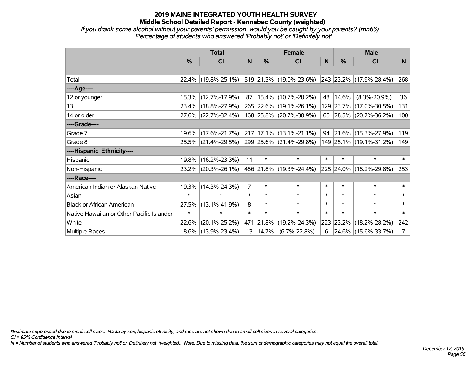*If you drank some alcohol without your parents' permission, would you be caught by your parents? (mn66) Percentage of students who answered 'Probably not' or 'Definitely not'*

|                                           | <b>Total</b> |                                             |                |            | <b>Female</b>               | <b>Male</b> |           |                              |                |
|-------------------------------------------|--------------|---------------------------------------------|----------------|------------|-----------------------------|-------------|-----------|------------------------------|----------------|
|                                           | $\%$         | <b>CI</b>                                   | N              | $\%$       | <b>CI</b>                   | N           | $\%$      | <b>CI</b>                    | N              |
|                                           |              |                                             |                |            |                             |             |           |                              |                |
| Total                                     |              | 22.4% (19.8%-25.1%) 519 21.3% (19.0%-23.6%) |                |            |                             |             |           | $ 243 23.2\% $ (17.9%-28.4%) | 268            |
| ----Age----                               |              |                                             |                |            |                             |             |           |                              |                |
| 12 or younger                             |              | 15.3% (12.7%-17.9%)                         | 87             |            | 15.4% (10.7%-20.2%)         | 48          | 14.6%     | $(8.3\% - 20.9\%)$           | 36             |
| 13                                        |              | 23.4% (18.8%-27.9%)                         |                |            | 265 22.6% (19.1%-26.1%)     |             |           | 129 23.7% (17.0%-30.5%)      | 131            |
| 14 or older                               |              | 27.6% (22.7%-32.4%)                         |                |            | 168 25.8% (20.7%-30.9%)     |             |           | 66 28.5% (20.7%-36.2%)       | 100            |
| ----Grade----                             |              |                                             |                |            |                             |             |           |                              |                |
| Grade 7                                   |              | 19.6% (17.6%-21.7%)                         |                |            | $217 17.1\% $ (13.1%-21.1%) |             |           | 94 21.6% (15.3%-27.9%)       | 119            |
| Grade 8                                   |              | 25.5% (21.4%-29.5%)                         |                |            | 299 25.6% (21.4%-29.8%)     |             |           | 149 25.1% (19.1%-31.2%)      | 149            |
| ----Hispanic Ethnicity----                |              |                                             |                |            |                             |             |           |                              |                |
| Hispanic                                  | $19.8\%$     | $(16.2\% - 23.3\%)$                         | 11             | $\ast$     | $\ast$                      | $\ast$      | $\ast$    | $\ast$                       | $\ast$         |
| Non-Hispanic                              |              | 23.2% (20.3%-26.1%)                         |                |            | 486   21.8%   (19.3%-24.4%) |             |           | 225 24.0% (18.2%-29.8%)      | 253            |
| ----Race----                              |              |                                             |                |            |                             |             |           |                              |                |
| American Indian or Alaskan Native         |              | 19.3% (14.3%-24.3%)                         | $\overline{7}$ | $\ast$     | $\ast$                      | $\ast$      | $\ast$    | $\ast$                       | $\ast$         |
| Asian                                     | $\ast$       | $\ast$                                      | $\ast$         | $\ast$     | $\ast$                      | $\ast$      | $\ast$    | $\ast$                       | $\ast$         |
| <b>Black or African American</b>          | 27.5%        | $(13.1\% - 41.9\%)$                         | 8              | $\ast$     | $\ast$                      | $\ast$      | $\ast$    | $\ast$                       | $\ast$         |
| Native Hawaiian or Other Pacific Islander | $\ast$       | $\ast$                                      | $\ast$         | $\ast$     | $\ast$                      | $\ast$      | $\ast$    | $\ast$                       | $\ast$         |
| White                                     | 22.6%        | $(20.1\% - 25.2\%)$                         |                | 471 21.8%  | $(19.2\% - 24.3\%)$         |             | 223 23.2% | $(18.2\% - 28.2\%)$          | 242            |
| <b>Multiple Races</b>                     |              | 18.6% (13.9%-23.4%)                         |                | 13   14.7% | $(6.7\% - 22.8\%)$          | 6           |           | 24.6% (15.6%-33.7%)          | 7 <sup>1</sup> |

*\*Estimate suppressed due to small cell sizes. ^Data by sex, hispanic ethnicity, and race are not shown due to small cell sizes in several categories.*

*CI = 95% Confidence Interval*

*N = Number of students who answered 'Probably not' or 'Definitely not' (weighted). Note: Due to missing data, the sum of demographic categories may not equal the overall total.*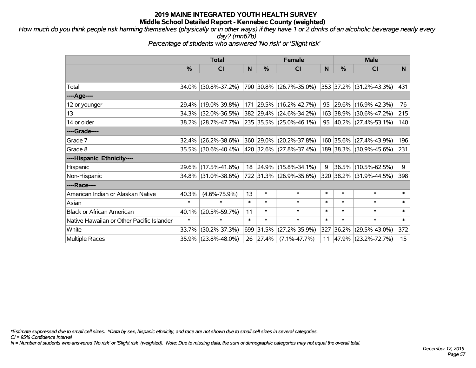*How much do you think people risk harming themselves (physically or in other ways) if they have 1 or 2 drinks of an alcoholic beverage nearly every day? (mn67b)*

*Percentage of students who answered 'No risk' or 'Slight risk'*

|                                           | <b>Total</b> |                        |        | <b>Female</b> | <b>Male</b>             |        |               |                         |                  |
|-------------------------------------------|--------------|------------------------|--------|---------------|-------------------------|--------|---------------|-------------------------|------------------|
|                                           | %            | C <sub>l</sub>         | N      | $\%$          | <b>CI</b>               | N      | $\frac{0}{0}$ | <b>CI</b>               | N.               |
|                                           |              |                        |        |               |                         |        |               |                         |                  |
| Total                                     |              | 34.0% (30.8%-37.2%)    |        |               | 790 30.8% (26.7%-35.0%) |        |               | 353 37.2% (31.2%-43.3%) | 431              |
| ----Age----                               |              |                        |        |               |                         |        |               |                         |                  |
| 12 or younger                             |              | 29.4% (19.0%-39.8%)    |        |               | 171 29.5% (16.2%-42.7%) | 95     | $ 29.6\% $    | $(16.9\% - 42.3\%)$     | 76               |
| 13                                        |              | 34.3% (32.0%-36.5%)    |        |               | 382 29.4% (24.6%-34.2%) |        | 163 38.9%     | $(30.6\% - 47.2\%)$     | 215              |
| 14 or older                               |              | 38.2% (28.7%-47.7%)    |        |               | 235 35.5% (25.0%-46.1%) |        |               | 95 40.2% (27.4%-53.1%)  | 140              |
| ----Grade----                             |              |                        |        |               |                         |        |               |                         |                  |
| Grade 7                                   |              | $32.4\%$ (26.2%-38.6%) |        | 360 29.0%     | $(20.2\% - 37.8\%)$     | 160    | 35.6%         | $(27.4\% - 43.9\%)$     | 196              |
| Grade 8                                   |              | 35.5% (30.6%-40.4%)    |        |               | 420 32.6% (27.8%-37.4%) |        |               | 189 38.3% (30.9%-45.6%) | 231              |
| ----Hispanic Ethnicity----                |              |                        |        |               |                         |        |               |                         |                  |
| Hispanic                                  |              | 29.6% (17.5%-41.6%)    | 18     | 24.9%         | $(15.8\% - 34.1\%)$     | 9      | 36.5%         | $(10.5\% - 62.5\%)$     | 9                |
| Non-Hispanic                              |              | 34.8% (31.0%-38.6%)    |        |               | 722 31.3% (26.9%-35.6%) |        |               | 320 38.2% (31.9%-44.5%) | 398              |
| ----Race----                              |              |                        |        |               |                         |        |               |                         |                  |
| American Indian or Alaskan Native         | 40.3%        | $(4.6\% - 75.9\%)$     | 13     | $\ast$        | $\ast$                  | $\ast$ | $\ast$        | $\ast$                  | $\ast$           |
| Asian                                     | $\ast$       | $\ast$                 | $\ast$ | $\ast$        | $\ast$                  | $\ast$ | $\ast$        | $\ast$                  | $\ast$           |
| <b>Black or African American</b>          | 40.1%        | $(20.5\% - 59.7\%)$    | 11     | $\ast$        | $\ast$                  | $\ast$ | $\ast$        | $\ast$                  | $\ast$           |
| Native Hawaiian or Other Pacific Islander | $\ast$       | $\ast$                 | $\ast$ | $\ast$        | $\ast$                  | $\ast$ | $\ast$        | $\ast$                  | $\ast$           |
| White                                     | 33.7%        | $(30.2\% - 37.3\%)$    |        | 699 31.5%     | $(27.2\% - 35.9\%)$     | 327    | 36.2%         | $(29.5\% - 43.0\%)$     | 372              |
| <b>Multiple Races</b>                     |              | 35.9% (23.8%-48.0%)    | 26     | 27.4%         | $(7.1\% - 47.7\%)$      | 11     | 47.9%         | $(23.2\% - 72.7\%)$     | 15 <sub>15</sub> |

*\*Estimate suppressed due to small cell sizes. ^Data by sex, hispanic ethnicity, and race are not shown due to small cell sizes in several categories.*

*CI = 95% Confidence Interval*

*N = Number of students who answered 'No risk' or 'Slight risk' (weighted). Note: Due to missing data, the sum of demographic categories may not equal the overall total.*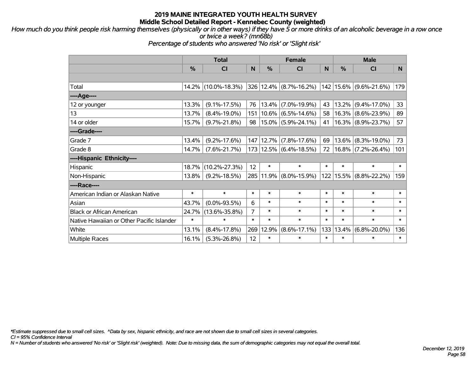*How much do you think people risk harming themselves (physically or in other ways) if they have 5 or more drinks of an alcoholic beverage in a row once or twice a week? (mn68b)*

*Percentage of students who answered 'No risk' or 'Slight risk'*

|                                           | <b>Total</b>  |                     |          |               | <b>Female</b>              |        |          | <b>Male</b>                  |        |  |  |
|-------------------------------------------|---------------|---------------------|----------|---------------|----------------------------|--------|----------|------------------------------|--------|--|--|
|                                           | $\frac{0}{0}$ | <b>CI</b>           | <b>N</b> | $\frac{0}{0}$ | <b>CI</b>                  | N      | $\%$     | <b>CI</b>                    | N.     |  |  |
|                                           |               |                     |          |               |                            |        |          |                              |        |  |  |
| Total                                     |               | 14.2% (10.0%-18.3%) |          |               | $326 12.4\% $ (8.7%-16.2%) |        |          | $142$   15.6%   (9.6%-21.6%) | 179    |  |  |
| ----Age----                               |               |                     |          |               |                            |        |          |                              |        |  |  |
| 12 or younger                             | 13.3%         | $(9.1\% - 17.5\%)$  | 76       | 13.4%         | $(7.0\% - 19.9\%)$         | 43     | $13.2\%$ | $(9.4\% - 17.0\%)$           | 33     |  |  |
| 13                                        | 13.7%         | $(8.4\% - 19.0\%)$  | 151      |               | $10.6\%$ (6.5%-14.6%)      | 58     |          | $ 16.3\% $ (8.6%-23.9%)      | 89     |  |  |
| 14 or older                               | 15.7%         | $(9.7\% - 21.8\%)$  | 98       |               | $15.0\%$ (5.9%-24.1%)      | 41     |          | $ 16.3\% $ (8.9%-23.7%)      | 57     |  |  |
| ----Grade----                             |               |                     |          |               |                            |        |          |                              |        |  |  |
| Grade 7                                   | 13.4%         | $(9.2\% - 17.6\%)$  | 147      | 12.7%         | $(7.8\% - 17.6\%)$         | 69     |          | $13.6\%$ (8.3%-19.0%)        | 73     |  |  |
| Grade 8                                   | 14.7%         | $(7.6\% - 21.7\%)$  |          |               | 173 12.5% (6.4%-18.5%)     | 72     |          | $16.8\%$ (7.2%-26.4%)        | 101    |  |  |
| ----Hispanic Ethnicity----                |               |                     |          |               |                            |        |          |                              |        |  |  |
| Hispanic                                  | 18.7%         | $(10.2\% - 27.3\%)$ | 12       | $\ast$        | $\ast$                     | $\ast$ | $\ast$   | $\ast$                       | $\ast$ |  |  |
| Non-Hispanic                              | 13.8%         | $(9.2\% - 18.5\%)$  |          |               | 285 11.9% (8.0%-15.9%)     |        |          | 122   15.5%   (8.8%-22.2%)   | 159    |  |  |
| ----Race----                              |               |                     |          |               |                            |        |          |                              |        |  |  |
| American Indian or Alaskan Native         | $\ast$        | $\ast$              | $\ast$   | $\ast$        | $\ast$                     | $\ast$ | $\ast$   | $\ast$                       | $\ast$ |  |  |
| Asian                                     | 43.7%         | $(0.0\% - 93.5\%)$  | 6        | $\ast$        | $\ast$                     | $\ast$ | $\ast$   | $\ast$                       | $\ast$ |  |  |
| <b>Black or African American</b>          | 24.7%         | $(13.6\% - 35.8\%)$ | 7        | $\ast$        | $\ast$                     | $\ast$ | $\ast$   | $\ast$                       | $\ast$ |  |  |
| Native Hawaiian or Other Pacific Islander | $\ast$        | $\ast$              | $\ast$   | $\ast$        | $\ast$                     | $\ast$ | $\ast$   | $\ast$                       | $\ast$ |  |  |
| White                                     | 13.1%         | $(8.4\% - 17.8\%)$  | 269      | 12.9%         | $(8.6\% - 17.1\%)$         | 133    | 13.4%    | $(6.8\% - 20.0\%)$           | 136    |  |  |
| <b>Multiple Races</b>                     | 16.1%         | $(5.3\% - 26.8\%)$  | 12       | $\ast$        | $\ast$                     | $\ast$ | $\ast$   | *                            | $\ast$ |  |  |

*\*Estimate suppressed due to small cell sizes. ^Data by sex, hispanic ethnicity, and race are not shown due to small cell sizes in several categories.*

*CI = 95% Confidence Interval*

*N = Number of students who answered 'No risk' or 'Slight risk' (weighted). Note: Due to missing data, the sum of demographic categories may not equal the overall total.*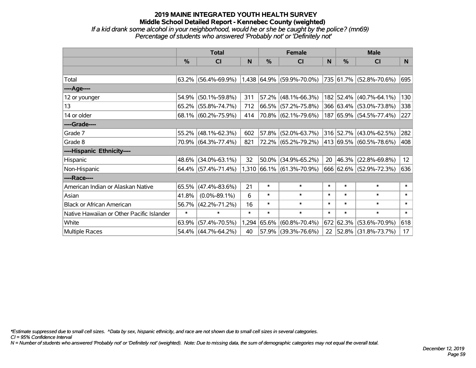### **2019 MAINE INTEGRATED YOUTH HEALTH SURVEY Middle School Detailed Report - Kennebec County (weighted)** *If a kid drank some alcohol in your neighborhood, would he or she be caught by the police? (mn69) Percentage of students who answered 'Probably not' or 'Definitely not'*

|                                           | <b>Total</b> |                        |        |        | <b>Female</b>             |        | <b>Male</b> |                         |        |  |
|-------------------------------------------|--------------|------------------------|--------|--------|---------------------------|--------|-------------|-------------------------|--------|--|
|                                           | %            | C <sub>l</sub>         | N      | %      | <b>CI</b>                 | N      | %           | <b>CI</b>               | N.     |  |
|                                           |              |                        |        |        |                           |        |             |                         |        |  |
| Total                                     | 63.2%        | $(56.4\% - 69.9\%)$    |        |        | 1,438 64.9% (59.9%-70.0%) |        |             | 735 61.7% (52.8%-70.6%) | 695    |  |
| ----Age----                               |              |                        |        |        |                           |        |             |                         |        |  |
| 12 or younger                             | 54.9%        | $(50.1\% - 59.8\%)$    | 311    |        | $57.2\%$ (48.1%-66.3%)    |        |             | 182 52.4% (40.7%-64.1%) | 130    |  |
| 13                                        | 65.2%        | $(55.8\% - 74.7\%)$    | 712    |        | 66.5% (57.2%-75.8%)       |        |             | 366 63.4% (53.0%-73.8%) | 338    |  |
| 14 or older                               |              | 68.1% (60.2%-75.9%)    | 414    |        | 70.8% (62.1%-79.6%)       |        |             | 187 65.9% (54.5%-77.4%) | 227    |  |
| ----Grade----                             |              |                        |        |        |                           |        |             |                         |        |  |
| Grade 7                                   | 55.2%        | $(48.1\% - 62.3\%)$    | 602    |        | 57.8% (52.0%-63.7%)       |        |             | 316 52.7% (43.0%-62.5%) | 282    |  |
| Grade 8                                   |              | 70.9% (64.3%-77.4%)    | 821    |        | 72.2% (65.2%-79.2%)       |        |             | 413 69.5% (60.5%-78.6%) | 408    |  |
| ----Hispanic Ethnicity----                |              |                        |        |        |                           |        |             |                         |        |  |
| Hispanic                                  | 48.6%        | $(34.0\% - 63.1\%)$    | 32     |        | $50.0\%$ (34.9%-65.2%)    | 20     | 46.3%       | $(22.8\% - 69.8\%)$     | 12     |  |
| Non-Hispanic                              |              | $64.4\%$ (57.4%-71.4%) |        |        | 1,310 66.1% (61.3%-70.9%) |        |             | 666 62.6% (52.9%-72.3%) | 636    |  |
| ----Race----                              |              |                        |        |        |                           |        |             |                         |        |  |
| American Indian or Alaskan Native         | 65.5%        | $(47.4\% - 83.6\%)$    | 21     | $\ast$ | $\ast$                    | $\ast$ | $\ast$      | $\ast$                  | $\ast$ |  |
| Asian                                     | 41.8%        | $(0.0\% - 89.1\%)$     | 6      | $\ast$ | $\ast$                    | $\ast$ | $\ast$      | $\ast$                  | $\ast$ |  |
| <b>Black or African American</b>          | 56.7%        | $(42.2\% - 71.2\%)$    | 16     | $\ast$ | $\ast$                    | $\ast$ | $\ast$      | $\ast$                  | $\ast$ |  |
| Native Hawaiian or Other Pacific Islander | $\ast$       | $\ast$                 | $\ast$ | $\ast$ | $\ast$                    | $\ast$ | $\ast$      | $\ast$                  | $\ast$ |  |
| White                                     | 63.9%        | $(57.4\% - 70.5\%)$    | 1,294  | 65.6%  | $(60.8\% - 70.4\%)$       | 672    | 62.3%       | $(53.6\% - 70.9\%)$     | 618    |  |
| <b>Multiple Races</b>                     | 54.4%        | $(44.7\% - 64.2\%)$    | 40     |        | 57.9% (39.3%-76.6%)       | 22     |             | 52.8% (31.8%-73.7%)     | 17     |  |

*\*Estimate suppressed due to small cell sizes. ^Data by sex, hispanic ethnicity, and race are not shown due to small cell sizes in several categories.*

*CI = 95% Confidence Interval*

*N = Number of students who answered 'Probably not' or 'Definitely not' (weighted). Note: Due to missing data, the sum of demographic categories may not equal the overall total.*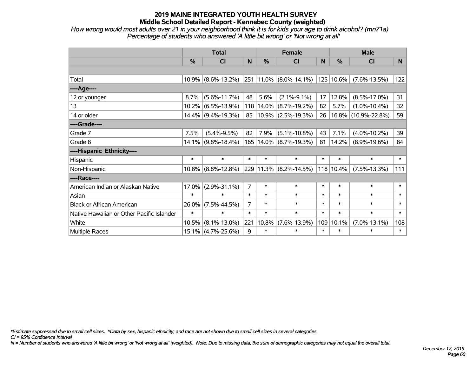*How wrong would most adults over 21 in your neighborhood think it is for kids your age to drink alcohol? (mn71a) Percentage of students who answered 'A little bit wrong' or 'Not wrong at all'*

|                                           | <b>Total</b>  |                       |                |        | <b>Female</b>          |        | <b>Male</b> |                     |        |  |
|-------------------------------------------|---------------|-----------------------|----------------|--------|------------------------|--------|-------------|---------------------|--------|--|
|                                           | $\frac{0}{0}$ | <b>CI</b>             | N              | %      | <b>CI</b>              | N      | %           | <b>CI</b>           | N      |  |
|                                           |               |                       |                |        |                        |        |             |                     |        |  |
| Total                                     |               | $10.9\%$ (8.6%-13.2%) |                |        | 251 11.0% (8.0%-14.1%) |        | 125 10.6%   | $(7.6\% - 13.5\%)$  | 122    |  |
| ----Age----                               |               |                       |                |        |                        |        |             |                     |        |  |
| 12 or younger                             | 8.7%          | $(5.6\% - 11.7\%)$    | 48             | 5.6%   | $(2.1\% - 9.1\%)$      | 17     | 12.8%       | $(8.5\% - 17.0\%)$  | 31     |  |
| 13                                        |               | $10.2\%$ (6.5%-13.9%) | 118            |        | $14.0\%$ (8.7%-19.2%)  | 82     | 5.7%        | $(1.0\% - 10.4\%)$  | 32     |  |
| 14 or older                               |               | $14.4\%$ (9.4%-19.3%) | 85             |        | $10.9\%$ (2.5%-19.3%)  | 26     | $16.8\%$    | $(10.9\% - 22.8\%)$ | 59     |  |
| ----Grade----                             |               |                       |                |        |                        |        |             |                     |        |  |
| Grade 7                                   | 7.5%          | $(5.4\% - 9.5\%)$     | 82             | 7.9%   | $(5.1\% - 10.8\%)$     | 43     | 7.1%        | $(4.0\% - 10.2\%)$  | 39     |  |
| Grade 8                                   |               | $14.1\%$ (9.8%-18.4%) | 165            |        | $14.0\%$ (8.7%-19.3%)  | 81     | 14.2%       | $(8.9\% - 19.6\%)$  | 84     |  |
| ----Hispanic Ethnicity----                |               |                       |                |        |                        |        |             |                     |        |  |
| Hispanic                                  | $\ast$        | $\ast$                | $\ast$         | $\ast$ | $\ast$                 | $\ast$ | $\ast$      | $\ast$              | $\ast$ |  |
| Non-Hispanic                              |               | $10.8\%$ (8.8%-12.8%) |                |        | 229 11.3% (8.2%-14.5%) |        | 118 10.4%   | $(7.5\% - 13.3\%)$  | 111    |  |
| ----Race----                              |               |                       |                |        |                        |        |             |                     |        |  |
| American Indian or Alaskan Native         | 17.0%         | $(2.9\% - 31.1\%)$    | $\overline{7}$ | $\ast$ | $\ast$                 | $\ast$ | $\ast$      | $\ast$              | $\ast$ |  |
| Asian                                     | $\ast$        | $\ast$                | $\ast$         | $\ast$ | $\ast$                 | $\ast$ | $\ast$      | $\ast$              | $\ast$ |  |
| <b>Black or African American</b>          | 26.0%         | $(7.5\% - 44.5\%)$    | $\overline{7}$ | $\ast$ | $\ast$                 | $\ast$ | $\ast$      | $\ast$              | $\ast$ |  |
| Native Hawaiian or Other Pacific Islander | $\ast$        | $\ast$                | $\ast$         | $\ast$ | $\ast$                 | $\ast$ | $\ast$      | $\ast$              | $\ast$ |  |
| White                                     | 10.5%         | $(8.1\% - 13.0\%)$    | 221            | 10.8%  | $(7.6\% - 13.9\%)$     | 109    | 10.1%       | $(7.0\% - 13.1\%)$  | 108    |  |
| <b>Multiple Races</b>                     |               | 15.1% (4.7%-25.6%)    | 9              | $\ast$ | $\ast$                 | $\ast$ | $\ast$      | $\ast$              | $\ast$ |  |

*\*Estimate suppressed due to small cell sizes. ^Data by sex, hispanic ethnicity, and race are not shown due to small cell sizes in several categories.*

*CI = 95% Confidence Interval*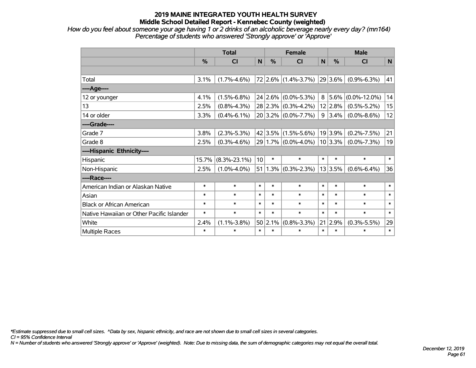*How do you feel about someone your age having 1 or 2 drinks of an alcoholic beverage nearly every day? (mn164) Percentage of students who answered 'Strongly approve' or 'Approve'*

|                                           | <b>Total</b> |                    |                 |         | <b>Female</b>           |        | <b>Male</b> |                    |              |  |
|-------------------------------------------|--------------|--------------------|-----------------|---------|-------------------------|--------|-------------|--------------------|--------------|--|
|                                           | %            | CI                 | $\mathsf{N}$    | %       | <b>CI</b>               | N      | %           | <b>CI</b>          | $\mathsf{N}$ |  |
|                                           |              |                    |                 |         |                         |        |             |                    |              |  |
| Total                                     | 3.1%         | $(1.7\% - 4.6\%)$  |                 |         | $72$ 2.6% (1.4%-3.7%)   |        | $29 3.6\% $ | $(0.9\% - 6.3\%)$  | 41           |  |
| ----Age----                               |              |                    |                 |         |                         |        |             |                    |              |  |
| 12 or younger                             | 4.1%         | $(1.5\% - 6.8\%)$  |                 |         | $24 2.6\% $ (0.0%-5.3%) | 8      | 5.6%        | $(0.0\% - 12.0\%)$ | 14           |  |
| 13                                        | 2.5%         | $(0.8\% - 4.3\%)$  |                 |         | $28 2.3\% $ (0.3%-4.2%) |        | 12 2.8%     | $(0.5\% - 5.2\%)$  | 15           |  |
| 14 or older                               | 3.3%         | $(0.4\% - 6.1\%)$  |                 |         | $20 3.2\% $ (0.0%-7.7%) | 9      | 3.4%        | $(0.0\% - 8.6\%)$  | 12           |  |
| ----Grade----                             |              |                    |                 |         |                         |        |             |                    |              |  |
| Grade 7                                   | 3.8%         | $(2.3\% - 5.3\%)$  |                 |         | $42 3.5\% $ (1.5%-5.6%) |        | 19 3.9%     | $(0.2\% - 7.5\%)$  | 21           |  |
| Grade 8                                   | 2.5%         | $(0.3\% - 4.6\%)$  |                 |         | 29 1.7% (0.0%-4.0%)     |        | $10 3.3\% $ | $(0.0\% - 7.3\%)$  | 19           |  |
| ----Hispanic Ethnicity----                |              |                    |                 |         |                         |        |             |                    |              |  |
| Hispanic                                  | 15.7%        | $(8.3\% - 23.1\%)$ | 10 <sup>1</sup> | $\ast$  | $\ast$                  | $\ast$ | $\ast$      | $\ast$             | $\ast$       |  |
| Non-Hispanic                              | 2.5%         | $(1.0\% - 4.0\%)$  |                 |         | $51 1.3\% $ (0.3%-2.3%) |        | 13 3.5%     | $(0.6\% - 6.4\%)$  | 36           |  |
| ----Race----                              |              |                    |                 |         |                         |        |             |                    |              |  |
| American Indian or Alaskan Native         | $\ast$       | $\ast$             | $\ast$          | $\ast$  | $\ast$                  | $\ast$ | $\ast$      | $\ast$             | $\ast$       |  |
| Asian                                     | $\ast$       | $\ast$             | $\ast$          | $\ast$  | $\ast$                  | $\ast$ | $\ast$      | $\ast$             | $\ast$       |  |
| <b>Black or African American</b>          | $\ast$       | $\ast$             | $\ast$          | $\ast$  | $\ast$                  | $\ast$ | $\ast$      | $\ast$             | $\ast$       |  |
| Native Hawaiian or Other Pacific Islander | $\ast$       | $\ast$             | $\ast$          | $\ast$  | $\ast$                  | $\ast$ | $\ast$      | $\ast$             | $\ast$       |  |
| White                                     | 2.4%         | $(1.1\% - 3.8\%)$  |                 | 50 2.1% | $(0.8\% - 3.3\%)$       | 21     | 2.9%        | $(0.3\% - 5.5\%)$  | 29           |  |
| <b>Multiple Races</b>                     | $\ast$       | $\ast$             | $\ast$          | $\ast$  | $\ast$                  | $\ast$ | $\ast$      | $\ast$             | $\ast$       |  |

*\*Estimate suppressed due to small cell sizes. ^Data by sex, hispanic ethnicity, and race are not shown due to small cell sizes in several categories.*

*CI = 95% Confidence Interval*

*N = Number of students who answered 'Strongly approve' or 'Approve' (weighted). Note: Due to missing data, the sum of demographic categories may not equal the overall total.*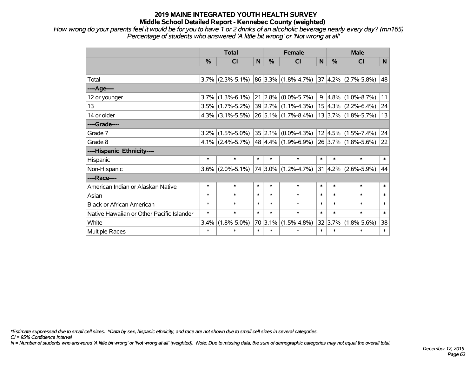*How wrong do your parents feel it would be for you to have 1 or 2 drinks of an alcoholic beverage nearly every day? (mn165) Percentage of students who answered 'A little bit wrong' or 'Not wrong at all'*

|                                           | <b>Total</b> |                     |        | <b>Female</b> |                                              |        | <b>Male</b> |                                     |                |  |
|-------------------------------------------|--------------|---------------------|--------|---------------|----------------------------------------------|--------|-------------|-------------------------------------|----------------|--|
|                                           | %            | <b>CI</b>           | N      | %             | <b>CI</b>                                    | N      | $\%$        | <b>CI</b>                           | N <sub>1</sub> |  |
|                                           |              |                     |        |               |                                              |        |             |                                     |                |  |
| Total                                     |              | $3.7\%$ (2.3%-5.1%) |        |               | $ 86 3.3\%  (1.8\% - 4.7\%)$                 |        |             | $ 37 4.2\% $ (2.7%-5.8%)            | 48             |  |
| ----Age----                               |              |                     |        |               |                                              |        |             |                                     |                |  |
| 12 or younger                             | $3.7\%$      | $(1.3\% - 6.1\%)$   |        |               | $21 2.8\% $ (0.0%-5.7%)                      |        |             | $9 \mid 4.8\% \mid (1.0\% - 8.7\%)$ | 11             |  |
| 13                                        |              | $3.5\%$ (1.7%-5.2%) |        |               | $39 2.7\% $ (1.1%-4.3%)                      |        |             | $15 4.3\% $ (2.2%-6.4%)             | 24             |  |
| 14 or older                               |              | $4.3\%$ (3.1%-5.5%) |        |               | $26 5.1\% $ (1.7%-8.4%)                      |        |             | $13 3.7\% $ (1.8%-5.7%)             | 13             |  |
| ----Grade----                             |              |                     |        |               |                                              |        |             |                                     |                |  |
| Grade 7                                   | $3.2\%$      | $(1.5\% - 5.0\%)$   |        |               | $35 2.1\% $ (0.0%-4.3%)                      |        |             | $ 12 4.5\% $ (1.5%-7.4%)            | 24             |  |
| Grade 8                                   |              | $4.1\%$ (2.4%-5.7%) |        |               | $ 48 4.4\% $ (1.9%-6.9%) 26 3.7% (1.8%-5.6%) |        |             |                                     | 22             |  |
| ----Hispanic Ethnicity----                |              |                     |        |               |                                              |        |             |                                     |                |  |
| Hispanic                                  | $\ast$       | $\ast$              | $\ast$ | $\ast$        | $\ast$                                       | $\ast$ | $\ast$      | $\ast$                              | $\ast$         |  |
| Non-Hispanic                              | $3.6\%$      | $(2.0\% - 5.1\%)$   |        |               | 74 3.0% (1.2%-4.7%)                          |        | 31 4.2%     | $(2.6\% - 5.9\%)$                   | 44             |  |
| ----Race----                              |              |                     |        |               |                                              |        |             |                                     |                |  |
| American Indian or Alaskan Native         | $\ast$       | $\ast$              | $\ast$ | $\ast$        | $\ast$                                       | $\ast$ | $\ast$      | $\ast$                              | $\ast$         |  |
| Asian                                     | $\ast$       | $\ast$              | $\ast$ | $\ast$        | $\ast$                                       | $\ast$ | $\ast$      | $\ast$                              | $\ast$         |  |
| <b>Black or African American</b>          | $\ast$       | $\ast$              | $\ast$ | $\ast$        | $\ast$                                       | $\ast$ | $\ast$      | $\ast$                              | $\ast$         |  |
| Native Hawaiian or Other Pacific Islander | $\ast$       | $\ast$              | $\ast$ | $\ast$        | $\ast$                                       | $\ast$ | $\ast$      | $\ast$                              | $\ast$         |  |
| White                                     | 3.4%         | $(1.8\% - 5.0\%)$   | 70     | 3.1%          | $(1.5\% - 4.8\%)$                            |        | 32 3.7%     | $(1.8\% - 5.6\%)$                   | 38             |  |
| <b>Multiple Races</b>                     | $\ast$       | $\ast$              | $\ast$ | $\ast$        | $\ast$                                       | $\ast$ | $\ast$      | $\ast$                              | $\ast$         |  |

*\*Estimate suppressed due to small cell sizes. ^Data by sex, hispanic ethnicity, and race are not shown due to small cell sizes in several categories.*

*CI = 95% Confidence Interval*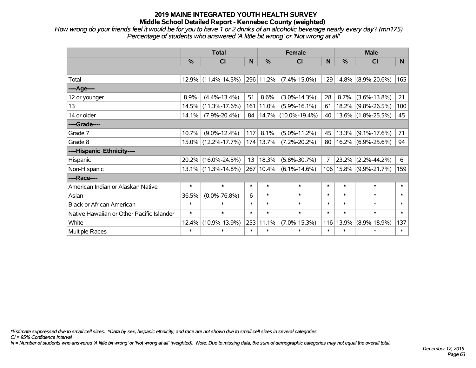*How wrong do your friends feel it would be for you to have 1 or 2 drinks of an alcoholic beverage nearly every day? (mn175) Percentage of students who answered 'A little bit wrong' or 'Not wrong at all'*

|                                           | <b>Total</b> |                        |        |           | <b>Female</b>              | <b>Male</b>    |        |                            |        |
|-------------------------------------------|--------------|------------------------|--------|-----------|----------------------------|----------------|--------|----------------------------|--------|
|                                           | %            | <b>CI</b>              | N      | %         | <b>CI</b>                  | N              | $\%$   | <b>CI</b>                  | N      |
|                                           |              |                        |        |           |                            |                |        |                            |        |
| Total                                     |              | $12.9\%$ (11.4%-14.5%) |        | 296 11.2% | $(7.4\% - 15.0\%)$         |                |        | 129 14.8% (8.9%-20.6%)     | 165    |
| ----Age----                               |              |                        |        |           |                            |                |        |                            |        |
| 12 or younger                             | 8.9%         | $(4.4\% - 13.4\%)$     | 51     | 8.6%      | $(3.0\% - 14.3\%)$         | 28             | 8.7%   | $(3.6\% - 13.8\%)$         | 21     |
| 13                                        | 14.5%        | $(11.3\% - 17.6\%)$    |        | 161 11.0% | $(5.9\% - 16.1\%)$         | 61             | 18.2%  | $(9.8\% - 26.5\%)$         | 100    |
| 14 or older                               | 14.1%        | $(7.9\% - 20.4\%)$     |        |           | 84   14.7%   (10.0%-19.4%) | 40             |        | $13.6\%$ (1.8%-25.5%)      | 45     |
| ----Grade----                             |              |                        |        |           |                            |                |        |                            |        |
| Grade 7                                   | 10.7%        | $(9.0\% - 12.4\%)$     | 117    | 8.1%      | $(5.0\% - 11.2\%)$         | 45             | 13.3%  | $(9.1\% - 17.6\%)$         | 71     |
| Grade 8                                   |              | 15.0% (12.2%-17.7%)    |        | 174 13.7% | $(7.2\% - 20.2\%)$         | 80             |        | $16.2\%$ (6.9%-25.6%)      | 94     |
| ----Hispanic Ethnicity----                |              |                        |        |           |                            |                |        |                            |        |
| Hispanic                                  | 20.2%        | $(16.0\% - 24.5\%)$    | 13     | 18.3%     | $(5.8\% - 30.7\%)$         | $\overline{7}$ | 23.2%  | $(2.2\% - 44.2\%)$         | 6      |
| Non-Hispanic                              |              | 13.1% (11.3%-14.8%)    |        | 267 10.4% | $(6.1\% - 14.6\%)$         |                |        | 106   15.8%   (9.9%-21.7%) | 159    |
| ----Race----                              |              |                        |        |           |                            |                |        |                            |        |
| American Indian or Alaskan Native         | $\ast$       | $\ast$                 | $\ast$ | $\ast$    | $\ast$                     | $\ast$         | $\ast$ | $\ast$                     | $\ast$ |
| Asian                                     | 36.5%        | $(0.0\% - 76.8\%)$     | 6      | $\ast$    | $\ast$                     | $\ast$         | $\ast$ | $\ast$                     | $\ast$ |
| <b>Black or African American</b>          | $\ast$       | $\ast$                 | $\ast$ | $\ast$    | $\ast$                     | $\ast$         | $\ast$ | $\ast$                     | $\ast$ |
| Native Hawaiian or Other Pacific Islander | $\ast$       | $\ast$                 | $\ast$ | $\ast$    | $\ast$                     | $\ast$         | $\ast$ | $\ast$                     | $\ast$ |
| White                                     | 12.4%        | $(10.9\% - 13.9\%)$    | 253    | 11.1%     | $(7.0\% - 15.3\%)$         | 116            | 13.9%  | $(8.9\% - 18.9\%)$         | 137    |
| <b>Multiple Races</b>                     | $\ast$       | $\ast$                 | $\ast$ | $\ast$    | $\ast$                     | $\ast$         | $\ast$ | $\ast$                     | $\ast$ |

*\*Estimate suppressed due to small cell sizes. ^Data by sex, hispanic ethnicity, and race are not shown due to small cell sizes in several categories.*

*CI = 95% Confidence Interval*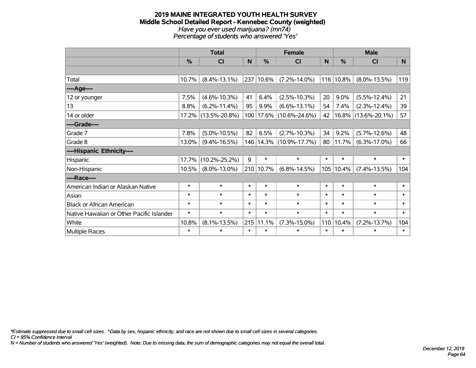#### **2019 MAINE INTEGRATED YOUTH HEALTH SURVEY Middle School Detailed Report - Kennebec County (weighted)** *Have you ever used marijuana? (mn74) Percentage of students who answered 'Yes'*

|                                           | <b>Total</b> |                     |        |          | <b>Female</b>       |        | <b>Male</b> |                        |        |  |
|-------------------------------------------|--------------|---------------------|--------|----------|---------------------|--------|-------------|------------------------|--------|--|
|                                           | $\%$         | CI                  | N      | $\%$     | <b>CI</b>           | N      | %           | <b>CI</b>              | N      |  |
|                                           |              |                     |        |          |                     |        |             |                        |        |  |
| Total                                     | 10.7%        | $(8.4\% - 13.1\%)$  | 237    | 10.6%    | $(7.2\% - 14.0\%)$  |        | 116 10.8%   | $(8.0\% - 13.5\%)$     | 119    |  |
| ----Age----                               |              |                     |        |          |                     |        |             |                        |        |  |
| 12 or younger                             | 7.5%         | $(4.6\% - 10.3\%)$  | 41     | 6.4%     | $(2.5\% - 10.3\%)$  | 20     | 9.0%        | $(5.5\% - 12.4\%)$     | 21     |  |
| 13                                        | 8.8%         | $(6.2\% - 11.4\%)$  | 95     | 9.9%     | $(6.6\% - 13.1\%)$  | 54     | 7.4%        | $(2.3\% - 12.4\%)$     | 39     |  |
| 14 or older                               |              | 17.2% (13.5%-20.8%) | 100    | $17.6\%$ | $(10.6\% - 24.6\%)$ | 42     |             | $16.8\%$ (13.6%-20.1%) | 57     |  |
| ----Grade----                             |              |                     |        |          |                     |        |             |                        |        |  |
| Grade 7                                   | 7.8%         | $(5.0\% - 10.5\%)$  | 82     | 6.5%     | $(2.7\% - 10.3\%)$  | 34     | 9.2%        | $(5.7\% - 12.6\%)$     | 48     |  |
| Grade 8                                   | 13.0%        | $(9.4\% - 16.5\%)$  | 146    |          | 14.3% (10.9%-17.7%) | 80     | 11.7%       | $(6.3\% - 17.0\%)$     | 66     |  |
| ----Hispanic Ethnicity----                |              |                     |        |          |                     |        |             |                        |        |  |
| Hispanic                                  | 17.7%        | $(10.2\% - 25.2\%)$ | 9      | $\ast$   | $\ast$              | $\ast$ | $\ast$      | $\ast$                 | $\ast$ |  |
| Non-Hispanic                              | 10.5%        | $(8.0\% - 13.0\%)$  | 210    | 10.7%    | $(6.8\% - 14.5\%)$  | 105    | 10.4%       | $(7.4\% - 13.5\%)$     | 104    |  |
| ----Race----                              |              |                     |        |          |                     |        |             |                        |        |  |
| American Indian or Alaskan Native         | $\ast$       | $\ast$              | $\ast$ | $\ast$   | $\ast$              | $\ast$ | $\ast$      | $\ast$                 | $\ast$ |  |
| Asian                                     | $\ast$       | $\ast$              | $\ast$ | $\ast$   | $\ast$              | $\ast$ | $\ast$      | $\ast$                 | $\ast$ |  |
| <b>Black or African American</b>          | $\ast$       | $\ast$              | $\ast$ | $\ast$   | $\ast$              | $\ast$ | $\ast$      | $\ast$                 | $\ast$ |  |
| Native Hawaiian or Other Pacific Islander | $\ast$       | $\ast$              | $\ast$ | $\ast$   | $\ast$              | $\ast$ | $\ast$      | $\ast$                 | $\ast$ |  |
| White                                     | 10.8%        | $(8.1\% - 13.5\%)$  | 215    | 11.1%    | $(7.3\% - 15.0\%)$  | 110    | 10.4%       | $(7.2\% - 13.7\%)$     | 104    |  |
| Multiple Races                            | $\ast$       | $\ast$              | $\ast$ | $\ast$   | $\ast$              | $\ast$ | $\ast$      | $\ast$                 | $\ast$ |  |

*\*Estimate suppressed due to small cell sizes. ^Data by sex, hispanic ethnicity, and race are not shown due to small cell sizes in several categories.*

*CI = 95% Confidence Interval*

*N = Number of students who answered 'Yes' (weighted). Note: Due to missing data, the sum of demographic categories may not equal the overall total.*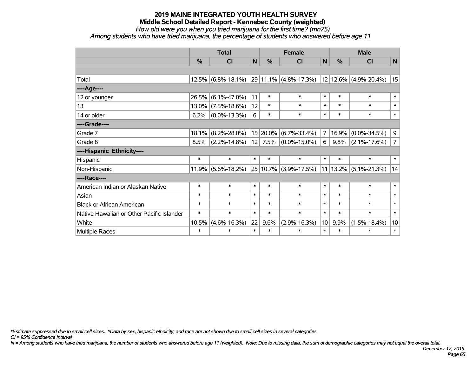*How old were you when you tried marijuana for the first time? (mn75)*

*Among students who have tried marijuana, the percentage of students who answered before age 11*

|                                           | <b>Total</b> |                       |        | <b>Female</b> |                                                                                             |                 | <b>Male</b> |                    |                |
|-------------------------------------------|--------------|-----------------------|--------|---------------|---------------------------------------------------------------------------------------------|-----------------|-------------|--------------------|----------------|
|                                           | $\%$         | <b>CI</b>             | N      | $\frac{0}{0}$ | <b>CI</b>                                                                                   | N               | $\%$        | <b>CI</b>          | N              |
|                                           |              |                       |        |               |                                                                                             |                 |             |                    |                |
| Total                                     |              | $12.5\%$ (6.8%-18.1%) |        |               | $\vert$ 29 $\vert$ 11.1% $\vert$ (4.8%-17.3%) $\vert$ 12 $\vert$ 12.6% $\vert$ (4.9%-20.4%) |                 |             |                    | 15             |
| ----Age----                               |              |                       |        |               |                                                                                             |                 |             |                    |                |
| 12 or younger                             | 26.5%        | $(6.1\% - 47.0\%)$    | 11     | $\ast$        | $\ast$                                                                                      | $\ast$          | $\ast$      | $\ast$             | $\ast$         |
| 13                                        | 13.0%        | $(7.5\% - 18.6\%)$    | 12     | $\ast$        | $\ast$                                                                                      | $\ast$          | $\ast$      | $\ast$             | $\ast$         |
| 14 or older                               | 6.2%         | $(0.0\% - 13.3\%)$    | 6      | $\ast$        | $\ast$                                                                                      | $\ast$          | $\ast$      | $\ast$             | $\ast$         |
| ----Grade----                             |              |                       |        |               |                                                                                             |                 |             |                    |                |
| Grade 7                                   | 18.1%        | $(8.2\% - 28.0\%)$    |        | 15 20.0%      | $(6.7\% - 33.4\%)$                                                                          | $\overline{7}$  | 16.9%       | $(0.0\% - 34.5\%)$ | 9              |
| Grade 8                                   | 8.5%         | $(2.2\% - 14.8\%)$    | 12     |               | $7.5\%$ (0.0%-15.0%)                                                                        | 6               | $9.8\%$     | $(2.1\% - 17.6\%)$ | $\overline{7}$ |
| ----Hispanic Ethnicity----                |              |                       |        |               |                                                                                             |                 |             |                    |                |
| Hispanic                                  | $\ast$       | $\ast$                | $\ast$ | $\ast$        | $\ast$                                                                                      | $\ast$          | $\ast$      | $\ast$             | $\ast$         |
| Non-Hispanic                              | 11.9%        | $(5.6\% - 18.2\%)$    |        |               | 25 10.7% (3.9%-17.5%)                                                                       |                 | 11 13.2%    | $(5.1\% - 21.3\%)$ | 14             |
| ----Race----                              |              |                       |        |               |                                                                                             |                 |             |                    |                |
| American Indian or Alaskan Native         | $\ast$       | $\ast$                | $\ast$ | $\ast$        | $\ast$                                                                                      | $\ast$          | $\ast$      | $\ast$             | $\ast$         |
| Asian                                     | $\ast$       | $\ast$                | $\ast$ | $\ast$        | $\ast$                                                                                      | $\ast$          | $\ast$      | $\ast$             | $\ast$         |
| <b>Black or African American</b>          | $\ast$       | $\ast$                | $\ast$ | $\ast$        | $\ast$                                                                                      | $\ast$          | $\ast$      | $\ast$             | $\ast$         |
| Native Hawaiian or Other Pacific Islander | $\ast$       | $\ast$                | $\ast$ | $\ast$        | $\ast$                                                                                      | $\ast$          | $\ast$      | $\ast$             | $\ast$         |
| White                                     | 10.5%        | $(4.6\% - 16.3\%)$    | 22     | 9.6%          | $(2.9\% - 16.3\%)$                                                                          | 10 <sup>1</sup> | 9.9%        | $(1.5\% - 18.4\%)$ | 10             |
| Multiple Races                            | $\ast$       | $\ast$                | $\ast$ | $\ast$        | $\ast$                                                                                      | $\ast$          | $\ast$      | $\ast$             | $\ast$         |

*\*Estimate suppressed due to small cell sizes. ^Data by sex, hispanic ethnicity, and race are not shown due to small cell sizes in several categories.*

*CI = 95% Confidence Interval*

*N = Among students who have tried marijuana, the number of students who answered before age 11 (weighted). Note: Due to missing data, the sum of demographic categories may not equal the overall total.*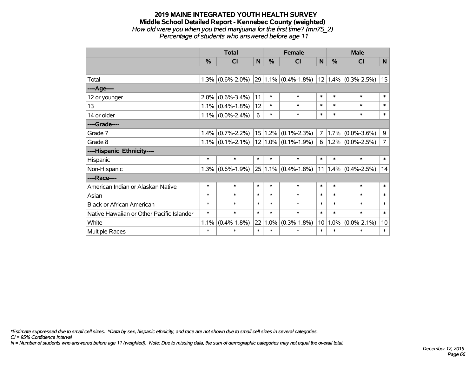### **2019 MAINE INTEGRATED YOUTH HEALTH SURVEY Middle School Detailed Report - Kennebec County (weighted)** *How old were you when you tried marijuana for the first time? (mn75\_2) Percentage of students who answered before age 11*

|                                           | <b>Total</b> |                     |              | <b>Female</b> |                          |                | <b>Male</b> |                       |                |  |
|-------------------------------------------|--------------|---------------------|--------------|---------------|--------------------------|----------------|-------------|-----------------------|----------------|--|
|                                           | %            | <b>CI</b>           | $\mathsf{N}$ | %             | <b>CI</b>                | $\mathsf{N}$   | %           | <b>CI</b>             | N              |  |
|                                           |              |                     |              |               |                          |                |             |                       |                |  |
| Total                                     |              | $1.3\%$ (0.6%-2.0%) |              |               | $29 1.1\% $ (0.4%-1.8%)  |                |             | $12$ 1.4% (0.3%-2.5%) | 15             |  |
| ----Age----                               |              |                     |              |               |                          |                |             |                       |                |  |
| 12 or younger                             | 2.0%         | $(0.6\% - 3.4\%)$   | 11           | $\ast$        | $\ast$                   | $\ast$         | $\ast$      | $\ast$                | $\ast$         |  |
| 13                                        |              | $1.1\%$ (0.4%-1.8%) | 12           | $\ast$        | $\ast$                   | $\ast$         | $\ast$      | $\ast$                | $\ast$         |  |
| 14 or older                               |              | $1.1\%$ (0.0%-2.4%) | 6            | $\ast$        | $\ast$                   | $\ast$         | $\ast$      | $\ast$                | $\ast$         |  |
| ----Grade----                             |              |                     |              |               |                          |                |             |                       |                |  |
| Grade 7                                   | 1.4%         | $(0.7\% - 2.2\%)$   |              | 15 1.2%       | $(0.1\% - 2.3\%)$        | $\overline{7}$ | 1.7%        | $(0.0\% - 3.6\%)$     | 9              |  |
| Grade 8                                   |              | $1.1\%$ (0.1%-2.1%) |              |               | $ 12 1.0\% $ (0.1%-1.9%) | 6              |             | $1.2\%$ (0.0%-2.5%)   | $\overline{7}$ |  |
| ----Hispanic Ethnicity----                |              |                     |              |               |                          |                |             |                       |                |  |
| Hispanic                                  | $\ast$       | $\ast$              | $\ast$       | $\ast$        | $\ast$                   | $\ast$         | $\ast$      | $\ast$                | $\ast$         |  |
| Non-Hispanic                              |              | $1.3\%$ (0.6%-1.9%) |              |               | $25 1.1\% $ (0.4%-1.8%)  | 11             |             | $1.4\%$ (0.4%-2.5%)   | 14             |  |
| ----Race----                              |              |                     |              |               |                          |                |             |                       |                |  |
| American Indian or Alaskan Native         | $\ast$       | $\ast$              | $\ast$       | $\ast$        | $\ast$                   | $\ast$         | $\ast$      | $\ast$                | $\ast$         |  |
| Asian                                     | $\ast$       | $\ast$              | $\ast$       | $\ast$        | $\ast$                   | $\ast$         | $\ast$      | $\ast$                | $\ast$         |  |
| <b>Black or African American</b>          | $\ast$       | $\ast$              | $\ast$       | $\ast$        | $\ast$                   | $\ast$         | $\ast$      | $\ast$                | $\ast$         |  |
| Native Hawaiian or Other Pacific Islander | $\ast$       | $\ast$              | $\ast$       | $\ast$        | $\ast$                   | $\ast$         | $\ast$      | $\ast$                | $\ast$         |  |
| White                                     | 1.1%         | $(0.4\% - 1.8\%)$   | 22           | 1.0%          | $(0.3\% - 1.8\%)$        | 10             | 1.0%        | $(0.0\% - 2.1\%)$     | 10             |  |
| Multiple Races                            | $\ast$       | $\ast$              | $\ast$       | $\ast$        | $\ast$                   | $\ast$         | $\ast$      | $\ast$                | $\ast$         |  |

*\*Estimate suppressed due to small cell sizes. ^Data by sex, hispanic ethnicity, and race are not shown due to small cell sizes in several categories.*

*CI = 95% Confidence Interval*

*N = Number of students who answered before age 11 (weighted). Note: Due to missing data, the sum of demographic categories may not equal the overall total.*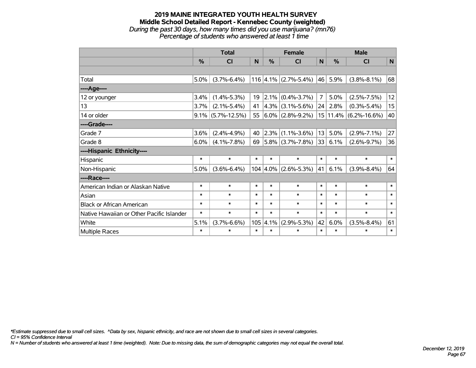### **2019 MAINE INTEGRATED YOUTH HEALTH SURVEY Middle School Detailed Report - Kennebec County (weighted)** *During the past 30 days, how many times did you use marijuana? (mn76) Percentage of students who answered at least 1 time*

|                                           | <b>Total</b>  |                      |        |               | <b>Female</b>                         |                | <b>Male</b> |                           |        |  |
|-------------------------------------------|---------------|----------------------|--------|---------------|---------------------------------------|----------------|-------------|---------------------------|--------|--|
|                                           | $\frac{0}{0}$ | CI                   | N      | $\frac{0}{2}$ | <b>CI</b>                             | N              | %           | <b>CI</b>                 | N      |  |
|                                           |               |                      |        |               |                                       |                |             |                           |        |  |
| Total                                     | $5.0\%$       | $(3.7\% - 6.4\%)$    |        |               | 116 4.1% $(2.7\% - 5.4\%)$ 46         |                | 5.9%        | $(3.8\% - 8.1\%)$         | 68     |  |
| ----Age----                               |               |                      |        |               |                                       |                |             |                           |        |  |
| 12 or younger                             | 3.4%          | $(1.4\% - 5.3\%)$    | 19     |               | $ 2.1\% $ (0.4%-3.7%)                 | $\overline{7}$ | 5.0%        | $(2.5\% - 7.5\%)$         | 12     |  |
| 13                                        | $3.7\%$       | $(2.1\% - 5.4\%)$    | 41     |               | $4.3\%$ (3.1%-5.6%)                   | 24             | 2.8%        | $(0.3\% - 5.4\%)$         | 15     |  |
| 14 or older                               |               | $9.1\%$ (5.7%-12.5%) |        |               | 55 $ 6.0\% $ (2.8%-9.2%)              |                |             | $15 11.4\% $ (6.2%-16.6%) | 40     |  |
| ----Grade----                             |               |                      |        |               |                                       |                |             |                           |        |  |
| Grade 7                                   | 3.6%          | $(2.4\% - 4.9\%)$    | 40     | $ 2.3\% $     | $(1.1\% - 3.6\%)$                     | 13             | 5.0%        | $(2.9\% - 7.1\%)$         | 27     |  |
| Grade 8                                   | $6.0\%$       | $(4.1\% - 7.8\%)$    | 69     |               | $ 5.8\% $ (3.7%-7.8%)                 | 33             | 6.1%        | $(2.6\% - 9.7\%)$         | 36     |  |
| ----Hispanic Ethnicity----                |               |                      |        |               |                                       |                |             |                           |        |  |
| Hispanic                                  | $\ast$        | $\ast$               | $\ast$ | *             | $\ast$                                | $\ast$         | $\ast$      | $\ast$                    | $\ast$ |  |
| Non-Hispanic                              | 5.0%          | $(3.6\% - 6.4\%)$    |        |               | $104 \mid 4.0\% \mid (2.6\% - 5.3\%)$ | 41             | 6.1%        | $(3.9\% - 8.4\%)$         | 64     |  |
| ----Race----                              |               |                      |        |               |                                       |                |             |                           |        |  |
| American Indian or Alaskan Native         | $\ast$        | $\ast$               | $\ast$ | $\ast$        | $\ast$                                | $\ast$         | $\ast$      | $\ast$                    | $\ast$ |  |
| Asian                                     | $\ast$        | $\ast$               | $\ast$ | $\ast$        | $\ast$                                | $\ast$         | $\ast$      | $\ast$                    | $\ast$ |  |
| <b>Black or African American</b>          | $\ast$        | $\ast$               | $\ast$ | $\ast$        | $\ast$                                | $\ast$         | $\ast$      | $\ast$                    | $\ast$ |  |
| Native Hawaiian or Other Pacific Islander | $\ast$        | $\ast$               | $\ast$ | $\ast$        | $\ast$                                | $\ast$         | $\ast$      | $\ast$                    | $\ast$ |  |
| White                                     | 5.1%          | $(3.7\% - 6.6\%)$    | 105    | 4.1%          | $(2.9\% - 5.3\%)$                     | 42             | 6.0%        | $(3.5\% - 8.4\%)$         | 61     |  |
| Multiple Races                            | $\ast$        | $\ast$               | $\ast$ | $\ast$        | *                                     | $\ast$         | $\ast$      | $\ast$                    | $\ast$ |  |

*\*Estimate suppressed due to small cell sizes. ^Data by sex, hispanic ethnicity, and race are not shown due to small cell sizes in several categories.*

*CI = 95% Confidence Interval*

*N = Number of students who answered at least 1 time (weighted). Note: Due to missing data, the sum of demographic categories may not equal the overall total.*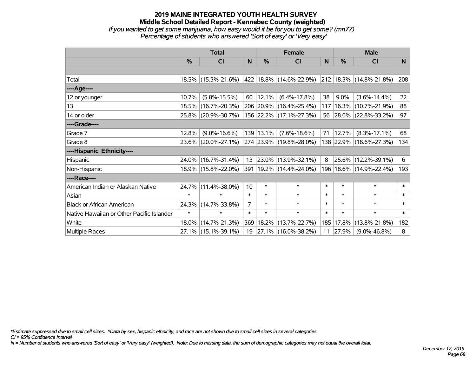### **2019 MAINE INTEGRATED YOUTH HEALTH SURVEY Middle School Detailed Report - Kennebec County (weighted)** *If you wanted to get some marijuana, how easy would it be for you to get some? (mn77) Percentage of students who answered 'Sort of easy' or 'Very easy'*

|                                           | <b>Total</b>  |                     |                | <b>Female</b> | <b>Male</b>                 |        |         |                             |        |
|-------------------------------------------|---------------|---------------------|----------------|---------------|-----------------------------|--------|---------|-----------------------------|--------|
|                                           | $\frac{0}{0}$ | <b>CI</b>           | N              | $\frac{9}{6}$ | <b>CI</b>                   | N      | %       | <b>CI</b>                   | N.     |
|                                           |               |                     |                |               |                             |        |         |                             |        |
| Total                                     |               | 18.5% (15.3%-21.6%) |                |               | 422   18.8%   (14.6%-22.9%) |        |         | 212 18.3% (14.8%-21.8%)     | 208    |
| ----Age----                               |               |                     |                |               |                             |        |         |                             |        |
| 12 or younger                             | 10.7%         | $(5.8\% - 15.5\%)$  | 60             | $ 12.1\% $    | $(6.4\% - 17.8\%)$          | 38     | $9.0\%$ | $(3.6\% - 14.4\%)$          | 22     |
| 13                                        | 18.5%         | $(16.7\% - 20.3\%)$ |                |               | 206 20.9% (16.4%-25.4%)     | 117    | 16.3%   | $(10.7\% - 21.9\%)$         | 88     |
| 14 or older                               |               | 25.8% (20.9%-30.7%) |                |               | 156 22.2% (17.1%-27.3%)     |        |         | 56 28.0% (22.8%-33.2%)      | 97     |
| ----Grade----                             |               |                     |                |               |                             |        |         |                             |        |
| Grade 7                                   | 12.8%         | $(9.0\% - 16.6\%)$  |                | 139 13.1%     | $(7.6\% - 18.6\%)$          | 71     | 12.7%   | $(8.3\% - 17.1\%)$          | 68     |
| Grade 8                                   | $23.6\%$      | $(20.0\% - 27.1\%)$ |                |               | 274 23.9% (19.8%-28.0%)     |        |         | 138 22.9% (18.6%-27.3%)     | 134    |
| ----Hispanic Ethnicity----                |               |                     |                |               |                             |        |         |                             |        |
| Hispanic                                  | 24.0%         | $(16.7\% - 31.4\%)$ | 13             |               | $ 23.0\% $ (13.9%-32.1%)    | 8      | 25.6%   | $(12.2\% - 39.1\%)$         | 6      |
| Non-Hispanic                              |               | 18.9% (15.8%-22.0%) |                |               | 391   19.2%   (14.4%-24.0%) |        |         | 196   18.6%   (14.9%-22.4%) | 193    |
| ----Race----                              |               |                     |                |               |                             |        |         |                             |        |
| American Indian or Alaskan Native         | 24.7%         | $(11.4\% - 38.0\%)$ | 10             | $\ast$        | $\ast$                      | $\ast$ | $\ast$  | $\ast$                      | $\ast$ |
| Asian                                     | $\ast$        | $\ast$              | $\ast$         | $\ast$        | $\ast$                      | $\ast$ | $\ast$  | $\ast$                      | $\ast$ |
| <b>Black or African American</b>          | 24.3%         | $(14.7\% - 33.8\%)$ | $\overline{7}$ | $\ast$        | $\ast$                      | $\ast$ | $\ast$  | $\ast$                      | $\ast$ |
| Native Hawaiian or Other Pacific Islander | $\ast$        | $\ast$              | $\ast$         | $\ast$        | $\ast$                      | $\ast$ | $\ast$  | $\ast$                      | $\ast$ |
| White                                     | 18.0%         | $(14.7\% - 21.3\%)$ |                |               | 369   18.2%   (13.7%-22.7%) | 185    | 17.8%   | $(13.8\% - 21.8\%)$         | 182    |
| <b>Multiple Races</b>                     |               | 27.1% (15.1%-39.1%) | 19             |               | $ 27.1\% $ (16.0%-38.2%)    | 11     | 27.9%   | $(9.0\% - 46.8\%)$          | 8      |

*\*Estimate suppressed due to small cell sizes. ^Data by sex, hispanic ethnicity, and race are not shown due to small cell sizes in several categories.*

*CI = 95% Confidence Interval*

*N = Number of students who answered 'Sort of easy' or 'Very easy' (weighted). Note: Due to missing data, the sum of demographic categories may not equal the overall total.*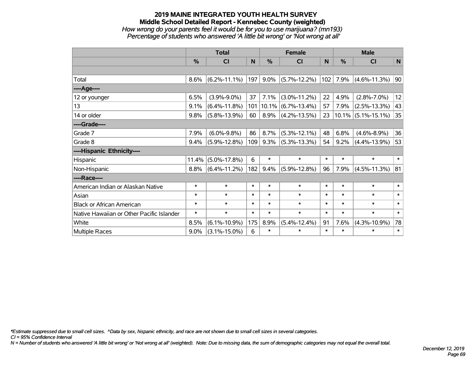# **2019 MAINE INTEGRATED YOUTH HEALTH SURVEY Middle School Detailed Report - Kennebec County (weighted)** *How wrong do your parents feel it would be for you to use marijuana? (mn193) Percentage of students who answered 'A little bit wrong' or 'Not wrong at all'*

|                                           | <b>Total</b> |                    |        |          | <b>Female</b>      |        | <b>Male</b> |                       |              |  |
|-------------------------------------------|--------------|--------------------|--------|----------|--------------------|--------|-------------|-----------------------|--------------|--|
|                                           | $\%$         | CI                 | N      | $\%$     | <b>CI</b>          | N      | $\%$        | <b>CI</b>             | N            |  |
|                                           |              |                    |        |          |                    |        |             |                       |              |  |
| Total                                     | 8.6%         | $(6.2\% - 11.1\%)$ | 197    | 9.0%     | $(5.7\% - 12.2\%)$ | 102    | 7.9%        | $(4.6\% - 11.3\%)$    | 90           |  |
| ----Age----                               |              |                    |        |          |                    |        |             |                       |              |  |
| 12 or younger                             | 6.5%         | $(3.9\% - 9.0\%)$  | 37     | 7.1%     | $(3.0\% - 11.2\%)$ | 22     | 4.9%        | $(2.8\% - 7.0\%)$     | 12           |  |
| 13                                        | 9.1%         | $(6.4\% - 11.8\%)$ | 101    | $10.1\%$ | $(6.7\% - 13.4\%)$ | 57     | 7.9%        | $(2.5\% - 13.3\%)$    | 43           |  |
| 14 or older                               | 9.8%         | $(5.8\% - 13.9\%)$ | 60     | 8.9%     | $(4.2\% - 13.5\%)$ | 23     |             | $10.1\%$ (5.1%-15.1%) | 35           |  |
| ----Grade----                             |              |                    |        |          |                    |        |             |                       |              |  |
| Grade 7                                   | 7.9%         | $(6.0\% - 9.8\%)$  | 86     | 8.7%     | $(5.3\% - 12.1\%)$ | 48     | 6.8%        | $(4.6\% - 8.9\%)$     | 36           |  |
| Grade 8                                   | 9.4%         | $(5.9\% - 12.8\%)$ | 109    | 9.3%     | $(5.3\% - 13.3\%)$ | 54     | 9.2%        | $(4.4\% - 13.9\%)$    | 53           |  |
| ----Hispanic Ethnicity----                |              |                    |        |          |                    |        |             |                       |              |  |
| Hispanic                                  | 11.4%        | $(5.0\% - 17.8\%)$ | 6      | $\ast$   | $\ast$             | $\ast$ | $\ast$      | $\ast$                | $\ast$       |  |
| Non-Hispanic                              | 8.8%         | $(6.4\% - 11.2\%)$ | 182    | 9.4%     | $(5.9\% - 12.8\%)$ | 96     | 7.9%        | $(4.5\% - 11.3\%)$    | 81           |  |
| ----Race----                              |              |                    |        |          |                    |        |             |                       |              |  |
| American Indian or Alaskan Native         | $\ast$       | $\ast$             | $\ast$ | $\ast$   | $\ast$             | $\ast$ | $\ast$      | $\ast$                | $\ast$       |  |
| Asian                                     | $\ast$       | $\ast$             | $\ast$ | $\ast$   | $\ast$             | $\ast$ | $\ast$      | $\ast$                | $\ast$       |  |
| <b>Black or African American</b>          | $\ast$       | $\ast$             | $\ast$ | $\ast$   | $\ast$             | $\ast$ | $\ast$      | $\ast$                | $\ast$       |  |
| Native Hawaiian or Other Pacific Islander | $\ast$       | $\ast$             | $\ast$ | $\ast$   | $\ast$             | $\ast$ | $\ast$      | $\ast$                | $\pmb{\ast}$ |  |
| White                                     | 8.5%         | $(6.1\% - 10.9\%)$ | 175    | 8.9%     | $(5.4\% - 12.4\%)$ | 91     | 7.6%        | $(4.3\% - 10.9\%)$    | 78           |  |
| <b>Multiple Races</b>                     | $9.0\%$      | $(3.1\% - 15.0\%)$ | 6      | $\ast$   | $\ast$             | $\ast$ | $\ast$      | $\ast$                | $\ast$       |  |

*\*Estimate suppressed due to small cell sizes. ^Data by sex, hispanic ethnicity, and race are not shown due to small cell sizes in several categories.*

*CI = 95% Confidence Interval*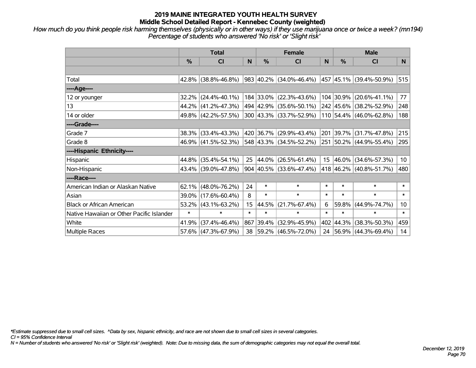*How much do you think people risk harming themselves (physically or in other ways) if they use marijuana once or twice a week? (mn194) Percentage of students who answered 'No risk' or 'Slight risk'*

|                                           | <b>Total</b> |                        |                  | <b>Female</b> | <b>Male</b>                 |        |           |                              |                 |
|-------------------------------------------|--------------|------------------------|------------------|---------------|-----------------------------|--------|-----------|------------------------------|-----------------|
|                                           | $\%$         | <b>CI</b>              | N                | $\%$          | <b>CI</b>                   | N      | $\%$      | <b>CI</b>                    | N.              |
|                                           |              |                        |                  |               |                             |        |           |                              |                 |
| Total                                     |              | 42.8% (38.8%-46.8%)    |                  |               | 983 40.2% (34.0%-46.4%)     |        |           | $ 457 45.1\% $ (39.4%-50.9%) | 515             |
| ----Age----                               |              |                        |                  |               |                             |        |           |                              |                 |
| 12 or younger                             | 32.2%        | $(24.4\% - 40.1\%)$    |                  |               | 184 33.0% (22.3%-43.6%)     |        | 104 30.9% | $(20.6\% - 41.1\%)$          | 77              |
| 13                                        |              | 44.2% (41.2%-47.3%)    |                  |               | 494 42.9% (35.6%-50.1%)     |        |           | 242 45.6% (38.2%-52.9%)      | 248             |
| 14 or older                               |              | 49.8% (42.2%-57.5%)    |                  |               | 300 43.3% (33.7%-52.9%)     |        |           | 110 54.4% (46.0%-62.8%)      | 188             |
| ----Grade----                             |              |                        |                  |               |                             |        |           |                              |                 |
| Grade 7                                   |              | 38.3% (33.4%-43.3%)    |                  |               | 420 36.7% (29.9%-43.4%)     |        | 201 39.7% | $(31.7\% - 47.8\%)$          | 215             |
| Grade 8                                   |              | 46.9% (41.5%-52.3%)    |                  |               | 548 43.3% (34.5%-52.2%)     |        |           | 251 50.2% (44.9%-55.4%)      | 295             |
| ----Hispanic Ethnicity----                |              |                        |                  |               |                             |        |           |                              |                 |
| Hispanic                                  |              | 44.8% (35.4%-54.1%)    | 25               | 44.0%         | $(26.5\% - 61.4\%)$         | 15     | 46.0%     | $(34.6\% - 57.3\%)$          | 10 <sup>°</sup> |
| Non-Hispanic                              |              | 43.4% (39.0%-47.8%)    |                  |               | $904 40.5\% $ (33.6%-47.4%) |        |           | 418 46.2% (40.8%-51.7%)      | 480             |
| ----Race----                              |              |                        |                  |               |                             |        |           |                              |                 |
| American Indian or Alaskan Native         |              | $62.1\%$ (48.0%-76.2%) | 24               | $\ast$        | $\ast$                      | $\ast$ | $\ast$    | $\ast$                       | $\ast$          |
| Asian                                     |              | 39.0% (17.6%-60.4%)    | 8                | $\ast$        | $\ast$                      | $\ast$ | $\ast$    | $\ast$                       | $\ast$          |
| <b>Black or African American</b>          |              | $53.2\%$ (43.1%-63.2%) | 15 <sub>15</sub> | 44.5%         | $(21.7\% - 67.4\%)$         | 6      | 59.8%     | $(44.9\% - 74.7\%)$          | 10              |
| Native Hawaiian or Other Pacific Islander | $\ast$       | $\ast$                 | $\ast$           | $\ast$        | $\ast$                      | $\ast$ | $\ast$    | $\ast$                       | $\ast$          |
| White                                     | 41.9%        | $(37.4\% - 46.4\%)$    | 867              | 39.4%         | $(32.9\% - 45.9\%)$         | 402    | 44.3%     | $(38.3\% - 50.3\%)$          | 459             |
| <b>Multiple Races</b>                     |              | 57.6% (47.3%-67.9%)    | 38               |               | $ 59.2\% $ (46.5%-72.0%)    |        |           | 24 56.9% (44.3%-69.4%)       | 14              |

*\*Estimate suppressed due to small cell sizes. ^Data by sex, hispanic ethnicity, and race are not shown due to small cell sizes in several categories.*

*CI = 95% Confidence Interval*

*N = Number of students who answered 'No risk' or 'Slight risk' (weighted). Note: Due to missing data, the sum of demographic categories may not equal the overall total.*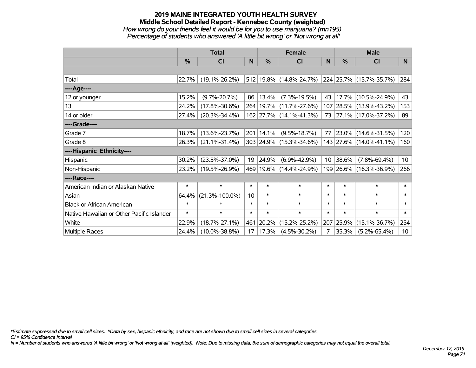# **2019 MAINE INTEGRATED YOUTH HEALTH SURVEY Middle School Detailed Report - Kennebec County (weighted)** *How wrong do your friends feel it would be for you to use marijuana? (mn195) Percentage of students who answered 'A little bit wrong' or 'Not wrong at all'*

|                                           | <b>Total</b> |                      |        | <b>Female</b> | <b>Male</b>                 |        |               |                         |                 |
|-------------------------------------------|--------------|----------------------|--------|---------------|-----------------------------|--------|---------------|-------------------------|-----------------|
|                                           | %            | <b>CI</b>            | N      | %             | CI                          | N      | $\frac{0}{0}$ | <b>CI</b>               | N               |
|                                           |              |                      |        |               |                             |        |               |                         |                 |
| Total                                     | 22.7%        | $(19.1\% - 26.2\%)$  |        |               | 512 19.8% (14.8%-24.7%)     |        |               | 224 25.7% (15.7%-35.7%) | 284             |
| ----Age----                               |              |                      |        |               |                             |        |               |                         |                 |
| 12 or younger                             | 15.2%        | $(9.7\% - 20.7\%)$   | 86     | 13.4%         | $(7.3\% - 19.5\%)$          | 43     |               | $17.7\%$ (10.5%-24.9%)  | 43              |
| 13                                        | 24.2%        | $(17.8\% - 30.6\%)$  |        |               | 264   19.7%   (11.7%-27.6%) |        |               | 107 28.5% (13.9%-43.2%) | 153             |
| 14 or older                               | 27.4%        | $(20.3\% - 34.4\%)$  |        |               | 162 27.7% (14.1%-41.3%)     |        |               | 73 27.1% (17.0%-37.2%)  | 89              |
| ----Grade----                             |              |                      |        |               |                             |        |               |                         |                 |
| Grade 7                                   | 18.7%        | $(13.6\% - 23.7\%)$  |        | 201 14.1%     | $(9.5\% - 18.7\%)$          | 77     |               | 23.0% (14.6%-31.5%)     | 120             |
| Grade 8                                   | 26.3%        | $(21.1\% - 31.4\%)$  |        |               | 303 24.9% (15.3%-34.6%)     |        |               | 143 27.6% (14.0%-41.1%) | 160             |
| ----Hispanic Ethnicity----                |              |                      |        |               |                             |        |               |                         |                 |
| Hispanic                                  | 30.2%        | $(23.5\% - 37.0\%)$  | 19     | 24.9%         | $(6.9\% - 42.9\%)$          | 10     | 38.6%         | $(7.8\% - 69.4\%)$      | 10 <sup>°</sup> |
| Non-Hispanic                              | 23.2%        | $(19.5\% - 26.9\%)$  |        |               | 469 19.6% (14.4%-24.9%)     |        |               | 199 26.6% (16.3%-36.9%) | 266             |
| ----Race----                              |              |                      |        |               |                             |        |               |                         |                 |
| American Indian or Alaskan Native         | $\ast$       | $\ast$               | $\ast$ | $\ast$        | $\ast$                      | $\ast$ | $\ast$        | $\ast$                  | $\ast$          |
| Asian                                     | 64.4%        | $(21.3\% - 100.0\%)$ | 10     | $\ast$        | $\ast$                      | $\ast$ | $\ast$        | $\ast$                  | $\ast$          |
| <b>Black or African American</b>          | $\ast$       | $\ast$               | $\ast$ | $\ast$        | $\ast$                      | $\ast$ | $\ast$        | $\ast$                  | $\ast$          |
| Native Hawaiian or Other Pacific Islander | $\ast$       | $\ast$               | $\ast$ | $\ast$        | $\ast$                      | $\ast$ | $\ast$        | $\ast$                  | $\ast$          |
| White                                     | 22.9%        | $(18.7\% - 27.1\%)$  | 461    | 20.2%         | $(15.2\% - 25.2\%)$         | 207    | 25.9%         | $(15.1\% - 36.7\%)$     | 254             |
| Multiple Races                            | 24.4%        | $(10.0\% - 38.8\%)$  | 17     | 17.3%         | $(4.5\% - 30.2\%)$          | 7      | 35.3%         | $(5.2\% - 65.4\%)$      | 10 <sup>°</sup> |

*\*Estimate suppressed due to small cell sizes. ^Data by sex, hispanic ethnicity, and race are not shown due to small cell sizes in several categories.*

*CI = 95% Confidence Interval*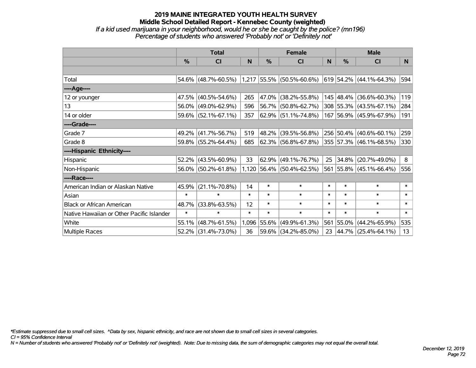# **2019 MAINE INTEGRATED YOUTH HEALTH SURVEY Middle School Detailed Report - Kennebec County (weighted)** *If a kid used marijuana in your neighborhood, would he or she be caught by the police? (mn196) Percentage of students who answered 'Probably not' or 'Definitely not'*

|                                           | <b>Total</b>  |                                               |        |             | <b>Female</b>               |        | <b>Male</b>   |                           |        |  |
|-------------------------------------------|---------------|-----------------------------------------------|--------|-------------|-----------------------------|--------|---------------|---------------------------|--------|--|
|                                           | $\frac{0}{0}$ | CI                                            | N      | %           | CI                          | N      | $\frac{0}{0}$ | <b>CI</b>                 | N.     |  |
|                                           |               |                                               |        |             |                             |        |               |                           |        |  |
| Total                                     |               | 54.6% (48.7%-60.5%) 1,217 55.5% (50.5%-60.6%) |        |             |                             |        |               | $619$ 54.2% (44.1%-64.3%) | 594    |  |
| ----Age----                               |               |                                               |        |             |                             |        |               |                           |        |  |
| 12 or younger                             | 47.5%         | $(40.5\% - 54.6\%)$                           | 265    | 47.0%       | $(38.2\% - 55.8\%)$         |        |               | 145 48.4% (36.6%-60.3%)   | 119    |  |
| 13                                        |               | 56.0% (49.0%-62.9%)                           | 596    |             | 56.7% (50.8%-62.7%)         |        |               | 308 55.3% (43.5%-67.1%)   | 284    |  |
| 14 or older                               |               | 59.6% (52.1%-67.1%)                           | 357    |             | $62.9\%$ (51.1%-74.8%)      |        |               | 167 56.9% (45.9%-67.9%)   | 191    |  |
| ----Grade----                             |               |                                               |        |             |                             |        |               |                           |        |  |
| Grade 7                                   | 49.2%         | $(41.7\% - 56.7\%)$                           | 519    | 48.2%       | $(39.5\% - 56.8\%)$         |        |               | 256 50.4% (40.6%-60.1%)   | 259    |  |
| Grade 8                                   |               | 59.8% (55.2%-64.4%)                           | 685    |             | $62.3\%$ (56.8%-67.8%)      |        |               | 355 57.3% (46.1%-68.5%)   | 330    |  |
| ----Hispanic Ethnicity----                |               |                                               |        |             |                             |        |               |                           |        |  |
| Hispanic                                  | 52.2%         | $(43.5\% - 60.9\%)$                           | 33     | 62.9%       | $(49.1\% - 76.7\%)$         | 25     | 34.8%         | $(20.7\% - 49.0\%)$       | 8      |  |
| Non-Hispanic                              |               | 56.0% (50.2%-61.8%)                           |        |             | $1,120$ 56.4% (50.4%-62.5%) |        |               | 561 55.8% (45.1%-66.4%)   | 556    |  |
| ----Race----                              |               |                                               |        |             |                             |        |               |                           |        |  |
| American Indian or Alaskan Native         | 45.9%         | $(21.1\% - 70.8\%)$                           | 14     | $\ast$      | $\ast$                      | $\ast$ | $\ast$        | $\ast$                    | $\ast$ |  |
| Asian                                     | $\ast$        | $\ast$                                        | $\ast$ | $\ast$      | $\ast$                      | $\ast$ | $\ast$        | $\ast$                    | $\ast$ |  |
| <b>Black or African American</b>          | 48.7%         | $(33.8\% - 63.5\%)$                           | 12     | $\ast$      | $\ast$                      | $\ast$ | $\ast$        | $\ast$                    | $\ast$ |  |
| Native Hawaiian or Other Pacific Islander | $\ast$        | $\ast$                                        | $\ast$ | $\ast$      | $\ast$                      | $\ast$ | $\ast$        | $\ast$                    | $\ast$ |  |
| White                                     | 55.1%         | $(48.7\% - 61.5\%)$                           |        | 1,096 55.6% | $(49.9\% - 61.3\%)$         | 561    | $ 55.0\% $    | $(44.2\% - 65.9\%)$       | 535    |  |
| Multiple Races                            |               | 52.2% (31.4%-73.0%)                           | 36     |             | 59.6% (34.2%-85.0%)         | 23     |               | $ 44.7\% $ (25.4%-64.1%)  | 13     |  |

*\*Estimate suppressed due to small cell sizes. ^Data by sex, hispanic ethnicity, and race are not shown due to small cell sizes in several categories.*

*CI = 95% Confidence Interval*

*N = Number of students who answered 'Probably not' or 'Definitely not' (weighted). Note: Due to missing data, the sum of demographic categories may not equal the overall total.*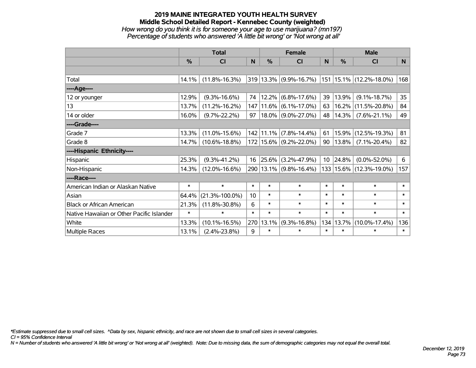# **2019 MAINE INTEGRATED YOUTH HEALTH SURVEY Middle School Detailed Report - Kennebec County (weighted)** *How wrong do you think it is for someone your age to use marijuana? (mn197) Percentage of students who answered 'A little bit wrong' or 'Not wrong at all'*

|                                           | <b>Total</b> |                      |        | <b>Female</b> |                            | <b>Male</b>     |        |                              |        |
|-------------------------------------------|--------------|----------------------|--------|---------------|----------------------------|-----------------|--------|------------------------------|--------|
|                                           | %            | <b>CI</b>            | N      | %             | CI                         | N               | %      | <b>CI</b>                    | N      |
|                                           |              |                      |        |               |                            |                 |        |                              |        |
| Total                                     | 14.1%        | $(11.8\% - 16.3\%)$  |        |               | 319 13.3% (9.9%-16.7%)     |                 |        | $ 151 15.1\% $ (12.2%-18.0%) | 168    |
| ----Age----                               |              |                      |        |               |                            |                 |        |                              |        |
| 12 or younger                             | 12.9%        | $(9.3\% - 16.6\%)$   | 74     |               | $12.2\%$ (6.8%-17.6%)      | 39              | 13.9%  | $(9.1\% - 18.7\%)$           | 35     |
| 13                                        | 13.7%        | $(11.2\% - 16.2\%)$  | 147    |               | $11.6\%$ (6.1%-17.0%)      | 63              | 16.2%  | $(11.5\% - 20.8\%)$          | 84     |
| 14 or older                               | 16.0%        | $(9.7\% - 22.2\%)$   | 97     |               | 18.0% (9.0%-27.0%)         | 48              | 14.3%  | $(7.6\% - 21.1\%)$           | 49     |
| ----Grade----                             |              |                      |        |               |                            |                 |        |                              |        |
| Grade 7                                   | 13.3%        | $(11.0\% - 15.6\%)$  | 142    |               | $11.1\%$ (7.8%-14.4%)      | 61              | 15.9%  | $(12.5\% - 19.3\%)$          | 81     |
| Grade 8                                   | 14.7%        | $(10.6\% - 18.8\%)$  |        |               | 172   15.6%   (9.2%-22.0%) | 90              | 13.8%  | $(7.1\% - 20.4\%)$           | 82     |
| ----Hispanic Ethnicity----                |              |                      |        |               |                            |                 |        |                              |        |
| Hispanic                                  | 25.3%        | $(9.3\% - 41.2\%)$   | 16     | 25.6%         | $(3.2\% - 47.9\%)$         | 10 <sup>°</sup> | 24.8%  | $(0.0\% - 52.0\%)$           | 6      |
| Non-Hispanic                              | 14.3%        | $(12.0\% - 16.6\%)$  |        |               | 290 13.1% (9.8%-16.4%)     |                 |        | 133   15.6%   (12.3%-19.0%)  | 157    |
| ----Race----                              |              |                      |        |               |                            |                 |        |                              |        |
| American Indian or Alaskan Native         | $\ast$       | $\ast$               | $\ast$ | $\ast$        | $\ast$                     | $\ast$          | $\ast$ | $\ast$                       | $\ast$ |
| Asian                                     | 64.4%        | $(21.3\% - 100.0\%)$ | 10     | $\ast$        | $\ast$                     | $\ast$          | $\ast$ | $\ast$                       | $\ast$ |
| <b>Black or African American</b>          | 21.3%        | $(11.8\% - 30.8\%)$  | 6      | $\ast$        | $\ast$                     | $\ast$          | $\ast$ | $\ast$                       | $\ast$ |
| Native Hawaiian or Other Pacific Islander | $\ast$       | $\ast$               | $\ast$ | $\ast$        | $\ast$                     | $\ast$          | $\ast$ | $\ast$                       | $\ast$ |
| White                                     | 13.3%        | $(10.1\% - 16.5\%)$  | 270    | 13.1%         | $(9.3\% - 16.8\%)$         | 134             | 13.7%  | $(10.0\% - 17.4\%)$          | 136    |
| Multiple Races                            | 13.1%        | $(2.4\% - 23.8\%)$   | 9      | $\ast$        | $\ast$                     | $\ast$          | $\ast$ | $\ast$                       | $\ast$ |

*\*Estimate suppressed due to small cell sizes. ^Data by sex, hispanic ethnicity, and race are not shown due to small cell sizes in several categories.*

*CI = 95% Confidence Interval*

*N = Number of students who answered 'A little bit wrong' or 'Not wrong at all' (weighted). Note: Due to missing data, the sum of demographic categories may not equal the overall total.*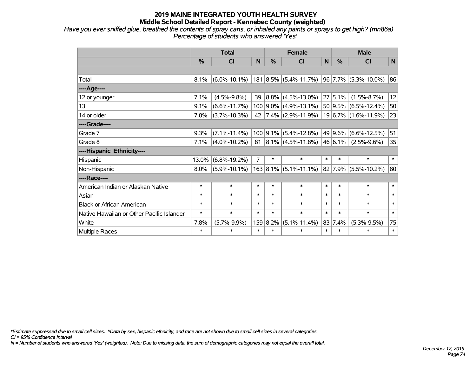*Have you ever sniffed glue, breathed the contents of spray cans, or inhaled any paints or sprays to get high? (mn86a) Percentage of students who answered 'Yes'*

|                                           | <b>Total</b> |                    |                |          | <b>Female</b>                                  | <b>Male</b>    |              |                           |          |
|-------------------------------------------|--------------|--------------------|----------------|----------|------------------------------------------------|----------------|--------------|---------------------------|----------|
|                                           | %            | <b>CI</b>          | N              | %        | <b>CI</b>                                      | N <sub>1</sub> | %            | <b>CI</b>                 | <b>N</b> |
|                                           |              |                    |                |          |                                                |                |              |                           |          |
| Total                                     | 8.1%         | $(6.0\% - 10.1\%)$ |                |          | 181 8.5% (5.4%-11.7%)                          |                |              | $ 96 7.7\% $ (5.3%-10.0%) | 86       |
| ----Age----                               |              |                    |                |          |                                                |                |              |                           |          |
| 12 or younger                             | 7.1%         | $(4.5\% - 9.8\%)$  | 39             |          | $ 8.8\% $ (4.5%-13.0%)                         |                | 27 5.1%      | $(1.5\% - 8.7\%)$         | 12       |
| 13                                        | 9.1%         | $(6.6\% - 11.7\%)$ |                |          | $100$   9.0%   (4.9%-13.1%)                    |                |              | 50 9.5% (6.5%-12.4%)      | 50       |
| 14 or older                               | 7.0%         | $(3.7\% - 10.3\%)$ | 42             |          | $ 7.4\% $ (2.9%-11.9%)                         |                |              | 19 6.7% (1.6%-11.9%)      | 23       |
| ----Grade----                             |              |                    |                |          |                                                |                |              |                           |          |
| Grade 7                                   | 9.3%         | $(7.1\% - 11.4\%)$ |                |          | $100$ 9.1% (5.4%-12.8%)                        |                | $ 49 9.6\% $ | $(6.6\% - 12.5\%)$        | 51       |
| Grade 8                                   | 7.1%         | $(4.0\% - 10.2\%)$ | 81             |          | $ 8.1\% $ (4.5%-11.8%) 46 6.1%                 |                |              | $(2.5\% - 9.6\%)$         | 35       |
| ----Hispanic Ethnicity----                |              |                    |                |          |                                                |                |              |                           |          |
| Hispanic                                  | 13.0%        | $(6.8\% - 19.2\%)$ | $\overline{7}$ | $\ast$   | $\ast$                                         | $\ast$         | $\ast$       | $\ast$                    | $\ast$   |
| Non-Hispanic                              | 8.0%         | $(5.9\% - 10.1\%)$ |                |          | $163 8.1\% $ (5.1%-11.1%) 82 7.9% (5.5%-10.2%) |                |              |                           | 80       |
| ----Race----                              |              |                    |                |          |                                                |                |              |                           |          |
| American Indian or Alaskan Native         | $\ast$       | $\ast$             | $\ast$         | $\ast$   | $\ast$                                         | $\ast$         | $\ast$       | $\ast$                    | $\ast$   |
| Asian                                     | $\ast$       | $\ast$             | $\ast$         | $\ast$   | $\ast$                                         | $\ast$         | $\ast$       | $\ast$                    | $\ast$   |
| <b>Black or African American</b>          | $\ast$       | $\ast$             | $\ast$         | $\ast$   | $\ast$                                         | $\ast$         | $\ast$       | $\ast$                    | $\ast$   |
| Native Hawaiian or Other Pacific Islander | $\ast$       | $\ast$             | $\ast$         | $\ast$   | $\ast$                                         | $\ast$         | $\ast$       | $\ast$                    | $\ast$   |
| White                                     | 7.8%         | $(5.7\% - 9.9\%)$  |                | 159 8.2% | $(5.1\% - 11.4\%)$                             |                | 83 7.4%      | $(5.3\% - 9.5\%)$         | 75       |
| <b>Multiple Races</b>                     | $\ast$       | *                  | $\ast$         | $\ast$   | $\ast$                                         | $\ast$         | $\ast$       | $\ast$                    | $\ast$   |

*\*Estimate suppressed due to small cell sizes. ^Data by sex, hispanic ethnicity, and race are not shown due to small cell sizes in several categories.*

*CI = 95% Confidence Interval*

*N = Number of students who answered 'Yes' (weighted). Note: Due to missing data, the sum of demographic categories may not equal the overall total.*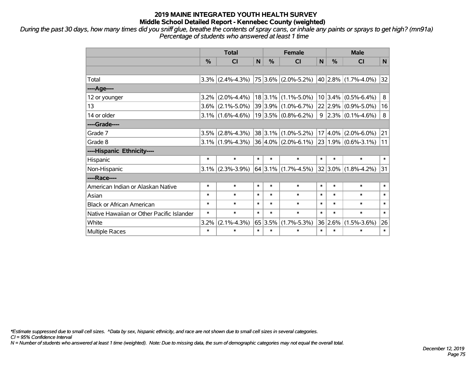*During the past 30 days, how many times did you sniff glue, breathe the contents of spray cans, or inhale any paints or sprays to get high? (mn91a) Percentage of students who answered at least 1 time*

|                                           | <b>Total</b>  |                                               |              | <b>Female</b> |                           |        | <b>Male</b> |                                             |        |  |
|-------------------------------------------|---------------|-----------------------------------------------|--------------|---------------|---------------------------|--------|-------------|---------------------------------------------|--------|--|
|                                           | $\frac{0}{2}$ | CI                                            | $\mathsf{N}$ | $\frac{0}{0}$ | <b>CI</b>                 | N      | $\%$        | <b>CI</b>                                   | N      |  |
|                                           |               |                                               |              |               |                           |        |             |                                             |        |  |
| Total                                     |               | $3.3\%$ (2.4%-4.3%)   75   3.6%   (2.0%-5.2%) |              |               |                           |        |             | 40 2.8% (1.7%-4.0%)                         | 32     |  |
| ----Age----                               |               |                                               |              |               |                           |        |             |                                             |        |  |
| 12 or younger                             | 3.2%          | $(2.0\% - 4.4\%)$                             |              |               | $18$ 3.1% (1.1%-5.0%)     |        |             | $10 3.4\% $ (0.5%-6.4%)                     | 8      |  |
| 13                                        | $3.6\%$       | $(2.1\% - 5.0\%)$                             |              |               | 39 3.9% (1.0%-6.7%)       |        |             | 22 2.9% (0.9%-5.0%)                         | 16     |  |
| 14 or older                               |               | $3.1\%$ (1.6%-4.6%)                           |              |               | $19 3.5\% $ (0.8%-6.2%)   |        |             | $9$   2.3%   (0.1%-4.6%)                    | 8      |  |
| ----Grade----                             |               |                                               |              |               |                           |        |             |                                             |        |  |
| Grade 7                                   | 3.5%          | $(2.8\% - 4.3\%)$                             |              |               | $38 3.1\% $ (1.0%-5.2%)   |        | $17 4.0\% $ | $(2.0\% - 6.0\%)$                           | 21     |  |
| Grade 8                                   |               | $3.1\%$ (1.9%-4.3%)                           |              |               | $36 4.0\% $ (2.0%-6.1%)   |        |             | $\vert$ 23 $\vert$ 1.9% $\vert$ (0.6%-3.1%) | 11     |  |
| ----Hispanic Ethnicity----                |               |                                               |              |               |                           |        |             |                                             |        |  |
| Hispanic                                  | $\ast$        | $\ast$                                        | $\ast$       | $\ast$        | $\ast$                    | $\ast$ | $\ast$      | $\ast$                                      | $\ast$ |  |
| Non-Hispanic                              | $3.1\%$       | $(2.3\% - 3.9\%)$                             |              |               | 64 3.1% $(1.7\% - 4.5\%)$ |        | $32 3.0\% $ | $(1.8\% - 4.2\%)$                           | 31     |  |
| ----Race----                              |               |                                               |              |               |                           |        |             |                                             |        |  |
| American Indian or Alaskan Native         | $\ast$        | $\ast$                                        | $\ast$       | $\ast$        | $\ast$                    | $\ast$ | $\ast$      | $\ast$                                      | $\ast$ |  |
| Asian                                     | $\ast$        | $\ast$                                        | $\ast$       | $\ast$        | $\ast$                    | $\ast$ | $\ast$      | $\ast$                                      | $\ast$ |  |
| <b>Black or African American</b>          | $\ast$        | $\ast$                                        | $\ast$       | $\ast$        | $\ast$                    | $\ast$ | $\ast$      | $\ast$                                      | $\ast$ |  |
| Native Hawaiian or Other Pacific Islander | $\ast$        | $\ast$                                        | $\ast$       | $\ast$        | $\ast$                    | $\ast$ | $\ast$      | $\ast$                                      | $\ast$ |  |
| White                                     | 3.2%          | $(2.1\% - 4.3\%)$                             | 65           | 3.5%          | $(1.7\% - 5.3\%)$         |        | 36 2.6%     | $(1.5\% - 3.6\%)$                           | 26     |  |
| Multiple Races                            | $\ast$        | $\ast$                                        | $\ast$       | $\ast$        | $\ast$                    | $\ast$ | $\ast$      | $\ast$                                      | $\ast$ |  |

*\*Estimate suppressed due to small cell sizes. ^Data by sex, hispanic ethnicity, and race are not shown due to small cell sizes in several categories.*

*CI = 95% Confidence Interval*

*N = Number of students who answered at least 1 time (weighted). Note: Due to missing data, the sum of demographic categories may not equal the overall total.*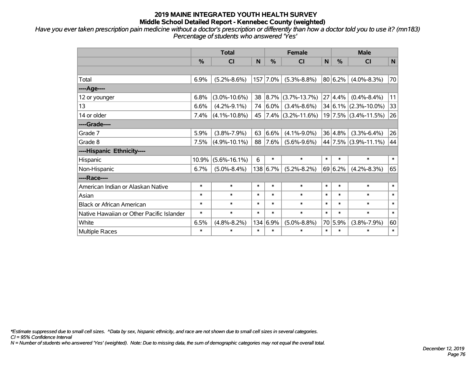*Have you ever taken prescription pain medicine without a doctor's prescription or differently than how a doctor told you to use it? (mn183) Percentage of students who answered 'Yes'*

|                                           | <b>Total</b> |                    |        | <b>Female</b> |                      |        | <b>Male</b> |                          |        |
|-------------------------------------------|--------------|--------------------|--------|---------------|----------------------|--------|-------------|--------------------------|--------|
|                                           | %            | CI                 | N      | %             | <b>CI</b>            | N      | %           | <b>CI</b>                | N      |
|                                           |              |                    |        |               |                      |        |             |                          |        |
| Total                                     | 6.9%         | $(5.2\% - 8.6\%)$  | 157    | 7.0%          | $(5.3\% - 8.8\%)$    |        | 80 6.2%     | $(4.0\% - 8.3\%)$        | 70     |
| ----Age----                               |              |                    |        |               |                      |        |             |                          |        |
| 12 or younger                             | 6.8%         | $(3.0\% - 10.6\%)$ | 38     | $ 8.7\% $     | $(3.7\% - 13.7\%)$   |        | 27 4.4%     | $(0.4\% - 8.4\%)$        | 11     |
| 13                                        | 6.6%         | $(4.2\% - 9.1\%)$  | 74     | $6.0\%$       | $(3.4\% - 8.6\%)$    |        |             | $34 6.1\% $ (2.3%-10.0%) | 33     |
| 14 or older                               | 7.4%         | $(4.1\% - 10.8\%)$ | 45     |               | $7.4\%$ (3.2%-11.6%) |        |             | $19$ 7.5% (3.4%-11.5%)   | 26     |
| ----Grade----                             |              |                    |        |               |                      |        |             |                          |        |
| Grade 7                                   | 5.9%         | $(3.8\% - 7.9\%)$  | 63     | 6.6%          | $(4.1\% - 9.0\%)$    |        | 36 4.8%     | $(3.3\% - 6.4\%)$        | 26     |
| Grade 8                                   | 7.5%         | $(4.9\% - 10.1\%)$ | 88     | 7.6%          | $(5.6\% - 9.6\%)$    |        |             | 44 7.5% (3.9%-11.1%)     | 44     |
| ----Hispanic Ethnicity----                |              |                    |        |               |                      |        |             |                          |        |
| Hispanic                                  | 10.9%        | $(5.6\% - 16.1\%)$ | 6      | $\ast$        | $\ast$               | $\ast$ | $\ast$      | $\ast$                   | $\ast$ |
| Non-Hispanic                              | 6.7%         | $(5.0\% - 8.4\%)$  |        | 138 6.7%      | $(5.2\% - 8.2\%)$    |        | 69 6.2%     | $(4.2\% - 8.3\%)$        | 65     |
| ----Race----                              |              |                    |        |               |                      |        |             |                          |        |
| American Indian or Alaskan Native         | $\ast$       | $\ast$             | $\ast$ | $\ast$        | $\ast$               | $\ast$ | $\ast$      | $\ast$                   | $\ast$ |
| Asian                                     | $\ast$       | $\ast$             | $\ast$ | $\ast$        | $\ast$               | $\ast$ | $\ast$      | $\ast$                   | $\ast$ |
| <b>Black or African American</b>          | $\ast$       | $\ast$             | $\ast$ | $\ast$        | $\ast$               | $\ast$ | $\ast$      | $\ast$                   | $\ast$ |
| Native Hawaiian or Other Pacific Islander | $\ast$       | $\ast$             | $\ast$ | $\ast$        | $\ast$               | $\ast$ | $\ast$      | $\ast$                   | $\ast$ |
| White                                     | 6.5%         | $(4.8\% - 8.2\%)$  | 134    | 6.9%          | $(5.0\% - 8.8\%)$    |        | 70 5.9%     | $(3.8\% - 7.9\%)$        | 60     |
| <b>Multiple Races</b>                     | $\ast$       | $\ast$             | $\ast$ | $\ast$        | $\ast$               | $\ast$ | $\ast$      | $\ast$                   | $\ast$ |

*\*Estimate suppressed due to small cell sizes. ^Data by sex, hispanic ethnicity, and race are not shown due to small cell sizes in several categories.*

*CI = 95% Confidence Interval*

*N = Number of students who answered 'Yes' (weighted). Note: Due to missing data, the sum of demographic categories may not equal the overall total.*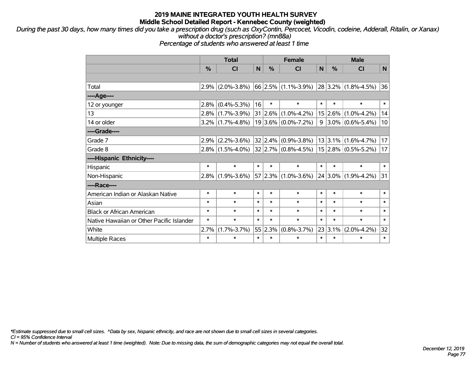*During the past 30 days, how many times did you take a prescription drug (such as OxyContin, Percocet, Vicodin, codeine, Adderall, Ritalin, or Xanax) without a doctor's prescription? (mn88a)*

*Percentage of students who answered at least 1 time*

|                                           | <b>Total</b> |                     |        | <b>Female</b> |                            |        | <b>Male</b>   |                            |        |  |
|-------------------------------------------|--------------|---------------------|--------|---------------|----------------------------|--------|---------------|----------------------------|--------|--|
|                                           | %            | CI                  | N      | %             | <b>CI</b>                  | N      | $\frac{0}{2}$ | <b>CI</b>                  | N      |  |
|                                           |              |                     |        |               |                            |        |               |                            |        |  |
| Total                                     | 2.9%         | $(2.0\% - 3.8\%)$   |        |               | $66$ 2.5% (1.1%-3.9%)      |        |               | $ 28 3.2\% $ (1.8%-4.5%)   | 36     |  |
| ---- Age----                              |              |                     |        |               |                            |        |               |                            |        |  |
| 12 or younger                             | 2.8%         | $(0.4\% - 5.3\%)$   | 16     | $\ast$        | $\ast$                     | $\ast$ | $\ast$        | $\ast$                     | $\ast$ |  |
| 13                                        | 2.8%         | $(1.7\% - 3.9\%)$   |        |               | $31 2.6\% (1.0\% - 4.2\%)$ |        | $15 2.6\% $   | $(1.0\% - 4.2\%)$          | 14     |  |
| 14 or older                               |              | $3.2\%$ (1.7%-4.8%) |        |               | $19 3.6\% $ (0.0%-7.2%)    |        |               | $9 3.0\% (0.6\% - 5.4\%)$  | 10     |  |
| ----Grade----                             |              |                     |        |               |                            |        |               |                            |        |  |
| Grade 7                                   | 2.9%         | $(2.2\% - 3.6\%)$   |        |               | $32 2.4\% $ (0.9%-3.8%)    |        |               | $13 3.1\% $ (1.6%-4.7%)    | 17     |  |
| Grade 8                                   |              | $2.8\%$ (1.5%-4.0%) |        |               | $32 2.7\% $ (0.8%-4.5%)    |        |               | $15/2.8\%/(0.5\% - 5.2\%)$ | 17     |  |
| ----Hispanic Ethnicity----                |              |                     |        |               |                            |        |               |                            |        |  |
| Hispanic                                  | $\ast$       | $\ast$              | $\ast$ | $\ast$        | $\ast$                     | $\ast$ | $\ast$        | $\ast$                     | $\ast$ |  |
| Non-Hispanic                              | 2.8%         | $(1.9\% - 3.6\%)$   |        |               | 57 2.3% (1.0%-3.6%)        |        | $ 24 3.0\% $  | $(1.9\% - 4.2\%)$          | 31     |  |
| ----Race----                              |              |                     |        |               |                            |        |               |                            |        |  |
| American Indian or Alaskan Native         | $\ast$       | $\ast$              | $\ast$ | *             | $\ast$                     | $\ast$ | $\ast$        | $\ast$                     | $\ast$ |  |
| Asian                                     | $\ast$       | $\ast$              | $\ast$ | $\ast$        | $\ast$                     | $\ast$ | $\ast$        | $\ast$                     | $\ast$ |  |
| <b>Black or African American</b>          | $\ast$       | $\ast$              | $\ast$ | $\ast$        | $\ast$                     | $\ast$ | $\ast$        | $\ast$                     | $\ast$ |  |
| Native Hawaiian or Other Pacific Islander | $\ast$       | $\ast$              | $\ast$ | $\ast$        | $\ast$                     | $\ast$ | $\ast$        | $\ast$                     | $\ast$ |  |
| White                                     | 2.7%         | $(1.7\% - 3.7\%)$   | 55     | 2.3%          | $(0.8\text{-}3.7\%)$       |        | 23 3.1%       | $(2.0\% - 4.2\%)$          | 32     |  |
| <b>Multiple Races</b>                     | $\ast$       | $\ast$              | $\ast$ | $\ast$        | $\ast$                     | $\ast$ | $\ast$        | $\ast$                     | $\ast$ |  |

*\*Estimate suppressed due to small cell sizes. ^Data by sex, hispanic ethnicity, and race are not shown due to small cell sizes in several categories.*

*CI = 95% Confidence Interval*

*N = Number of students who answered at least 1 time (weighted). Note: Due to missing data, the sum of demographic categories may not equal the overall total.*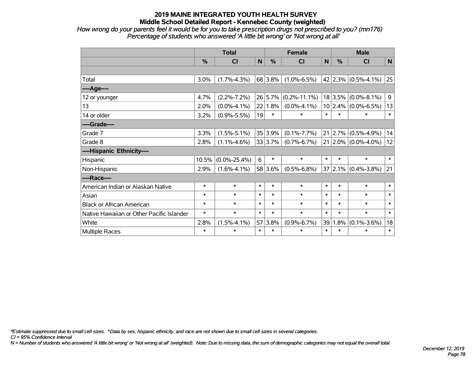*How wrong do your parents feel it would be for you to take prescription drugs not prescribed to you? (mn176) Percentage of students who answered 'A little bit wrong' or 'Not wrong at all'*

|                                           | <b>Total</b>  |                    |        |               | <b>Female</b>      | <b>Male</b> |         |                           |        |
|-------------------------------------------|---------------|--------------------|--------|---------------|--------------------|-------------|---------|---------------------------|--------|
|                                           | $\frac{0}{0}$ | <b>CI</b>          | N      | $\frac{0}{0}$ | <b>CI</b>          | N           | %       | <b>CI</b>                 | N      |
|                                           |               |                    |        |               |                    |             |         |                           |        |
| Total                                     | 3.0%          | $(1.7\% - 4.3\%)$  |        | 68 3.8%       | $(1.0\% - 6.5\%)$  |             |         | 42 2.3% $(0.5\% - 4.1\%)$ | 25     |
| ----Age----                               |               |                    |        |               |                    |             |         |                           |        |
| 12 or younger                             | 4.7%          | $(2.2\% - 7.2\%)$  |        | 26 5.7%       | $(0.2\% - 11.1\%)$ |             | 18 3.5% | $(0.0\% - 8.1\%)$         | 9      |
| 13                                        | 2.0%          | $(0.0\% - 4.1\%)$  |        | 22 1.8%       | $(0.0\% - 4.1\%)$  |             |         | $10 2.4\% $ (0.0%-6.5%)   | 13     |
| 14 or older                               | 3.2%          | $(0.9\% - 5.5\%)$  | 19     | $\ast$        | $\ast$             | $\ast$      | $\ast$  | $\ast$                    | $\ast$ |
| ----Grade----                             |               |                    |        |               |                    |             |         |                           |        |
| Grade 7                                   | 3.3%          | $(1.5\% - 5.1\%)$  |        | 35 3.9%       | $(0.1\% - 7.7\%)$  | 21          |         | $2.7\%$ (0.5%-4.9%)       | 14     |
| Grade 8                                   | 2.8%          | $(1.1\% - 4.6\%)$  |        | 33 3.7%       | $(0.7\% - 6.7\%)$  |             |         | $21 2.0\% $ (0.0%-4.0%)   | 12     |
| ----Hispanic Ethnicity----                |               |                    |        |               |                    |             |         |                           |        |
| Hispanic                                  | 10.5%         | $(0.0\% - 25.4\%)$ | 6      | $\ast$        | $\ast$             | $\ast$      | $\ast$  | $\ast$                    | $\ast$ |
| Non-Hispanic                              | 2.9%          | $(1.6\% - 4.1\%)$  |        | 58 3.6%       | $(0.5\% - 6.8\%)$  |             |         | 37 2.1% (0.4%-3.8%)       | 21     |
| ----Race----                              |               |                    |        |               |                    |             |         |                           |        |
| American Indian or Alaskan Native         | $\ast$        | $\ast$             | $\ast$ | $\ast$        | $\ast$             | $\ast$      | $\ast$  | $\ast$                    | $\ast$ |
| Asian                                     | $\ast$        | $\ast$             | $\ast$ | $\ast$        | $\ast$             | $\ast$      | $\ast$  | $\ast$                    | $\ast$ |
| <b>Black or African American</b>          | $\ast$        | $\ast$             | $\ast$ | $\ast$        | $\ast$             | $\ast$      | $\ast$  | $\ast$                    | $\ast$ |
| Native Hawaiian or Other Pacific Islander | $\ast$        | $\ast$             | $\ast$ | $\ast$        | $\ast$             | $\ast$      | $\ast$  | $\ast$                    | $\ast$ |
| White                                     | 2.8%          | $(1.5\% - 4.1\%)$  |        | 57 3.8%       | $(0.9\% - 6.7\%)$  | 39          | 1.8%    | $(0.1\% - 3.6\%)$         | 18     |
| <b>Multiple Races</b>                     | $\ast$        | $\ast$             | $\ast$ | $\ast$        | $\ast$             | $\ast$      | $\ast$  | $\ast$                    | $\ast$ |

*\*Estimate suppressed due to small cell sizes. ^Data by sex, hispanic ethnicity, and race are not shown due to small cell sizes in several categories.*

*CI = 95% Confidence Interval*

*N = Number of students who answered 'A little bit wrong' or 'Not wrong at all' (weighted). Note: Due to missing data, the sum of demographic categories may not equal the overall total.*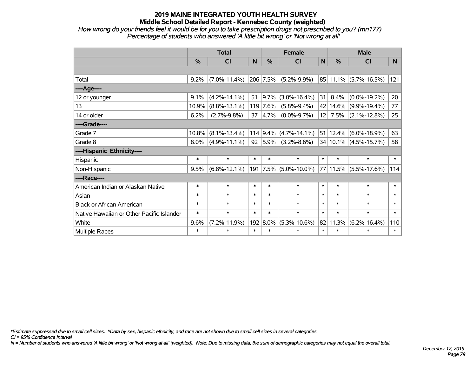*How wrong do your friends feel it would be for you to take prescription drugs not prescribed to you? (mn177) Percentage of students who answered 'A little bit wrong' or 'Not wrong at all'*

|                                           | <b>Total</b> |                    |        | <b>Female</b> |                             |              | <b>Male</b> |                           |        |  |
|-------------------------------------------|--------------|--------------------|--------|---------------|-----------------------------|--------------|-------------|---------------------------|--------|--|
|                                           | %            | <b>CI</b>          | N      | %             | <b>CI</b>                   | $\mathsf{N}$ | %           | <b>CI</b>                 | N.     |  |
|                                           |              |                    |        |               |                             |              |             |                           |        |  |
| Total                                     | 9.2%         | $(7.0\% - 11.4\%)$ |        | 206 7.5%      | $(5.2\% - 9.9\%)$           |              |             | 85 11.1% (5.7%-16.5%)     | 121    |  |
| ---- Age----                              |              |                    |        |               |                             |              |             |                           |        |  |
| 12 or younger                             | 9.1%         | $(4.2\% - 14.1\%)$ | 51     | $9.7\%$       | $(3.0\% - 16.4\%)$          | 31           | 8.4%        | $(0.0\% - 19.2\%)$        | 20     |  |
| 13                                        | 10.9%        | $(8.8\% - 13.1\%)$ |        | 119 7.6%      | $(5.8\% - 9.4\%)$           |              | 42 14.6%    | $(9.9\% - 19.4\%)$        | 77     |  |
| 14 or older                               | 6.2%         | $(2.7\% - 9.8\%)$  | 37     | $ 4.7\%$      | $(0.0\% - 9.7\%)$           |              | $12$ 7.5%   | $(2.1\% - 12.8\%)$        | 25     |  |
| ----Grade----                             |              |                    |        |               |                             |              |             |                           |        |  |
| Grade 7                                   | 10.8%        | $(8.1\% - 13.4\%)$ |        |               | $114$   9.4%   (4.7%-14.1%) |              | 51 12.4%    | $(6.0\% - 18.9\%)$        | 63     |  |
| Grade 8                                   | 8.0%         | $(4.9\% - 11.1\%)$ | 92     | $ 5.9\% $     | $(3.2\% - 8.6\%)$           |              |             | $34 10.1\% $ (4.5%-15.7%) | 58     |  |
| ----Hispanic Ethnicity----                |              |                    |        |               |                             |              |             |                           |        |  |
| Hispanic                                  | $\ast$       | $\ast$             | $\ast$ | $\ast$        | $\ast$                      | $\ast$       | $\ast$      | $\ast$                    | $\ast$ |  |
| Non-Hispanic                              | 9.5%         | $(6.8\% - 12.1\%)$ |        |               | 191 7.5% (5.0%-10.0%)       |              | 77 11.5%    | $(5.5\% - 17.6\%)$        | 114    |  |
| ----Race----                              |              |                    |        |               |                             |              |             |                           |        |  |
| American Indian or Alaskan Native         | $\ast$       | $\ast$             | $\ast$ | $\ast$        | $\ast$                      | $\ast$       | $\ast$      | $\ast$                    | $\ast$ |  |
| Asian                                     | $\ast$       | $\ast$             | $\ast$ | $\ast$        | $\ast$                      | $\ast$       | $\ast$      | $\ast$                    | $\ast$ |  |
| <b>Black or African American</b>          | $\ast$       | $\ast$             | $\ast$ | $\ast$        | $\ast$                      | $\ast$       | $\ast$      | $\ast$                    | $\ast$ |  |
| Native Hawaiian or Other Pacific Islander | $\ast$       | $\ast$             | $\ast$ | $\ast$        | $\ast$                      | $\ast$       | $\ast$      | $\ast$                    | $\ast$ |  |
| White                                     | 9.6%         | $(7.2\% - 11.9\%)$ | 192    | $ 8.0\%$      | $(5.3\% - 10.6\%)$          |              | 82 11.3%    | $(6.2\% - 16.4\%)$        | 110    |  |
| Multiple Races                            | $\ast$       | $\ast$             | $\ast$ | $\ast$        | $\ast$                      | $\ast$       | $\ast$      | $\ast$                    | $\ast$ |  |

*\*Estimate suppressed due to small cell sizes. ^Data by sex, hispanic ethnicity, and race are not shown due to small cell sizes in several categories.*

*CI = 95% Confidence Interval*

*N = Number of students who answered 'A little bit wrong' or 'Not wrong at all' (weighted). Note: Due to missing data, the sum of demographic categories may not equal the overall total.*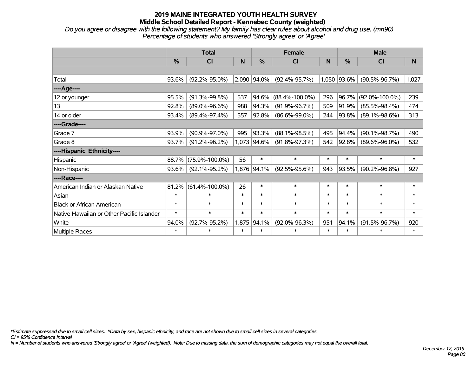*Do you agree or disagree with the following statement? My family has clear rules about alcohol and drug use. (mn90) Percentage of students who answered 'Strongly agree' or 'Agree'*

|                                           |        | <b>Total</b>         |        |               | <b>Female</b>        |        | <b>Male</b> |                      |        |  |
|-------------------------------------------|--------|----------------------|--------|---------------|----------------------|--------|-------------|----------------------|--------|--|
|                                           | %      | CI                   | N      | $\frac{0}{0}$ | CI                   | N      | %           | <b>CI</b>            | N      |  |
|                                           |        |                      |        |               |                      |        |             |                      |        |  |
| Total                                     | 93.6%  | $(92.2\% - 95.0\%)$  |        | 2,090 94.0%   | $(92.4\% - 95.7\%)$  |        | 1,050 93.6% | $(90.5\% - 96.7\%)$  | 1,027  |  |
| ----Age----                               |        |                      |        |               |                      |        |             |                      |        |  |
| 12 or younger                             | 95.5%  | $(91.3\% - 99.8\%)$  | 537    | 94.6%         | $(88.4\% - 100.0\%)$ | 296    | 96.7%       | $(92.0\% - 100.0\%)$ | 239    |  |
| 13                                        | 92.8%  | $(89.0\% - 96.6\%)$  | 988    | 94.3%         | $(91.9\% - 96.7\%)$  | 509    | 91.9%       | $(85.5\% - 98.4\%)$  | 474    |  |
| 14 or older                               | 93.4%  | $(89.4\% - 97.4\%)$  | 557    | 92.8%         | $(86.6\% - 99.0\%)$  | 244    | 93.8%       | $(89.1\% - 98.6\%)$  | 313    |  |
| ----Grade----                             |        |                      |        |               |                      |        |             |                      |        |  |
| Grade 7                                   | 93.9%  | $(90.9\% - 97.0\%)$  | 995    | 93.3%         | $(88.1\% - 98.5\%)$  | 495    | 94.4%       | $(90.1\% - 98.7\%)$  | 490    |  |
| Grade 8                                   | 93.7%  | $(91.2\% - 96.2\%)$  |        | 1,073 94.6%   | $(91.8\% - 97.3\%)$  | 542    | 92.8%       | $(89.6\% - 96.0\%)$  | 532    |  |
| ----Hispanic Ethnicity----                |        |                      |        |               |                      |        |             |                      |        |  |
| Hispanic                                  | 88.7%  | $(75.9\% - 100.0\%)$ | 56     | $\ast$        | $\ast$               | $\ast$ | $\ast$      | $\ast$               | $\ast$ |  |
| Non-Hispanic                              | 93.6%  | $(92.1\% - 95.2\%)$  |        | 1,876 94.1%   | $(92.5\% - 95.6\%)$  | 943    | 93.5%       | $(90.2\% - 96.8\%)$  | 927    |  |
| ----Race----                              |        |                      |        |               |                      |        |             |                      |        |  |
| American Indian or Alaskan Native         | 81.2%  | $(61.4\% - 100.0\%)$ | 26     | $\ast$        | $\ast$               | $\ast$ | $\ast$      | $\ast$               | $\ast$ |  |
| Asian                                     | $\ast$ | $\ast$               | $\ast$ | $\ast$        | $\ast$               | $\ast$ | $\ast$      | $\ast$               | $\ast$ |  |
| <b>Black or African American</b>          | $\ast$ | $\ast$               | $\ast$ | $\ast$        | $\ast$               | $\ast$ | $\ast$      | $\ast$               | $\ast$ |  |
| Native Hawaiian or Other Pacific Islander | $\ast$ | $\ast$               | $\ast$ | $\ast$        | $\ast$               | $\ast$ | $\ast$      | $\ast$               | $\ast$ |  |
| White                                     | 94.0%  | $(92.7\% - 95.2\%)$  | 1,875  | 94.1%         | $(92.0\% - 96.3\%)$  | 951    | 94.1%       | $(91.5\% - 96.7\%)$  | 920    |  |
| Multiple Races                            | $\ast$ | $\ast$               | $\ast$ | $\ast$        | $\ast$               | $\ast$ | $\ast$      | $\ast$               | $\ast$ |  |

*\*Estimate suppressed due to small cell sizes. ^Data by sex, hispanic ethnicity, and race are not shown due to small cell sizes in several categories.*

*CI = 95% Confidence Interval*

*N = Number of students who answered 'Strongly agree' or 'Agree' (weighted). Note: Due to missing data, the sum of demographic categories may not equal the overall total.*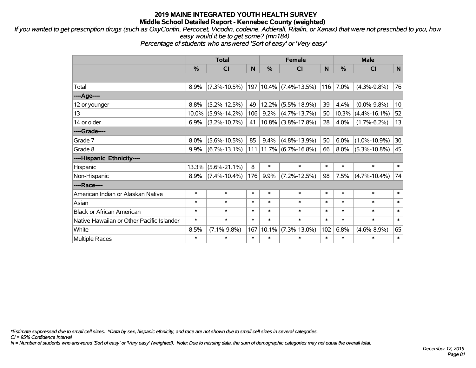*If you wanted to get prescription drugs (such as OxyContin, Percocet, Vicodin, codeine, Adderall, Ritalin, or Xanax) that were not prescribed to you, how easy would it be to get some? (mn184)*

*Percentage of students who answered 'Sort of easy' or 'Very easy'*

|                                           | <b>Total</b>  |                    |        | <b>Female</b> |                           | <b>Male</b> |        |                    |                 |
|-------------------------------------------|---------------|--------------------|--------|---------------|---------------------------|-------------|--------|--------------------|-----------------|
|                                           | $\frac{0}{0}$ | CI                 | N      | %             | <b>CI</b>                 | N           | %      | <b>CI</b>          | N               |
|                                           |               |                    |        |               |                           |             |        |                    |                 |
| Total                                     | 8.9%          | $(7.3\% - 10.5\%)$ |        | 197   10.4%   | $(7.4\% - 13.5\%)$        | 116         | 7.0%   | $(4.3\% - 9.8\%)$  | 76              |
| ----Age----                               |               |                    |        |               |                           |             |        |                    |                 |
| 12 or younger                             | 8.8%          | $(5.2\% - 12.5\%)$ | 49     | $12.2\%$      | $(5.5\% - 18.9\%)$        | 39          | 4.4%   | $(0.0\% - 9.8\%)$  | 10 <sup>1</sup> |
| 13                                        | 10.0%         | $(5.9\% - 14.2\%)$ | 106    | 9.2%          | $(4.7\% - 13.7\%)$        | 50          | 10.3%  | $(4.4\% - 16.1\%)$ | 52              |
| 14 or older                               | 6.9%          | $(3.2\% - 10.7\%)$ | 41     | $10.8\%$      | $(3.8\% - 17.8\%)$        | 28          | 4.0%   | $(1.7\% - 6.2\%)$  | 13              |
| ----Grade----                             |               |                    |        |               |                           |             |        |                    |                 |
| Grade 7                                   | 8.0%          | $(5.6\% - 10.5\%)$ | 85     | 9.4%          | $(4.8\% - 13.9\%)$        | 50          | 6.0%   | $(1.0\% - 10.9\%)$ | 30              |
| Grade 8                                   | 9.9%          | $(6.7\% - 13.1\%)$ |        |               | $111$  11.7% (6.7%-16.8%) | 66          | 8.0%   | $(5.3\% - 10.8\%)$ | 45              |
| ----Hispanic Ethnicity----                |               |                    |        |               |                           |             |        |                    |                 |
| Hispanic                                  | 13.3%         | $(5.6\% - 21.1\%)$ | 8      | $\ast$        | $\ast$                    | $\ast$      | $\ast$ | $\ast$             | $\ast$          |
| Non-Hispanic                              | 8.9%          | $(7.4\% - 10.4\%)$ | 176    | 9.9%          | $(7.2\% - 12.5\%)$        | 98          | 7.5%   | $(4.7\% - 10.4\%)$ | 74              |
| ----Race----                              |               |                    |        |               |                           |             |        |                    |                 |
| American Indian or Alaskan Native         | $\ast$        | $\ast$             | $\ast$ | $\ast$        | $\ast$                    | $\ast$      | $\ast$ | $\ast$             | $\ast$          |
| Asian                                     | $\ast$        | $\ast$             | $\ast$ | $\ast$        | $\ast$                    | $\ast$      | $\ast$ | $\ast$             | $\ast$          |
| <b>Black or African American</b>          | $\ast$        | $\ast$             | $\ast$ | $\ast$        | $\ast$                    | $\ast$      | $\ast$ | $\ast$             | $\ast$          |
| Native Hawaiian or Other Pacific Islander | $\ast$        | $\ast$             | $\ast$ | $\ast$        | $\ast$                    | $\ast$      | $\ast$ | $\ast$             | $\ast$          |
| White                                     | 8.5%          | $(7.1\% - 9.8\%)$  | 167    | $10.1\%$      | $(7.3\% - 13.0\%)$        | 102         | 6.8%   | $(4.6\% - 8.9\%)$  | 65              |
| <b>Multiple Races</b>                     | $\ast$        | $\ast$             | $\ast$ | $\ast$        | $\ast$                    | $\ast$      | $\ast$ | *                  | $\ast$          |

*\*Estimate suppressed due to small cell sizes. ^Data by sex, hispanic ethnicity, and race are not shown due to small cell sizes in several categories.*

*CI = 95% Confidence Interval*

*N = Number of students who answered 'Sort of easy' or 'Very easy' (weighted). Note: Due to missing data, the sum of demographic categories may not equal the overall total.*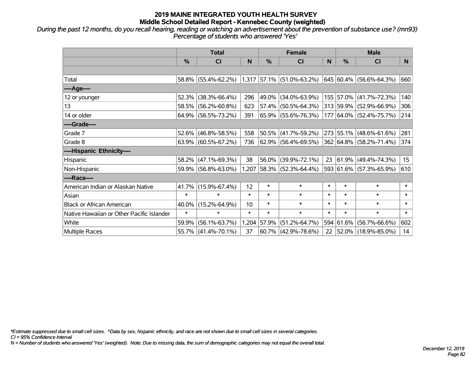*During the past 12 months, do you recall hearing, reading or watching an advertisement about the prevention of substance use? (mn93) Percentage of students who answered 'Yes'*

|                                           | <b>Total</b>  |                     |        | <b>Female</b> |                             | <b>Male</b> |               |                          |                 |
|-------------------------------------------|---------------|---------------------|--------|---------------|-----------------------------|-------------|---------------|--------------------------|-----------------|
|                                           | $\frac{0}{0}$ | <b>CI</b>           | N      | $\%$          | <b>CI</b>                   | N           | $\frac{0}{0}$ | <b>CI</b>                | N.              |
|                                           |               |                     |        |               |                             |             |               |                          |                 |
| Total                                     |               | 58.8% (55.4%-62.2%) |        |               | $1,317$ 57.1% (51.0%-63.2%) |             |               | 645 60.4% (56.6%-64.3%)  | 660             |
| ----Age----                               |               |                     |        |               |                             |             |               |                          |                 |
| 12 or younger                             | 52.3%         | $(38.3\% - 66.4\%)$ | 296    | 49.0%         | $(34.0\% - 63.9\%)$         |             |               | 155 57.0% (41.7%-72.3%)  | 140             |
| 13                                        | 58.5%         | $(56.2\% - 60.8\%)$ | 623    |               | 57.4% (50.5%-64.3%)         |             |               | 313 59.9% (52.9%-66.9%)  | 306             |
| 14 or older                               |               | 64.9% (56.5%-73.2%) | 391    |               | 65.9% (55.6%-76.3%)         |             |               | 177 64.0% (52.4%-75.7%)  | 214             |
| ----Grade----                             |               |                     |        |               |                             |             |               |                          |                 |
| Grade 7                                   |               | 52.6% (46.8%-58.5%) | 558    | 50.5%         | $(41.7\% - 59.2\%)$         |             |               | 273 55.1% (48.6%-61.6%)  | 281             |
| Grade 8                                   |               | 63.9% (60.5%-67.2%) | 736    |               | 62.9% (56.4%-69.5%)         |             |               | 362 64.8% (58.2%-71.4%)  | 374             |
| ----Hispanic Ethnicity----                |               |                     |        |               |                             |             |               |                          |                 |
| Hispanic                                  | 58.2%         | $(47.1\% - 69.3\%)$ | 38     | 56.0%         | $(39.9\% - 72.1\%)$         | 23          | $ 61.9\% $    | $(49.4\% - 74.3\%)$      | 15 <sub>1</sub> |
| Non-Hispanic                              |               | 59.9% (56.8%-63.0%) |        |               | $1,207$ 58.3% (52.3%-64.4%) |             |               | 593 61.6% (57.3%-65.9%)  | 610             |
| ----Race----                              |               |                     |        |               |                             |             |               |                          |                 |
| American Indian or Alaskan Native         | 41.7%         | $(15.9\% - 67.4\%)$ | 12     | $\ast$        | $\ast$                      | $\ast$      | $\ast$        | $\ast$                   | $\ast$          |
| Asian                                     | $\ast$        | $\ast$              | $\ast$ | $\ast$        | $\ast$                      | $\ast$      | $\ast$        | $\ast$                   | $\ast$          |
| <b>Black or African American</b>          | 40.0%         | $(15.2\% - 64.9\%)$ | 10     | $\ast$        | $\ast$                      | $\ast$      | $\ast$        | $\ast$                   | $\ast$          |
| Native Hawaiian or Other Pacific Islander | $\ast$        | $\ast$              | $\ast$ | $\ast$        | $\ast$                      | $\ast$      | $\ast$        | $\ast$                   | $\ast$          |
| White                                     | 59.9%         | $(56.1\% - 63.7\%)$ | 1,204  | 57.9%         | $(51.2\% - 64.7\%)$         |             | 594 61.6%     | $(56.7\% - 66.6\%)$      | 602             |
| Multiple Races                            |               | 55.7% (41.4%-70.1%) | 37     |               | $60.7\%$ (42.9%-78.6%)      | 22          |               | $ 52.0\% $ (18.9%-85.0%) | 14              |

*\*Estimate suppressed due to small cell sizes. ^Data by sex, hispanic ethnicity, and race are not shown due to small cell sizes in several categories.*

*CI = 95% Confidence Interval*

*N = Number of students who answered 'Yes' (weighted). Note: Due to missing data, the sum of demographic categories may not equal the overall total.*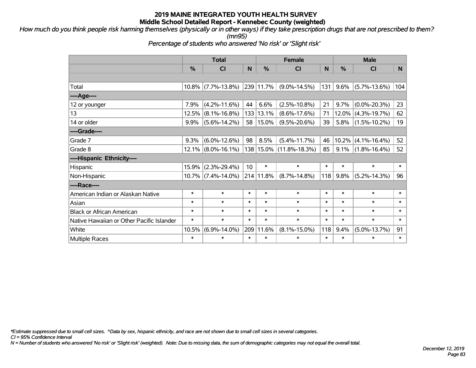*How much do you think people risk harming themselves (physically or in other ways) if they take prescription drugs that are not prescribed to them? (mn95)*

*Percentage of students who answered 'No risk' or 'Slight risk'*

|                                           | <b>Total</b>  |                       |        |               | <b>Female</b>               |        | <b>Male</b>   |                    |        |  |
|-------------------------------------------|---------------|-----------------------|--------|---------------|-----------------------------|--------|---------------|--------------------|--------|--|
|                                           | $\frac{0}{0}$ | <b>CI</b>             | N      | $\frac{0}{0}$ | CI                          | N.     | $\frac{0}{0}$ | CI                 | N      |  |
|                                           |               |                       |        |               |                             |        |               |                    |        |  |
| Total                                     |               | $10.8\%$ (7.7%-13.8%) |        | 239 11.7%     | $(9.0\% - 14.5\%)$          | 131    | 9.6%          | $(5.7\% - 13.6\%)$ | 104    |  |
| ----Age----                               |               |                       |        |               |                             |        |               |                    |        |  |
| 12 or younger                             | 7.9%          | $(4.2\% - 11.6\%)$    | 44     | 6.6%          | $(2.5\% - 10.8\%)$          | 21     | 9.7%          | $(0.0\% - 20.3\%)$ | 23     |  |
| 13                                        | 12.5%         | $(8.1\% - 16.8\%)$    | 133    | 13.1%         | $(8.6\% - 17.6\%)$          | 71     | 12.0%         | $(4.3\% - 19.7\%)$ | 62     |  |
| 14 or older                               | 9.9%          | $(5.6\% - 14.2\%)$    | 58     | 15.0%         | $(9.5\% - 20.6\%)$          | 39     | 5.8%          | $(1.5\% - 10.2\%)$ | 19     |  |
| ----Grade----                             |               |                       |        |               |                             |        |               |                    |        |  |
| Grade 7                                   | 9.3%          | $(6.0\% - 12.6\%)$    | 98     | 8.5%          | $(5.4\% - 11.7\%)$          | 46     | 10.2%         | $(4.1\% - 16.4\%)$ | 52     |  |
| Grade 8                                   |               | $12.1\%$ (8.0%-16.1%) |        |               | 138   15.0%   (11.8%-18.3%) | 85     | $9.1\%$       | $(1.8\% - 16.4\%)$ | 52     |  |
| ----Hispanic Ethnicity----                |               |                       |        |               |                             |        |               |                    |        |  |
| Hispanic                                  | 15.9%         | $(2.3\% - 29.4\%)$    | 10     | $\ast$        | $\ast$                      | $\ast$ | $\ast$        | $\ast$             | $\ast$ |  |
| Non-Hispanic                              |               | $10.7\%$ (7.4%-14.0%) |        | 214 11.8%     | $(8.7\% - 14.8\%)$          | 118    | 9.8%          | $(5.2\% - 14.3\%)$ | 96     |  |
| ----Race----                              |               |                       |        |               |                             |        |               |                    |        |  |
| American Indian or Alaskan Native         | $\ast$        | $\ast$                | $\ast$ | $\ast$        | $\ast$                      | $\ast$ | $\ast$        | $\ast$             | $\ast$ |  |
| Asian                                     | $\ast$        | $\ast$                | $\ast$ | $\ast$        | $\ast$                      | $\ast$ | $\ast$        | $\ast$             | $\ast$ |  |
| <b>Black or African American</b>          | $\ast$        | $\ast$                | $\ast$ | $\ast$        | $\ast$                      | $\ast$ | $\ast$        | $\ast$             | $\ast$ |  |
| Native Hawaiian or Other Pacific Islander | $\ast$        | $\ast$                | $\ast$ | $\ast$        | $\ast$                      | $\ast$ | $\ast$        | $\ast$             | $\ast$ |  |
| White                                     | 10.5%         | $(6.9\% - 14.0\%)$    | 209    | 11.6%         | $(8.1\% - 15.0\%)$          | 118    | 9.4%          | $(5.0\% - 13.7\%)$ | 91     |  |
| <b>Multiple Races</b>                     | $\ast$        | $\ast$                | $\ast$ | $\ast$        | $\ast$                      | $\ast$ | $\ast$        | $\ast$             | $\ast$ |  |

*\*Estimate suppressed due to small cell sizes. ^Data by sex, hispanic ethnicity, and race are not shown due to small cell sizes in several categories.*

*CI = 95% Confidence Interval*

*N = Number of students who answered 'No risk' or 'Slight risk' (weighted). Note: Due to missing data, the sum of demographic categories may not equal the overall total.*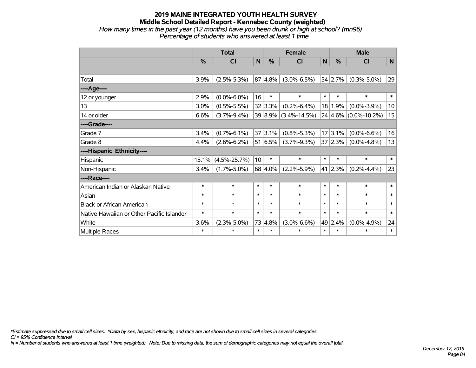#### **2019 MAINE INTEGRATED YOUTH HEALTH SURVEY Middle School Detailed Report - Kennebec County (weighted)** *How many times in the past year (12 months) have you been drunk or high at school? (mn96) Percentage of students who answered at least 1 time*

|                                           | <b>Total</b>  |                    |        | <b>Female</b> |                    |        | <b>Male</b> |                          |        |
|-------------------------------------------|---------------|--------------------|--------|---------------|--------------------|--------|-------------|--------------------------|--------|
|                                           | $\frac{0}{0}$ | <b>CI</b>          | N      | $\frac{0}{0}$ | <b>CI</b>          | N      | %           | <b>CI</b>                | N      |
|                                           |               |                    |        |               |                    |        |             |                          |        |
| Total                                     | 3.9%          | $(2.5\% - 5.3\%)$  |        | 87 4.8%       | $(3.0\% - 6.5\%)$  |        | 54 2.7%     | $(0.3\% - 5.0\%)$        | 29     |
| ---- Age----                              |               |                    |        |               |                    |        |             |                          |        |
| 12 or younger                             | 2.9%          | $(0.0\% - 6.0\%)$  | 16     | $\ast$        | $\ast$             | $\ast$ | $\ast$      | $\ast$                   | $\ast$ |
| 13                                        | 3.0%          | $(0.5\% - 5.5\%)$  |        | 32 3.3%       | $(0.2\% - 6.4\%)$  |        | 18 1.9%     | $(0.0\% - 3.9\%)$        | 10     |
| 14 or older                               | 6.6%          | $(3.7\% - 9.4\%)$  |        | 39 8.9%       | $(3.4\% - 14.5\%)$ |        |             | $24 4.6\% $ (0.0%-10.2%) | 15     |
| ----Grade----                             |               |                    |        |               |                    |        |             |                          |        |
| Grade 7                                   | 3.4%          | $(0.7\% - 6.1\%)$  |        | 37 3.1%       | $(0.8\% - 5.3\%)$  |        | 17 3.1%     | $(0.0\% - 6.6\%)$        | 16     |
| Grade 8                                   | 4.4%          | $(2.6\% - 6.2\%)$  |        | 51 6.5%       | $(3.7\% - 9.3\%)$  |        | 37 2.3%     | $(0.0\% - 4.8\%)$        | 13     |
| ----Hispanic Ethnicity----                |               |                    |        |               |                    |        |             |                          |        |
| Hispanic                                  | 15.1%         | $(4.5\% - 25.7\%)$ | 10     | $\ast$        | $\ast$             | $\ast$ | $\ast$      | $\ast$                   | $\ast$ |
| Non-Hispanic                              | 3.4%          | $(1.7\% - 5.0\%)$  |        | 68 4.0%       | $(2.2\% - 5.9\%)$  |        | $41$  2.3%  | $(0.2\% - 4.4\%)$        | 23     |
| ----Race----                              |               |                    |        |               |                    |        |             |                          |        |
| American Indian or Alaskan Native         | $\ast$        | $\ast$             | $\ast$ | $\ast$        | $\ast$             | $\ast$ | $\ast$      | $\ast$                   | $\ast$ |
| Asian                                     | $\ast$        | $\ast$             | $\ast$ | $\ast$        | $\ast$             | $\ast$ | $\ast$      | $\ast$                   | $\ast$ |
| <b>Black or African American</b>          | $\ast$        | $\ast$             | $\ast$ | $\ast$        | $\ast$             | $\ast$ | $\ast$      | $\ast$                   | $\ast$ |
| Native Hawaiian or Other Pacific Islander | $\ast$        | $\ast$             | $\ast$ | $\ast$        | $\ast$             | $\ast$ | $\ast$      | $\ast$                   | $\ast$ |
| White                                     | 3.6%          | $(2.3\% - 5.0\%)$  | 73     | 4.8%          | $(3.0\% - 6.6\%)$  |        | 49 2.4%     | $(0.0\% - 4.9\%)$        | 24     |
| Multiple Races                            | $\ast$        | $\ast$             | $\ast$ | $\ast$        | $\ast$             | $\ast$ | $\ast$      | $\ast$                   | $\ast$ |

*\*Estimate suppressed due to small cell sizes. ^Data by sex, hispanic ethnicity, and race are not shown due to small cell sizes in several categories.*

*CI = 95% Confidence Interval*

*N = Number of students who answered at least 1 time (weighted). Note: Due to missing data, the sum of demographic categories may not equal the overall total.*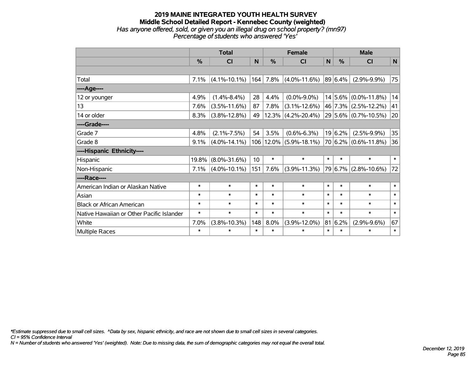#### **2019 MAINE INTEGRATED YOUTH HEALTH SURVEY Middle School Detailed Report - Kennebec County (weighted)** *Has anyone offered, sold, or given you an illegal drug on school property? (mn97) Percentage of students who answered 'Yes'*

|                                           | <b>Total</b>  |                    |        |               | <b>Female</b>              |              | <b>Male</b> |                          |              |  |
|-------------------------------------------|---------------|--------------------|--------|---------------|----------------------------|--------------|-------------|--------------------------|--------------|--|
|                                           | $\frac{0}{0}$ | CI                 | N      | $\frac{0}{0}$ | <b>CI</b>                  | $\mathsf{N}$ | %           | <b>CI</b>                | N            |  |
|                                           |               |                    |        |               |                            |              |             |                          |              |  |
| Total                                     | 7.1%          | $(4.1\% - 10.1\%)$ | 164    | 7.8%          | $(4.0\% - 11.6\%)$         |              | 89 6.4%     | $(2.9\% - 9.9\%)$        | 75           |  |
| ----Age----                               |               |                    |        |               |                            |              |             |                          |              |  |
| 12 or younger                             | 4.9%          | $(1.4\% - 8.4\%)$  | 28     | 4.4%          | $(0.0\% - 9.0\%)$          |              |             | $14 5.6\% $ (0.0%-11.8%) | 14           |  |
| 13                                        | 7.6%          | $(3.5\% - 11.6\%)$ | 87     | 7.8%          | $(3.1\% - 12.6\%)$         |              |             | 46 7.3% (2.5%-12.2%)     | 41           |  |
| 14 or older                               | 8.3%          | $(3.8\% - 12.8\%)$ | 49     |               | $12.3\%$ (4.2%-20.4%)      |              |             | 29 5.6% (0.7%-10.5%)     | 20           |  |
| ----Grade----                             |               |                    |        |               |                            |              |             |                          |              |  |
| Grade 7                                   | 4.8%          | $(2.1\% - 7.5\%)$  | 54     | 3.5%          | $(0.6\% - 6.3\%)$          |              | 19 6.2%     | $(2.5\% - 9.9\%)$        | 35           |  |
| Grade 8                                   | 9.1%          | $(4.0\% - 14.1\%)$ |        |               | 106   12.0%   (5.9%-18.1%) |              |             | $70 6.2\% $ (0.6%-11.8%) | 36           |  |
| ----Hispanic Ethnicity----                |               |                    |        |               |                            |              |             |                          |              |  |
| Hispanic                                  | 19.8%         | $(8.0\% - 31.6\%)$ | 10     | $\ast$        | $\ast$                     | $\ast$       | $\ast$      | $\ast$                   | $\ast$       |  |
| Non-Hispanic                              | 7.1%          | $(4.0\% - 10.1\%)$ | 151    | 7.6%          | $(3.9\% - 11.3\%)$         |              | 79 6.7%     | $(2.8\% - 10.6\%)$       | 72           |  |
| ----Race----                              |               |                    |        |               |                            |              |             |                          |              |  |
| American Indian or Alaskan Native         | $\ast$        | $\ast$             | $\ast$ | $\ast$        | $\ast$                     | $\ast$       | $\ast$      | $\ast$                   | $\ast$       |  |
| Asian                                     | $\ast$        | $\ast$             | $\ast$ | $\ast$        | $\ast$                     | $\ast$       | $\ast$      | $\ast$                   | $\ast$       |  |
| <b>Black or African American</b>          | $\ast$        | $\ast$             | $\ast$ | $\ast$        | $\ast$                     | $\ast$       | $\ast$      | $\ast$                   | $\ast$       |  |
| Native Hawaiian or Other Pacific Islander | $\ast$        | $\ast$             | $\ast$ | $\ast$        | $\ast$                     | $\ast$       | $\ast$      | $\ast$                   | $\pmb{\ast}$ |  |
| White                                     | 7.0%          | $(3.8\% - 10.3\%)$ | 148    | 8.0%          | $(3.9\% - 12.0\%)$         | 81           | 6.2%        | $(2.9\% - 9.6\%)$        | 67           |  |
| <b>Multiple Races</b>                     | $\ast$        | $\ast$             | $\ast$ | $\ast$        | $\ast$                     | $\ast$       | $\ast$      | $\ast$                   | $\ast$       |  |

*\*Estimate suppressed due to small cell sizes. ^Data by sex, hispanic ethnicity, and race are not shown due to small cell sizes in several categories.*

*CI = 95% Confidence Interval*

*N = Number of students who answered 'Yes' (weighted). Note: Due to missing data, the sum of demographic categories may not equal the overall total.*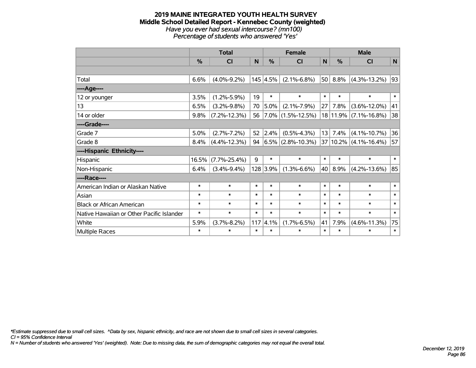#### **2019 MAINE INTEGRATED YOUTH HEALTH SURVEY Middle School Detailed Report - Kennebec County (weighted)** *Have you ever had sexual intercourse? (mn100) Percentage of students who answered 'Yes'*

|                                           | <b>Total</b>  |                    |        |                  | <b>Female</b>          |        | <b>Male</b>   |                    |        |  |
|-------------------------------------------|---------------|--------------------|--------|------------------|------------------------|--------|---------------|--------------------|--------|--|
|                                           | $\frac{0}{0}$ | <b>CI</b>          | N      | %                | <b>CI</b>              | N      | $\frac{0}{0}$ | CI                 | N      |  |
|                                           |               |                    |        |                  |                        |        |               |                    |        |  |
| Total                                     | 6.6%          | $(4.0\% - 9.2\%)$  |        | $145 \,   4.5\%$ | $(2.1\% - 6.8\%)$      | 50     | 8.8%          | $(4.3\% - 13.2\%)$ | 93     |  |
| ---- Age----                              |               |                    |        |                  |                        |        |               |                    |        |  |
| 12 or younger                             | 3.5%          | $(1.2\% - 5.9\%)$  | 19     | $\ast$           | $\ast$                 | $\ast$ | $\ast$        | $\ast$             | $\ast$ |  |
| 13                                        | 6.5%          | $(3.2\% - 9.8\%)$  | 70     | 5.0%             | $(2.1\% - 7.9\%)$      | 27     | 7.8%          | $(3.6\% - 12.0\%)$ | 41     |  |
| 14 or older                               | 9.8%          | $(7.2\% - 12.3\%)$ | 56     |                  | $7.0\%$ (1.5%-12.5%)   |        | 18 11.9%      | $(7.1\% - 16.8\%)$ | 38     |  |
| ----Grade----                             |               |                    |        |                  |                        |        |               |                    |        |  |
| Grade 7                                   | 5.0%          | $(2.7\% - 7.2\%)$  | 52     | 2.4%             | $(0.5\% - 4.3\%)$      |        | 13 7.4%       | $(4.1\% - 10.7\%)$ | 36     |  |
| Grade 8                                   | 8.4%          | $(4.4\% - 12.3\%)$ | 94     |                  | $ 6.5\% $ (2.8%-10.3%) |        | 37 10.2%      | $(4.1\% - 16.4\%)$ | 57     |  |
| ----Hispanic Ethnicity----                |               |                    |        |                  |                        |        |               |                    |        |  |
| Hispanic                                  | 16.5%         | $(7.7\% - 25.4\%)$ | 9      | $\ast$           | $\ast$                 | $\ast$ | $\ast$        | $\ast$             | $\ast$ |  |
| Non-Hispanic                              | 6.4%          | $(3.4\% - 9.4\%)$  |        | 128 3.9%         | $(1.3\% - 6.6\%)$      | 40     | 8.9%          | $(4.2\% - 13.6\%)$ | 85     |  |
| ----Race----                              |               |                    |        |                  |                        |        |               |                    |        |  |
| American Indian or Alaskan Native         | $\ast$        | $\ast$             | $\ast$ | $\ast$           | $\ast$                 | $\ast$ | $\ast$        | $\ast$             | $\ast$ |  |
| Asian                                     | $\ast$        | $\ast$             | $\ast$ | $\ast$           | $\ast$                 | $\ast$ | $\ast$        | $\ast$             | $\ast$ |  |
| <b>Black or African American</b>          | $\ast$        | $\ast$             | $\ast$ | $\ast$           | $\ast$                 | $\ast$ | $\ast$        | $\ast$             | $\ast$ |  |
| Native Hawaiian or Other Pacific Islander | $\ast$        | $\ast$             | $\ast$ | $\ast$           | $\ast$                 | $\ast$ | $\ast$        | $\ast$             | $\ast$ |  |
| White                                     | 5.9%          | $(3.7% - 8.2%)$    | 117    | 4.1%             | $(1.7\% - 6.5\%)$      | 41     | 7.9%          | $(4.6\% - 11.3\%)$ | 75     |  |
| Multiple Races                            | $\ast$        | $\ast$             | $\ast$ | $\ast$           | $\ast$                 | $\ast$ | $\ast$        | $\ast$             | $\ast$ |  |

*\*Estimate suppressed due to small cell sizes. ^Data by sex, hispanic ethnicity, and race are not shown due to small cell sizes in several categories.*

*CI = 95% Confidence Interval*

*N = Number of students who answered 'Yes' (weighted). Note: Due to missing data, the sum of demographic categories may not equal the overall total.*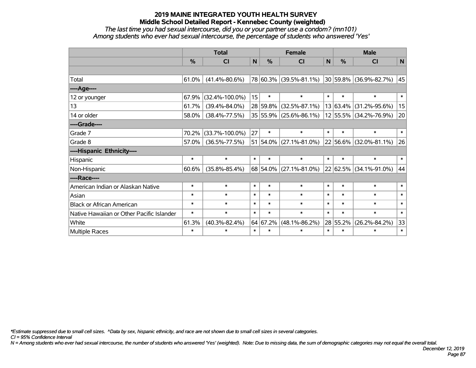*The last time you had sexual intercourse, did you or your partner use a condom? (mn101) Among students who ever had sexual intercourse, the percentage of students who answered 'Yes'*

|                                           | <b>Total</b>  |                      |              |               | <b>Female</b>                | <b>Male</b> |              |                             |        |
|-------------------------------------------|---------------|----------------------|--------------|---------------|------------------------------|-------------|--------------|-----------------------------|--------|
|                                           | $\frac{0}{0}$ | CI                   | $\mathsf{N}$ | $\frac{0}{0}$ | CI                           | N           | %            | <b>CI</b>                   | N      |
|                                           |               |                      |              |               |                              |             |              |                             |        |
| Total                                     | 61.0%         | $(41.4\% - 80.6\%)$  |              |               | 78 60.3% (39.5%-81.1%)       |             |              | $ 30 59.8\% $ (36.9%-82.7%) | 45     |
| ----Age----                               |               |                      |              |               |                              |             |              |                             |        |
| 12 or younger                             | 67.9%         | $(32.4\% - 100.0\%)$ | 15           | $\ast$        | $\ast$                       | $\ast$      | $\ast$       | $\ast$                      | $\ast$ |
| 13                                        | 61.7%         | $(39.4\% - 84.0\%)$  |              | 28 59.8%      | $(32.5\% - 87.1\%)$          |             | 13 63.4%     | $(31.2\% - 95.6\%)$         | 15     |
| 14 or older                               | 58.0%         | $(38.4\% - 77.5\%)$  |              |               | 35 55.9% (25.6%-86.1%)       |             |              | 12 55.5% (34.2%-76.9%)      | 20     |
| ----Grade----                             |               |                      |              |               |                              |             |              |                             |        |
| Grade 7                                   | 70.2%         | $(33.7\% - 100.0\%)$ | 27           | $\ast$        | $\ast$                       | $\ast$      | $\ast$       | $\ast$                      | $\ast$ |
| Grade 8                                   | 57.0%         | $(36.5\% - 77.5\%)$  |              |               | 51 54.0% $(27.1\% - 81.0\%)$ |             | $22 56.6\% $ | $(32.0\% - 81.1\%)$         | 26     |
| ----Hispanic Ethnicity----                |               |                      |              |               |                              |             |              |                             |        |
| Hispanic                                  | $\ast$        | $\ast$               | $\ast$       | $\ast$        | $\ast$                       | $\ast$      | $\ast$       | $\ast$                      | $\ast$ |
| Non-Hispanic                              | 60.6%         | $(35.8\% - 85.4\%)$  |              |               | 68 54.0% (27.1%-81.0%)       |             | 22 62.5%     | $(34.1\% - 91.0\%)$         | 44     |
| ----Race----                              |               |                      |              |               |                              |             |              |                             |        |
| American Indian or Alaskan Native         | $\ast$        | $\ast$               | $\ast$       | $\ast$        | $\ast$                       | $\ast$      | $\ast$       | $\ast$                      | $\ast$ |
| Asian                                     | $\ast$        | $\ast$               | $\ast$       | $\ast$        | $\ast$                       | $\ast$      | $\ast$       | $\ast$                      | $\ast$ |
| <b>Black or African American</b>          | $\ast$        | $\ast$               | $\ast$       | $\ast$        | $\ast$                       | $\ast$      | $\ast$       | $\ast$                      | $\ast$ |
| Native Hawaiian or Other Pacific Islander | $\ast$        | $\ast$               | $\ast$       | $\ast$        | $\ast$                       | $\ast$      | $\ast$       | $\ast$                      | $\ast$ |
| White                                     | 61.3%         | $(40.3\% - 82.4\%)$  |              | 64 67.2%      | $(48.1\% - 86.2\%)$          |             | 28 55.2%     | $(26.2\% - 84.2\%)$         | 33     |
| Multiple Races                            | $\ast$        | $\ast$               | $\ast$       | $\ast$        | $\ast$                       | $\ast$      | $\ast$       | $\ast$                      | $\ast$ |

*\*Estimate suppressed due to small cell sizes. ^Data by sex, hispanic ethnicity, and race are not shown due to small cell sizes in several categories.*

*CI = 95% Confidence Interval*

*N = Among students who ever had sexual intercourse, the number of students who answered 'Yes' (weighted). Note: Due to missing data, the sum of demographic categories may not equal the overall total.*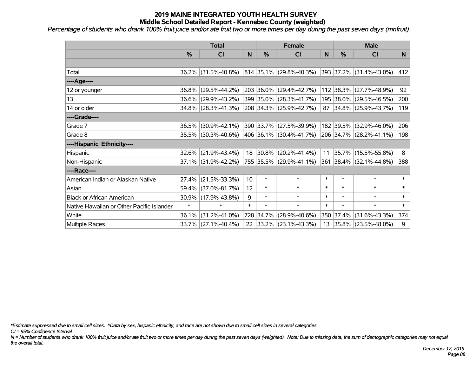*Percentage of students who drank 100% fruit juice and/or ate fruit two or more times per day during the past seven days (mnfruit)*

|                                           | <b>Total</b>  |                     |        | <b>Female</b> | <b>Male</b>                  |        |           |                         |        |
|-------------------------------------------|---------------|---------------------|--------|---------------|------------------------------|--------|-----------|-------------------------|--------|
|                                           | $\frac{0}{0}$ | CI                  | N      | $\frac{9}{6}$ | CI                           | N      | %         | <b>CI</b>               | N      |
|                                           |               |                     |        |               |                              |        |           |                         |        |
| Total                                     |               | 36.2% (31.5%-40.8%) |        |               | $ 814 35.1\% $ (29.8%-40.3%) |        |           | 393 37.2% (31.4%-43.0%) | 412    |
| ----Age----                               |               |                     |        |               |                              |        |           |                         |        |
| 12 or younger                             | 36.8%         | $(29.5\% - 44.2\%)$ |        |               | 203 36.0% (29.4%-42.7%)      |        | 112 38.3% | $(27.7\% - 48.9\%)$     | 92     |
| 13                                        | $36.6\%$      | $(29.9\% - 43.2\%)$ |        |               | 399 35.0% (28.3%-41.7%)      |        |           | 195 38.0% (29.5%-46.5%) | 200    |
| 14 or older                               |               | 34.8% (28.3%-41.3%) |        |               | 208 34.3% (25.9%-42.7%)      |        |           | 87 34.8% (25.9%-43.7%)  | 119    |
| ----Grade----                             |               |                     |        |               |                              |        |           |                         |        |
| Grade 7                                   | $36.5\%$      | $(30.9\% - 42.1\%)$ |        |               | 390 33.7% (27.5%-39.9%)      |        | 182 39.5% | $(32.9\% - 46.0\%)$     | 206    |
| Grade 8                                   |               | 35.5% (30.3%-40.6%) |        |               | 406 36.1% (30.4%-41.7%)      |        |           | 206 34.7% (28.2%-41.1%) | 198    |
| ----Hispanic Ethnicity----                |               |                     |        |               |                              |        |           |                         |        |
| Hispanic                                  | 32.6%         | $(21.9\% - 43.4\%)$ | 18     |               | $ 30.8\% $ (20.2%-41.4%)     | 11     | 35.7%     | $(15.5\% - 55.8\%)$     | 8      |
| Non-Hispanic                              |               | 37.1% (31.9%-42.2%) |        |               | 755 35.5% (29.9%-41.1%)      |        |           | 361 38.4% (32.1%-44.8%) | 388    |
| ----Race----                              |               |                     |        |               |                              |        |           |                         |        |
| American Indian or Alaskan Native         | 27.4%         | $(21.5\% - 33.3\%)$ | 10     | $\ast$        | $\ast$                       | $\ast$ | $\ast$    | $\ast$                  | $\ast$ |
| Asian                                     | 59.4%         | $(37.0\% - 81.7\%)$ | 12     | $\ast$        | $\ast$                       | $\ast$ | $\ast$    | $\ast$                  | $\ast$ |
| <b>Black or African American</b>          |               | 30.9% (17.9%-43.8%) | 9      | $\ast$        | $\ast$                       | $\ast$ | $\ast$    | $\ast$                  | $\ast$ |
| Native Hawaiian or Other Pacific Islander | $\ast$        | $\ast$              | $\ast$ | $\ast$        | $\ast$                       | $\ast$ | $\ast$    | $\ast$                  | $\ast$ |
| White                                     | 36.1%         | $(31.2\% - 41.0\%)$ |        | 728 34.7%     | $(28.9\% - 40.6\%)$          | 350    | 37.4%     | $(31.6\% - 43.3\%)$     | 374    |
| Multiple Races                            |               | 33.7% (27.1%-40.4%) |        |               | 22 33.2% (23.1%-43.3%)       |        |           | 13 35.8% (23.5%-48.0%)  | 9      |

*\*Estimate suppressed due to small cell sizes. ^Data by sex, hispanic ethnicity, and race are not shown due to small cell sizes in several categories.*

*CI = 95% Confidence Interval*

*N = Number of students who drank 100% fruit juice and/or ate fruit two or more times per day during the past seven days (weighted). Note: Due to missing data, the sum of demographic categories may not equal the overall total.*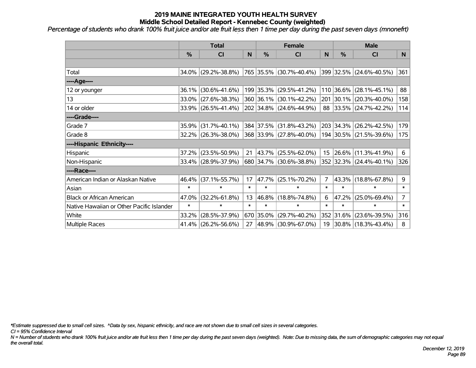*Percentage of students who drank 100% fruit juice and/or ate fruit less then 1 time per day during the past seven days (mnonefrt)*

|                                           | <b>Total</b>  |                        | <b>Female</b> |           |                         | <b>Male</b>    |           |                         |                |
|-------------------------------------------|---------------|------------------------|---------------|-----------|-------------------------|----------------|-----------|-------------------------|----------------|
|                                           | $\frac{0}{0}$ | CI                     | N             | %         | <b>CI</b>               | N              | %         | <b>CI</b>               | N              |
|                                           |               |                        |               |           |                         |                |           |                         |                |
| Total                                     |               | 34.0% (29.2%-38.8%)    |               |           | 765 35.5% (30.7%-40.4%) |                |           | 399 32.5% (24.6%-40.5%) | 361            |
| ----Age----                               |               |                        |               |           |                         |                |           |                         |                |
| 12 or younger                             | 36.1%         | $(30.6\% - 41.6\%)$    |               |           | 199 35.3% (29.5%-41.2%) |                | 110 36.6% | $(28.1\% - 45.1\%)$     | 88             |
| 13                                        | 33.0%         | $(27.6\% - 38.3\%)$    |               |           | 360 36.1% (30.1%-42.2%) |                | 201 30.1% | $(20.3\% - 40.0\%)$     | 158            |
| 14 or older                               |               | $33.9\%$ (26.5%-41.4%) |               |           | 202 34.8% (24.6%-44.9%) |                |           | 88 33.5% (24.7%-42.2%)  | 114            |
| ----Grade----                             |               |                        |               |           |                         |                |           |                         |                |
| Grade 7                                   | 35.9%         | $(31.7\% - 40.1\%)$    |               | 384 37.5% | $(31.8\% - 43.2\%)$     |                | 203 34.3% | $(26.2\% - 42.5\%)$     | 179            |
| Grade 8                                   |               | $32.2\%$ (26.3%-38.0%) |               |           | 368 33.9% (27.8%-40.0%) |                |           | 194 30.5% (21.5%-39.6%) | 175            |
| ----Hispanic Ethnicity----                |               |                        |               |           |                         |                |           |                         |                |
| Hispanic                                  | 37.2%         | $(23.5\% - 50.9\%)$    | 21            | 43.7%     | $(25.5\% - 62.0\%)$     |                | 15 26.6%  | $(11.3\% - 41.9\%)$     | 6              |
| Non-Hispanic                              |               | 33.4% (28.9%-37.9%)    |               |           | 680 34.7% (30.6%-38.8%) |                |           | 352 32.3% (24.4%-40.1%) | 326            |
| ----Race----                              |               |                        |               |           |                         |                |           |                         |                |
| American Indian or Alaskan Native         | 46.4%         | $(37.1\% - 55.7\%)$    | 17            | 47.7%     | $(25.1\% - 70.2\%)$     | $\overline{7}$ | 43.3%     | $(18.8\% - 67.8\%)$     | 9              |
| Asian                                     | $\ast$        | $\ast$                 | $\ast$        | $\ast$    | $\ast$                  | $\ast$         | $\ast$    | $\ast$                  | $\ast$         |
| <b>Black or African American</b>          | 47.0%         | $(32.2\% - 61.8\%)$    | 13            | 46.8%     | $(18.8\% - 74.8\%)$     | 6              | 47.2%     | $(25.0\% - 69.4\%)$     | $\overline{7}$ |
| Native Hawaiian or Other Pacific Islander | $\ast$        | $\ast$                 | $\ast$        | $\ast$    | $\ast$                  | $\ast$         | $\ast$    | $\ast$                  | $\ast$         |
| White                                     | 33.2%         | $(28.5\% - 37.9\%)$    |               | 670 35.0% | $(29.7\% - 40.2\%)$     |                | 352 31.6% | $(23.6\% - 39.5\%)$     | 316            |
| Multiple Races                            |               | 41.4% (26.2%-56.6%)    | 27            |           | 48.9% (30.9%-67.0%)     |                |           | 19 30.8% (18.3%-43.4%)  | 8              |

*\*Estimate suppressed due to small cell sizes. ^Data by sex, hispanic ethnicity, and race are not shown due to small cell sizes in several categories.*

*CI = 95% Confidence Interval*

*N = Number of students who drank 100% fruit juice and/or ate fruit less then 1 time per day during the past seven days (weighted). Note: Due to missing data, the sum of demographic categories may not equal the overall total.*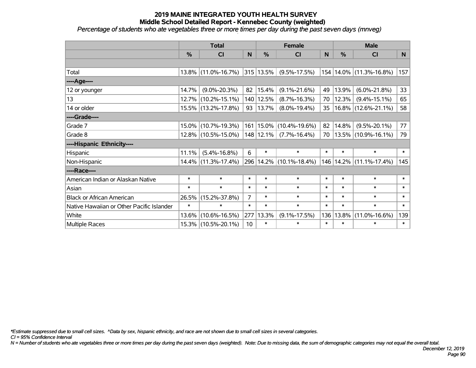*Percentage of students who ate vegetables three or more times per day during the past seven days (mnveg)*

|                                           | <b>Total</b> |                     |                | <b>Female</b> | <b>Male</b>                 |        |               |                             |                |
|-------------------------------------------|--------------|---------------------|----------------|---------------|-----------------------------|--------|---------------|-----------------------------|----------------|
|                                           | %            | <b>CI</b>           | N              | %             | C <sub>l</sub>              | N      | $\frac{0}{0}$ | <b>CI</b>                   | N <sub>1</sub> |
|                                           |              |                     |                |               |                             |        |               |                             |                |
| Total                                     |              | 13.8% (11.0%-16.7%) |                | 315 13.5%     | $(9.5\% - 17.5\%)$          |        |               | 154   14.0%   (11.3%-16.8%) | 157            |
| ----Age----                               |              |                     |                |               |                             |        |               |                             |                |
| 12 or younger                             | 14.7%        | $(9.0\% - 20.3\%)$  | 82             | 15.4%         | $(9.1\% - 21.6\%)$          | 49     | 13.9%         | $(6.0\% - 21.8\%)$          | 33             |
| 13                                        | 12.7%        | $(10.2\% - 15.1\%)$ |                | 140 12.5%     | $(8.7\% - 16.3\%)$          | 70     | 12.3%         | $(9.4\% - 15.1\%)$          | 65             |
| 14 or older                               |              | 15.5% (13.2%-17.8%) |                | 93   13.7%    | $(8.0\% - 19.4\%)$          | 35     |               | $16.8\%$ (12.6%-21.1%)      | 58             |
| ----Grade----                             |              |                     |                |               |                             |        |               |                             |                |
| Grade 7                                   | 15.0%        | $(10.7\% - 19.3\%)$ |                |               | 161   15.0%   (10.4%-19.6%) | 82     | 14.8%         | $(9.5\% - 20.1\%)$          | 77             |
| Grade 8                                   |              | 12.8% (10.5%-15.0%) |                | $148$   12.1% | $(7.7\% - 16.4\%)$          | 70     |               | $13.5\%$ (10.9%-16.1%)      | 79             |
| ----Hispanic Ethnicity----                |              |                     |                |               |                             |        |               |                             |                |
| Hispanic                                  | 11.1%        | $(5.4\% - 16.8\%)$  | 6              | $\ast$        | $\ast$                      | $\ast$ | $\ast$        | $\ast$                      | $\ast$         |
| Non-Hispanic                              |              | 14.4% (11.3%-17.4%) |                |               | 296   14.2%   (10.1%-18.4%) | 146    | 14.2%         | $(11.1\% - 17.4\%)$         | 145            |
| ----Race----                              |              |                     |                |               |                             |        |               |                             |                |
| American Indian or Alaskan Native         | $\ast$       | $\ast$              | $\ast$         | $\ast$        | $\ast$                      | $\ast$ | $\ast$        | $\ast$                      | $\ast$         |
| Asian                                     | $\ast$       | $\ast$              | $\ast$         | $\ast$        | $\ast$                      | $\ast$ | $\ast$        | $\ast$                      | $\ast$         |
| <b>Black or African American</b>          | 26.5%        | $(15.2\% - 37.8\%)$ | $\overline{7}$ | $\ast$        | $\ast$                      | $\ast$ | $\ast$        | $\ast$                      | $\ast$         |
| Native Hawaiian or Other Pacific Islander | $\ast$       | $\ast$              | $\ast$         | $\ast$        | $\ast$                      | $\ast$ | $\ast$        | $\ast$                      | $\ast$         |
| White                                     | 13.6%        | $(10.6\% - 16.5\%)$ | 277            | 13.3%         | $(9.1\% - 17.5\%)$          | 136    | 13.8%         | $(11.0\% - 16.6\%)$         | 139            |
| Multiple Races                            |              | 15.3% (10.5%-20.1%) | 10             | $\ast$        | $\ast$                      | $\ast$ | $\ast$        | $\ast$                      | $\ast$         |

*\*Estimate suppressed due to small cell sizes. ^Data by sex, hispanic ethnicity, and race are not shown due to small cell sizes in several categories.*

*CI = 95% Confidence Interval*

*N = Number of students who ate vegetables three or more times per day during the past seven days (weighted). Note: Due to missing data, the sum of demographic categories may not equal the overall total.*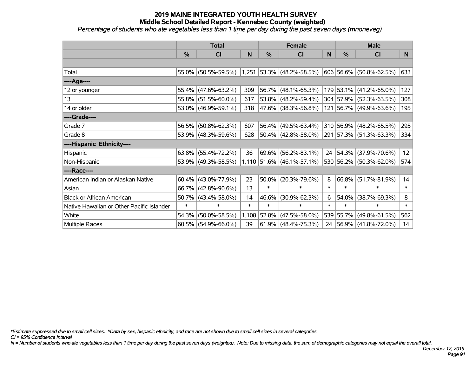*Percentage of students who ate vegetables less than 1 time per day during the past seven days (mnoneveg)*

|                                           | <b>Total</b>  |                        |        | <b>Female</b> |                             | <b>Male</b> |               |                         |                 |
|-------------------------------------------|---------------|------------------------|--------|---------------|-----------------------------|-------------|---------------|-------------------------|-----------------|
|                                           | $\frac{0}{0}$ | CI                     | N      | %             | <b>CI</b>                   | ${\sf N}$   | $\frac{0}{0}$ | <b>CI</b>               | N               |
|                                           |               |                        |        |               |                             |             |               |                         |                 |
| Total                                     |               | 55.0% (50.5%-59.5%)    |        |               | 1,251 53.3% (48.2%-58.5%)   |             |               | 606 56.6% (50.8%-62.5%) | 633             |
| ----Age----                               |               |                        |        |               |                             |             |               |                         |                 |
| 12 or younger                             | 55.4%         | $(47.6\% - 63.2\%)$    | 309    | 56.7%         | $(48.1\% - 65.3\%)$         |             |               | 179 53.1% (41.2%-65.0%) | 127             |
| 13                                        |               | 55.8% (51.5%-60.0%)    | 617    | 53.8%         | $(48.2\% - 59.4\%)$         |             |               | 304 57.9% (52.3%-63.5%) | 308             |
| 14 or older                               |               | 53.0% (46.9%-59.1%)    | 318    |               | 47.6% (38.3%-56.8%)         |             |               | 121 56.7% (49.9%-63.6%) | 195             |
| ----Grade----                             |               |                        |        |               |                             |             |               |                         |                 |
| Grade 7                                   | 56.5%         | $(50.8\% - 62.3\%)$    | 607    | 56.4%         | $(49.5\% - 63.4\%)$         |             |               | 310 56.9% (48.2%-65.5%) | 295             |
| Grade 8                                   |               | 53.9% (48.3%-59.6%)    | 628    |               | $50.4\%$ (42.8%-58.0%)      |             |               | 291 57.3% (51.3%-63.3%) | 334             |
| ----Hispanic Ethnicity----                |               |                        |        |               |                             |             |               |                         |                 |
| Hispanic                                  | 63.8%         | $(55.4\% - 72.2\%)$    | 36     | 69.6%         | $(56.2\% - 83.1\%)$         | 24          | $ 54.3\% $    | $(37.9\% - 70.6\%)$     | 12 <sub>2</sub> |
| Non-Hispanic                              |               | 53.9% (49.3%-58.5%)    |        |               | $1,110$ 51.6% (46.1%-57.1%) |             |               | 530 56.2% (50.3%-62.0%) | 574             |
| ----Race----                              |               |                        |        |               |                             |             |               |                         |                 |
| American Indian or Alaskan Native         |               | $60.4\%$ (43.0%-77.9%) | 23     | 50.0%         | $(20.3\% - 79.6\%)$         | 8           | 66.8%         | $(51.7\% - 81.9\%)$     | 14              |
| Asian                                     | 66.7%         | $(42.8\% - 90.6\%)$    | 13     | $\ast$        | $\ast$                      | $\ast$      | $\ast$        | $\ast$                  | $\ast$          |
| <b>Black or African American</b>          | 50.7%         | $(43.4\% - 58.0\%)$    | 14     | 46.6%         | $(30.9\% - 62.3\%)$         | 6.          | 54.0%         | $(38.7\% - 69.3\%)$     | 8               |
| Native Hawaiian or Other Pacific Islander | $\ast$        | $\ast$                 | $\ast$ | $\ast$        | $\ast$                      | $\ast$      | $\ast$        | $\ast$                  | $\ast$          |
| White                                     | 54.3%         | $(50.0\% - 58.5\%)$    | 1,108  | 52.8%         | $(47.5\% - 58.0\%)$         |             | 539 55.7%     | $(49.8\% - 61.5\%)$     | 562             |
| Multiple Races                            |               | $60.5\%$ (54.9%-66.0%) | 39     |               | $61.9\%$ (48.4%-75.3%)      |             |               | 24 56.9% (41.8%-72.0%)  | 14              |

*\*Estimate suppressed due to small cell sizes. ^Data by sex, hispanic ethnicity, and race are not shown due to small cell sizes in several categories.*

*CI = 95% Confidence Interval*

*N = Number of students who ate vegetables less than 1 time per day during the past seven days (weighted). Note: Due to missing data, the sum of demographic categories may not equal the overall total.*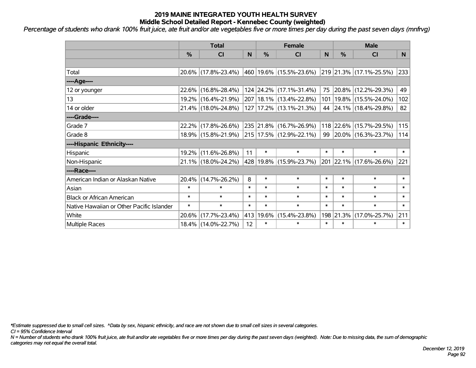*Percentage of students who drank 100% fruit juice, ate fruit and/or ate vegetables five or more times per day during the past seven days (mnfrvg)*

|                                           | <b>Total</b>  |                     |        | <b>Female</b> | <b>Male</b>                 |        |           |                             |        |
|-------------------------------------------|---------------|---------------------|--------|---------------|-----------------------------|--------|-----------|-----------------------------|--------|
|                                           | $\frac{0}{0}$ | CI                  | N      | %             | <b>CI</b>                   | N      | %         | <b>CI</b>                   | N.     |
|                                           |               |                     |        |               |                             |        |           |                             |        |
| Total                                     |               | 20.6% (17.8%-23.4%) |        |               | 460 19.6% (15.5%-23.6%)     |        |           | 219 21.3% (17.1%-25.5%)     | 233    |
| ----Age----                               |               |                     |        |               |                             |        |           |                             |        |
| 12 or younger                             |               | 22.6% (16.8%-28.4%) |        |               | 124 24.2% (17.1%-31.4%)     | 75     |           | $ 20.8\% $ (12.2%-29.3%)    | 49     |
| 13                                        |               | 19.2% (16.4%-21.9%) |        |               | 207   18.1%   (13.4%-22.8%) |        |           | 101   19.8%   (15.5%-24.0%) | 102    |
| 14 or older                               |               | 21.4% (18.0%-24.8%) |        |               | 127   17.2%   (13.1%-21.3%) |        |           | 44 24.1% (18.4%-29.8%)      | 82     |
| ----Grade----                             |               |                     |        |               |                             |        |           |                             |        |
| Grade 7                                   |               | 22.2% (17.8%-26.6%) |        |               | 235 21.8% (16.7%-26.9%)     |        |           | 118 22.6% (15.7%-29.5%)     | 115    |
| Grade 8                                   |               | 18.9% (15.8%-21.9%) |        |               | 215   17.5%   (12.9%-22.1%) | 99     |           | $ 20.0\% $ (16.3%-23.7%)    | 114    |
| ----Hispanic Ethnicity----                |               |                     |        |               |                             |        |           |                             |        |
| Hispanic                                  |               | 19.2% (11.6%-26.8%) | 11     | $\ast$        | $\ast$                      | $\ast$ | $\ast$    | $\ast$                      | $\ast$ |
| Non-Hispanic                              |               | 21.1% (18.0%-24.2%) |        |               | 428 19.8% (15.9%-23.7%)     |        |           | 201 22.1% (17.6%-26.6%)     | 221    |
| ----Race----                              |               |                     |        |               |                             |        |           |                             |        |
| American Indian or Alaskan Native         |               | 20.4% (14.7%-26.2%) | 8      | $\ast$        | $\ast$                      | $\ast$ | $\ast$    | $\ast$                      | $\ast$ |
| Asian                                     | $\ast$        | $\ast$              | $\ast$ | $\ast$        | $\ast$                      | $\ast$ | $\ast$    | $\ast$                      | $\ast$ |
| <b>Black or African American</b>          | $\ast$        | $\ast$              | $\ast$ | $\ast$        | $\ast$                      | $\ast$ | $\ast$    | $\ast$                      | $\ast$ |
| Native Hawaiian or Other Pacific Islander | $\ast$        | $\ast$              | $\ast$ | $\ast$        | $\ast$                      | $\ast$ | $\ast$    | $\ast$                      | $\ast$ |
| White                                     | 20.6%         | $(17.7\% - 23.4\%)$ | 413    | 19.6%         | $(15.4\% - 23.8\%)$         |        | 198 21.3% | $(17.0\% - 25.7\%)$         | 211    |
| <b>Multiple Races</b>                     |               | 18.4% (14.0%-22.7%) | 12     | $\ast$        | $\ast$                      | $\ast$ | $\ast$    | $\ast$                      | $\ast$ |

*\*Estimate suppressed due to small cell sizes. ^Data by sex, hispanic ethnicity, and race are not shown due to small cell sizes in several categories.*

*CI = 95% Confidence Interval*

*N = Number of students who drank 100% fruit juice, ate fruit and/or ate vegetables five or more times per day during the past seven days (weighted). Note: Due to missing data, the sum of demographic categories may not equal the overall total.*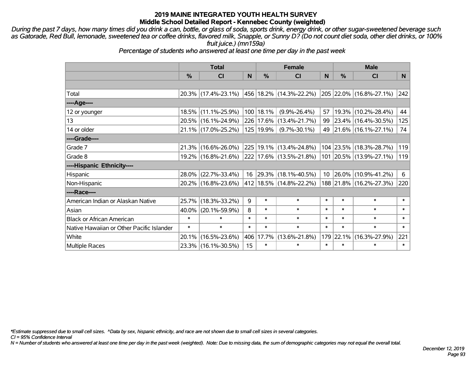*During the past 7 days, how many times did you drink a can, bottle, or glass of soda, sports drink, energy drink, or other sugar-sweetened beverage such as Gatorade, Red Bull, lemonade, sweetened tea or coffee drinks, flavored milk, Snapple, or Sunny D? (Do not count diet soda, other diet drinks, or 100% fruit juice.) (mn159a)*

*Percentage of students who answered at least one time per day in the past week*

|                                           | <b>Total</b>  |                                             |        | <b>Female</b> | <b>Male</b>                  |        |           |                         |          |
|-------------------------------------------|---------------|---------------------------------------------|--------|---------------|------------------------------|--------|-----------|-------------------------|----------|
|                                           | $\frac{0}{0}$ | CI                                          | N      | %             | CI                           | N      | %         | CI                      | <b>N</b> |
|                                           |               |                                             |        |               |                              |        |           |                         |          |
| Total                                     |               | 20.3% (17.4%-23.1%) 456 18.2% (14.3%-22.2%) |        |               |                              |        |           | 205 22.0% (16.8%-27.1%) | 242      |
| ----Age----                               |               |                                             |        |               |                              |        |           |                         |          |
| 12 or younger                             |               | 18.5% (11.1%-25.9%)                         |        | 100 18.1%     | $(9.9\% - 26.4\%)$           | 57     | 19.3%     | $(10.2\% - 28.4\%)$     | 44       |
| 13                                        |               | 20.5% (16.1%-24.9%)                         |        |               | 226 17.6% (13.4%-21.7%)      |        |           | 99 23.4% (16.4%-30.5%)  | 125      |
| 14 or older                               |               | 21.1% (17.0%-25.2%)                         |        | 125   19.9%   | $(9.7\% - 30.1\%)$           |        |           | 49 21.6% (16.1%-27.1%)  | 74       |
| ----Grade----                             |               |                                             |        |               |                              |        |           |                         |          |
| Grade 7                                   | 21.3%         | $(16.6\% - 26.0\%)$                         |        |               | 225 19.1% (13.4%-24.8%)      |        | 104 23.5% | $(18.3\% - 28.7\%)$     | 119      |
| Grade 8                                   |               | 19.2% (16.8%-21.6%)                         |        |               | $ 222 17.6\% $ (13.5%-21.8%) |        |           | 101 20.5% (13.9%-27.1%) | 119      |
| ----Hispanic Ethnicity----                |               |                                             |        |               |                              |        |           |                         |          |
| Hispanic                                  | 28.0%         | $(22.7\% - 33.4\%)$                         |        |               | 16 29.3% (18.1%-40.5%)       |        | 10 26.0%  | $(10.9\% - 41.2\%)$     | 6        |
| Non-Hispanic                              |               | 20.2% (16.8%-23.6%)                         |        |               | 412 18.5% (14.8%-22.2%)      |        |           | 188 21.8% (16.2%-27.3%) | 220      |
| ----Race----                              |               |                                             |        |               |                              |        |           |                         |          |
| American Indian or Alaskan Native         | 25.7%         | $(18.3\% - 33.2\%)$                         | 9      | $\ast$        | $\ast$                       | $\ast$ | $\ast$    | $\ast$                  | $\ast$   |
| Asian                                     | $40.0\%$      | $(20.1\% - 59.9\%)$                         | 8      | $\ast$        | $\ast$                       | $\ast$ | $\ast$    | $\ast$                  | $\ast$   |
| <b>Black or African American</b>          | $\ast$        | $\ast$                                      | $\ast$ | $\ast$        | $\ast$                       | $\ast$ | $\ast$    | $\ast$                  | $\ast$   |
| Native Hawaiian or Other Pacific Islander | $\ast$        | $\ast$                                      | $\ast$ | $\ast$        | $\ast$                       | $\ast$ | $\ast$    | $\ast$                  | $\ast$   |
| White                                     | 20.1%         | $(16.5\% - 23.6\%)$                         | 406    | 17.7%         | $(13.6\% - 21.8\%)$          | 179    | 22.1%     | $(16.3\% - 27.9\%)$     | 221      |
| <b>Multiple Races</b>                     |               | 23.3% (16.1%-30.5%)                         | 15     | $\ast$        | $\ast$                       | $\ast$ | $\ast$    | $\ast$                  | $\ast$   |

*\*Estimate suppressed due to small cell sizes. ^Data by sex, hispanic ethnicity, and race are not shown due to small cell sizes in several categories.*

*CI = 95% Confidence Interval*

*N = Number of students who answered at least one time per day in the past week (weighted). Note: Due to missing data, the sum of demographic categories may not equal the overall total.*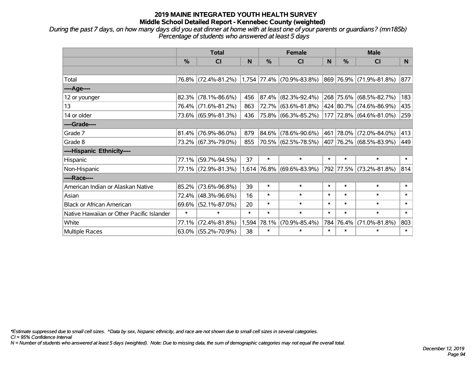*During the past 7 days, on how many days did you eat dinner at home with at least one of your parents or guardians? (mn185b) Percentage of students who answered at least 5 days*

|                                           | <b>Total</b>  |                        |        |        | <b>Female</b>               |        | <b>Male</b>   |                         |        |  |
|-------------------------------------------|---------------|------------------------|--------|--------|-----------------------------|--------|---------------|-------------------------|--------|--|
|                                           | $\frac{0}{0}$ | <b>CI</b>              | N      | %      | <b>CI</b>                   | N      | $\frac{0}{0}$ | <b>CI</b>               | N.     |  |
|                                           |               |                        |        |        |                             |        |               |                         |        |  |
| Total                                     |               | 76.8% (72.4%-81.2%)    |        |        | $1,754$ 77.4% (70.9%-83.8%) |        |               | 869 76.9% (71.9%-81.8%) | 877    |  |
| ----Age----                               |               |                        |        |        |                             |        |               |                         |        |  |
| 12 or younger                             | 82.3%         | $(78.1\% - 86.6\%)$    | 456    | 87.4%  | $(82.3\% - 92.4\%)$         |        |               | 268 75.6% (68.5%-82.7%) | 183    |  |
| 13                                        |               | 76.4% (71.6%-81.2%)    | 863    | 72.7%  | $(63.6\% - 81.8\%)$         |        |               | 424 80.7% (74.6%-86.9%) | 435    |  |
| 14 or older                               |               | 73.6% (65.9%-81.3%)    | 436    |        | 75.8% (66.3%-85.2%)         |        |               | 177 72.8% (64.6%-81.0%) | 259    |  |
| ----Grade----                             |               |                        |        |        |                             |        |               |                         |        |  |
| Grade 7                                   | 81.4%         | $(76.9\% - 86.0\%)$    | 879    | 84.6%  | $(78.6\% - 90.6\%)$         |        |               | 461 78.0% (72.0%-84.0%) | 413    |  |
| Grade 8                                   |               | 73.2% (67.3%-79.0%)    | 855    |        | 70.5% (62.5%-78.5%)         |        |               | 407 76.2% (68.5%-83.9%) | 449    |  |
| ----Hispanic Ethnicity----                |               |                        |        |        |                             |        |               |                         |        |  |
| Hispanic                                  | 77.1%         | $(59.7\% - 94.5\%)$    | 37     | $\ast$ | $\ast$                      | $\ast$ | $\ast$        | $\ast$                  | $\ast$ |  |
| Non-Hispanic                              |               | 77.1% (72.9%-81.3%)    |        |        | $1,614$ 76.8% (69.6%-83.9%) |        |               | 792 77.5% (73.2%-81.8%) | 814    |  |
| ----Race----                              |               |                        |        |        |                             |        |               |                         |        |  |
| American Indian or Alaskan Native         | 85.2%         | $(73.6\% - 96.8\%)$    | 39     | $\ast$ | $\ast$                      | $\ast$ | $\ast$        | $\ast$                  | $\ast$ |  |
| Asian                                     | 72.4%         | $(48.3\% - 96.6\%)$    | 16     | $\ast$ | $\ast$                      | $\ast$ | $\ast$        | $\ast$                  | $\ast$ |  |
| <b>Black or African American</b>          | 69.6%         | $(52.1\% - 87.0\%)$    | 20     | $\ast$ | $\ast$                      | $\ast$ | $\ast$        | $\ast$                  | $\ast$ |  |
| Native Hawaiian or Other Pacific Islander | $\ast$        | $\ast$                 | $\ast$ | $\ast$ | $\ast$                      | $\ast$ | $\ast$        | $\ast$                  | $\ast$ |  |
| White                                     | 77.1%         | $(72.4\% - 81.8\%)$    | 1,594  | 78.1%  | $(70.9\% - 85.4\%)$         |        | 784 76.4%     | $(71.0\% - 81.8\%)$     | 803    |  |
| Multiple Races                            |               | $63.0\%$ (55.2%-70.9%) | 38     | $\ast$ | $\ast$                      | $\ast$ | $\ast$        | $\ast$                  | $\ast$ |  |

*\*Estimate suppressed due to small cell sizes. ^Data by sex, hispanic ethnicity, and race are not shown due to small cell sizes in several categories.*

*CI = 95% Confidence Interval*

*N = Number of students who answered at least 5 days (weighted). Note: Due to missing data, the sum of demographic categories may not equal the overall total.*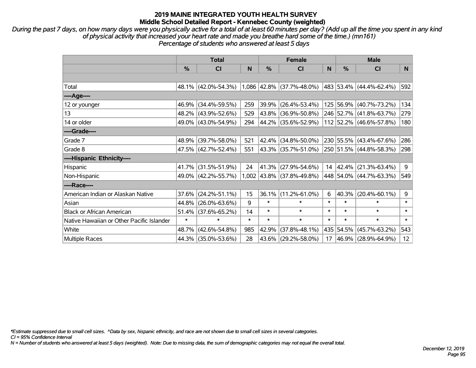*During the past 7 days, on how many days were you physically active for a total of at least 60 minutes per day? (Add up all the time you spent in any kind of physical activity that increased your heart rate and made you breathe hard some of the time.) (mn161) Percentage of students who answered at least 5 days*

|                                           | <b>Total</b> |                     |        |               | <b>Female</b>               |        | <b>Male</b>   |                         |                 |  |
|-------------------------------------------|--------------|---------------------|--------|---------------|-----------------------------|--------|---------------|-------------------------|-----------------|--|
|                                           | %            | CI                  | N      | $\frac{0}{0}$ | CI                          | N      | $\frac{0}{0}$ | <b>CI</b>               | N               |  |
|                                           |              |                     |        |               |                             |        |               |                         |                 |  |
| Total                                     |              | 48.1% (42.0%-54.3%) |        |               | $1,086$ 42.8% (37.7%-48.0%) |        |               | 483 53.4% (44.4%-62.4%) | 592             |  |
| ----Age----                               |              |                     |        |               |                             |        |               |                         |                 |  |
| 12 or younger                             | 46.9%        | $(34.4\% - 59.5\%)$ | 259    | 39.9%         | $(26.4\% - 53.4\%)$         |        |               | 125 56.9% (40.7%-73.2%) | 134             |  |
| 13                                        |              | 48.2% (43.9%-52.6%) | 529    |               | 43.8% (36.9%-50.8%)         |        |               | 246 52.7% (41.8%-63.7%) | 279             |  |
| 14 or older                               |              | 49.0% (43.0%-54.9%) | 294    |               | 44.2% (35.6%-52.9%)         |        |               | 112 52.2% (46.6%-57.8%) | 180             |  |
| ----Grade----                             |              |                     |        |               |                             |        |               |                         |                 |  |
| Grade 7                                   | 48.9%        | $(39.7\% - 58.0\%)$ | 521    | 42.4%         | $(34.8\% - 50.0\%)$         |        |               | 230 55.5% (43.4%-67.6%) | 286             |  |
| Grade 8                                   |              | 47.5% (42.7%-52.4%) | 551    |               | 43.3%   (35.7%-51.0%)       |        |               | 250 51.5% (44.8%-58.3%) | 298             |  |
| ----Hispanic Ethnicity----                |              |                     |        |               |                             |        |               |                         |                 |  |
| Hispanic                                  | 41.7%        | $(31.5\% - 51.9\%)$ | 24     | 41.3%         | $(27.9\% - 54.6\%)$         | 14     | $ 42.4\% $    | $(21.3\% - 63.4\%)$     | 9               |  |
| Non-Hispanic                              |              | 49.0% (42.2%-55.7%) |        |               | $1,002$ 43.8% (37.8%-49.8%) |        |               | 448 54.0% (44.7%-63.3%) | 549             |  |
| ----Race----                              |              |                     |        |               |                             |        |               |                         |                 |  |
| American Indian or Alaskan Native         | 37.6%        | $(24.2\% - 51.1\%)$ | 15     | 36.1%         | $(11.2\% - 61.0\%)$         | 6      | 40.3%         | $(20.4\% - 60.1\%)$     | 9               |  |
| Asian                                     | 44.8%        | $(26.0\% - 63.6\%)$ | 9      | $\ast$        | $\ast$                      | $\ast$ | $\ast$        | $\ast$                  | $\ast$          |  |
| <b>Black or African American</b>          | 51.4%        | $(37.6\% - 65.2\%)$ | 14     | $\ast$        | $\ast$                      | $\ast$ | $\ast$        | $\ast$                  | $\ast$          |  |
| Native Hawaiian or Other Pacific Islander | $\ast$       | $\ast$              | $\ast$ | $\ast$        | $\ast$                      | $\ast$ | $\ast$        | $\ast$                  | $\ast$          |  |
| White                                     | 48.7%        | $(42.6\% - 54.8\%)$ | 985    | 42.9%         | $(37.8\% - 48.1\%)$         |        | 435 54.5%     | $(45.7\% - 63.2\%)$     | 543             |  |
| Multiple Races                            |              | 44.3% (35.0%-53.6%) | 28     | 43.6%         | $(29.2\% - 58.0\%)$         | 17     |               | 46.9% (28.9%-64.9%)     | 12 <sup>2</sup> |  |

*\*Estimate suppressed due to small cell sizes. ^Data by sex, hispanic ethnicity, and race are not shown due to small cell sizes in several categories.*

*CI = 95% Confidence Interval*

*N = Number of students who answered at least 5 days (weighted). Note: Due to missing data, the sum of demographic categories may not equal the overall total.*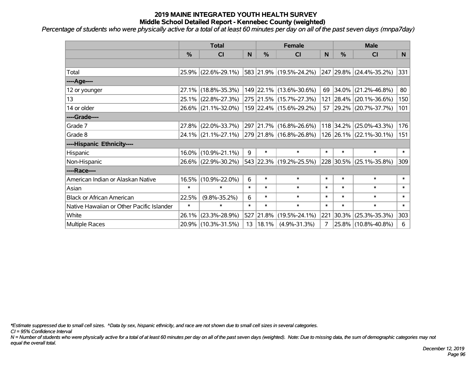*Percentage of students who were physically active for a total of at least 60 minutes per day on all of the past seven days (mnpa7day)*

|                                           | <b>Total</b>  |                                             |        | <b>Female</b>         | <b>Male</b>             |        |               |                         |              |
|-------------------------------------------|---------------|---------------------------------------------|--------|-----------------------|-------------------------|--------|---------------|-------------------------|--------------|
|                                           | $\frac{0}{0}$ | <b>CI</b>                                   | N      | $\frac{0}{0}$         | <b>CI</b>               | N      | $\frac{0}{0}$ | <b>CI</b>               | N.           |
|                                           |               |                                             |        |                       |                         |        |               |                         |              |
| Total                                     |               | 25.9% (22.6%-29.1%)                         |        |                       | 583 21.9% (19.5%-24.2%) |        |               | 247 29.8% (24.4%-35.2%) | 331          |
| ----Age----                               |               |                                             |        |                       |                         |        |               |                         |              |
| 12 or younger                             | $27.1\%$      | $(18.8\% - 35.3\%)$                         |        |                       | 149 22.1% (13.6%-30.6%) | 69     | 34.0%         | $(21.2\% - 46.8\%)$     | 80           |
| 13                                        |               | 25.1% (22.8%-27.3%)                         |        |                       | 275 21.5% (15.7%-27.3%) |        |               | 121 28.4% (20.1%-36.6%) | 150          |
| 14 or older                               |               | 26.6% (21.1%-32.0%)                         |        |                       | 159 22.4% (15.6%-29.2%) |        |               | 57 29.2% (20.7%-37.7%)  | 101          |
| ----Grade----                             |               |                                             |        |                       |                         |        |               |                         |              |
| Grade 7                                   | $27.8\%$      | $(22.0\% - 33.7\%)$                         |        |                       | 297 21.7% (16.8%-26.6%) |        | 118 34.2%     | $(25.0\% - 43.3\%)$     | 176          |
| Grade 8                                   |               | 24.1% (21.1%-27.1%) 279 21.8% (16.8%-26.8%) |        |                       |                         |        |               | 126 26.1% (22.1%-30.1%) | 151          |
| ----Hispanic Ethnicity----                |               |                                             |        |                       |                         |        |               |                         |              |
| Hispanic                                  | $16.0\%$      | $(10.9\% - 21.1\%)$                         | 9      | $\ast$                | $\ast$                  | $\ast$ | $\ast$        | $\ast$                  | $\ast$       |
| Non-Hispanic                              |               | 26.6% (22.9%-30.2%)                         |        |                       | 543 22.3% (19.2%-25.5%) |        |               | 228 30.5% (25.1%-35.8%) | 309          |
| ----Race----                              |               |                                             |        |                       |                         |        |               |                         |              |
| American Indian or Alaskan Native         | 16.5%         | $(10.9\% - 22.0\%)$                         | 6      | $\ast$                | $\ast$                  | $\ast$ | $\ast$        | $\ast$                  | $\ast$       |
| Asian                                     | $\ast$        | $\ast$                                      | $\ast$ | $\ast$                | $\ast$                  | $\ast$ | $\ast$        | $\ast$                  | $\ast$       |
| <b>Black or African American</b>          | 22.5%         | $(9.8\% - 35.2\%)$                          | 6      | $\ast$                | $\ast$                  | $\ast$ | $\ast$        | $\ast$                  | $\ast$       |
| Native Hawaiian or Other Pacific Islander | $\ast$        | $\ast$                                      | $\ast$ | $\ast$                | $\ast$                  | $\ast$ | $\ast$        | $\ast$                  | $\pmb{\ast}$ |
| White                                     | 26.1%         | $(23.3\% - 28.9\%)$                         | 527    | 21.8%                 | $(19.5\% - 24.1\%)$     | 221    | 30.3%         | $(25.3\% - 35.3\%)$     | 303          |
| <b>Multiple Races</b>                     |               | 20.9% (10.3%-31.5%)                         |        | $13 \mid 18.1\% \mid$ | $(4.9\% - 31.3\%)$      | 7      |               | 25.8% (10.8%-40.8%)     | 6            |

*\*Estimate suppressed due to small cell sizes. ^Data by sex, hispanic ethnicity, and race are not shown due to small cell sizes in several categories.*

*CI = 95% Confidence Interval*

*N = Number of students who were physically active for a total of at least 60 minutes per day on all of the past seven days (weighted). Note: Due to missing data, the sum of demographic categories may not equal the overall total.*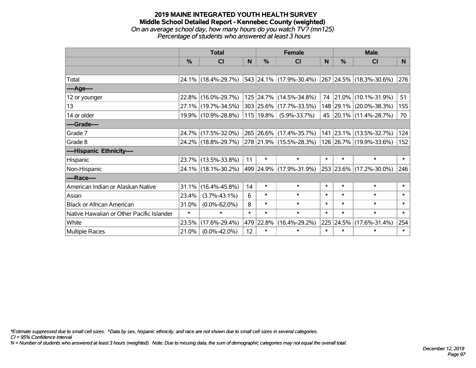#### **2019 MAINE INTEGRATED YOUTH HEALTH SURVEY Middle School Detailed Report - Kennebec County (weighted)** *On an average school day, how many hours do you watch TV? (mn125) Percentage of students who answered at least 3 hours*

|                                           | <b>Total</b>  |                     |        |               | <b>Female</b>           | <b>Male</b> |           |                         |        |
|-------------------------------------------|---------------|---------------------|--------|---------------|-------------------------|-------------|-----------|-------------------------|--------|
|                                           | $\frac{0}{0}$ | <b>CI</b>           | N.     | $\frac{0}{0}$ | <b>CI</b>               | <b>N</b>    | %         | <b>CI</b>               | N.     |
|                                           |               |                     |        |               |                         |             |           |                         |        |
| Total                                     |               | 24.1% (18.4%-29.7%) |        |               | 543 24.1% (17.9%-30.4%) |             |           | 267 24.5% (18.3%-30.6%) | 276    |
| ----Age----                               |               |                     |        |               |                         |             |           |                         |        |
| 12 or younger                             |               | 22.8% (16.0%-29.7%) |        |               | 125 24.7% (14.5%-34.8%) | 74          | 21.0%     | $(10.1\% - 31.9\%)$     | 51     |
| 13                                        |               | 27.1% (19.7%-34.5%) |        |               | 303 25.6% (17.7%-33.5%) |             |           | 148 29.1% (20.0%-38.3%) | 155    |
| 14 or older                               |               | 19.9% (10.9%-28.8%) |        | $115$   19.8% | $(5.9\% - 33.7\%)$      |             |           | 45 20.1% (11.4%-28.7%)  | 70     |
| ----Grade----                             |               |                     |        |               |                         |             |           |                         |        |
| Grade 7                                   |               | 24.7% (17.5%-32.0%) |        |               | 265 26.6% (17.4%-35.7%) |             | 141 23.1% | $(13.5\% - 32.7\%)$     | 124    |
| Grade 8                                   |               | 24.2% (18.8%-29.7%) |        |               | 278 21.9% (15.5%-28.3%) |             |           | 126 26.7% (19.9%-33.6%) | 152    |
| ----Hispanic Ethnicity----                |               |                     |        |               |                         |             |           |                         |        |
| Hispanic                                  |               | 23.7% (13.5%-33.8%) | 11     | $\ast$        | $\ast$                  | $\ast$      | $\ast$    | $\ast$                  | $\ast$ |
| Non-Hispanic                              |               | 24.1% (18.1%-30.2%) |        |               | 499 24.9% (17.9%-31.9%) |             |           | 253 23.6% (17.2%-30.0%) | 246    |
| ----Race----                              |               |                     |        |               |                         |             |           |                         |        |
| American Indian or Alaskan Native         | 31.1%         | $(16.4\% - 45.8\%)$ | 14     | $\ast$        | $\ast$                  | $\ast$      | $\ast$    | $\ast$                  | $\ast$ |
| Asian                                     | 23.4%         | $(3.7\% - 43.1\%)$  | 6      | $\ast$        | $\ast$                  | $\ast$      | $\ast$    | $\ast$                  | $\ast$ |
| <b>Black or African American</b>          | 31.0%         | $(0.0\% - 62.0\%)$  | 8      | $\ast$        | $\ast$                  | $\ast$      | $\ast$    | $\ast$                  | $\ast$ |
| Native Hawaiian or Other Pacific Islander | $\ast$        | $\ast$              | $\ast$ | $\ast$        | $\ast$                  | $\ast$      | $\ast$    | $\ast$                  | $\ast$ |
| White                                     | 23.5%         | $(17.6\% - 29.4\%)$ |        | 479 22.8%     | $(16.4\% - 29.2\%)$     | 225         | 24.5%     | $(17.6\% - 31.4\%)$     | 254    |
| <b>Multiple Races</b>                     | 21.0%         | $(0.0\% - 42.0\%)$  | 12     | $\ast$        | $\ast$                  | $\ast$      | $\ast$    | $\ast$                  | $\ast$ |

*\*Estimate suppressed due to small cell sizes. ^Data by sex, hispanic ethnicity, and race are not shown due to small cell sizes in several categories.*

*CI = 95% Confidence Interval*

*N = Number of students who answered at least 3 hours (weighted). Note: Due to missing data, the sum of demographic categories may not equal the overall total.*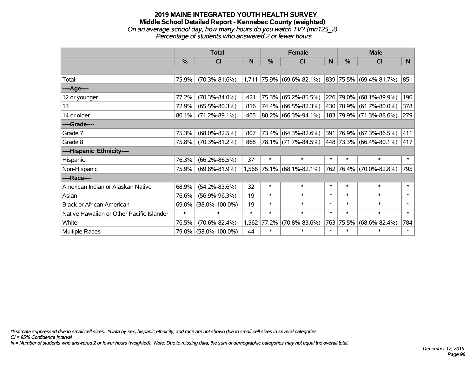#### **2019 MAINE INTEGRATED YOUTH HEALTH SURVEY Middle School Detailed Report - Kennebec County (weighted)** *On an average school day, how many hours do you watch TV? (mn125\_2) Percentage of students who answered 2 or fewer hours*

|                                           | <b>Total</b> |                      |        | <b>Female</b> |                           |        | <b>Male</b>   |                                  |        |
|-------------------------------------------|--------------|----------------------|--------|---------------|---------------------------|--------|---------------|----------------------------------|--------|
|                                           | %            | <b>CI</b>            | N      | %             | <b>CI</b>                 | N.     | $\frac{0}{0}$ | <b>CI</b>                        | N      |
|                                           |              |                      |        |               |                           |        |               |                                  |        |
| Total                                     | 75.9%        | $(70.3\% - 81.6\%)$  | 1,711  |               | 75.9% (69.6%-82.1%)       |        |               | $ 839 75.5\%  (69.4\% - 81.7\%)$ | 851    |
| ----Age----                               |              |                      |        |               |                           |        |               |                                  |        |
| 12 or younger                             | 77.2%        | $(70.3\% - 84.0\%)$  | 421    |               | 75.3% (65.2%-85.5%)       |        |               | 226 79.0% (68.1%-89.9%)          | 190    |
| 13                                        | 72.9%        | $(65.5\% - 80.3\%)$  | 816    |               | 74.4% (66.5%-82.3%)       |        |               | 430 70.9% (61.7%-80.0%)          | 378    |
| 14 or older                               | 80.1%        | $(71.2\% - 89.1\%)$  | 465    |               | 80.2% (66.3%-94.1%)       |        |               | 183 79.9% (71.3%-88.6%)          | 279    |
| ----Grade----                             |              |                      |        |               |                           |        |               |                                  |        |
| Grade 7                                   | 75.3%        | $(68.0\% - 82.5\%)$  | 807    |               | 73.4% (64.3%-82.6%)       |        |               | 391 76.9% (67.3%-86.5%)          | 411    |
| Grade 8                                   | 75.8%        | $(70.3\% - 81.2\%)$  | 868    |               | 78.1% (71.7%-84.5%)       |        |               | 448 73.3% (66.4%-80.1%)          | 417    |
| ----Hispanic Ethnicity----                |              |                      |        |               |                           |        |               |                                  |        |
| Hispanic                                  | 76.3%        | $(66.2\% - 86.5\%)$  | 37     | $\ast$        | $\ast$                    | $\ast$ | $\ast$        | $\ast$                           | $\ast$ |
| Non-Hispanic                              | 75.9%        | $(69.8\% - 81.9\%)$  |        |               | 1,568 75.1% (68.1%-82.1%) |        |               | 762 76.4% (70.0%-82.8%)          | 795    |
| ----Race----                              |              |                      |        |               |                           |        |               |                                  |        |
| American Indian or Alaskan Native         | 68.9%        | $(54.2\% - 83.6\%)$  | 32     | $\ast$        | $\ast$                    | $\ast$ | $\ast$        | $\ast$                           | $\ast$ |
| Asian                                     | 76.6%        | $(56.9\% - 96.3\%)$  | 19     | $\ast$        | $\ast$                    | $\ast$ | $\ast$        | $\ast$                           | $\ast$ |
| <b>Black or African American</b>          | 69.0%        | $(38.0\% - 100.0\%)$ | 19     | $\ast$        | $\ast$                    | $\ast$ | $\ast$        | $\ast$                           | $\ast$ |
| Native Hawaiian or Other Pacific Islander | $\ast$       | $\ast$               | $\ast$ | $\ast$        | $\ast$                    | $\ast$ | $\ast$        | $\ast$                           | $\ast$ |
| White                                     | 76.5%        | $(70.6\% - 82.4\%)$  | 1,562  | 77.2%         | $(70.8\% - 83.6\%)$       | 763    | 75.5%         | $(68.6\% - 82.4\%)$              | 784    |
| Multiple Races                            | 79.0%        | $(58.0\% - 100.0\%)$ | 44     | $\ast$        | $\ast$                    | $\ast$ | $\ast$        | $\ast$                           | $\ast$ |

*\*Estimate suppressed due to small cell sizes. ^Data by sex, hispanic ethnicity, and race are not shown due to small cell sizes in several categories.*

*CI = 95% Confidence Interval*

*N = Number of students who answered 2 or fewer hours (weighted). Note: Due to missing data, the sum of demographic categories may not equal the overall total.*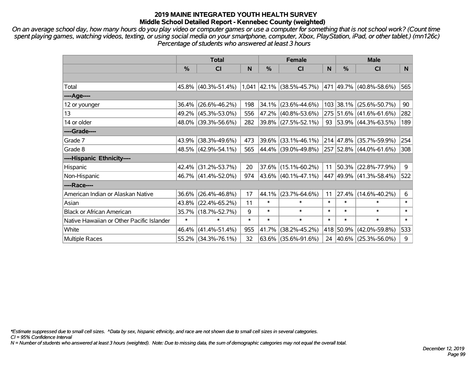*On an average school day, how many hours do you play video or computer games or use a computer for something that is not school work? (Count time spent playing games, watching videos, texting, or using social media on your smartphone, computer, Xbox, PlayStation, iPad, or other tablet.) (mn126c) Percentage of students who answered at least 3 hours*

|                                           | <b>Total</b>  |                        | <b>Female</b> |        |                             | <b>Male</b> |               |                                  |        |
|-------------------------------------------|---------------|------------------------|---------------|--------|-----------------------------|-------------|---------------|----------------------------------|--------|
|                                           | $\frac{0}{0}$ | <b>CI</b>              | N             | %      | <b>CI</b>                   | N           | $\frac{0}{0}$ | <b>CI</b>                        | N.     |
|                                           |               |                        |               |        |                             |             |               |                                  |        |
| Total                                     |               | $45.8\%$ (40.3%-51.4%) |               |        | $1,041$ 42.1% (38.5%-45.7%) |             |               | 471  49.7%  (40.8%-58.6%)        | 565    |
| ----Age----                               |               |                        |               |        |                             |             |               |                                  |        |
| 12 or younger                             | 36.4%         | $(26.6\% - 46.2\%)$    | 198           | 34.1%  | $(23.6\% - 44.6\%)$         |             |               | 103 38.1% (25.6%-50.7%)          | 90     |
| 13                                        |               | 49.2% (45.3%-53.0%)    | 556           |        | 47.2% (40.8%-53.6%)         |             |               | 275 51.6% (41.6%-61.6%)          | 282    |
| 14 or older                               |               | 48.0% (39.3%-56.6%)    | 282           |        | 39.8% (27.5%-52.1%)         |             |               | 93   53.9%   $(44.3\% - 63.5\%)$ | 189    |
| ----Grade----                             |               |                        |               |        |                             |             |               |                                  |        |
| Grade 7                                   | 43.9%         | $(38.3\% - 49.6\%)$    | 473           | 39.6%  | $(33.1\% - 46.1\%)$         |             |               | 214 47.8% (35.7%-59.9%)          | 254    |
| Grade 8                                   |               | 48.5% (42.9%-54.1%)    | 565           |        | 44.4% (39.0%-49.8%)         |             |               | 257 52.8% (44.0%-61.6%)          | 308    |
| ----Hispanic Ethnicity----                |               |                        |               |        |                             |             |               |                                  |        |
| Hispanic                                  | 42.4%         | $(31.2\% - 53.7\%)$    | 20            | 37.6%  | $(15.1\% - 60.2\%)$         | 11          |               | $50.3\%$ (22.8%-77.9%)           | 9      |
| Non-Hispanic                              |               | 46.7% (41.4%-52.0%)    | 974           |        | $43.6\%$ (40.1%-47.1%)      |             |               | 447 49.9% (41.3%-58.4%)          | 522    |
| ----Race----                              |               |                        |               |        |                             |             |               |                                  |        |
| American Indian or Alaskan Native         | 36.6%         | $(26.4\% - 46.8\%)$    | 17            | 44.1%  | $(23.7\% - 64.6\%)$         | 11          |               | 27.4% (14.6%-40.2%)              | 6      |
| Asian                                     |               | 43.8% (22.4%-65.2%)    | 11            | $\ast$ | $\ast$                      | $\ast$      | $\ast$        | $\ast$                           | $\ast$ |
| <b>Black or African American</b>          | 35.7%         | $(18.7\% - 52.7\%)$    | 9             | $\ast$ | $\ast$                      | $\ast$      | $\ast$        | $\ast$                           | $\ast$ |
| Native Hawaiian or Other Pacific Islander | $\ast$        | $\ast$                 | $\ast$        | $\ast$ | $\ast$                      | $\ast$      | $\ast$        | $\ast$                           | $\ast$ |
| White                                     | 46.4%         | $(41.4\% - 51.4\%)$    | 955           | 41.7%  | $(38.2\% - 45.2\%)$         |             | 418 50.9%     | $(42.0\% - 59.8\%)$              | 533    |
| <b>Multiple Races</b>                     |               | 55.2% (34.3%-76.1%)    | 32            | 63.6%  | $(35.6\% - 91.6\%)$         |             |               | 24   40.6%   (25.3%-56.0%)       | 9      |

*\*Estimate suppressed due to small cell sizes. ^Data by sex, hispanic ethnicity, and race are not shown due to small cell sizes in several categories.*

*CI = 95% Confidence Interval*

*N = Number of students who answered at least 3 hours (weighted). Note: Due to missing data, the sum of demographic categories may not equal the overall total.*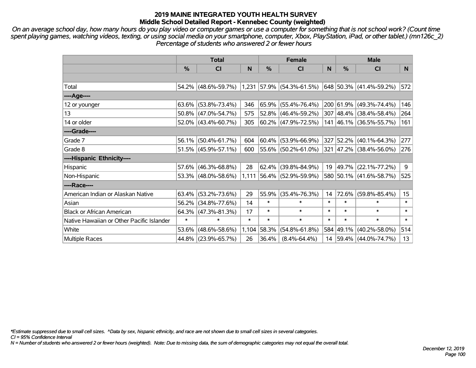*On an average school day, how many hours do you play video or computer games or use a computer for something that is not school work? (Count time spent playing games, watching videos, texting, or using social media on your smartphone, computer, Xbox, PlayStation, iPad, or other tablet.) (mn126c\_2) Percentage of students who answered 2 or fewer hours*

|                                           | <b>Total</b>  |                        | <b>Female</b> |        |                                | <b>Male</b> |               |                             |                 |
|-------------------------------------------|---------------|------------------------|---------------|--------|--------------------------------|-------------|---------------|-----------------------------|-----------------|
|                                           | $\frac{0}{0}$ | CI                     | N             | $\%$   | <b>CI</b>                      | N           | $\frac{0}{0}$ | <b>CI</b>                   | N               |
|                                           |               |                        |               |        |                                |             |               |                             |                 |
| Total                                     |               | 54.2% (48.6%-59.7%)    |               |        | $ 1,231 57.9\% $ (54.3%-61.5%) |             |               | 648   50.3%   (41.4%-59.2%) | 572             |
| ----Age----                               |               |                        |               |        |                                |             |               |                             |                 |
| 12 or younger                             |               | $63.6\%$ (53.8%-73.4%) | 346           |        | $65.9\%$ (55.4%-76.4%)         |             |               | 200 61.9% (49.3%-74.4%)     | 146             |
| 13                                        |               | 50.8% (47.0%-54.7%)    | 575           |        | $52.8\%$ (46.4%-59.2%)         |             |               | 307 48.4% (38.4%-58.4%)     | 264             |
| 14 or older                               |               | $52.0\%$ (43.4%-60.7%) | 305           |        | $ 60.2\% $ (47.9%-72.5%)       |             |               | 141 46.1% (36.5%-55.7%)     | 161             |
| ----Grade----                             |               |                        |               |        |                                |             |               |                             |                 |
| Grade 7                                   |               | 56.1% (50.4%-61.7%)    | 604           |        | $60.4\%$ (53.9%-66.9%)         | 327         |               | 52.2% (40.1%-64.3%)         | 277             |
| Grade 8                                   |               | $51.5\%$ (45.9%-57.1%) | 600           |        | 55.6% (50.2%-61.0%)            |             |               | 321 47.2% (38.4%-56.0%)     | 276             |
| ----Hispanic Ethnicity----                |               |                        |               |        |                                |             |               |                             |                 |
| Hispanic                                  | 57.6%         | $(46.3\% - 68.8\%)$    | 28            | 62.4%  | $(39.8\% - 84.9\%)$            | 19          |               | 49.7% (22.1%-77.2%)         | 9               |
| Non-Hispanic                              |               | 53.3% (48.0%-58.6%)    |               |        | 1,111 56.4% (52.9%-59.9%)      |             |               | 580 50.1% (41.6%-58.7%)     | 525             |
| ----Race----                              |               |                        |               |        |                                |             |               |                             |                 |
| American Indian or Alaskan Native         |               | $63.4\%$ (53.2%-73.6%) | 29            | 55.9%  | $(35.4\% - 76.3\%)$            | 14          | 72.6%         | $(59.8\% - 85.4\%)$         | 15 <sub>1</sub> |
| Asian                                     |               | 56.2% (34.8%-77.6%)    | 14            | $\ast$ | $\ast$                         | $\ast$      | $\ast$        | $\ast$                      | $\ast$          |
| <b>Black or African American</b>          | 64.3%         | $(47.3\% - 81.3\%)$    | 17            | $\ast$ | $\ast$                         | $\ast$      | $\ast$        | $\ast$                      | $\ast$          |
| Native Hawaiian or Other Pacific Islander | $\ast$        | $\ast$                 | $\ast$        | $\ast$ | $\ast$                         | $\ast$      | $\ast$        | $\ast$                      | $\ast$          |
| White                                     | 53.6%         | $(48.6\% - 58.6\%)$    | 1,104         | 58.3%  | $(54.8\% - 61.8\%)$            |             |               | 584 49.1% (40.2%-58.0%)     | 514             |
| <b>Multiple Races</b>                     |               | 44.8% (23.9%-65.7%)    | 26            | 36.4%  | $(8.4\% - 64.4\%)$             |             |               | 14 59.4% (44.0%-74.7%)      | 13              |

*\*Estimate suppressed due to small cell sizes. ^Data by sex, hispanic ethnicity, and race are not shown due to small cell sizes in several categories.*

*CI = 95% Confidence Interval*

*N = Number of students who answered 2 or fewer hours (weighted). Note: Due to missing data, the sum of demographic categories may not equal the overall total.*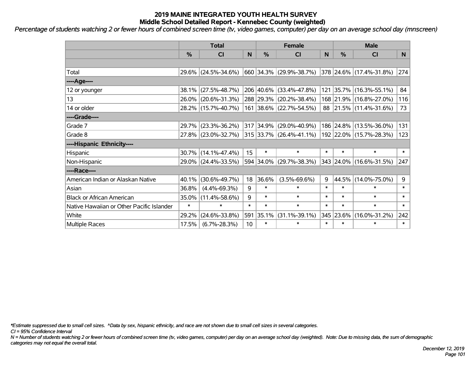*Percentage of students watching 2 or fewer hours of combined screen time (tv, video games, computer) per day on an average school day (mnscreen)*

|                                           | <b>Total</b>  |                        |        | <b>Female</b> |                         |        | <b>Male</b> |                         |        |  |
|-------------------------------------------|---------------|------------------------|--------|---------------|-------------------------|--------|-------------|-------------------------|--------|--|
|                                           | $\frac{0}{0}$ | <b>CI</b>              | N      | %             | <b>CI</b>               | N      | %           | <b>CI</b>               | N.     |  |
|                                           |               |                        |        |               |                         |        |             |                         |        |  |
| Total                                     |               | 29.6% (24.5%-34.6%)    |        |               | 660 34.3% (29.9%-38.7%) |        |             | 378 24.6% (17.4%-31.8%) | 274    |  |
| ----Age----                               |               |                        |        |               |                         |        |             |                         |        |  |
| 12 or younger                             |               | 38.1% (27.5%-48.7%)    |        |               | 206 40.6% (33.4%-47.8%) |        |             | 121 35.7% (16.3%-55.1%) | 84     |  |
| 13                                        |               | 26.0% (20.6%-31.3%)    |        |               | 288 29.3% (20.2%-38.4%) |        |             | 168 21.9% (16.8%-27.0%) | 116    |  |
| 14 or older                               |               | 28.2% (15.7%-40.7%)    |        |               | 161 38.6% (22.7%-54.5%) |        |             | 88 21.5% (11.4%-31.6%)  | 73     |  |
| ----Grade----                             |               |                        |        |               |                         |        |             |                         |        |  |
| Grade 7                                   | 29.7%         | $(23.3\% - 36.2\%)$    |        | 317 34.9%     | $(29.0\% - 40.9\%)$     |        |             | 186 24.8% (13.5%-36.0%) | 131    |  |
| Grade 8                                   |               | 27.8% (23.0%-32.7%)    |        |               | 315 33.7% (26.4%-41.1%) |        |             | 192 22.0% (15.7%-28.3%) | 123    |  |
| ----Hispanic Ethnicity----                |               |                        |        |               |                         |        |             |                         |        |  |
| Hispanic                                  |               | $30.7\%$ (14.1%-47.4%) | 15     | $\ast$        | $\ast$                  | $\ast$ | $\ast$      | $\ast$                  | $\ast$ |  |
| Non-Hispanic                              |               | 29.0% (24.4%-33.5%)    |        |               | 594 34.0% (29.7%-38.3%) |        |             | 343 24.0% (16.6%-31.5%) | 247    |  |
| ----Race----                              |               |                        |        |               |                         |        |             |                         |        |  |
| American Indian or Alaskan Native         | 40.1%         | $(30.6\% - 49.7\%)$    | 18     | 36.6%         | $(3.5\% - 69.6\%)$      | 9      | 44.5%       | $(14.0\% - 75.0\%)$     | 9      |  |
| Asian                                     | 36.8%         | $(4.4\% - 69.3\%)$     | 9      | $\ast$        | $\ast$                  | $\ast$ | $\ast$      | $\ast$                  | $\ast$ |  |
| <b>Black or African American</b>          | 35.0%         | $(11.4\% - 58.6\%)$    | 9      | $\ast$        | $\ast$                  | $\ast$ | $\ast$      | $\ast$                  | $\ast$ |  |
| Native Hawaiian or Other Pacific Islander | $\ast$        | $\ast$                 | $\ast$ | $\ast$        | $\ast$                  | $\ast$ | $\ast$      | $\ast$                  | $\ast$ |  |
| White                                     | 29.2%         | $(24.6\% - 33.8\%)$    | 591    | 35.1%         | $(31.1\% - 39.1\%)$     |        | 345 23.6%   | $(16.0\% - 31.2\%)$     | 242    |  |
| <b>Multiple Races</b>                     | 17.5%         | $(6.7\% - 28.3\%)$     | 10     | $\ast$        | $\ast$                  | $\ast$ | $\ast$      | $\ast$                  | $\ast$ |  |

*\*Estimate suppressed due to small cell sizes. ^Data by sex, hispanic ethnicity, and race are not shown due to small cell sizes in several categories.*

*CI = 95% Confidence Interval*

*N = Number of students watching 2 or fewer hours of combined screen time (tv, video games, computer) per day on an average school day (weighted). Note: Due to missing data, the sum of demographic categories may not equal the overall total.*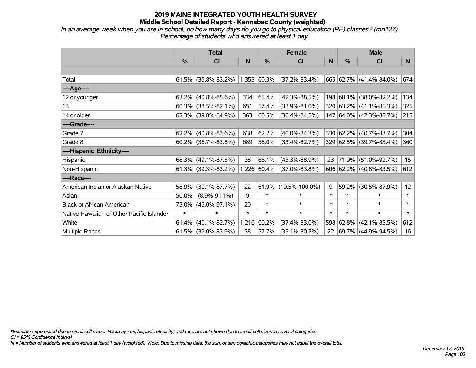*In an average week when you are in school, on how many days do you go to physical education (PE) classes? (mn127) Percentage of students who answered at least 1 day*

|                                           | <b>Total</b> |                     |        | <b>Female</b> | <b>Male</b>          |        |               |                           |        |
|-------------------------------------------|--------------|---------------------|--------|---------------|----------------------|--------|---------------|---------------------------|--------|
|                                           | %            | <b>CI</b>           | N      | $\frac{0}{0}$ | <b>CI</b>            | N      | $\frac{9}{6}$ | <b>CI</b>                 | N      |
|                                           |              |                     |        |               |                      |        |               |                           |        |
| Total                                     | 61.5%        | $(39.8\% - 83.2\%)$ |        | 1,353 60.3%   | $(37.2\% - 83.4\%)$  |        |               | 665 62.7% (41.4%-84.0%)   | 674    |
| ----Age----                               |              |                     |        |               |                      |        |               |                           |        |
| 12 or younger                             | 63.2%        | $(40.8\% - 85.6\%)$ | 334    | 65.4%         | $(42.3\% - 88.5\%)$  |        | 198 60.1%     | $(38.0\% - 82.2\%)$       | 134    |
| 13                                        | 60.3%        | $(38.5\% - 82.1\%)$ | 651    | 57.4%         | $(33.9\% - 81.0\%)$  |        |               | 320 63.2% (41.1%-85.3%)   | 325    |
| 14 or older                               | 62.3%        | $(39.8\% - 84.9\%)$ | 363    | 60.5%         | $(36.4\% - 84.5\%)$  |        |               | 147 64.0% (42.3%-85.7%)   | 215    |
| ----Grade----                             |              |                     |        |               |                      |        |               |                           |        |
| Grade 7                                   | 62.2%        | $(40.8\% - 83.6\%)$ | 638    | 62.2%         | $(40.0\% - 84.3\%)$  |        |               | 330 62.2% (40.7%-83.7%)   | 304    |
| Grade 8                                   | 60.2%        | $(36.7\% - 83.8\%)$ | 689    | 58.0%         | $(33.4\% - 82.7\%)$  |        |               | 329 62.5% (39.7%-85.4%)   | 360    |
| ----Hispanic Ethnicity----                |              |                     |        |               |                      |        |               |                           |        |
| Hispanic                                  | 68.3%        | $(49.1\% - 87.5\%)$ | 38     | 66.1%         | $(43.3\% - 88.9\%)$  | 23     | 71.9%         | $(51.0\% - 92.7\%)$       | 15     |
| Non-Hispanic                              | 61.3%        | $(39.3\% - 83.2\%)$ |        | 1,226 60.4%   | $(37.0\% - 83.8\%)$  |        |               | $606$ 62.2% (40.8%-83.5%) | 612    |
| ----Race----                              |              |                     |        |               |                      |        |               |                           |        |
| American Indian or Alaskan Native         | 58.9%        | $(30.1\% - 87.7\%)$ | 22     | 61.9%         | $(19.5\% - 100.0\%)$ | 9      | 59.2%         | $(30.5\% - 87.9\%)$       | 12     |
| Asian                                     | 50.0%        | $(8.9\% - 91.1\%)$  | 9      | $\ast$        | $\ast$               | $\ast$ | $\ast$        | $\ast$                    | $\ast$ |
| <b>Black or African American</b>          | 73.0%        | $(49.0\% - 97.1\%)$ | 20     | $\ast$        | $\ast$               | $\ast$ | $\ast$        | $\ast$                    | $\ast$ |
| Native Hawaiian or Other Pacific Islander | $\ast$       | $\ast$              | $\ast$ | $\ast$        | $\ast$               | $\ast$ | $\ast$        | $\ast$                    | $\ast$ |
| White                                     | 61.4%        | $(40.1\% - 82.7\%)$ | 1,216  | 60.2%         | $(37.4\% - 83.0\%)$  | 598    | 62.8%         | $(42.1\% - 83.5\%)$       | 612    |
| <b>Multiple Races</b>                     | 61.5%        | $(39.0\% - 83.9\%)$ | 38     | 57.7%         | $(35.1\% - 80.3\%)$  | 22     |               | 69.7% (44.9%-94.5%)       | 16     |

*\*Estimate suppressed due to small cell sizes. ^Data by sex, hispanic ethnicity, and race are not shown due to small cell sizes in several categories.*

*CI = 95% Confidence Interval*

*N = Number of students who answered at least 1 day (weighted). Note: Due to missing data, the sum of demographic categories may not equal the overall total.*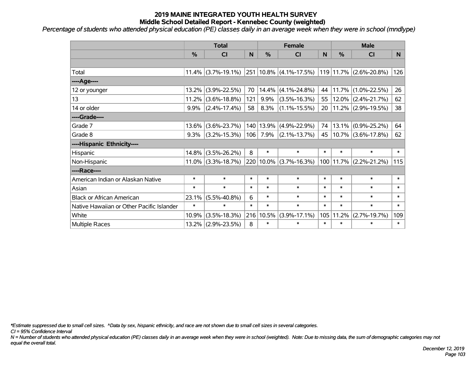*Percentage of students who attended physical education (PE) classes daily in an average week when they were in school (mndlype)*

|                                           | <b>Total</b> |                       |        |               | <b>Female</b>          | <b>Male</b> |               |                            |        |
|-------------------------------------------|--------------|-----------------------|--------|---------------|------------------------|-------------|---------------|----------------------------|--------|
|                                           | %            | C <sub>l</sub>        | N      | $\frac{0}{0}$ | <b>CI</b>              | N           | $\frac{0}{0}$ | <b>CI</b>                  | N      |
|                                           |              |                       |        |               |                        |             |               |                            |        |
| Total                                     |              | $11.4\%$ (3.7%-19.1%) |        |               | 251 10.8% (4.1%-17.5%) |             |               | 119 11.7% (2.6%-20.8%)     | 126    |
| ----Age----                               |              |                       |        |               |                        |             |               |                            |        |
| 12 or younger                             | 13.2%        | $(3.9\% - 22.5\%)$    | 70     | 14.4%         | $(4.1\% - 24.8\%)$     | 44          | 11.7%         | $(1.0\% - 22.5\%)$         | 26     |
| 13                                        | 11.2%        | $(3.6\% - 18.8\%)$    | 121    | 9.9%          | $(3.5\% - 16.3\%)$     | 55          |               | $12.0\%$ (2.4%-21.7%)      | 62     |
| 14 or older                               | $9.9\%$      | $(2.4\% - 17.4\%)$    | 58     | 8.3%          | $(1.1\% - 15.5\%)$     | 20          |               | $11.2\%$ (2.9%-19.5%)      | 38     |
| ----Grade----                             |              |                       |        |               |                        |             |               |                            |        |
| Grade 7                                   | 13.6%        | $(3.6\% - 23.7\%)$    |        | 140 13.9%     | $(4.9\% - 22.9\%)$     | 74          | 13.1%         | $(0.9\% - 25.2\%)$         | 64     |
| Grade 8                                   | $9.3\%$      | $(3.2\% - 15.3\%)$    | 106    | 7.9%          | $(2.1\% - 13.7\%)$     | 45          |               | $10.7\%$ (3.6%-17.8%)      | 62     |
| ----Hispanic Ethnicity----                |              |                       |        |               |                        |             |               |                            |        |
| Hispanic                                  | 14.8%        | $(3.5\% - 26.2\%)$    | 8      | $\ast$        | $\ast$                 | *           | $\ast$        | $\ast$                     | $\ast$ |
| Non-Hispanic                              |              | $11.0\%$ (3.3%-18.7%) |        | 220 10.0%     | $(3.7\% - 16.3\%)$     |             |               | 100   11.7%   (2.2%-21.2%) | 115    |
| ----Race----                              |              |                       |        |               |                        |             |               |                            |        |
| American Indian or Alaskan Native         | $\ast$       | $\ast$                | $\ast$ | $\ast$        | $\ast$                 | $\ast$      | $\ast$        | $\ast$                     | $\ast$ |
| Asian                                     | $\ast$       | $\ast$                | $\ast$ | $\ast$        | $\ast$                 | $\ast$      | $\ast$        | $\ast$                     | $\ast$ |
| <b>Black or African American</b>          | 23.1%        | $(5.5\% - 40.8\%)$    | 6      | $\ast$        | $\ast$                 | $\ast$      | $\ast$        | $\ast$                     | $\ast$ |
| Native Hawaiian or Other Pacific Islander | $\ast$       | $\ast$                | $\ast$ | $\ast$        | $\ast$                 | $\ast$      | $\ast$        | $\ast$                     | $\ast$ |
| White                                     | 10.9%        | $(3.5\% - 18.3\%)$    | 216    | 10.5%         | $(3.9\% - 17.1\%)$     | 105         | 11.2%         | $(2.7\% - 19.7\%)$         | 109    |
| Multiple Races                            |              | 13.2% (2.9%-23.5%)    | 8      | $\ast$        | $\ast$                 | $\ast$      | $\ast$        | $\ast$                     | $\ast$ |

*\*Estimate suppressed due to small cell sizes. ^Data by sex, hispanic ethnicity, and race are not shown due to small cell sizes in several categories.*

*CI = 95% Confidence Interval*

*N = Number of students who attended physical education (PE) classes daily in an average week when they were in school (weighted). Note: Due to missing data, the sum of demographic categories may not equal the overall total.*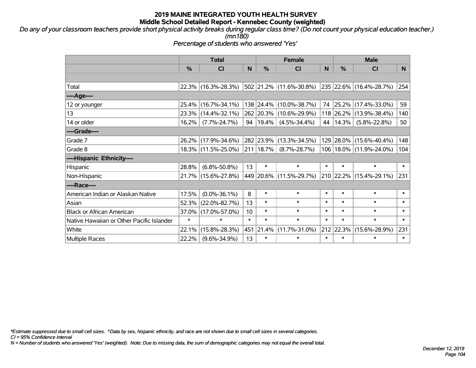*Do any of your classroom teachers provide short physical activity breaks during regular class time? (Do not count your physical education teacher.) (mn180)*

*Percentage of students who answered 'Yes'*

|                                           | <b>Total</b>  |                     |                 | <b>Female</b> | <b>Male</b>             |        |           |                                 |        |
|-------------------------------------------|---------------|---------------------|-----------------|---------------|-------------------------|--------|-----------|---------------------------------|--------|
|                                           | $\frac{0}{0}$ | <b>CI</b>           | N               | %             | <b>CI</b>               | N      | %         | <b>CI</b>                       | N.     |
|                                           |               |                     |                 |               |                         |        |           |                                 |        |
| Total                                     |               | 22.3% (16.3%-28.3%) |                 |               | 502 21.2% (11.6%-30.8%) |        |           | $ 235 22.6\% (16.4\% - 28.7\%)$ | 254    |
| ----Age----                               |               |                     |                 |               |                         |        |           |                                 |        |
| 12 or younger                             | 25.4%         | $(16.7\% - 34.1\%)$ |                 | 138 24.4%     | $(10.0\% - 38.7\%)$     | 74     | 25.2%     | $(17.4\% - 33.0\%)$             | 59     |
| 13                                        |               | 23.3% (14.4%-32.1%) |                 |               | 262 20.3% (10.6%-29.9%) |        | 118 26.2% | $(13.9\% - 38.4\%)$             | 140    |
| 14 or older                               | 16.2%         | $(7.7\% - 24.7\%)$  |                 | 94   19.4%    | $(4.5\% - 34.4\%)$      | 44     | 14.3%     | $(5.8\% - 22.8\%)$              | 50     |
| ----Grade----                             |               |                     |                 |               |                         |        |           |                                 |        |
| Grade 7                                   | $26.2\%$      | $(17.9\% - 34.6\%)$ |                 | 282 23.9%     | $(13.3\% - 34.5\%)$     | 129    | 28.0%     | $(15.6\% - 40.4\%)$             | 148    |
| Grade 8                                   |               | 18.3% (11.5%-25.0%) |                 | $211$   18.7% | $(8.7\% - 28.7\%)$      |        |           | 106   18.0%   (11.9%-24.0%)     | 104    |
| ----Hispanic Ethnicity----                |               |                     |                 |               |                         |        |           |                                 |        |
| Hispanic                                  | 28.8%         | $(6.8\% - 50.8\%)$  | 13              | $\ast$        | $\ast$                  | $\ast$ | $\ast$    | $\ast$                          | $\ast$ |
| Non-Hispanic                              |               | 21.7% (15.6%-27.8%) |                 |               | 449 20.6% (11.5%-29.7%) |        |           | 210 22.2% (15.4%-29.1%)         | 231    |
| ----Race----                              |               |                     |                 |               |                         |        |           |                                 |        |
| American Indian or Alaskan Native         | 17.5%         | $(0.0\% - 36.1\%)$  | 8               | $\ast$        | $\ast$                  | $\ast$ | $\ast$    | $\ast$                          | $\ast$ |
| Asian                                     | 52.3%         | $(22.0\% - 82.7\%)$ | 13              | $\ast$        | $\ast$                  | $\ast$ | $\ast$    | $\ast$                          | $\ast$ |
| <b>Black or African American</b>          | 37.0%         | $(17.0\% - 57.0\%)$ | 10 <sup>1</sup> | $\ast$        | $\ast$                  | $\ast$ | $\ast$    | $\ast$                          | $\ast$ |
| Native Hawaiian or Other Pacific Islander | $\ast$        | $\ast$              | $\ast$          | $\ast$        | $\ast$                  | $\ast$ | $\ast$    | $\ast$                          | $\ast$ |
| White                                     | 22.1%         | $(15.8\% - 28.3\%)$ | 451             | 21.4%         | $(11.7\% - 31.0\%)$     | 212    | 22.3%     | $(15.6\% - 28.9\%)$             | 231    |
| <b>Multiple Races</b>                     | 22.2%         | $(9.6\% - 34.9\%)$  | 13              | $\ast$        | $\ast$                  | $\ast$ | $\ast$    | $\ast$                          | $\ast$ |

*\*Estimate suppressed due to small cell sizes. ^Data by sex, hispanic ethnicity, and race are not shown due to small cell sizes in several categories.*

*CI = 95% Confidence Interval*

*N = Number of students who answered 'Yes' (weighted). Note: Due to missing data, the sum of demographic categories may not equal the overall total.*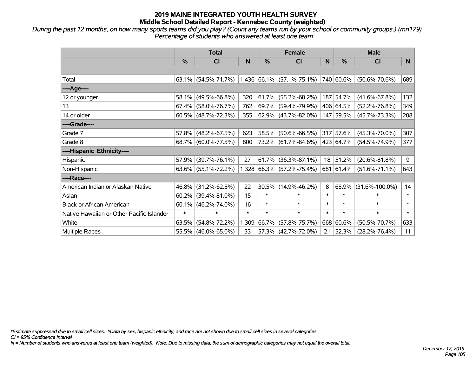*During the past 12 months, on how many sports teams did you play? (Count any teams run by your school or community groups.) (mn179) Percentage of students who answered at least one team*

|                                           | <b>Total</b> |                        |        | <b>Female</b> |                             |        | <b>Male</b> |                      |        |  |
|-------------------------------------------|--------------|------------------------|--------|---------------|-----------------------------|--------|-------------|----------------------|--------|--|
|                                           | %            | <b>CI</b>              | N      | %             | <b>CI</b>                   | N      | %           | <b>CI</b>            | N.     |  |
|                                           |              |                        |        |               |                             |        |             |                      |        |  |
| Total                                     |              | 63.1% (54.5%-71.7%)    |        |               | $1,436$ 66.1% (57.1%-75.1%) |        | 740 60.6%   | $(50.6\% - 70.6\%)$  | 689    |  |
| ----Age----                               |              |                        |        |               |                             |        |             |                      |        |  |
| 12 or younger                             | 58.1%        | $(49.5\% - 66.8\%)$    | 320    |               | $61.7\%$ (55.2%-68.2%)      | 187    | 54.7%       | $(41.6\% - 67.8\%)$  | 132    |  |
| 13                                        | 67.4%        | $(58.0\% - 76.7\%)$    | 762    |               | 69.7% (59.4%-79.9%)         |        | 406 64.5%   | $(52.2\% - 76.8\%)$  | 349    |  |
| 14 or older                               |              | $60.5\%$ (48.7%-72.3%) | 355    |               | $62.9\%$ (43.7%-82.0%)      |        | 147 59.5%   | $(45.7\% - 73.3\%)$  | 208    |  |
| ----Grade----                             |              |                        |        |               |                             |        |             |                      |        |  |
| Grade 7                                   | 57.8%        | $(48.2\% - 67.5\%)$    | 623    |               | 58.5% (50.6%-66.5%)         |        | 317 57.6%   | $(45.3\% - 70.0\%)$  | 307    |  |
| Grade 8                                   |              | 68.7% (60.0%-77.5%)    | 800    |               | 73.2% (61.7%-84.6%)         |        | 423 64.7%   | $(54.5\% - 74.9\%)$  | 377    |  |
| ----Hispanic Ethnicity----                |              |                        |        |               |                             |        |             |                      |        |  |
| Hispanic                                  | 57.9%        | $(39.7\% - 76.1\%)$    | 27     | 61.7%         | $(36.3\% - 87.1\%)$         | 18     | 51.2%       | $(20.6\% - 81.8\%)$  | 9      |  |
| Non-Hispanic                              |              | $63.6\%$ (55.1%-72.2%) |        |               | 1,328 66.3% (57.2%-75.4%)   |        | 681 61.4%   | $(51.6\% - 71.1\%)$  | 643    |  |
| ----Race----                              |              |                        |        |               |                             |        |             |                      |        |  |
| American Indian or Alaskan Native         | 46.8%        | $(31.2\% - 62.5\%)$    | 22     | 30.5%         | $(14.9\% - 46.2\%)$         | 8      | 65.9%       | $(31.6\% - 100.0\%)$ | 14     |  |
| Asian                                     | 60.2%        | $(39.4\% - 81.0\%)$    | 15     | $\ast$        | $\ast$                      | $\ast$ | $\ast$      | $\ast$               | $\ast$ |  |
| <b>Black or African American</b>          | 60.1%        | $(46.2\% - 74.0\%)$    | 16     | $\ast$        | $\ast$                      | $\ast$ | $\ast$      | $\ast$               | $\ast$ |  |
| Native Hawaiian or Other Pacific Islander | $\ast$       | $\ast$                 | $\ast$ | $\ast$        | $\ast$                      | $\ast$ | $\ast$      | $\ast$               | $\ast$ |  |
| White                                     | 63.5%        | $(54.8\% - 72.2\%)$    | 1,309  | 66.7%         | $(57.8\% - 75.7\%)$         |        | 668 60.6%   | $(50.5\% - 70.7\%)$  | 633    |  |
| Multiple Races                            |              | 55.5% (46.0%-65.0%)    | 33     |               | 57.3% (42.7%-72.0%)         | 21     | 52.3%       | $(28.2\% - 76.4\%)$  | 11     |  |

*\*Estimate suppressed due to small cell sizes. ^Data by sex, hispanic ethnicity, and race are not shown due to small cell sizes in several categories.*

*CI = 95% Confidence Interval*

*N = Number of students who answered at least one team (weighted). Note: Due to missing data, the sum of demographic categories may not equal the overall total.*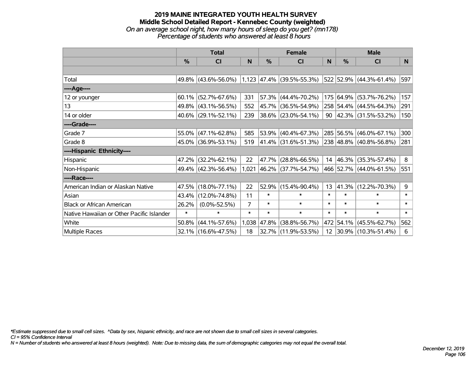#### **2019 MAINE INTEGRATED YOUTH HEALTH SURVEY Middle School Detailed Report - Kennebec County (weighted)** *On an average school night, how many hours of sleep do you get? (mn178) Percentage of students who answered at least 8 hours*

|                                           | <b>Total</b>  |                     | <b>Female</b> |               |                                  | <b>Male</b> |               |                             |        |
|-------------------------------------------|---------------|---------------------|---------------|---------------|----------------------------------|-------------|---------------|-----------------------------|--------|
|                                           | $\frac{0}{0}$ | CI                  | N             | $\frac{0}{0}$ | C <sub>l</sub>                   | N           | $\frac{0}{0}$ | <b>CI</b>                   | N      |
|                                           |               |                     |               |               |                                  |             |               |                             |        |
| Total                                     |               | 49.8% (43.6%-56.0%) |               |               | $1,123$ $ 47.4\% $ (39.5%-55.3%) |             |               | 522 52.9% (44.3%-61.4%)     | 597    |
| ----Age----                               |               |                     |               |               |                                  |             |               |                             |        |
| 12 or younger                             | 60.1%         | $(52.7\% - 67.6\%)$ | 331           | 57.3%         | $(44.4\% - 70.2\%)$              | 175         | 64.9%         | $(53.7\% - 76.2\%)$         | 157    |
| 13                                        |               | 49.8% (43.1%-56.5%) | 552           | 45.7%         | $(36.5\% - 54.9\%)$              |             |               | 258 54.4% (44.5%-64.3%)     | 291    |
| 14 or older                               |               | 40.6% (29.1%-52.1%) | 239           |               | 38.6% (23.0%-54.1%)              |             |               | 90 $ 42.3\% $ (31.5%-53.2%) | 150    |
| ----Grade----                             |               |                     |               |               |                                  |             |               |                             |        |
| Grade 7                                   |               | 55.0% (47.1%-62.8%) | 585           | 53.9%         | $(40.4\% - 67.3\%)$              |             |               | 285 56.5% (46.0%-67.1%)     | 300    |
| Grade 8                                   |               | 45.0% (36.9%-53.1%) | 519           |               | 41.4% (31.6%-51.3%)              |             |               | 238 48.8% (40.8%-56.8%)     | 281    |
| ----Hispanic Ethnicity----                |               |                     |               |               |                                  |             |               |                             |        |
| Hispanic                                  | 47.2%         | $(32.2\% - 62.1\%)$ | 22            | 47.7%         | $(28.8\% - 66.5\%)$              | 14          | 46.3%         | $(35.3\% - 57.4\%)$         | 8      |
| Non-Hispanic                              |               | 49.4% (42.3%-56.4%) |               |               | $1,021$ 46.2% (37.7%-54.7%)      |             |               | 466 52.7% (44.0%-61.5%)     | 551    |
| ----Race----                              |               |                     |               |               |                                  |             |               |                             |        |
| American Indian or Alaskan Native         | 47.5%         | $(18.0\% - 77.1\%)$ | 22            | 52.9%         | $(15.4\% - 90.4\%)$              | 13          | 41.3%         | $(12.2\% - 70.3\%)$         | 9      |
| Asian                                     | 43.4%         | $(12.0\% - 74.8\%)$ | 11            | $\ast$        | $\ast$                           | $\ast$      | $\ast$        | $\ast$                      | $\ast$ |
| <b>Black or African American</b>          | 26.2%         | $(0.0\% - 52.5\%)$  | 7             | $\ast$        | $\ast$                           | $\ast$      | $\ast$        | $\ast$                      | $\ast$ |
| Native Hawaiian or Other Pacific Islander | $\ast$        | $\ast$              | $\ast$        | $\ast$        | $\ast$                           | $\ast$      | $\ast$        | $\ast$                      | $\ast$ |
| White                                     | 50.8%         | $(44.1\% - 57.6\%)$ | 1,038         | 47.8%         | $(38.8\% - 56.7\%)$              | 472         | 54.1%         | $(45.5\% - 62.7\%)$         | 562    |
| Multiple Races                            |               | 32.1% (16.6%-47.5%) | 18            |               | 32.7% (11.9%-53.5%)              | 12          |               | $ 30.9\% $ (10.3%-51.4%)    | 6      |

*\*Estimate suppressed due to small cell sizes. ^Data by sex, hispanic ethnicity, and race are not shown due to small cell sizes in several categories.*

*CI = 95% Confidence Interval*

*N = Number of students who answered at least 8 hours (weighted). Note: Due to missing data, the sum of demographic categories may not equal the overall total.*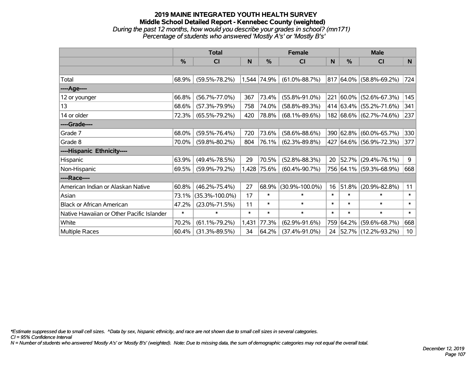#### **2019 MAINE INTEGRATED YOUTH HEALTH SURVEY Middle School Detailed Report - Kennebec County (weighted)** *During the past 12 months, how would you describe your grades in school? (mn171) Percentage of students who answered 'Mostly A's' or 'Mostly B's'*

|                                           | <b>Total</b>  |                      | <b>Female</b> |               |                      | <b>Male</b> |               |                                 |        |
|-------------------------------------------|---------------|----------------------|---------------|---------------|----------------------|-------------|---------------|---------------------------------|--------|
|                                           | $\frac{0}{0}$ | CI                   | N             | $\frac{0}{0}$ | CI                   | N           | $\frac{0}{0}$ | <b>CI</b>                       | N      |
|                                           |               |                      |               |               |                      |             |               |                                 |        |
| Total                                     | 68.9%         | $(59.5\% - 78.2\%)$  |               | 1,544 74.9%   | $(61.0\% - 88.7\%)$  |             |               | $817 64.0\%  (58.8\% - 69.2\%)$ | 724    |
| ----Age----                               |               |                      |               |               |                      |             |               |                                 |        |
| 12 or younger                             | 66.8%         | $(56.7\% - 77.0\%)$  | 367           | 73.4%         | $(55.8\% - 91.0\%)$  | 221         | 60.0%         | $(52.6\% - 67.3\%)$             | 145    |
| 13                                        | 68.6%         | $(57.3\% - 79.9\%)$  | 758           | 74.0%         | $(58.8\% - 89.3\%)$  |             |               | 414 63.4% (55.2%-71.6%)         | 341    |
| 14 or older                               | 72.3%         | $(65.5\% - 79.2\%)$  | 420           | 78.8%         | $(68.1\% - 89.6\%)$  |             |               | 182 68.6% (62.7%-74.6%)         | 237    |
| ----Grade----                             |               |                      |               |               |                      |             |               |                                 |        |
| Grade 7                                   | 68.0%         | $(59.5\% - 76.4\%)$  | 720           | 73.6%         | $(58.6\% - 88.6\%)$  |             | 390 62.8%     | $(60.0\% - 65.7\%)$             | 330    |
| Grade 8                                   | 70.0%         | $(59.8\% - 80.2\%)$  | 804           | 76.1%         | $(62.3\% - 89.8\%)$  |             |               | 427 64.6% (56.9%-72.3%)         | 377    |
| ----Hispanic Ethnicity----                |               |                      |               |               |                      |             |               |                                 |        |
| Hispanic                                  | 63.9%         | $(49.4\% - 78.5\%)$  | 29            | 70.5%         | $(52.8\% - 88.3\%)$  | 20          | 52.7%         | $(29.4\% - 76.1\%)$             | 9      |
| Non-Hispanic                              | 69.5%         | $(59.9\% - 79.2\%)$  | 1,428         | 75.6%         | $(60.4\% - 90.7\%)$  |             |               | 756 64.1% (59.3%-68.9%)         | 668    |
| ----Race----                              |               |                      |               |               |                      |             |               |                                 |        |
| American Indian or Alaskan Native         | 60.8%         | $(46.2\% - 75.4\%)$  | 27            | 68.9%         | $(30.9\% - 100.0\%)$ | 16          | 51.8%         | $(20.9\% - 82.8\%)$             | 11     |
| Asian                                     | 73.1%         | $(35.3\% - 100.0\%)$ | 17            | $\ast$        | $\ast$               | $\ast$      | $\ast$        | $\ast$                          | $\ast$ |
| <b>Black or African American</b>          | 47.2%         | $(23.0\% - 71.5\%)$  | 11            | $\ast$        | $\ast$               | $\ast$      | $\ast$        | $\ast$                          | $\ast$ |
| Native Hawaiian or Other Pacific Islander | $\ast$        | $\ast$               | $\ast$        | $\ast$        | $\ast$               | $\ast$      | $\ast$        | $\ast$                          | $\ast$ |
| White                                     | 70.2%         | $(61.1\% - 79.2\%)$  | 1,431         | 77.3%         | $(62.9\% - 91.6\%)$  |             | 759 64.2%     | $(59.6\% - 68.7\%)$             | 668    |
| Multiple Races                            | 60.4%         | $(31.3\% - 89.5\%)$  | 34            | 64.2%         | $(37.4\% - 91.0\%)$  | 24          |               | $ 52.7\% $ (12.2%-93.2%)        | 10     |

*\*Estimate suppressed due to small cell sizes. ^Data by sex, hispanic ethnicity, and race are not shown due to small cell sizes in several categories.*

*CI = 95% Confidence Interval*

*N = Number of students who answered 'Mostly A's' or 'Mostly B's' (weighted). Note: Due to missing data, the sum of demographic categories may not equal the overall total.*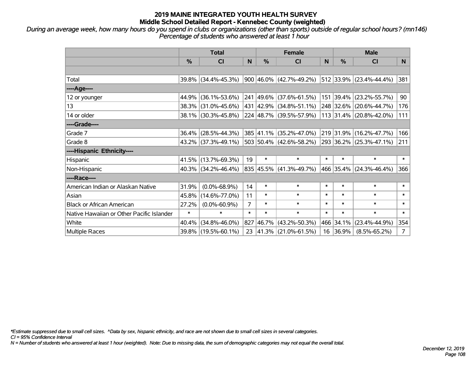*During an average week, how many hours do you spend in clubs or organizations (other than sports) outside of regular school hours? (mn146) Percentage of students who answered at least 1 hour*

|                                           | <b>Total</b> |                        |        | <b>Female</b> |                                                     |        | <b>Male</b> |                         |                |  |
|-------------------------------------------|--------------|------------------------|--------|---------------|-----------------------------------------------------|--------|-------------|-------------------------|----------------|--|
|                                           | $\%$         | <b>CI</b>              | N      | $\%$          | <b>CI</b>                                           | N      | $\%$        | <b>CI</b>               | N.             |  |
|                                           |              |                        |        |               |                                                     |        |             |                         |                |  |
| Total                                     |              | 39.8% (34.4%-45.3%)    |        |               | $900 46.0\% $ (42.7%-49.2%) 512 33.9% (23.4%-44.4%) |        |             |                         | 381            |  |
| ----Age----                               |              |                        |        |               |                                                     |        |             |                         |                |  |
| 12 or younger                             |              | 44.9% (36.1%-53.6%)    |        |               | 241 49.6% (37.6%-61.5%)                             |        | 151 39.4%   | $(23.2\% - 55.7\%)$     | 90             |  |
| 13                                        |              | 38.3% (31.0%-45.6%)    |        |               | 431 42.9% (34.8%-51.1%)                             |        | 248 32.6%   | $(20.6\% - 44.7\%)$     | 176            |  |
| 14 or older                               |              | 38.1% (30.3%-45.8%)    |        |               | 224 48.7% (39.5%-57.9%)                             |        |             | 113 31.4% (20.8%-42.0%) | 111            |  |
| ----Grade----                             |              |                        |        |               |                                                     |        |             |                         |                |  |
| Grade 7                                   |              | 36.4% (28.5%-44.3%)    |        |               | 385 41.1% (35.2%-47.0%)                             |        |             | 219 31.9% (16.2%-47.7%) | 166            |  |
| Grade 8                                   |              | 43.2% (37.3%-49.1%)    |        |               | $503 50.4\% (42.6\% - 58.2\%)$                      |        |             | 293 36.2% (25.3%-47.1%) | 211            |  |
| ----Hispanic Ethnicity----                |              |                        |        |               |                                                     |        |             |                         |                |  |
| Hispanic                                  |              | 41.5% (13.7%-69.3%)    | 19     | $\ast$        | $\ast$                                              | $\ast$ | $\ast$      | $\ast$                  | $\ast$         |  |
| Non-Hispanic                              |              | $40.3\%$ (34.2%-46.4%) |        |               | 835 45.5% (41.3%-49.7%)                             |        |             | 466 35.4% (24.3%-46.4%) | 366            |  |
| ----Race----                              |              |                        |        |               |                                                     |        |             |                         |                |  |
| American Indian or Alaskan Native         | 31.9%        | $(0.0\% - 68.9\%)$     | 14     | $\ast$        | $\ast$                                              | $\ast$ | $\ast$      | $\ast$                  | $\ast$         |  |
| Asian                                     | 45.8%        | $(14.6\% - 77.0\%)$    | 11     | $\ast$        | $\ast$                                              | $\ast$ | $\ast$      | $\ast$                  | $\ast$         |  |
| <b>Black or African American</b>          | 27.2%        | $(0.0\% - 60.9\%)$     | 7      | $\ast$        | $\ast$                                              | $\ast$ | $\ast$      | $\ast$                  | $\ast$         |  |
| Native Hawaiian or Other Pacific Islander | $\ast$       | $\ast$                 | $\ast$ | $\ast$        | $\ast$                                              | $\ast$ | $\ast$      | $\ast$                  | $\ast$         |  |
| White                                     | 40.4%        | $(34.8\% - 46.0\%)$    | 827    | 46.7%         | $(43.2\% - 50.3\%)$                                 |        | 466 34.1%   | $(23.4\% - 44.9\%)$     | 354            |  |
| Multiple Races                            |              | 39.8% (19.5%-60.1%)    | 23     |               | $ 41.3\% $ (21.0%-61.5%)                            |        | 16 36.9%    | $(8.5\% - 65.2\%)$      | $\overline{7}$ |  |

*\*Estimate suppressed due to small cell sizes. ^Data by sex, hispanic ethnicity, and race are not shown due to small cell sizes in several categories.*

*CI = 95% Confidence Interval*

*N = Number of students who answered at least 1 hour (weighted). Note: Due to missing data, the sum of demographic categories may not equal the overall total.*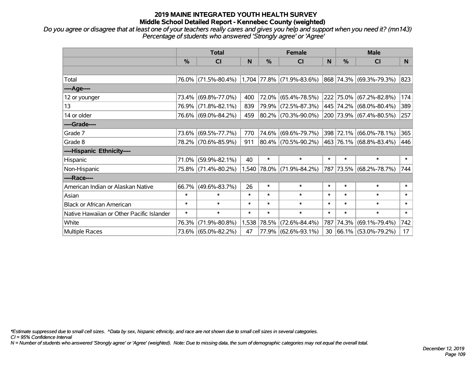### **2019 MAINE INTEGRATED YOUTH HEALTH SURVEY Middle School Detailed Report - Kennebec County (weighted)**

*Do you agree or disagree that at least one of your teachers really cares and gives you help and support when you need it? (mn143) Percentage of students who answered 'Strongly agree' or 'Agree'*

|                                           | <b>Total</b>  |                     |        | <b>Female</b> |                             |        | <b>Male</b>   |                         |        |
|-------------------------------------------|---------------|---------------------|--------|---------------|-----------------------------|--------|---------------|-------------------------|--------|
|                                           | $\frac{0}{0}$ | <b>CI</b>           | N      | %             | <b>CI</b>                   | N      | $\frac{0}{0}$ | <b>CI</b>               | N      |
|                                           |               |                     |        |               |                             |        |               |                         |        |
| Total                                     |               | 76.0% (71.5%-80.4%) |        |               | $1,704$ 77.8% (71.9%-83.6%) |        |               | 868 74.3% (69.3%-79.3%) | 823    |
| ----Age----                               |               |                     |        |               |                             |        |               |                         |        |
| 12 or younger                             | 73.4%         | $(69.8\% - 77.0\%)$ | 400    | 72.0%         | $(65.4\% - 78.5\%)$         |        |               | 222 75.0% (67.2%-82.8%) | 174    |
| 13                                        |               | 76.9% (71.8%-82.1%) | 839    | 79.9%         | $(72.5\% - 87.3\%)$         |        |               | 445 74.2% (68.0%-80.4%) | 389    |
| 14 or older                               |               | 76.6% (69.0%-84.2%) | 459    |               | 80.2% (70.3%-90.0%)         |        |               | 200 73.9% (67.4%-80.5%) | 257    |
| ----Grade----                             |               |                     |        |               |                             |        |               |                         |        |
| Grade 7                                   |               | 73.6% (69.5%-77.7%) | 770    | 74.6%         | $(69.6\% - 79.7\%)$         |        |               | 398 72.1% (66.0%-78.1%) | 365    |
| Grade 8                                   |               | 78.2% (70.6%-85.9%) | 911    |               | 80.4% (70.5%-90.2%)         |        |               | 463 76.1% (68.8%-83.4%) | 446    |
| ----Hispanic Ethnicity----                |               |                     |        |               |                             |        |               |                         |        |
| Hispanic                                  | 71.0%         | $(59.9\% - 82.1\%)$ | 40     | $\ast$        | $\ast$                      | $\ast$ | $\ast$        | $\ast$                  | $\ast$ |
| Non-Hispanic                              |               | 75.8% (71.4%-80.2%) |        |               | 1,540 78.0% (71.9%-84.2%)   |        |               | 787 73.5% (68.2%-78.7%) | 744    |
| ----Race----                              |               |                     |        |               |                             |        |               |                         |        |
| American Indian or Alaskan Native         | 66.7%         | $(49.6\% - 83.7\%)$ | 26     | $\ast$        | $\ast$                      | $\ast$ | $\ast$        | $\ast$                  | $\ast$ |
| Asian                                     | $\ast$        | $\ast$              | $\ast$ | $\ast$        | $\ast$                      | $\ast$ | $\ast$        | $\ast$                  | $\ast$ |
| <b>Black or African American</b>          | $\ast$        | $\ast$              | $\ast$ | $\ast$        | $\ast$                      | $\ast$ | $\ast$        | $\ast$                  | $\ast$ |
| Native Hawaiian or Other Pacific Islander | $\ast$        | $\ast$              | $\ast$ | $\ast$        | $\ast$                      | $\ast$ | $\ast$        | $\ast$                  | $\ast$ |
| White                                     | 76.3%         | $(71.9\% - 80.8\%)$ | 1,538  | 78.5%         | $(72.6\% - 84.4\%)$         | 787    | 74.3%         | $(69.1\% - 79.4\%)$     | 742    |
| Multiple Races                            |               | 73.6% (65.0%-82.2%) | 47     |               | 77.9% (62.6%-93.1%)         | 30     |               | 66.1% (53.0%-79.2%)     | 17     |

*\*Estimate suppressed due to small cell sizes. ^Data by sex, hispanic ethnicity, and race are not shown due to small cell sizes in several categories.*

*CI = 95% Confidence Interval*

*N = Number of students who answered 'Strongly agree' or 'Agree' (weighted). Note: Due to missing data, the sum of demographic categories may not equal the overall total.*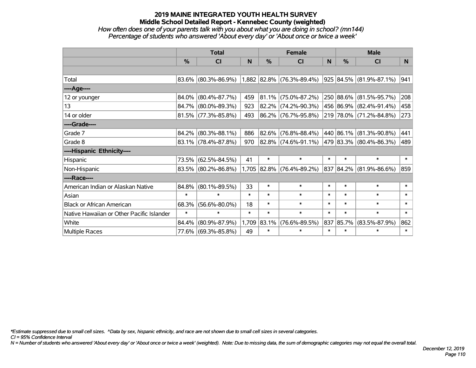# **2019 MAINE INTEGRATED YOUTH HEALTH SURVEY Middle School Detailed Report - Kennebec County (weighted)**

### *How often does one of your parents talk with you about what you are doing in school? (mn144) Percentage of students who answered 'About every day' or 'About once or twice a week'*

|                                           | <b>Total</b> |                        |        | <b>Female</b> |                           |        | <b>Male</b> |                          |        |
|-------------------------------------------|--------------|------------------------|--------|---------------|---------------------------|--------|-------------|--------------------------|--------|
|                                           | %            | C <sub>l</sub>         | N      | %             | <b>CI</b>                 | N      | $\%$        | <b>CI</b>                | N      |
|                                           |              |                        |        |               |                           |        |             |                          |        |
| Total                                     |              | 83.6% (80.3%-86.9%)    |        |               | 1,882 82.8% (76.3%-89.4%) |        |             | 925 84.5% (81.9%-87.1%)  | 941    |
| ----Age----                               |              |                        |        |               |                           |        |             |                          |        |
| 12 or younger                             | 84.0%        | $(80.4\% - 87.7\%)$    | 459    |               | $81.1\%$ (75.0%-87.2%)    |        | 250 88.6%   | $(81.5\% - 95.7\%)$      | 208    |
| 13                                        | 84.7%        | $(80.0\% - 89.3\%)$    | 923    |               | 82.2% (74.2%-90.3%)       |        |             | 456 86.9% (82.4%-91.4%)  | 458    |
| 14 or older                               |              | $81.5\%$ (77.3%-85.8%) | 493    |               | 86.2% (76.7%-95.8%)       |        |             | 219 78.0% (71.2%-84.8%)  | 273    |
| ----Grade----                             |              |                        |        |               |                           |        |             |                          |        |
| Grade 7                                   | 84.2%        | $(80.3\% - 88.1\%)$    | 886    |               | $82.6\%$ (76.8%-88.4%)    |        | 440 86.1%   | $(81.3\% - 90.8\%)$      | 441    |
| Grade 8                                   |              | 83.1% (78.4%-87.8%)    | 970    |               | $82.8\%$ (74.6%-91.1%)    |        |             | 479 83.3% (80.4%-86.3%)  | 489    |
| ----Hispanic Ethnicity----                |              |                        |        |               |                           |        |             |                          |        |
| Hispanic                                  | 73.5%        | $(62.5\% - 84.5\%)$    | 41     | $\ast$        | $\ast$                    | $\ast$ | $\ast$      | $\ast$                   | $\ast$ |
| Non-Hispanic                              |              | 83.5% (80.2%-86.8%)    |        |               | 1,705 82.8% (76.4%-89.2%) | 837    |             | $ 84.2\% $ (81.9%-86.6%) | 859    |
| ----Race----                              |              |                        |        |               |                           |        |             |                          |        |
| American Indian or Alaskan Native         | 84.8%        | $(80.1\% - 89.5\%)$    | 33     | $\ast$        | $\ast$                    | $\ast$ | $\ast$      | $\ast$                   | $\ast$ |
| Asian                                     | $\ast$       | $\ast$                 | $\ast$ | $\ast$        | $\ast$                    | $\ast$ | $\ast$      | $\ast$                   | $\ast$ |
| <b>Black or African American</b>          | 68.3%        | $(56.6\% - 80.0\%)$    | 18     | $\ast$        | $\ast$                    | $\ast$ | $\ast$      | $\ast$                   | $\ast$ |
| Native Hawaiian or Other Pacific Islander | $\ast$       | $\ast$                 | $\ast$ | $\ast$        | $\ast$                    | $\ast$ | $\ast$      | $\ast$                   | $\ast$ |
| White                                     | 84.4%        | $(80.9\% - 87.9\%)$    |        | 1,709 83.1%   | $(76.6\% - 89.5\%)$       | 837    | 85.7%       | $(83.5\% - 87.9\%)$      | 862    |
| Multiple Races                            |              | 77.6% (69.3%-85.8%)    | 49     | $\ast$        | $\ast$                    | $\ast$ | $\ast$      | $\ast$                   | $\ast$ |

*\*Estimate suppressed due to small cell sizes. ^Data by sex, hispanic ethnicity, and race are not shown due to small cell sizes in several categories.*

*CI = 95% Confidence Interval*

*N = Number of students who answered 'About every day' or 'About once or twice a week' (weighted). Note: Due to missing data, the sum of demographic categories may not equal the overall total.*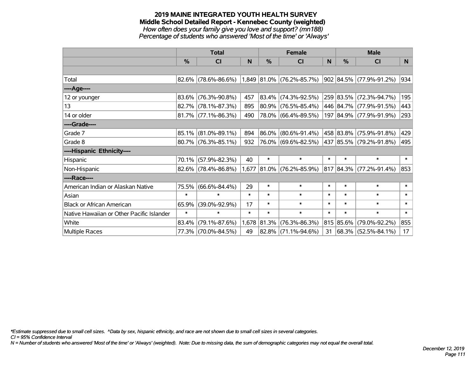#### **2019 MAINE INTEGRATED YOUTH HEALTH SURVEY Middle School Detailed Report - Kennebec County (weighted)** *How often does your family give you love and support? (mn188) Percentage of students who answered 'Most of the time' or 'Always'*

|                                           | <b>Total</b>  |                        |        | <b>Female</b> |                             |        | <b>Male</b> |                         |        |
|-------------------------------------------|---------------|------------------------|--------|---------------|-----------------------------|--------|-------------|-------------------------|--------|
|                                           | $\frac{0}{0}$ | <b>CI</b>              | N      | %             | <b>CI</b>                   | N      | %           | <b>CI</b>               | N.     |
|                                           |               |                        |        |               |                             |        |             |                         |        |
| Total                                     |               | $82.6\%$ (78.6%-86.6%) |        |               | $1,849$ 81.0% (76.2%-85.7%) |        |             | 902 84.5% (77.9%-91.2%) | 934    |
| ----Age----                               |               |                        |        |               |                             |        |             |                         |        |
| 12 or younger                             | 83.6%         | $(76.3\% - 90.8\%)$    | 457    | 83.4%         | $(74.3\% - 92.5\%)$         |        |             | 259 83.5% (72.3%-94.7%) | 195    |
| 13                                        |               | 82.7% (78.1%-87.3%)    | 895    | 80.9%         | $(76.5\% - 85.4\%)$         |        |             | 446 84.7% (77.9%-91.5%) | 443    |
| 14 or older                               |               | $81.7\%$ (77.1%-86.3%) | 490    |               | 78.0% (66.4%-89.5%)         |        |             | 197 84.9% (77.9%-91.9%) | 293    |
| ----Grade----                             |               |                        |        |               |                             |        |             |                         |        |
| Grade 7                                   |               | $85.1\%$ (81.0%-89.1%) | 894    | 86.0%         | $(80.6\% - 91.4\%)$         |        |             | 458 83.8% (75.9%-91.8%) | 429    |
| Grade 8                                   |               | $80.7\%$ (76.3%-85.1%) | 932    |               | 76.0% (69.6%-82.5%)         |        |             | 437 85.5% (79.2%-91.8%) | 495    |
| ----Hispanic Ethnicity----                |               |                        |        |               |                             |        |             |                         |        |
| Hispanic                                  | 70.1%         | $(57.9\% - 82.3\%)$    | 40     | $\ast$        | $\ast$                      | $\ast$ | $\ast$      | $\ast$                  | $\ast$ |
| Non-Hispanic                              |               | $82.6\%$ (78.4%-86.8%) |        |               | 1,677 81.0% (76.2%-85.9%)   |        |             | 817 84.3% (77.2%-91.4%) | 853    |
| ----Race----                              |               |                        |        |               |                             |        |             |                         |        |
| American Indian or Alaskan Native         | 75.5%         | $(66.6\% - 84.4\%)$    | 29     | $\ast$        | $\ast$                      | $\ast$ | $\ast$      | $\ast$                  | $\ast$ |
| Asian                                     | $\ast$        | $\ast$                 | $\ast$ | $\ast$        | $\ast$                      | $\ast$ | $\ast$      | $\ast$                  | $\ast$ |
| <b>Black or African American</b>          | 65.9%         | $(39.0\% - 92.9\%)$    | 17     | $\ast$        | $\ast$                      | $\ast$ | $\ast$      | $\ast$                  | $\ast$ |
| Native Hawaiian or Other Pacific Islander | $\ast$        | $\ast$                 | $\ast$ | $\ast$        | $\ast$                      | $\ast$ | $\ast$      | $\ast$                  | $\ast$ |
| White                                     | 83.4%         | $(79.1\% - 87.6\%)$    |        | 1,678 81.3%   | $(76.3\% - 86.3\%)$         |        | 815 85.6%   | $(79.0\% - 92.2\%)$     | 855    |
| Multiple Races                            |               | 77.3% (70.0%-84.5%)    | 49     | 82.8%         | $(71.1\% - 94.6\%)$         | 31     |             | 68.3% (52.5%-84.1%)     | 17     |

*\*Estimate suppressed due to small cell sizes. ^Data by sex, hispanic ethnicity, and race are not shown due to small cell sizes in several categories.*

*CI = 95% Confidence Interval*

*N = Number of students who answered 'Most of the time' or 'Always' (weighted). Note: Due to missing data, the sum of demographic categories may not equal the overall total.*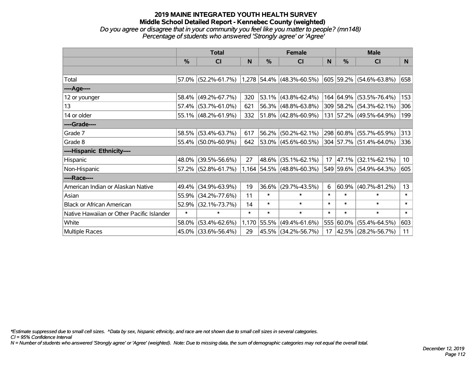# **2019 MAINE INTEGRATED YOUTH HEALTH SURVEY Middle School Detailed Report - Kennebec County (weighted)** *Do you agree or disagree that in your community you feel like you matter to people? (mn148) Percentage of students who answered 'Strongly agree' or 'Agree'*

|                                           | <b>Total</b>  |                                               |        | <b>Female</b> |                             |        | <b>Male</b> |                         |                 |
|-------------------------------------------|---------------|-----------------------------------------------|--------|---------------|-----------------------------|--------|-------------|-------------------------|-----------------|
|                                           | $\frac{9}{6}$ | CI                                            | N      | %             | CI                          | N      | %           | <b>CI</b>               | N               |
|                                           |               |                                               |        |               |                             |        |             |                         |                 |
| Total                                     |               | 57.0% (52.2%-61.7%) 1,278 54.4% (48.3%-60.5%) |        |               |                             |        |             | 605 59.2% (54.6%-63.8%) | 658             |
| ----Age----                               |               |                                               |        |               |                             |        |             |                         |                 |
| 12 or younger                             | 58.4%         | $(49.2\% - 67.7\%)$                           | 320    |               | 53.1% (43.8%-62.4%)         |        |             | 164 64.9% (53.5%-76.4%) | 153             |
| 13                                        |               | 57.4% (53.7%-61.0%)                           | 621    | 56.3%         | $(48.8\% - 63.8\%)$         |        |             | 309 58.2% (54.3%-62.1%) | 306             |
| 14 or older                               |               | 55.1% (48.2%-61.9%)                           | 332    |               | 51.8% (42.8%-60.9%)         |        |             | 131 57.2% (49.5%-64.9%) | 199             |
| ----Grade----                             |               |                                               |        |               |                             |        |             |                         |                 |
| Grade 7                                   | 58.5%         | $(53.4\% - 63.7\%)$                           | 617    | 56.2%         | $(50.2\% - 62.1\%)$         |        |             | 298 60.8% (55.7%-65.9%) | 313             |
| Grade 8                                   |               | 55.4% (50.0%-60.9%)                           | 642    |               | 53.0% (45.6%-60.5%)         |        |             | 304 57.7% (51.4%-64.0%) | 336             |
| ----Hispanic Ethnicity----                |               |                                               |        |               |                             |        |             |                         |                 |
| Hispanic                                  | 48.0%         | $(39.5\% - 56.6\%)$                           | 27     | 48.6%         | $(35.1\% - 62.1\%)$         | 17     |             | 47.1% (32.1%-62.1%)     | 10 <sub>1</sub> |
| Non-Hispanic                              |               | 57.2% (52.8%-61.7%)                           |        |               | $1,164$ 54.5% (48.8%-60.3%) |        |             | 549 59.6% (54.9%-64.3%) | 605             |
| ----Race----                              |               |                                               |        |               |                             |        |             |                         |                 |
| American Indian or Alaskan Native         | 49.4%         | $(34.9\% - 63.9\%)$                           | 19     | 36.6%         | $(29.7\% - 43.5\%)$         | 6      | 60.9%       | $(40.7\% - 81.2\%)$     | 13              |
| Asian                                     | 55.9%         | $(34.2\% - 77.6\%)$                           | 11     | $\ast$        | $\ast$                      | $\ast$ | $\ast$      | $\ast$                  | $\ast$          |
| <b>Black or African American</b>          | 52.9%         | $(32.1\% - 73.7\%)$                           | 14     | $\ast$        | $\ast$                      | $\ast$ | $\ast$      | $\ast$                  | $\ast$          |
| Native Hawaiian or Other Pacific Islander | $\ast$        | $\ast$                                        | $\ast$ | $\ast$        | $\ast$                      | $\ast$ | $\ast$      | $\ast$                  | $\ast$          |
| White                                     | 58.0%         | $(53.4\% - 62.6\%)$                           |        | 1,170 55.5%   | $(49.4\% - 61.6\%)$         | 555    | $60.0\%$    | $(55.4\% - 64.5\%)$     | 603             |
| <b>Multiple Races</b>                     |               | 45.0% (33.6%-56.4%)                           | 29     |               | 45.5% (34.2%-56.7%)         | 17     |             | 42.5% (28.2%-56.7%)     | 11              |

*\*Estimate suppressed due to small cell sizes. ^Data by sex, hispanic ethnicity, and race are not shown due to small cell sizes in several categories.*

*CI = 95% Confidence Interval*

*N = Number of students who answered 'Strongly agree' or 'Agree' (weighted). Note: Due to missing data, the sum of demographic categories may not equal the overall total.*